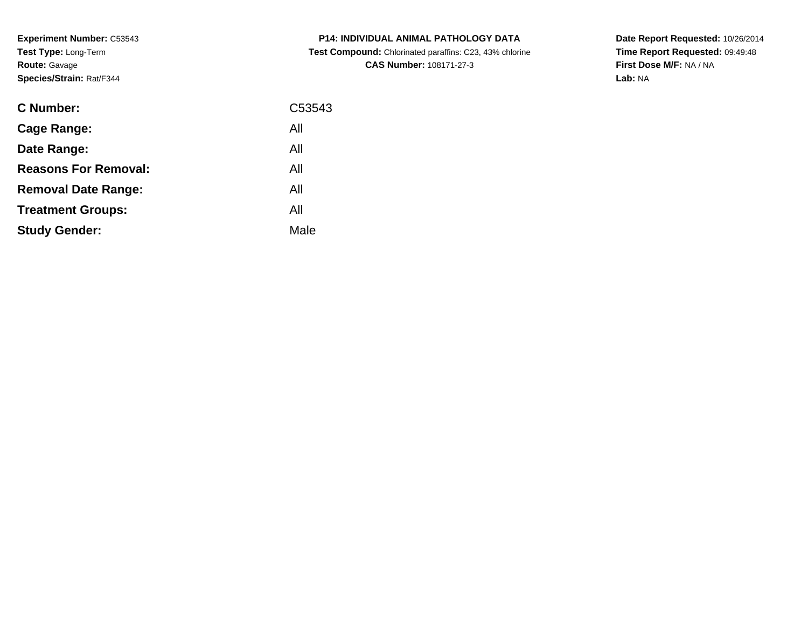**Experiment Number:** C53543**Test Type:** Long-Term**Route:** Gavage**Species/Strain:** Rat/F344

| <b>C Number:</b>            | C53543 |
|-----------------------------|--------|
| <b>Cage Range:</b>          | All    |
| Date Range:                 | All    |
| <b>Reasons For Removal:</b> | All    |
| <b>Removal Date Range:</b>  | All    |
| <b>Treatment Groups:</b>    | All    |
| <b>Study Gender:</b>        | Male   |
|                             |        |

**P14: INDIVIDUAL ANIMAL PATHOLOGY DATA Test Compound:** Chlorinated paraffins: C23, 43% chlorine**CAS Number:** 108171-27-3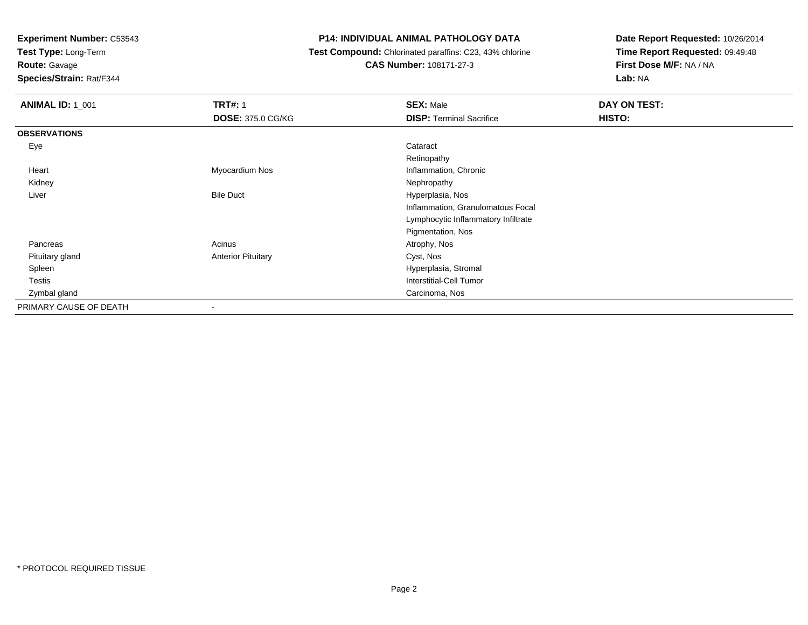**Test Type:** Long-Term

# **Route:** Gavage

**Species/Strain:** Rat/F344

#### **P14: INDIVIDUAL ANIMAL PATHOLOGY DATA**

#### **Test Compound:** Chlorinated paraffins: C23, 43% chlorine**CAS Number:** 108171-27-3

| <b>ANIMAL ID: 1_001</b> | <b>TRT#: 1</b>            | <b>SEX: Male</b>                    | DAY ON TEST: |  |
|-------------------------|---------------------------|-------------------------------------|--------------|--|
|                         | <b>DOSE: 375.0 CG/KG</b>  | <b>DISP: Terminal Sacrifice</b>     | HISTO:       |  |
| <b>OBSERVATIONS</b>     |                           |                                     |              |  |
| Eye                     |                           | Cataract                            |              |  |
|                         |                           | Retinopathy                         |              |  |
| Heart                   | Myocardium Nos            | Inflammation, Chronic               |              |  |
| Kidney                  |                           | Nephropathy                         |              |  |
| Liver                   | <b>Bile Duct</b>          | Hyperplasia, Nos                    |              |  |
|                         |                           | Inflammation, Granulomatous Focal   |              |  |
|                         |                           | Lymphocytic Inflammatory Infiltrate |              |  |
|                         |                           | Pigmentation, Nos                   |              |  |
| Pancreas                | Acinus                    | Atrophy, Nos                        |              |  |
| Pituitary gland         | <b>Anterior Pituitary</b> | Cyst, Nos                           |              |  |
| Spleen                  |                           | Hyperplasia, Stromal                |              |  |
| Testis                  |                           | <b>Interstitial-Cell Tumor</b>      |              |  |
| Zymbal gland            |                           | Carcinoma, Nos                      |              |  |
| PRIMARY CAUSE OF DEATH  | $\blacksquare$            |                                     |              |  |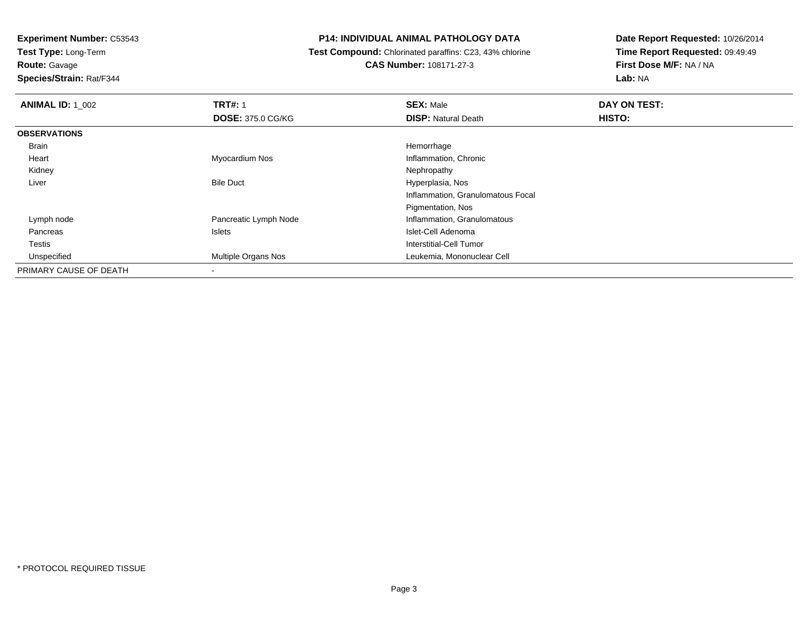**Test Type:** Long-Term

**Route:** Gavage

**Species/Strain:** Rat/F344

#### **P14: INDIVIDUAL ANIMAL PATHOLOGY DATA**

 **Test Compound:** Chlorinated paraffins: C23, 43% chlorine**CAS Number:** 108171-27-3

| <b>ANIMAL ID: 1 002</b> | <b>TRT#: 1</b>             | <b>SEX: Male</b>                  | DAY ON TEST:  |  |
|-------------------------|----------------------------|-----------------------------------|---------------|--|
|                         | <b>DOSE: 375.0 CG/KG</b>   | <b>DISP: Natural Death</b>        | <b>HISTO:</b> |  |
| <b>OBSERVATIONS</b>     |                            |                                   |               |  |
| Brain                   |                            | Hemorrhage                        |               |  |
| Heart                   | Myocardium Nos             | Inflammation, Chronic             |               |  |
| Kidney                  |                            | Nephropathy                       |               |  |
| Liver                   | <b>Bile Duct</b>           | Hyperplasia, Nos                  |               |  |
|                         |                            | Inflammation, Granulomatous Focal |               |  |
|                         |                            | Pigmentation, Nos                 |               |  |
| Lymph node              | Pancreatic Lymph Node      | Inflammation, Granulomatous       |               |  |
| Pancreas                | Islets                     | Islet-Cell Adenoma                |               |  |
| Testis                  |                            | Interstitial-Cell Tumor           |               |  |
| Unspecified             | <b>Multiple Organs Nos</b> | Leukemia, Mononuclear Cell        |               |  |
| PRIMARY CAUSE OF DEATH  | $\,$                       |                                   |               |  |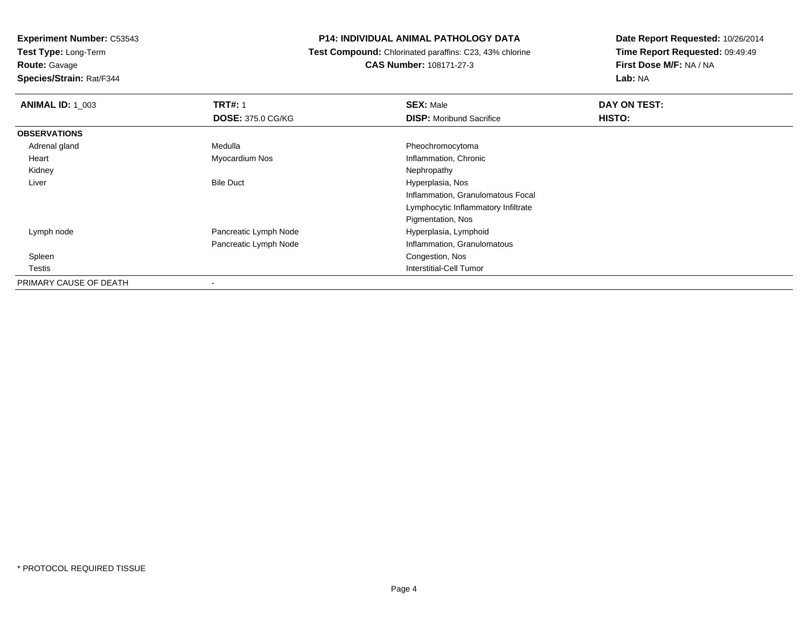**Test Type:** Long-Term

**Route:** Gavage

**Species/Strain:** Rat/F344

#### **P14: INDIVIDUAL ANIMAL PATHOLOGY DATA**

 **Test Compound:** Chlorinated paraffins: C23, 43% chlorine**CAS Number:** 108171-27-3

| <b>ANIMAL ID: 1 003</b> | <b>TRT#: 1</b>           | <b>SEX: Male</b>                    | DAY ON TEST: |  |
|-------------------------|--------------------------|-------------------------------------|--------------|--|
|                         | <b>DOSE: 375.0 CG/KG</b> | <b>DISP:</b> Moribund Sacrifice     | HISTO:       |  |
| <b>OBSERVATIONS</b>     |                          |                                     |              |  |
| Adrenal gland           | Medulla                  | Pheochromocytoma                    |              |  |
| Heart                   | Myocardium Nos           | Inflammation, Chronic               |              |  |
| Kidney                  |                          | Nephropathy                         |              |  |
| Liver                   | <b>Bile Duct</b>         | Hyperplasia, Nos                    |              |  |
|                         |                          | Inflammation, Granulomatous Focal   |              |  |
|                         |                          | Lymphocytic Inflammatory Infiltrate |              |  |
|                         |                          | Pigmentation, Nos                   |              |  |
| Lymph node              | Pancreatic Lymph Node    | Hyperplasia, Lymphoid               |              |  |
|                         | Pancreatic Lymph Node    | Inflammation, Granulomatous         |              |  |
| Spleen                  |                          | Congestion, Nos                     |              |  |
| Testis                  |                          | <b>Interstitial-Cell Tumor</b>      |              |  |
| PRIMARY CAUSE OF DEATH  | $\,$                     |                                     |              |  |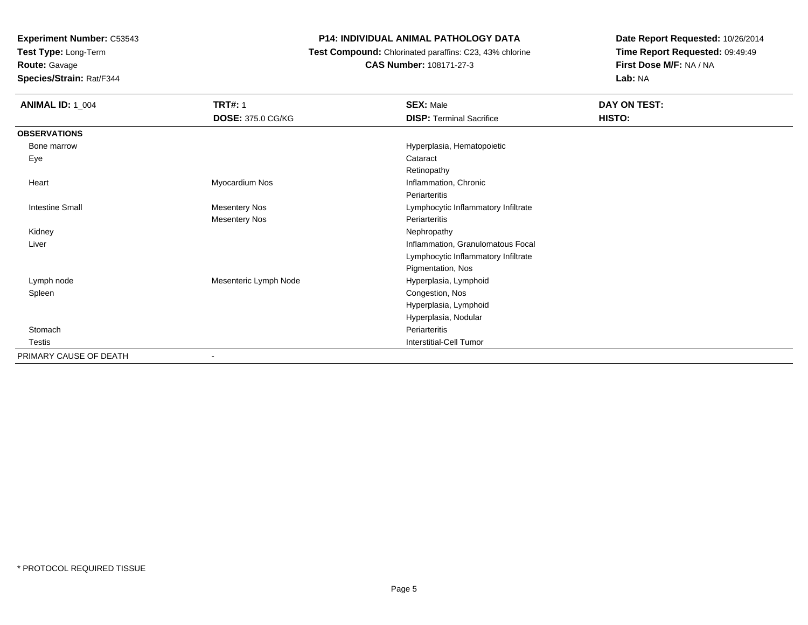**Test Type:** Long-Term

**Route:** Gavage

**Species/Strain:** Rat/F344

## **P14: INDIVIDUAL ANIMAL PATHOLOGY DATA**

 **Test Compound:** Chlorinated paraffins: C23, 43% chlorine**CAS Number:** 108171-27-3

| <b>ANIMAL ID: 1_004</b> | <b>TRT#: 1</b>           | <b>SEX: Male</b>                    | DAY ON TEST: |
|-------------------------|--------------------------|-------------------------------------|--------------|
|                         | <b>DOSE: 375.0 CG/KG</b> | <b>DISP: Terminal Sacrifice</b>     | HISTO:       |
| <b>OBSERVATIONS</b>     |                          |                                     |              |
| Bone marrow             |                          | Hyperplasia, Hematopoietic          |              |
| Eye                     |                          | Cataract                            |              |
|                         |                          | Retinopathy                         |              |
| Heart                   | Myocardium Nos           | Inflammation, Chronic               |              |
|                         |                          | Periarteritis                       |              |
| <b>Intestine Small</b>  | <b>Mesentery Nos</b>     | Lymphocytic Inflammatory Infiltrate |              |
|                         | <b>Mesentery Nos</b>     | Periarteritis                       |              |
| Kidney                  |                          | Nephropathy                         |              |
| Liver                   |                          | Inflammation, Granulomatous Focal   |              |
|                         |                          | Lymphocytic Inflammatory Infiltrate |              |
|                         |                          | Pigmentation, Nos                   |              |
| Lymph node              | Mesenteric Lymph Node    | Hyperplasia, Lymphoid               |              |
| Spleen                  |                          | Congestion, Nos                     |              |
|                         |                          | Hyperplasia, Lymphoid               |              |
|                         |                          | Hyperplasia, Nodular                |              |
| Stomach                 |                          | Periarteritis                       |              |
| Testis                  |                          | <b>Interstitial-Cell Tumor</b>      |              |
| PRIMARY CAUSE OF DEATH  | ۰                        |                                     |              |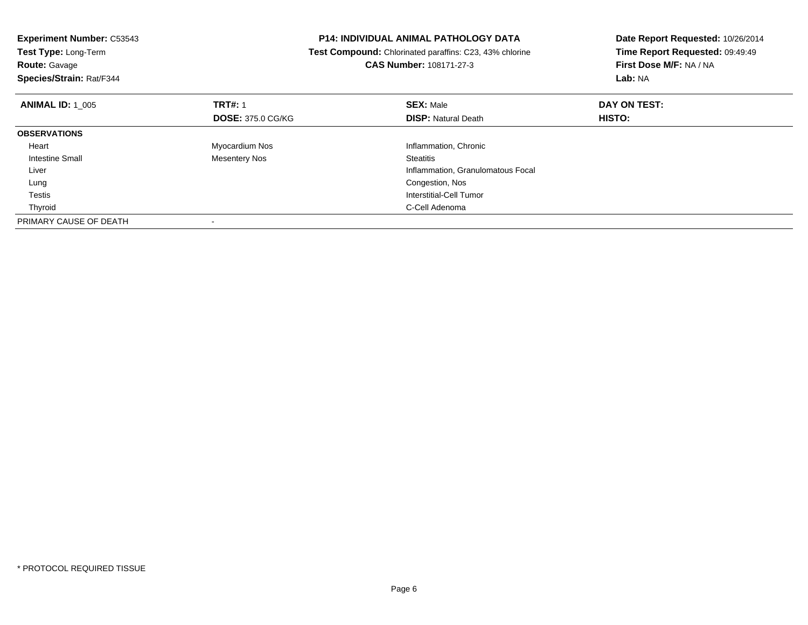| <b>Experiment Number: C53543</b><br>Test Type: Long-Term |                          | <b>P14: INDIVIDUAL ANIMAL PATHOLOGY DATA</b>            | Date Report Requested: 10/26/2014 |
|----------------------------------------------------------|--------------------------|---------------------------------------------------------|-----------------------------------|
|                                                          |                          | Test Compound: Chlorinated paraffins: C23, 43% chlorine | Time Report Requested: 09:49:49   |
| <b>Route: Gavage</b>                                     |                          | <b>CAS Number: 108171-27-3</b>                          | First Dose M/F: NA / NA           |
| Species/Strain: Rat/F344                                 |                          |                                                         | Lab: NA                           |
| <b>ANIMAL ID: 1_005</b>                                  | <b>TRT#: 1</b>           | <b>SEX: Male</b>                                        | DAY ON TEST:                      |
|                                                          | <b>DOSE: 375.0 CG/KG</b> | <b>DISP: Natural Death</b>                              | HISTO:                            |
| <b>OBSERVATIONS</b>                                      |                          |                                                         |                                   |
| Heart                                                    | Myocardium Nos           | Inflammation, Chronic                                   |                                   |
| <b>Intestine Small</b>                                   | <b>Mesentery Nos</b>     | <b>Steatitis</b>                                        |                                   |
| Liver                                                    |                          | Inflammation, Granulomatous Focal                       |                                   |
| Lung                                                     |                          | Congestion, Nos                                         |                                   |
| Testis                                                   |                          | Interstitial-Cell Tumor                                 |                                   |
| Thyroid                                                  |                          | C-Cell Adenoma                                          |                                   |
| PRIMARY CAUSE OF DEATH                                   |                          |                                                         |                                   |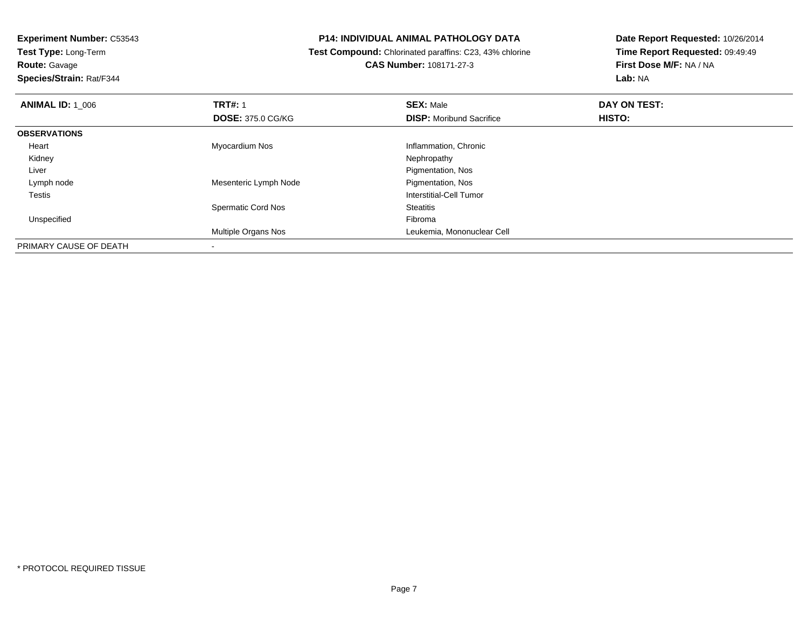**Experiment Number:** C53543**Test Type:** Long-Term

**Route:** Gavage

**Species/Strain:** Rat/F344

#### **P14: INDIVIDUAL ANIMAL PATHOLOGY DATA**

 **Test Compound:** Chlorinated paraffins: C23, 43% chlorine**CAS Number:** 108171-27-3

| <b>ANIMAL ID: 1 006</b> | <b>TRT#: 1</b>            | <b>SEX: Male</b>                | DAY ON TEST: |  |
|-------------------------|---------------------------|---------------------------------|--------------|--|
|                         | <b>DOSE: 375.0 CG/KG</b>  | <b>DISP:</b> Moribund Sacrifice | HISTO:       |  |
| <b>OBSERVATIONS</b>     |                           |                                 |              |  |
| Heart                   | Myocardium Nos            | Inflammation, Chronic           |              |  |
| Kidney                  |                           | Nephropathy                     |              |  |
| Liver                   |                           | Pigmentation, Nos               |              |  |
| Lymph node              | Mesenteric Lymph Node     | Pigmentation, Nos               |              |  |
| Testis                  |                           | Interstitial-Cell Tumor         |              |  |
|                         | <b>Spermatic Cord Nos</b> | <b>Steatitis</b>                |              |  |
| Unspecified             |                           | Fibroma                         |              |  |
|                         | Multiple Organs Nos       | Leukemia, Mononuclear Cell      |              |  |
| PRIMARY CAUSE OF DEATH  |                           |                                 |              |  |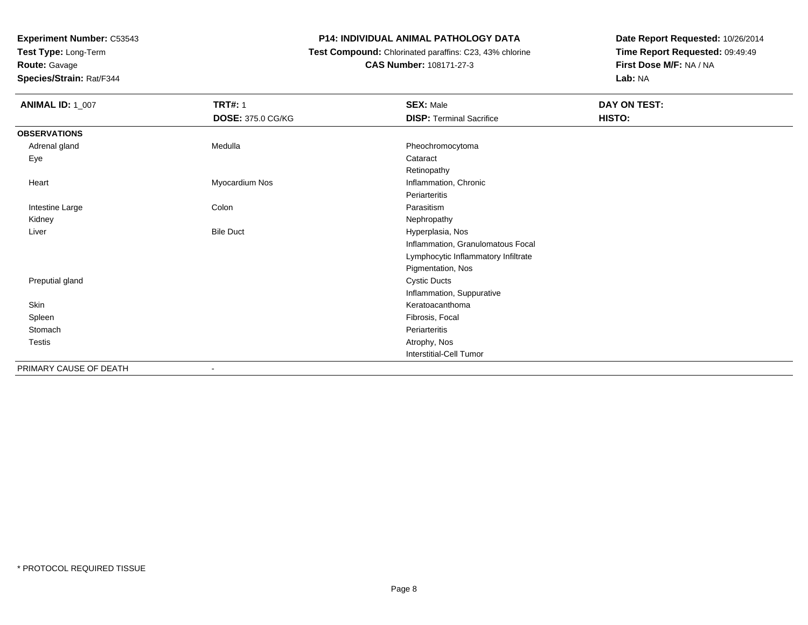**Test Type:** Long-Term

# **Route:** Gavage

**Species/Strain:** Rat/F344

## **P14: INDIVIDUAL ANIMAL PATHOLOGY DATA**

#### **Test Compound:** Chlorinated paraffins: C23, 43% chlorine**CAS Number:** 108171-27-3

**Date Report Requested:** 10/26/2014**Time Report Requested:** 09:49:49**First Dose M/F:** NA / NA**Lab:** NA

| <b>ANIMAL ID: 1_007</b> | <b>TRT#: 1</b>           | <b>SEX: Male</b>                    | DAY ON TEST: |  |
|-------------------------|--------------------------|-------------------------------------|--------------|--|
|                         | <b>DOSE: 375.0 CG/KG</b> | <b>DISP: Terminal Sacrifice</b>     | HISTO:       |  |
| <b>OBSERVATIONS</b>     |                          |                                     |              |  |
| Adrenal gland           | Medulla                  | Pheochromocytoma                    |              |  |
| Eye                     |                          | Cataract                            |              |  |
|                         |                          | Retinopathy                         |              |  |
| Heart                   | Myocardium Nos           | Inflammation, Chronic               |              |  |
|                         |                          | Periarteritis                       |              |  |
| Intestine Large         | Colon                    | Parasitism                          |              |  |
| Kidney                  |                          | Nephropathy                         |              |  |
| Liver                   | <b>Bile Duct</b>         | Hyperplasia, Nos                    |              |  |
|                         |                          | Inflammation, Granulomatous Focal   |              |  |
|                         |                          | Lymphocytic Inflammatory Infiltrate |              |  |
|                         |                          | Pigmentation, Nos                   |              |  |
| Preputial gland         |                          | <b>Cystic Ducts</b>                 |              |  |
|                         |                          | Inflammation, Suppurative           |              |  |
| Skin                    |                          | Keratoacanthoma                     |              |  |
| Spleen                  |                          | Fibrosis, Focal                     |              |  |
| Stomach                 |                          | Periarteritis                       |              |  |
| Testis                  |                          | Atrophy, Nos                        |              |  |
|                         |                          | <b>Interstitial-Cell Tumor</b>      |              |  |
| PRIMARY CAUSE OF DEATH  | $\blacksquare$           |                                     |              |  |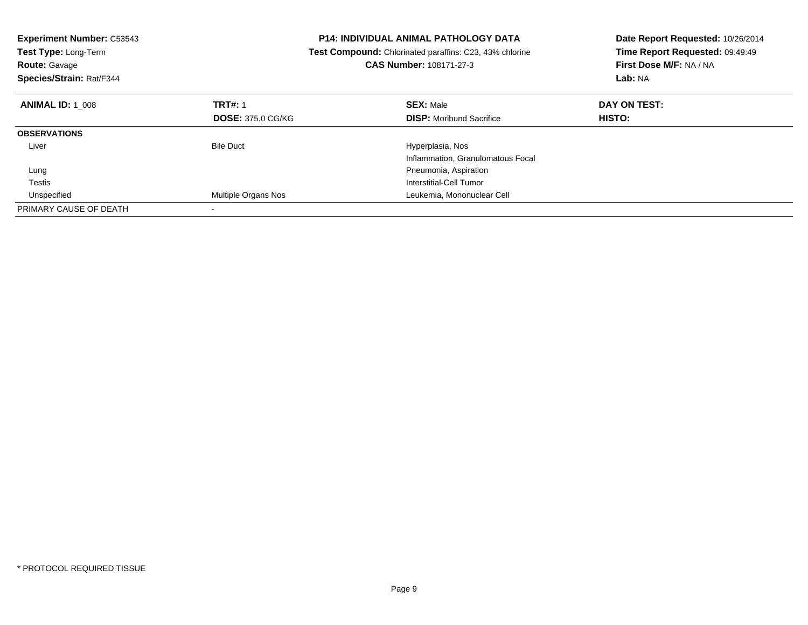| <b>Experiment Number: C53543</b><br>Test Type: Long-Term<br><b>Route: Gavage</b><br>Species/Strain: Rat/F344 | <b>P14: INDIVIDUAL ANIMAL PATHOLOGY DATA</b><br>Test Compound: Chlorinated paraffins: C23, 43% chlorine<br>CAS Number: 108171-27-3 |                                   | Date Report Requested: 10/26/2014<br>Time Report Requested: 09:49:49<br>First Dose M/F: NA / NA<br>Lab: NA |
|--------------------------------------------------------------------------------------------------------------|------------------------------------------------------------------------------------------------------------------------------------|-----------------------------------|------------------------------------------------------------------------------------------------------------|
| <b>ANIMAL ID: 1 008</b>                                                                                      | <b>TRT#: 1</b>                                                                                                                     | <b>SEX: Male</b>                  | DAY ON TEST:                                                                                               |
|                                                                                                              | <b>DOSE: 375.0 CG/KG</b>                                                                                                           | <b>DISP:</b> Moribund Sacrifice   | HISTO:                                                                                                     |
| <b>OBSERVATIONS</b>                                                                                          |                                                                                                                                    |                                   |                                                                                                            |
| Liver                                                                                                        | <b>Bile Duct</b>                                                                                                                   | Hyperplasia, Nos                  |                                                                                                            |
|                                                                                                              |                                                                                                                                    | Inflammation, Granulomatous Focal |                                                                                                            |
| Lung                                                                                                         |                                                                                                                                    | Pneumonia, Aspiration             |                                                                                                            |
| Testis                                                                                                       |                                                                                                                                    | Interstitial-Cell Tumor           |                                                                                                            |
| Unspecified                                                                                                  | Multiple Organs Nos                                                                                                                | Leukemia, Mononuclear Cell        |                                                                                                            |
| PRIMARY CAUSE OF DEATH                                                                                       |                                                                                                                                    |                                   |                                                                                                            |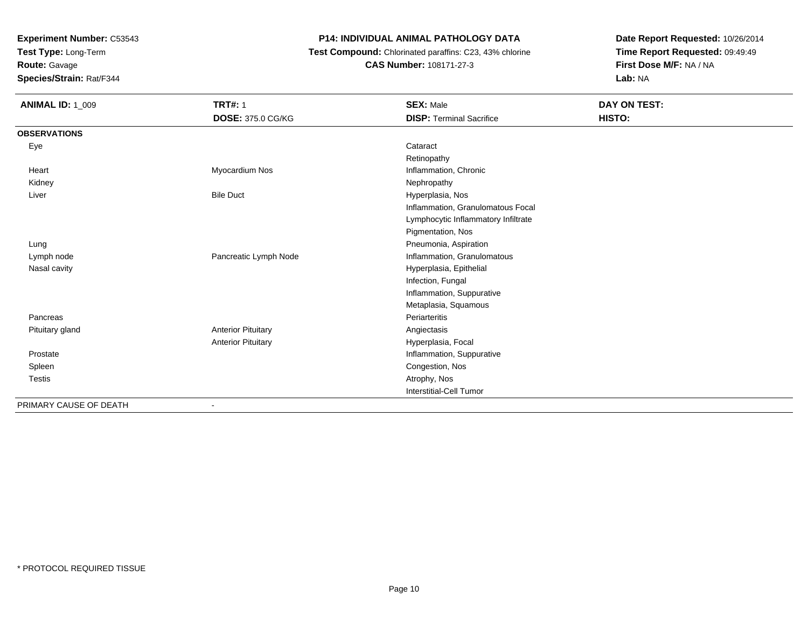**Test Type:** Long-Term

# **Route:** Gavage

**Species/Strain:** Rat/F344

# **P14: INDIVIDUAL ANIMAL PATHOLOGY DATA**

 **Test Compound:** Chlorinated paraffins: C23, 43% chlorine**CAS Number:** 108171-27-3

| <b>ANIMAL ID: 1_009</b> | <b>TRT#: 1</b>            | <b>SEX: Male</b>                    | DAY ON TEST: |  |
|-------------------------|---------------------------|-------------------------------------|--------------|--|
|                         | <b>DOSE: 375.0 CG/KG</b>  | <b>DISP: Terminal Sacrifice</b>     | HISTO:       |  |
| <b>OBSERVATIONS</b>     |                           |                                     |              |  |
| Eye                     |                           | Cataract                            |              |  |
|                         |                           | Retinopathy                         |              |  |
| Heart                   | Myocardium Nos            | Inflammation, Chronic               |              |  |
| Kidney                  |                           | Nephropathy                         |              |  |
| Liver                   | <b>Bile Duct</b>          | Hyperplasia, Nos                    |              |  |
|                         |                           | Inflammation, Granulomatous Focal   |              |  |
|                         |                           | Lymphocytic Inflammatory Infiltrate |              |  |
|                         |                           | Pigmentation, Nos                   |              |  |
| Lung                    |                           | Pneumonia, Aspiration               |              |  |
| Lymph node              | Pancreatic Lymph Node     | Inflammation, Granulomatous         |              |  |
| Nasal cavity            |                           | Hyperplasia, Epithelial             |              |  |
|                         |                           | Infection, Fungal                   |              |  |
|                         |                           | Inflammation, Suppurative           |              |  |
|                         |                           | Metaplasia, Squamous                |              |  |
| Pancreas                |                           | Periarteritis                       |              |  |
| Pituitary gland         | <b>Anterior Pituitary</b> | Angiectasis                         |              |  |
|                         | <b>Anterior Pituitary</b> | Hyperplasia, Focal                  |              |  |
| Prostate                |                           | Inflammation, Suppurative           |              |  |
| Spleen                  |                           | Congestion, Nos                     |              |  |
| <b>Testis</b>           |                           | Atrophy, Nos                        |              |  |
|                         |                           | Interstitial-Cell Tumor             |              |  |
| PRIMARY CAUSE OF DEATH  |                           |                                     |              |  |
|                         |                           |                                     |              |  |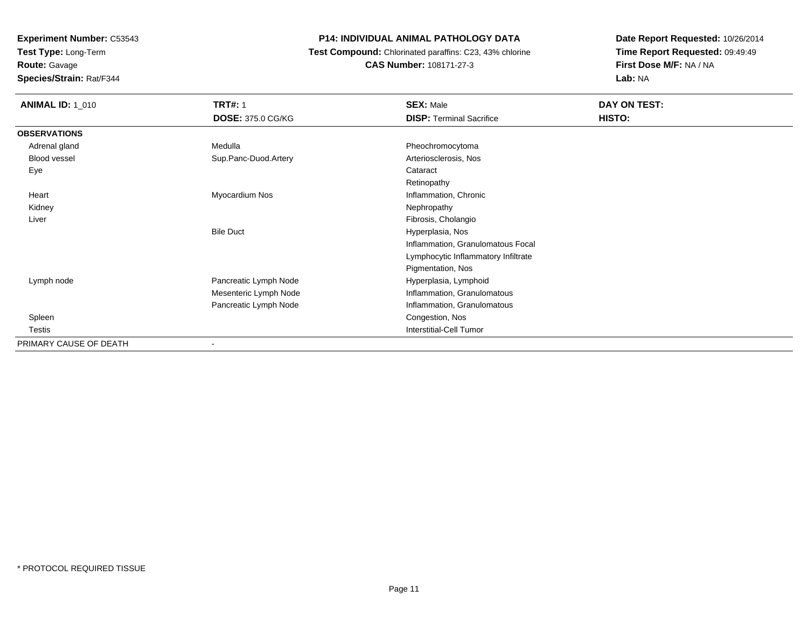**Test Type:** Long-Term

# **Route:** Gavage

**Species/Strain:** Rat/F344

# **P14: INDIVIDUAL ANIMAL PATHOLOGY DATA**

 **Test Compound:** Chlorinated paraffins: C23, 43% chlorine**CAS Number:** 108171-27-3

| <b>ANIMAL ID: 1_010</b> | <b>TRT#: 1</b><br><b>DOSE: 375.0 CG/KG</b> | <b>SEX: Male</b><br><b>DISP: Terminal Sacrifice</b> | DAY ON TEST:<br>HISTO: |
|-------------------------|--------------------------------------------|-----------------------------------------------------|------------------------|
| <b>OBSERVATIONS</b>     |                                            |                                                     |                        |
| Adrenal gland           | Medulla                                    | Pheochromocytoma                                    |                        |
| Blood vessel            | Sup.Panc-Duod.Artery                       | Arteriosclerosis, Nos                               |                        |
| Eye                     |                                            | Cataract                                            |                        |
|                         |                                            | Retinopathy                                         |                        |
| Heart                   | Myocardium Nos                             | Inflammation, Chronic                               |                        |
| Kidney                  |                                            | Nephropathy                                         |                        |
| Liver                   |                                            | Fibrosis, Cholangio                                 |                        |
|                         | <b>Bile Duct</b>                           | Hyperplasia, Nos                                    |                        |
|                         |                                            | Inflammation, Granulomatous Focal                   |                        |
|                         |                                            | Lymphocytic Inflammatory Infiltrate                 |                        |
|                         |                                            | Pigmentation, Nos                                   |                        |
| Lymph node              | Pancreatic Lymph Node                      | Hyperplasia, Lymphoid                               |                        |
|                         | Mesenteric Lymph Node                      | Inflammation, Granulomatous                         |                        |
|                         | Pancreatic Lymph Node                      | Inflammation, Granulomatous                         |                        |
| Spleen                  |                                            | Congestion, Nos                                     |                        |
| <b>Testis</b>           |                                            | <b>Interstitial-Cell Tumor</b>                      |                        |
| PRIMARY CAUSE OF DEATH  |                                            |                                                     |                        |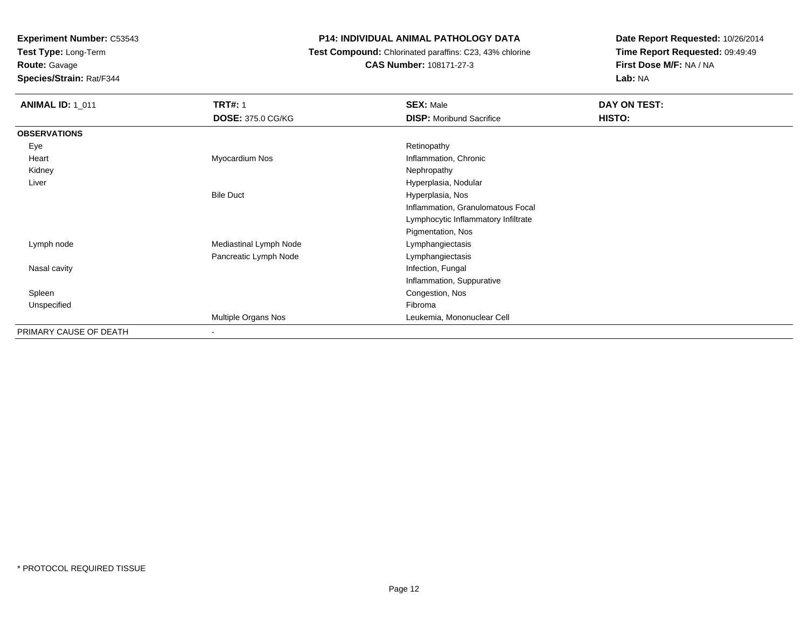**Test Type:** Long-Term

**Route:** Gavage

**Species/Strain:** Rat/F344

#### **P14: INDIVIDUAL ANIMAL PATHOLOGY DATA**

 **Test Compound:** Chlorinated paraffins: C23, 43% chlorine**CAS Number:** 108171-27-3

| <b>ANIMAL ID: 1_011</b> | <b>TRT#: 1</b>           | <b>SEX: Male</b>                    | DAY ON TEST: |  |
|-------------------------|--------------------------|-------------------------------------|--------------|--|
|                         | <b>DOSE: 375.0 CG/KG</b> | <b>DISP:</b> Moribund Sacrifice     | HISTO:       |  |
| <b>OBSERVATIONS</b>     |                          |                                     |              |  |
| Eye                     |                          | Retinopathy                         |              |  |
| Heart                   | Myocardium Nos           | Inflammation, Chronic               |              |  |
| Kidney                  |                          | Nephropathy                         |              |  |
| Liver                   |                          | Hyperplasia, Nodular                |              |  |
|                         | <b>Bile Duct</b>         | Hyperplasia, Nos                    |              |  |
|                         |                          | Inflammation, Granulomatous Focal   |              |  |
|                         |                          | Lymphocytic Inflammatory Infiltrate |              |  |
|                         |                          | Pigmentation, Nos                   |              |  |
| Lymph node              | Mediastinal Lymph Node   | Lymphangiectasis                    |              |  |
|                         | Pancreatic Lymph Node    | Lymphangiectasis                    |              |  |
| Nasal cavity            |                          | Infection, Fungal                   |              |  |
|                         |                          | Inflammation, Suppurative           |              |  |
| Spleen                  |                          | Congestion, Nos                     |              |  |
| Unspecified             |                          | Fibroma                             |              |  |
|                         | Multiple Organs Nos      | Leukemia, Mononuclear Cell          |              |  |
| PRIMARY CAUSE OF DEATH  | $\overline{\phantom{a}}$ |                                     |              |  |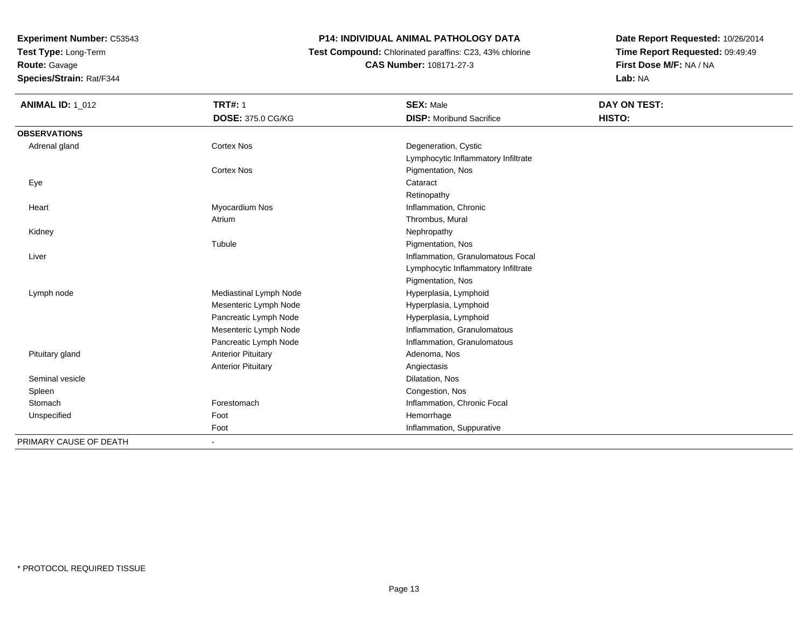**Test Type:** Long-Term

# **Route:** Gavage

**Species/Strain:** Rat/F344

# **P14: INDIVIDUAL ANIMAL PATHOLOGY DATA**

 **Test Compound:** Chlorinated paraffins: C23, 43% chlorine**CAS Number:** 108171-27-3

| <b>ANIMAL ID: 1_012</b> | <b>TRT#: 1</b>            | <b>SEX: Male</b>                    | DAY ON TEST: |
|-------------------------|---------------------------|-------------------------------------|--------------|
|                         | <b>DOSE: 375.0 CG/KG</b>  | <b>DISP:</b> Moribund Sacrifice     | HISTO:       |
| <b>OBSERVATIONS</b>     |                           |                                     |              |
| Adrenal gland           | <b>Cortex Nos</b>         | Degeneration, Cystic                |              |
|                         |                           | Lymphocytic Inflammatory Infiltrate |              |
|                         | <b>Cortex Nos</b>         | Pigmentation, Nos                   |              |
| Eye                     |                           | Cataract                            |              |
|                         |                           | Retinopathy                         |              |
| Heart                   | Myocardium Nos            | Inflammation, Chronic               |              |
|                         | Atrium                    | Thrombus, Mural                     |              |
| Kidney                  |                           | Nephropathy                         |              |
|                         | Tubule                    | Pigmentation, Nos                   |              |
| Liver                   |                           | Inflammation, Granulomatous Focal   |              |
|                         |                           | Lymphocytic Inflammatory Infiltrate |              |
|                         |                           | Pigmentation, Nos                   |              |
| Lymph node              | Mediastinal Lymph Node    | Hyperplasia, Lymphoid               |              |
|                         | Mesenteric Lymph Node     | Hyperplasia, Lymphoid               |              |
|                         | Pancreatic Lymph Node     | Hyperplasia, Lymphoid               |              |
|                         | Mesenteric Lymph Node     | Inflammation, Granulomatous         |              |
|                         | Pancreatic Lymph Node     | Inflammation, Granulomatous         |              |
| Pituitary gland         | <b>Anterior Pituitary</b> | Adenoma, Nos                        |              |
|                         | <b>Anterior Pituitary</b> | Angiectasis                         |              |
| Seminal vesicle         |                           | Dilatation, Nos                     |              |
| Spleen                  |                           | Congestion, Nos                     |              |
| Stomach                 | Forestomach               | Inflammation, Chronic Focal         |              |
| Unspecified             | Foot                      | Hemorrhage                          |              |
|                         | Foot                      | Inflammation, Suppurative           |              |
| PRIMARY CAUSE OF DEATH  |                           |                                     |              |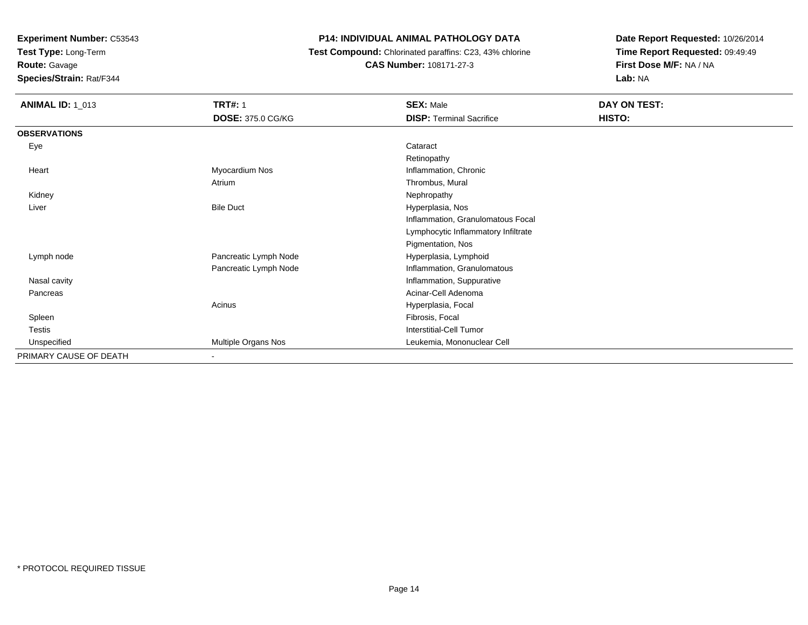**Test Type:** Long-Term

# **Route:** Gavage

**Species/Strain:** Rat/F344

# **P14: INDIVIDUAL ANIMAL PATHOLOGY DATA**

#### **Test Compound:** Chlorinated paraffins: C23, 43% chlorine**CAS Number:** 108171-27-3

| <b>ANIMAL ID: 1_013</b> | <b>TRT#: 1</b>           | <b>SEX: Male</b>                    | DAY ON TEST: |  |
|-------------------------|--------------------------|-------------------------------------|--------------|--|
|                         | <b>DOSE: 375.0 CG/KG</b> | <b>DISP: Terminal Sacrifice</b>     | HISTO:       |  |
| <b>OBSERVATIONS</b>     |                          |                                     |              |  |
| Eye                     |                          | Cataract                            |              |  |
|                         |                          | Retinopathy                         |              |  |
| Heart                   | Myocardium Nos           | Inflammation, Chronic               |              |  |
|                         | Atrium                   | Thrombus, Mural                     |              |  |
| Kidney                  |                          | Nephropathy                         |              |  |
| Liver                   | <b>Bile Duct</b>         | Hyperplasia, Nos                    |              |  |
|                         |                          | Inflammation, Granulomatous Focal   |              |  |
|                         |                          | Lymphocytic Inflammatory Infiltrate |              |  |
|                         |                          | Pigmentation, Nos                   |              |  |
| Lymph node              | Pancreatic Lymph Node    | Hyperplasia, Lymphoid               |              |  |
|                         | Pancreatic Lymph Node    | Inflammation, Granulomatous         |              |  |
| Nasal cavity            |                          | Inflammation, Suppurative           |              |  |
| Pancreas                |                          | Acinar-Cell Adenoma                 |              |  |
|                         | Acinus                   | Hyperplasia, Focal                  |              |  |
| Spleen                  |                          | Fibrosis, Focal                     |              |  |
| Testis                  |                          | <b>Interstitial-Cell Tumor</b>      |              |  |
| Unspecified             | Multiple Organs Nos      | Leukemia, Mononuclear Cell          |              |  |
| PRIMARY CAUSE OF DEATH  | $\overline{\phantom{a}}$ |                                     |              |  |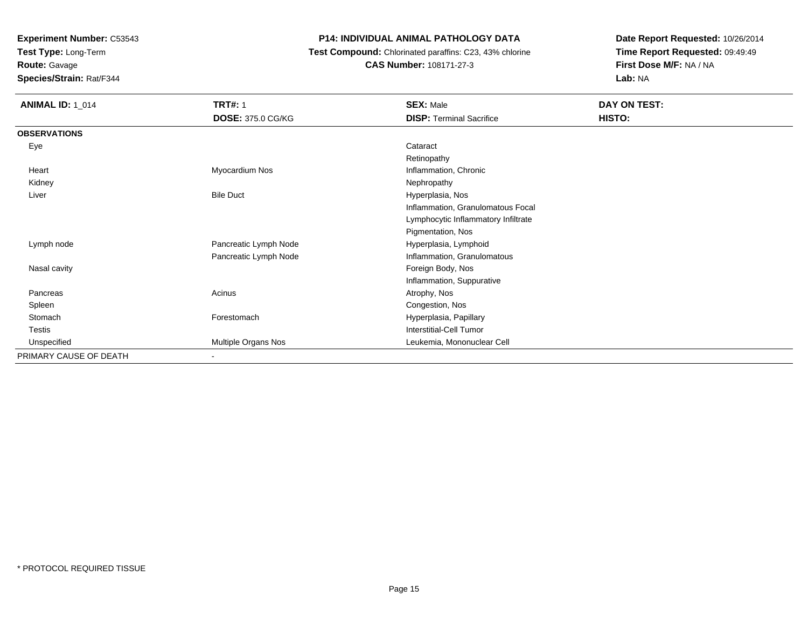**Test Type:** Long-Term

**Route:** Gavage

**Species/Strain:** Rat/F344

## **P14: INDIVIDUAL ANIMAL PATHOLOGY DATA**

 **Test Compound:** Chlorinated paraffins: C23, 43% chlorine**CAS Number:** 108171-27-3

| <b>ANIMAL ID: 1_014</b> | <b>TRT#: 1</b>           | <b>SEX: Male</b>                    | DAY ON TEST: |
|-------------------------|--------------------------|-------------------------------------|--------------|
|                         | <b>DOSE: 375.0 CG/KG</b> | <b>DISP: Terminal Sacrifice</b>     | HISTO:       |
| <b>OBSERVATIONS</b>     |                          |                                     |              |
| Eye                     |                          | Cataract                            |              |
|                         |                          | Retinopathy                         |              |
| Heart                   | Myocardium Nos           | Inflammation, Chronic               |              |
| Kidney                  |                          | Nephropathy                         |              |
| Liver                   | <b>Bile Duct</b>         | Hyperplasia, Nos                    |              |
|                         |                          | Inflammation, Granulomatous Focal   |              |
|                         |                          | Lymphocytic Inflammatory Infiltrate |              |
|                         |                          | Pigmentation, Nos                   |              |
| Lymph node              | Pancreatic Lymph Node    | Hyperplasia, Lymphoid               |              |
|                         | Pancreatic Lymph Node    | Inflammation, Granulomatous         |              |
| Nasal cavity            |                          | Foreign Body, Nos                   |              |
|                         |                          | Inflammation, Suppurative           |              |
| Pancreas                | Acinus                   | Atrophy, Nos                        |              |
| Spleen                  |                          | Congestion, Nos                     |              |
| Stomach                 | Forestomach              | Hyperplasia, Papillary              |              |
| Testis                  |                          | <b>Interstitial-Cell Tumor</b>      |              |
| Unspecified             | Multiple Organs Nos      | Leukemia, Mononuclear Cell          |              |
| PRIMARY CAUSE OF DEATH  |                          |                                     |              |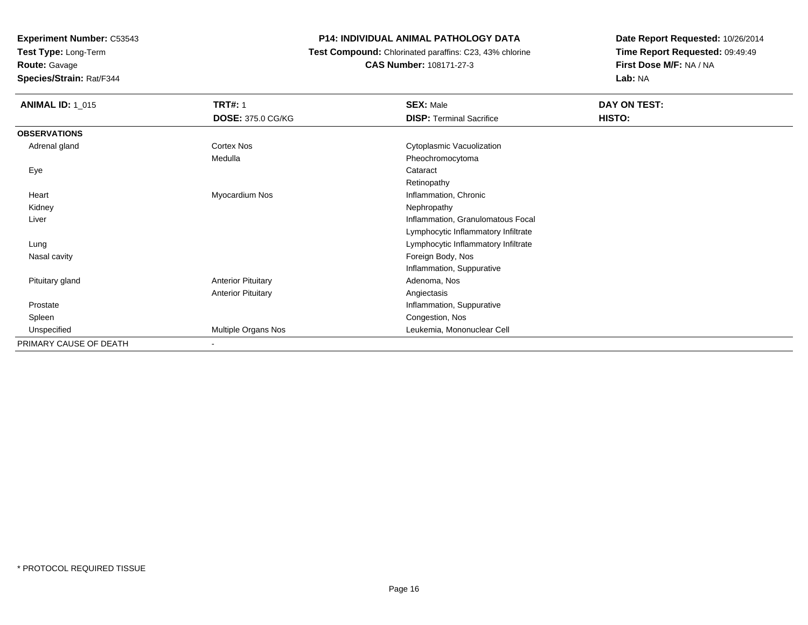**Test Type:** Long-Term

# **Route:** Gavage

**Species/Strain:** Rat/F344

### **P14: INDIVIDUAL ANIMAL PATHOLOGY DATA**

#### **Test Compound:** Chlorinated paraffins: C23, 43% chlorine**CAS Number:** 108171-27-3

| <b>ANIMAL ID: 1_015</b> | <b>TRT#: 1</b>            | <b>SEX: Male</b>                    | DAY ON TEST: |
|-------------------------|---------------------------|-------------------------------------|--------------|
|                         | <b>DOSE: 375.0 CG/KG</b>  | <b>DISP: Terminal Sacrifice</b>     | HISTO:       |
| <b>OBSERVATIONS</b>     |                           |                                     |              |
| Adrenal gland           | Cortex Nos                | Cytoplasmic Vacuolization           |              |
|                         | Medulla                   | Pheochromocytoma                    |              |
| Eye                     |                           | Cataract                            |              |
|                         |                           | Retinopathy                         |              |
| Heart                   | Myocardium Nos            | Inflammation, Chronic               |              |
| Kidney                  |                           | Nephropathy                         |              |
| Liver                   |                           | Inflammation, Granulomatous Focal   |              |
|                         |                           | Lymphocytic Inflammatory Infiltrate |              |
| Lung                    |                           | Lymphocytic Inflammatory Infiltrate |              |
| Nasal cavity            |                           | Foreign Body, Nos                   |              |
|                         |                           | Inflammation, Suppurative           |              |
| Pituitary gland         | <b>Anterior Pituitary</b> | Adenoma, Nos                        |              |
|                         | <b>Anterior Pituitary</b> | Angiectasis                         |              |
| Prostate                |                           | Inflammation, Suppurative           |              |
| Spleen                  |                           | Congestion, Nos                     |              |
| Unspecified             | Multiple Organs Nos       | Leukemia, Mononuclear Cell          |              |
| PRIMARY CAUSE OF DEATH  | $\overline{\phantom{0}}$  |                                     |              |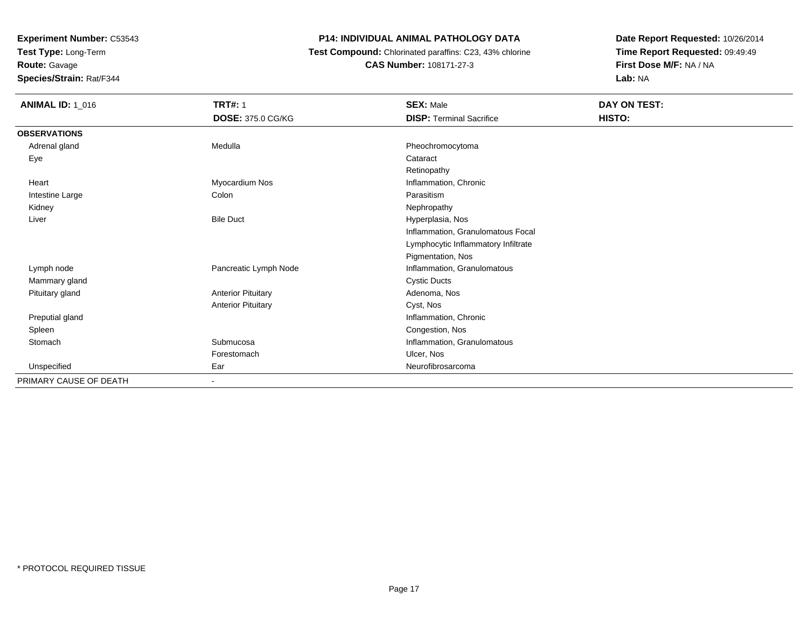**Test Type:** Long-Term

**Route:** Gavage

**Species/Strain:** Rat/F344

# **P14: INDIVIDUAL ANIMAL PATHOLOGY DATA**

 **Test Compound:** Chlorinated paraffins: C23, 43% chlorine**CAS Number:** 108171-27-3

| <b>ANIMAL ID: 1 016</b> | <b>TRT#: 1</b>            | <b>SEX: Male</b>                    | DAY ON TEST: |
|-------------------------|---------------------------|-------------------------------------|--------------|
|                         | DOSE: 375.0 CG/KG         | <b>DISP: Terminal Sacrifice</b>     | HISTO:       |
| <b>OBSERVATIONS</b>     |                           |                                     |              |
| Adrenal gland           | Medulla                   | Pheochromocytoma                    |              |
| Eye                     |                           | Cataract                            |              |
|                         |                           | Retinopathy                         |              |
| Heart                   | Myocardium Nos            | Inflammation, Chronic               |              |
| Intestine Large         | Colon                     | Parasitism                          |              |
| Kidney                  |                           | Nephropathy                         |              |
| Liver                   | <b>Bile Duct</b>          | Hyperplasia, Nos                    |              |
|                         |                           | Inflammation, Granulomatous Focal   |              |
|                         |                           | Lymphocytic Inflammatory Infiltrate |              |
|                         |                           | Pigmentation, Nos                   |              |
| Lymph node              | Pancreatic Lymph Node     | Inflammation, Granulomatous         |              |
| Mammary gland           |                           | <b>Cystic Ducts</b>                 |              |
| Pituitary gland         | <b>Anterior Pituitary</b> | Adenoma, Nos                        |              |
|                         | <b>Anterior Pituitary</b> | Cyst, Nos                           |              |
| Preputial gland         |                           | Inflammation, Chronic               |              |
| Spleen                  |                           | Congestion, Nos                     |              |
| Stomach                 | Submucosa                 | Inflammation, Granulomatous         |              |
|                         | Forestomach               | Ulcer, Nos                          |              |
| Unspecified             | Ear                       | Neurofibrosarcoma                   |              |
| PRIMARY CAUSE OF DEATH  |                           |                                     |              |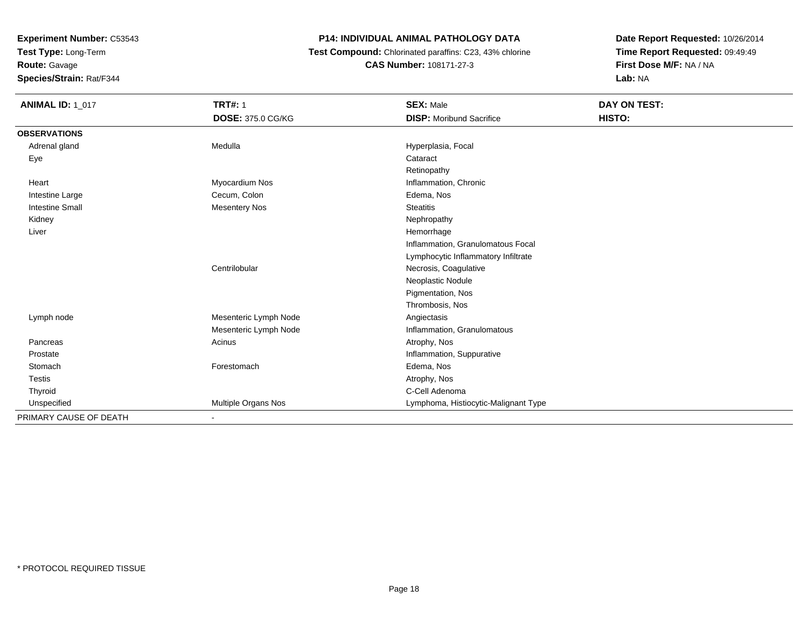**Test Type:** Long-Term

**Route:** Gavage

**Species/Strain:** Rat/F344

# **P14: INDIVIDUAL ANIMAL PATHOLOGY DATA**

 **Test Compound:** Chlorinated paraffins: C23, 43% chlorine**CAS Number:** 108171-27-3

| <b>ANIMAL ID: 1 017</b> | <b>TRT#: 1</b>           | <b>SEX: Male</b>                     | DAY ON TEST: |
|-------------------------|--------------------------|--------------------------------------|--------------|
|                         | <b>DOSE: 375.0 CG/KG</b> | <b>DISP:</b> Moribund Sacrifice      | HISTO:       |
| <b>OBSERVATIONS</b>     |                          |                                      |              |
| Adrenal gland           | Medulla                  | Hyperplasia, Focal                   |              |
| Eye                     |                          | Cataract                             |              |
|                         |                          | Retinopathy                          |              |
| Heart                   | Myocardium Nos           | Inflammation, Chronic                |              |
| Intestine Large         | Cecum, Colon             | Edema, Nos                           |              |
| <b>Intestine Small</b>  | <b>Mesentery Nos</b>     | <b>Steatitis</b>                     |              |
| Kidney                  |                          | Nephropathy                          |              |
| Liver                   |                          | Hemorrhage                           |              |
|                         |                          | Inflammation, Granulomatous Focal    |              |
|                         |                          | Lymphocytic Inflammatory Infiltrate  |              |
|                         | Centrilobular            | Necrosis, Coagulative                |              |
|                         |                          | Neoplastic Nodule                    |              |
|                         |                          | Pigmentation, Nos                    |              |
|                         |                          | Thrombosis, Nos                      |              |
| Lymph node              | Mesenteric Lymph Node    | Angiectasis                          |              |
|                         | Mesenteric Lymph Node    | Inflammation, Granulomatous          |              |
| Pancreas                | Acinus                   | Atrophy, Nos                         |              |
| Prostate                |                          | Inflammation, Suppurative            |              |
| Stomach                 | Forestomach              | Edema, Nos                           |              |
| <b>Testis</b>           |                          | Atrophy, Nos                         |              |
| Thyroid                 |                          | C-Cell Adenoma                       |              |
| Unspecified             | Multiple Organs Nos      | Lymphoma, Histiocytic-Malignant Type |              |
| PRIMARY CAUSE OF DEATH  | $\overline{\phantom{a}}$ |                                      |              |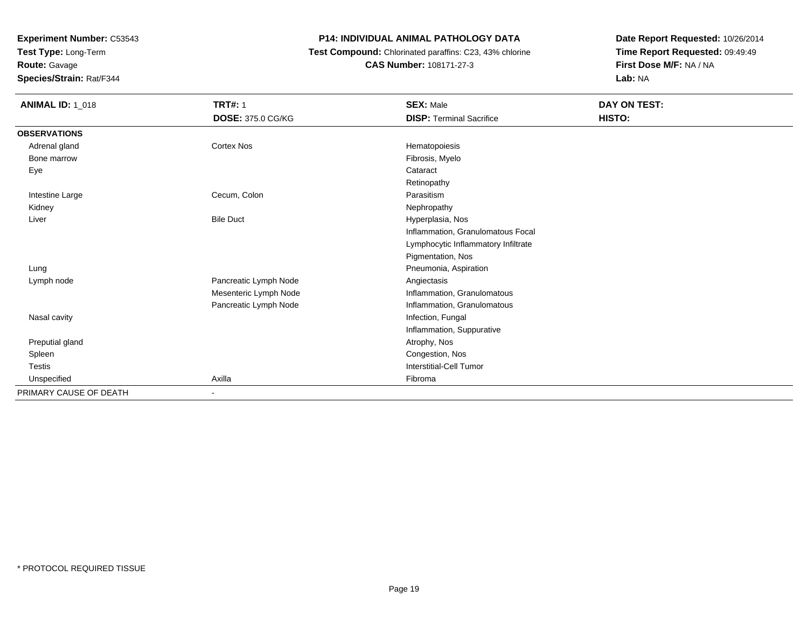**Test Type:** Long-Term

**Route:** Gavage

**Species/Strain:** Rat/F344

# **P14: INDIVIDUAL ANIMAL PATHOLOGY DATA**

 **Test Compound:** Chlorinated paraffins: C23, 43% chlorine**CAS Number:** 108171-27-3

| <b>ANIMAL ID: 1_018</b> | <b>TRT#: 1</b>           | <b>SEX: Male</b>                    | DAY ON TEST: |
|-------------------------|--------------------------|-------------------------------------|--------------|
|                         | <b>DOSE: 375.0 CG/KG</b> | <b>DISP: Terminal Sacrifice</b>     | HISTO:       |
| <b>OBSERVATIONS</b>     |                          |                                     |              |
| Adrenal gland           | Cortex Nos               | Hematopoiesis                       |              |
| Bone marrow             |                          | Fibrosis, Myelo                     |              |
| Eye                     |                          | Cataract                            |              |
|                         |                          | Retinopathy                         |              |
| Intestine Large         | Cecum, Colon             | Parasitism                          |              |
| Kidney                  |                          | Nephropathy                         |              |
| Liver                   | <b>Bile Duct</b>         | Hyperplasia, Nos                    |              |
|                         |                          | Inflammation, Granulomatous Focal   |              |
|                         |                          | Lymphocytic Inflammatory Infiltrate |              |
|                         |                          | Pigmentation, Nos                   |              |
| Lung                    |                          | Pneumonia, Aspiration               |              |
| Lymph node              | Pancreatic Lymph Node    | Angiectasis                         |              |
|                         | Mesenteric Lymph Node    | Inflammation, Granulomatous         |              |
|                         | Pancreatic Lymph Node    | Inflammation, Granulomatous         |              |
| Nasal cavity            |                          | Infection, Fungal                   |              |
|                         |                          | Inflammation, Suppurative           |              |
| Preputial gland         |                          | Atrophy, Nos                        |              |
| Spleen                  |                          | Congestion, Nos                     |              |
| Testis                  |                          | <b>Interstitial-Cell Tumor</b>      |              |
| Unspecified             | Axilla                   | Fibroma                             |              |
| PRIMARY CAUSE OF DEATH  |                          |                                     |              |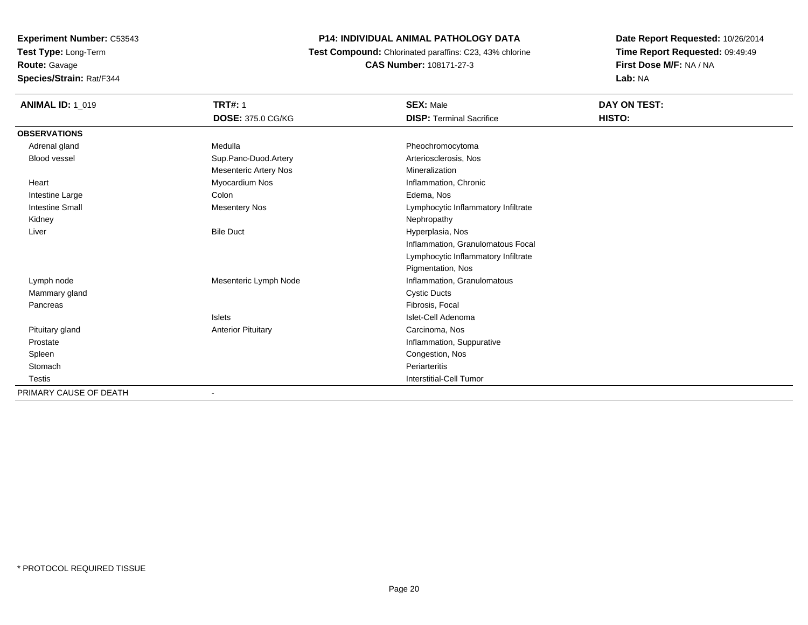**Test Type:** Long-Term

**Route:** Gavage

**Species/Strain:** Rat/F344

# **P14: INDIVIDUAL ANIMAL PATHOLOGY DATA**

 **Test Compound:** Chlorinated paraffins: C23, 43% chlorine**CAS Number:** 108171-27-3

| <b>ANIMAL ID: 1_019</b> | <b>TRT#: 1</b>               | <b>SEX: Male</b>                    | DAY ON TEST: |
|-------------------------|------------------------------|-------------------------------------|--------------|
|                         | <b>DOSE: 375.0 CG/KG</b>     | <b>DISP: Terminal Sacrifice</b>     | HISTO:       |
| <b>OBSERVATIONS</b>     |                              |                                     |              |
| Adrenal gland           | Medulla                      | Pheochromocytoma                    |              |
| <b>Blood vessel</b>     | Sup.Panc-Duod.Artery         | Arteriosclerosis, Nos               |              |
|                         | <b>Mesenteric Artery Nos</b> | Mineralization                      |              |
| Heart                   | Myocardium Nos               | Inflammation, Chronic               |              |
| Intestine Large         | Colon                        | Edema, Nos                          |              |
| <b>Intestine Small</b>  | <b>Mesentery Nos</b>         | Lymphocytic Inflammatory Infiltrate |              |
| Kidney                  |                              | Nephropathy                         |              |
| Liver                   | <b>Bile Duct</b>             | Hyperplasia, Nos                    |              |
|                         |                              | Inflammation, Granulomatous Focal   |              |
|                         |                              | Lymphocytic Inflammatory Infiltrate |              |
|                         |                              | Pigmentation, Nos                   |              |
| Lymph node              | Mesenteric Lymph Node        | Inflammation, Granulomatous         |              |
| Mammary gland           |                              | <b>Cystic Ducts</b>                 |              |
| Pancreas                |                              | Fibrosis, Focal                     |              |
|                         | <b>Islets</b>                | Islet-Cell Adenoma                  |              |
| Pituitary gland         | <b>Anterior Pituitary</b>    | Carcinoma, Nos                      |              |
| Prostate                |                              | Inflammation, Suppurative           |              |
| Spleen                  |                              | Congestion, Nos                     |              |
| Stomach                 |                              | Periarteritis                       |              |
| <b>Testis</b>           |                              | Interstitial-Cell Tumor             |              |
| PRIMARY CAUSE OF DEATH  |                              |                                     |              |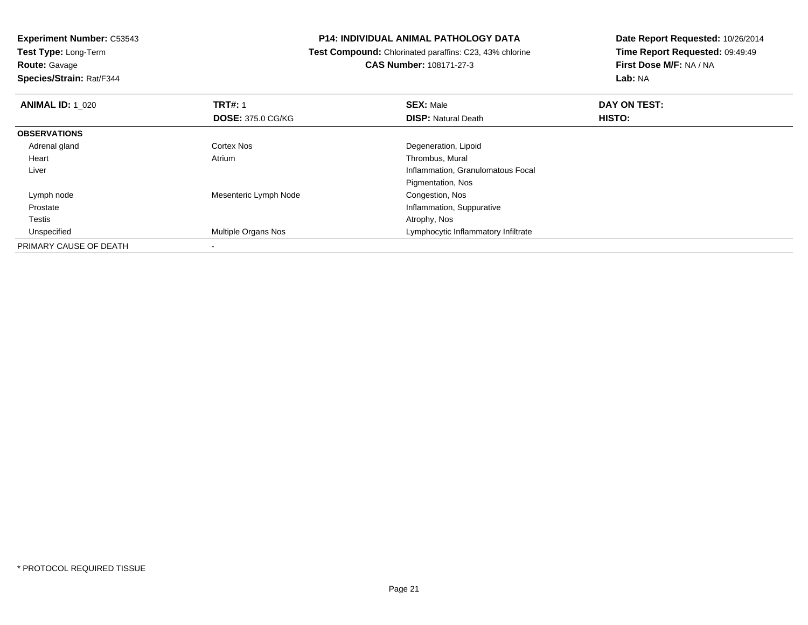**Test Type:** Long-Term

**Route:** Gavage

**Species/Strain:** Rat/F344

#### **P14: INDIVIDUAL ANIMAL PATHOLOGY DATA**

 **Test Compound:** Chlorinated paraffins: C23, 43% chlorine**CAS Number:** 108171-27-3

| <b>ANIMAL ID: 1 020</b> | <b>TRT#: 1</b>             | <b>SEX: Male</b>                    | DAY ON TEST: |  |
|-------------------------|----------------------------|-------------------------------------|--------------|--|
|                         | <b>DOSE: 375.0 CG/KG</b>   | <b>DISP: Natural Death</b>          | HISTO:       |  |
| <b>OBSERVATIONS</b>     |                            |                                     |              |  |
| Adrenal gland           | <b>Cortex Nos</b>          | Degeneration, Lipoid                |              |  |
| Heart                   | Atrium                     | Thrombus, Mural                     |              |  |
| Liver                   |                            | Inflammation, Granulomatous Focal   |              |  |
|                         |                            | Pigmentation, Nos                   |              |  |
| Lymph node              | Mesenteric Lymph Node      | Congestion, Nos                     |              |  |
| Prostate                |                            | Inflammation, Suppurative           |              |  |
| Testis                  |                            | Atrophy, Nos                        |              |  |
| Unspecified             | <b>Multiple Organs Nos</b> | Lymphocytic Inflammatory Infiltrate |              |  |
| PRIMARY CAUSE OF DEATH  |                            |                                     |              |  |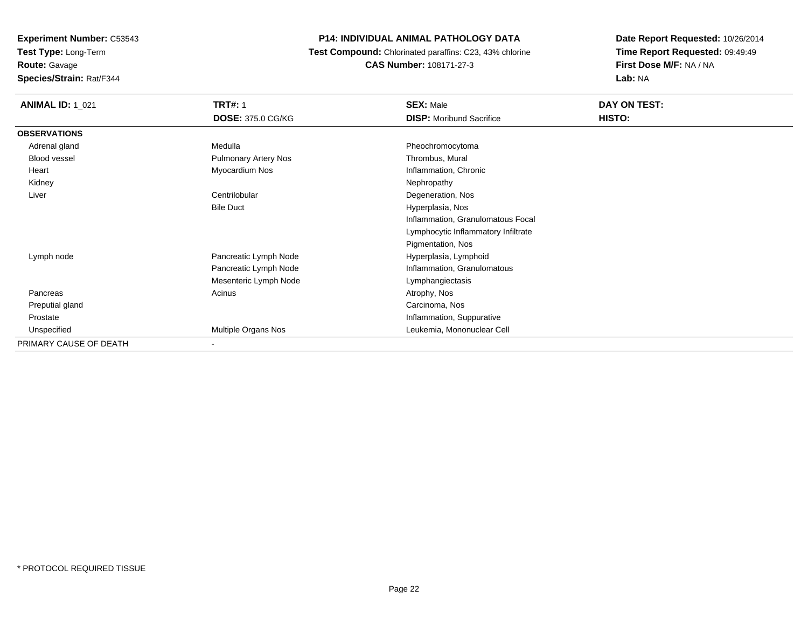**Test Type:** Long-Term**Route:** Gavage

**Species/Strain:** Rat/F344

# **P14: INDIVIDUAL ANIMAL PATHOLOGY DATA**

 **Test Compound:** Chlorinated paraffins: C23, 43% chlorine**CAS Number:** 108171-27-3

| <b>ANIMAL ID: 1_021</b> | <b>TRT#: 1</b>              | <b>SEX: Male</b>                    | DAY ON TEST: |
|-------------------------|-----------------------------|-------------------------------------|--------------|
|                         | <b>DOSE: 375.0 CG/KG</b>    | <b>DISP:</b> Moribund Sacrifice     | HISTO:       |
| <b>OBSERVATIONS</b>     |                             |                                     |              |
| Adrenal gland           | Medulla                     | Pheochromocytoma                    |              |
| <b>Blood vessel</b>     | <b>Pulmonary Artery Nos</b> | Thrombus, Mural                     |              |
| Heart                   | Myocardium Nos              | Inflammation, Chronic               |              |
| Kidney                  |                             | Nephropathy                         |              |
| Liver                   | Centrilobular               | Degeneration, Nos                   |              |
|                         | <b>Bile Duct</b>            | Hyperplasia, Nos                    |              |
|                         |                             | Inflammation, Granulomatous Focal   |              |
|                         |                             | Lymphocytic Inflammatory Infiltrate |              |
|                         |                             | Pigmentation, Nos                   |              |
| Lymph node              | Pancreatic Lymph Node       | Hyperplasia, Lymphoid               |              |
|                         | Pancreatic Lymph Node       | Inflammation, Granulomatous         |              |
|                         | Mesenteric Lymph Node       | Lymphangiectasis                    |              |
| Pancreas                | Acinus                      | Atrophy, Nos                        |              |
| Preputial gland         |                             | Carcinoma, Nos                      |              |
| Prostate                |                             | Inflammation, Suppurative           |              |
| Unspecified             | Multiple Organs Nos         | Leukemia, Mononuclear Cell          |              |
| PRIMARY CAUSE OF DEATH  | ۰                           |                                     |              |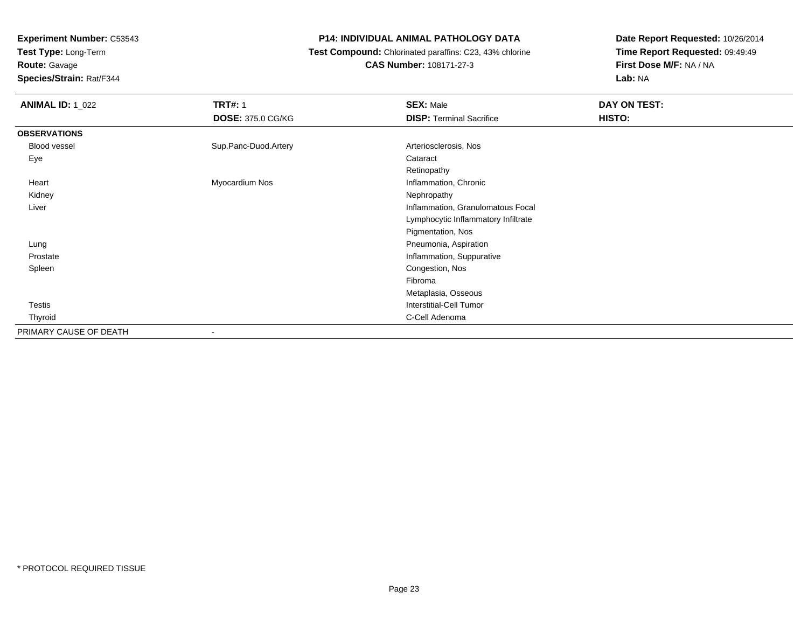**Test Type:** Long-Term

**Route:** Gavage

**Species/Strain:** Rat/F344

## **P14: INDIVIDUAL ANIMAL PATHOLOGY DATA**

 **Test Compound:** Chlorinated paraffins: C23, 43% chlorine**CAS Number:** 108171-27-3

| <b>ANIMAL ID: 1_022</b> | <b>TRT#: 1</b>           | <b>SEX: Male</b>                    | DAY ON TEST: |
|-------------------------|--------------------------|-------------------------------------|--------------|
|                         | <b>DOSE: 375.0 CG/KG</b> | <b>DISP: Terminal Sacrifice</b>     | HISTO:       |
| <b>OBSERVATIONS</b>     |                          |                                     |              |
| Blood vessel            | Sup.Panc-Duod.Artery     | Arteriosclerosis, Nos               |              |
| Eye                     |                          | Cataract                            |              |
|                         |                          | Retinopathy                         |              |
| Heart                   | Myocardium Nos           | Inflammation, Chronic               |              |
| Kidney                  |                          | Nephropathy                         |              |
| Liver                   |                          | Inflammation, Granulomatous Focal   |              |
|                         |                          | Lymphocytic Inflammatory Infiltrate |              |
|                         |                          | Pigmentation, Nos                   |              |
| Lung                    |                          | Pneumonia, Aspiration               |              |
| Prostate                |                          | Inflammation, Suppurative           |              |
| Spleen                  |                          | Congestion, Nos                     |              |
|                         |                          | Fibroma                             |              |
|                         |                          | Metaplasia, Osseous                 |              |
| <b>Testis</b>           |                          | Interstitial-Cell Tumor             |              |
| Thyroid                 |                          | C-Cell Adenoma                      |              |
| PRIMARY CAUSE OF DEATH  | $\overline{\phantom{a}}$ |                                     |              |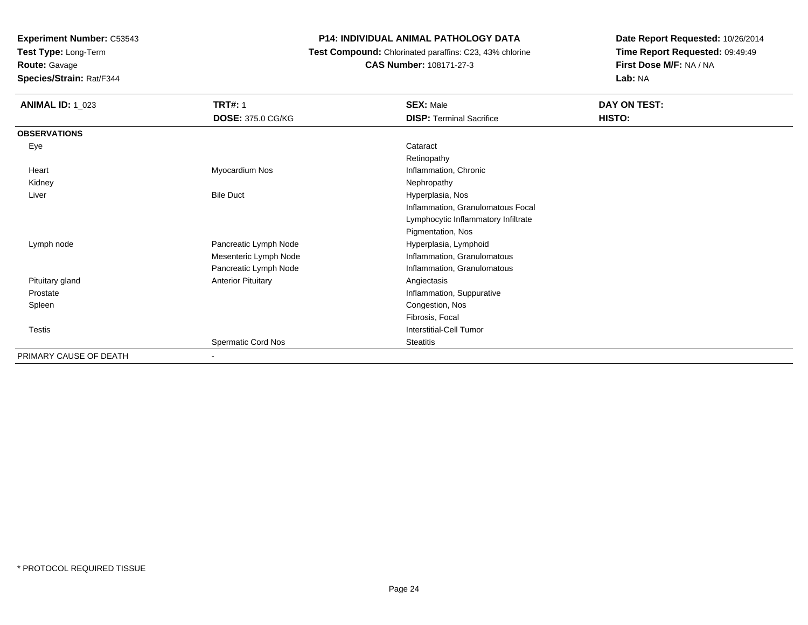**Test Type:** Long-Term

# **Route:** Gavage

**Species/Strain:** Rat/F344

## **P14: INDIVIDUAL ANIMAL PATHOLOGY DATA**

 **Test Compound:** Chlorinated paraffins: C23, 43% chlorine**CAS Number:** 108171-27-3

| <b>ANIMAL ID: 1_023</b> | <b>TRT#: 1</b>            | <b>SEX: Male</b>                    | DAY ON TEST: |  |
|-------------------------|---------------------------|-------------------------------------|--------------|--|
|                         | <b>DOSE: 375.0 CG/KG</b>  | <b>DISP: Terminal Sacrifice</b>     | HISTO:       |  |
| <b>OBSERVATIONS</b>     |                           |                                     |              |  |
| Eye                     |                           | Cataract                            |              |  |
|                         |                           | Retinopathy                         |              |  |
| Heart                   | Myocardium Nos            | Inflammation, Chronic               |              |  |
| Kidney                  |                           | Nephropathy                         |              |  |
| Liver                   | <b>Bile Duct</b>          | Hyperplasia, Nos                    |              |  |
|                         |                           | Inflammation, Granulomatous Focal   |              |  |
|                         |                           | Lymphocytic Inflammatory Infiltrate |              |  |
|                         |                           | Pigmentation, Nos                   |              |  |
| Lymph node              | Pancreatic Lymph Node     | Hyperplasia, Lymphoid               |              |  |
|                         | Mesenteric Lymph Node     | Inflammation, Granulomatous         |              |  |
|                         | Pancreatic Lymph Node     | Inflammation, Granulomatous         |              |  |
| Pituitary gland         | <b>Anterior Pituitary</b> | Angiectasis                         |              |  |
| Prostate                |                           | Inflammation, Suppurative           |              |  |
| Spleen                  |                           | Congestion, Nos                     |              |  |
|                         |                           | Fibrosis, Focal                     |              |  |
| Testis                  |                           | <b>Interstitial-Cell Tumor</b>      |              |  |
|                         | Spermatic Cord Nos        | <b>Steatitis</b>                    |              |  |
| PRIMARY CAUSE OF DEATH  |                           |                                     |              |  |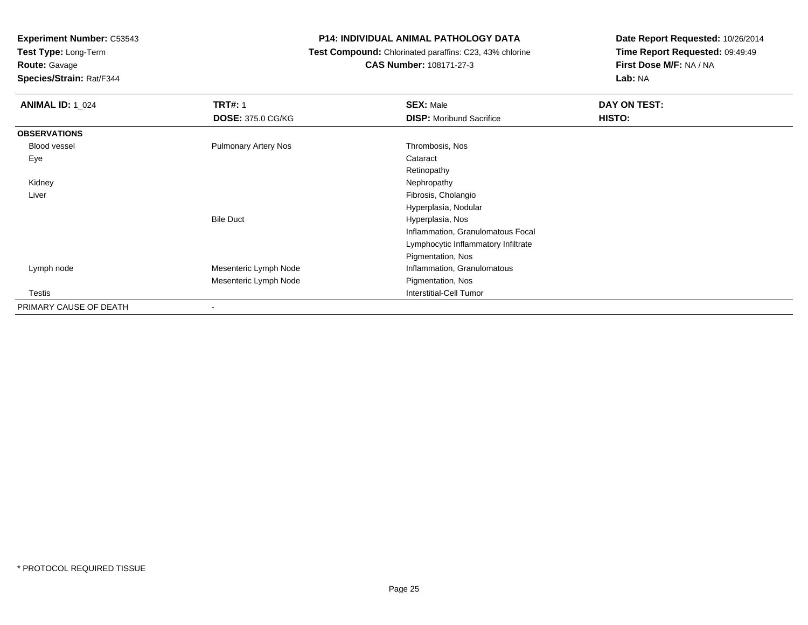**Test Type:** Long-Term

# **Route:** Gavage

**Species/Strain:** Rat/F344

#### **P14: INDIVIDUAL ANIMAL PATHOLOGY DATA**

#### **Test Compound:** Chlorinated paraffins: C23, 43% chlorine**CAS Number:** 108171-27-3

| <b>ANIMAL ID: 1_024</b> | <b>TRT#: 1</b>              | <b>SEX: Male</b>                    | DAY ON TEST: |
|-------------------------|-----------------------------|-------------------------------------|--------------|
|                         | <b>DOSE: 375.0 CG/KG</b>    | <b>DISP:</b> Moribund Sacrifice     | HISTO:       |
| <b>OBSERVATIONS</b>     |                             |                                     |              |
| <b>Blood vessel</b>     | <b>Pulmonary Artery Nos</b> | Thrombosis, Nos                     |              |
| Eye                     |                             | Cataract                            |              |
|                         |                             | Retinopathy                         |              |
| Kidney                  |                             | Nephropathy                         |              |
| Liver                   |                             | Fibrosis, Cholangio                 |              |
|                         |                             | Hyperplasia, Nodular                |              |
|                         | <b>Bile Duct</b>            | Hyperplasia, Nos                    |              |
|                         |                             | Inflammation, Granulomatous Focal   |              |
|                         |                             | Lymphocytic Inflammatory Infiltrate |              |
|                         |                             | Pigmentation, Nos                   |              |
| Lymph node              | Mesenteric Lymph Node       | Inflammation, Granulomatous         |              |
|                         | Mesenteric Lymph Node       | Pigmentation, Nos                   |              |
| <b>Testis</b>           |                             | <b>Interstitial-Cell Tumor</b>      |              |
| PRIMARY CAUSE OF DEATH  |                             |                                     |              |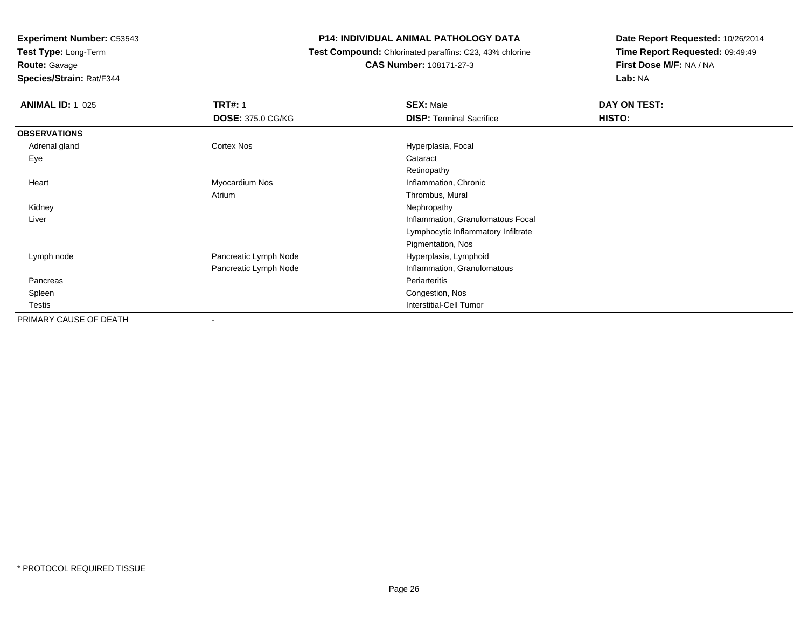**Test Type:** Long-Term

**Route:** Gavage

**Species/Strain:** Rat/F344

#### **P14: INDIVIDUAL ANIMAL PATHOLOGY DATA**

 **Test Compound:** Chlorinated paraffins: C23, 43% chlorine**CAS Number:** 108171-27-3

| <b>ANIMAL ID: 1_025</b> | <b>TRT#: 1</b>           | <b>SEX: Male</b>                    | DAY ON TEST: |
|-------------------------|--------------------------|-------------------------------------|--------------|
|                         | <b>DOSE: 375.0 CG/KG</b> | <b>DISP: Terminal Sacrifice</b>     | HISTO:       |
| <b>OBSERVATIONS</b>     |                          |                                     |              |
| Adrenal gland           | Cortex Nos               | Hyperplasia, Focal                  |              |
| Eye                     |                          | Cataract                            |              |
|                         |                          | Retinopathy                         |              |
| Heart                   | Myocardium Nos           | Inflammation, Chronic               |              |
|                         | Atrium                   | Thrombus, Mural                     |              |
| Kidney                  |                          | Nephropathy                         |              |
| Liver                   |                          | Inflammation, Granulomatous Focal   |              |
|                         |                          | Lymphocytic Inflammatory Infiltrate |              |
|                         |                          | Pigmentation, Nos                   |              |
| Lymph node              | Pancreatic Lymph Node    | Hyperplasia, Lymphoid               |              |
|                         | Pancreatic Lymph Node    | Inflammation, Granulomatous         |              |
| Pancreas                |                          | Periarteritis                       |              |
| Spleen                  |                          | Congestion, Nos                     |              |
| Testis                  |                          | <b>Interstitial-Cell Tumor</b>      |              |
| PRIMARY CAUSE OF DEATH  | -                        |                                     |              |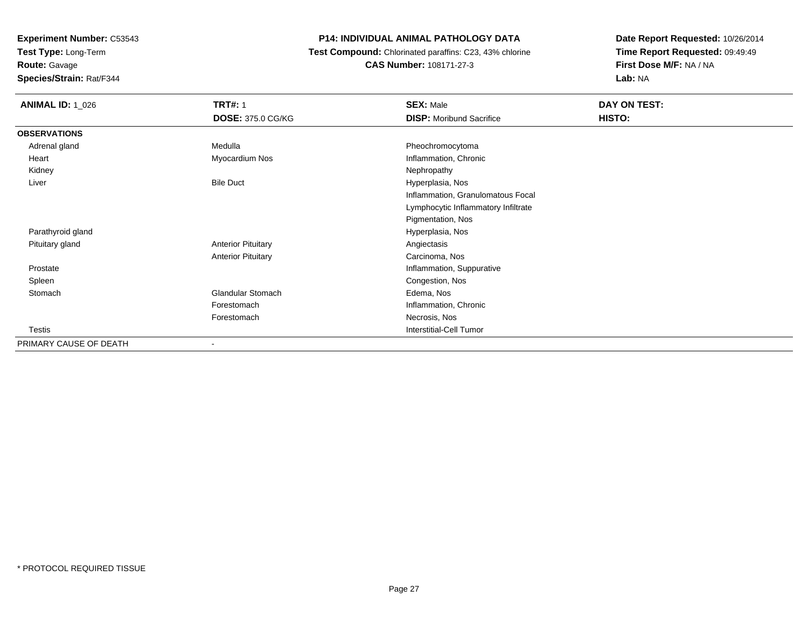**Test Type:** Long-Term

**Route:** Gavage

**Species/Strain:** Rat/F344

### **P14: INDIVIDUAL ANIMAL PATHOLOGY DATA**

 **Test Compound:** Chlorinated paraffins: C23, 43% chlorine**CAS Number:** 108171-27-3

| <b>ANIMAL ID: 1_026</b> | <b>TRT#: 1</b><br><b>DOSE: 375.0 CG/KG</b> | <b>SEX: Male</b><br><b>DISP:</b> Moribund Sacrifice | DAY ON TEST:<br>HISTO: |
|-------------------------|--------------------------------------------|-----------------------------------------------------|------------------------|
| <b>OBSERVATIONS</b>     |                                            |                                                     |                        |
| Adrenal gland           | Medulla                                    | Pheochromocytoma                                    |                        |
| Heart                   | Myocardium Nos                             | Inflammation, Chronic                               |                        |
| Kidney                  |                                            | Nephropathy                                         |                        |
| Liver                   | <b>Bile Duct</b>                           | Hyperplasia, Nos                                    |                        |
|                         |                                            | Inflammation, Granulomatous Focal                   |                        |
|                         |                                            | Lymphocytic Inflammatory Infiltrate                 |                        |
|                         |                                            | Pigmentation, Nos                                   |                        |
| Parathyroid gland       |                                            | Hyperplasia, Nos                                    |                        |
| Pituitary gland         | <b>Anterior Pituitary</b>                  | Angiectasis                                         |                        |
|                         | <b>Anterior Pituitary</b>                  | Carcinoma, Nos                                      |                        |
| Prostate                |                                            | Inflammation, Suppurative                           |                        |
| Spleen                  |                                            | Congestion, Nos                                     |                        |
| Stomach                 | <b>Glandular Stomach</b>                   | Edema, Nos                                          |                        |
|                         | Forestomach                                | Inflammation, Chronic                               |                        |
|                         | Forestomach                                | Necrosis, Nos                                       |                        |
| <b>Testis</b>           |                                            | <b>Interstitial-Cell Tumor</b>                      |                        |
| PRIMARY CAUSE OF DEATH  | ۰                                          |                                                     |                        |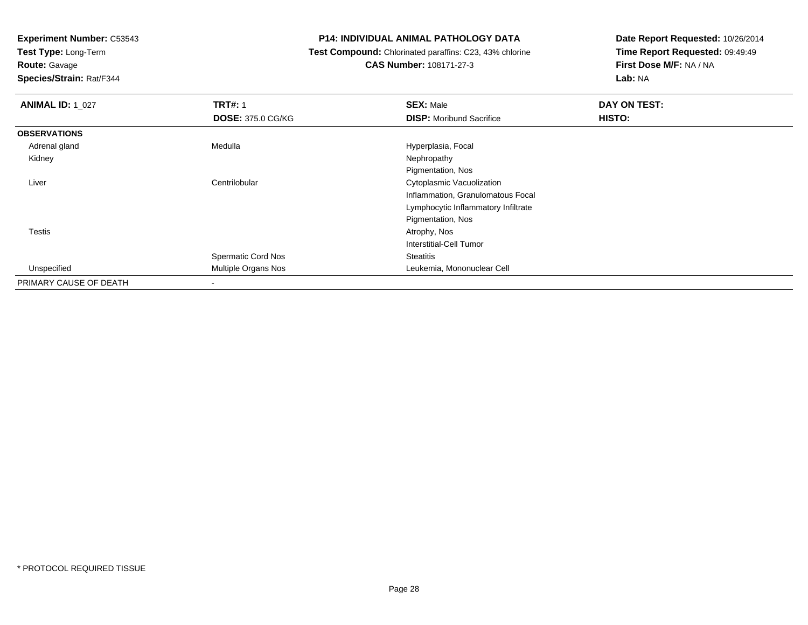**Test Type:** Long-Term

**Route:** Gavage

**Species/Strain:** Rat/F344

#### **P14: INDIVIDUAL ANIMAL PATHOLOGY DATA**

 **Test Compound:** Chlorinated paraffins: C23, 43% chlorine**CAS Number:** 108171-27-3

| <b>ANIMAL ID: 1_027</b> | <b>TRT#: 1</b>             | <b>SEX: Male</b>                    | DAY ON TEST: |
|-------------------------|----------------------------|-------------------------------------|--------------|
|                         | <b>DOSE: 375.0 CG/KG</b>   | <b>DISP:</b> Moribund Sacrifice     | HISTO:       |
| <b>OBSERVATIONS</b>     |                            |                                     |              |
| Adrenal gland           | Medulla                    | Hyperplasia, Focal                  |              |
| Kidney                  |                            | Nephropathy                         |              |
|                         |                            | Pigmentation, Nos                   |              |
| Liver                   | Centrilobular              | Cytoplasmic Vacuolization           |              |
|                         |                            | Inflammation, Granulomatous Focal   |              |
|                         |                            | Lymphocytic Inflammatory Infiltrate |              |
|                         |                            | Pigmentation, Nos                   |              |
| Testis                  |                            | Atrophy, Nos                        |              |
|                         |                            | Interstitial-Cell Tumor             |              |
|                         | <b>Spermatic Cord Nos</b>  | <b>Steatitis</b>                    |              |
| Unspecified             | <b>Multiple Organs Nos</b> | Leukemia, Mononuclear Cell          |              |
| PRIMARY CAUSE OF DEATH  |                            |                                     |              |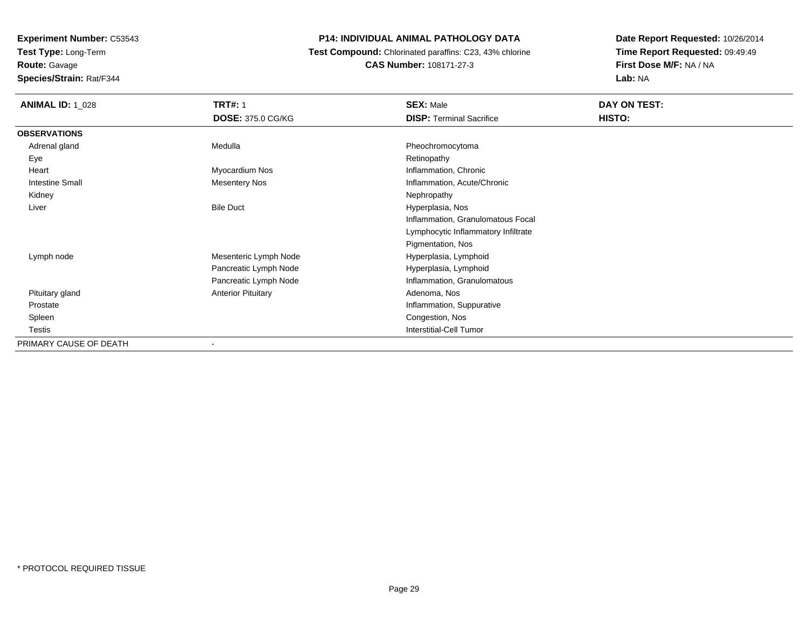**Experiment Number:** C53543**Test Type:** Long-Term

**Route:** Gavage

**Species/Strain:** Rat/F344

### **P14: INDIVIDUAL ANIMAL PATHOLOGY DATA**

 **Test Compound:** Chlorinated paraffins: C23, 43% chlorine**CAS Number:** 108171-27-3

| <b>ANIMAL ID: 1_028</b> | <b>TRT#: 1</b>            | <b>SEX: Male</b>                    | DAY ON TEST: |  |
|-------------------------|---------------------------|-------------------------------------|--------------|--|
|                         | <b>DOSE: 375.0 CG/KG</b>  | <b>DISP: Terminal Sacrifice</b>     | HISTO:       |  |
| <b>OBSERVATIONS</b>     |                           |                                     |              |  |
| Adrenal gland           | Medulla                   | Pheochromocytoma                    |              |  |
| Eye                     |                           | Retinopathy                         |              |  |
| Heart                   | Myocardium Nos            | Inflammation, Chronic               |              |  |
| <b>Intestine Small</b>  | <b>Mesentery Nos</b>      | Inflammation, Acute/Chronic         |              |  |
| Kidney                  |                           | Nephropathy                         |              |  |
| Liver                   | <b>Bile Duct</b>          | Hyperplasia, Nos                    |              |  |
|                         |                           | Inflammation, Granulomatous Focal   |              |  |
|                         |                           | Lymphocytic Inflammatory Infiltrate |              |  |
|                         |                           | Pigmentation, Nos                   |              |  |
| Lymph node              | Mesenteric Lymph Node     | Hyperplasia, Lymphoid               |              |  |
|                         | Pancreatic Lymph Node     | Hyperplasia, Lymphoid               |              |  |
|                         | Pancreatic Lymph Node     | Inflammation, Granulomatous         |              |  |
| Pituitary gland         | <b>Anterior Pituitary</b> | Adenoma, Nos                        |              |  |
| Prostate                |                           | Inflammation, Suppurative           |              |  |
| Spleen                  |                           | Congestion, Nos                     |              |  |
| Testis                  |                           | Interstitial-Cell Tumor             |              |  |
| PRIMARY CAUSE OF DEATH  |                           |                                     |              |  |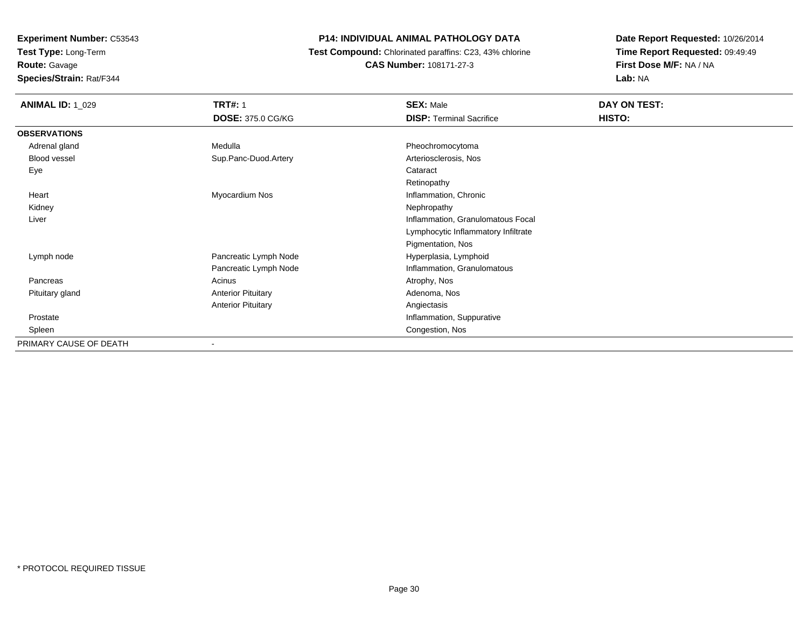**Test Type:** Long-Term

**Route:** Gavage

**Species/Strain:** Rat/F344

# **P14: INDIVIDUAL ANIMAL PATHOLOGY DATA**

 **Test Compound:** Chlorinated paraffins: C23, 43% chlorine**CAS Number:** 108171-27-3

| <b>ANIMAL ID: 1_029</b> | <b>TRT#: 1</b><br><b>DOSE: 375.0 CG/KG</b> | <b>SEX: Male</b><br><b>DISP: Terminal Sacrifice</b> | DAY ON TEST:<br>HISTO: |
|-------------------------|--------------------------------------------|-----------------------------------------------------|------------------------|
| <b>OBSERVATIONS</b>     |                                            |                                                     |                        |
| Adrenal gland           | Medulla                                    | Pheochromocytoma                                    |                        |
| Blood vessel            | Sup.Panc-Duod.Artery                       | Arteriosclerosis, Nos                               |                        |
| Eye                     |                                            | Cataract                                            |                        |
|                         |                                            | Retinopathy                                         |                        |
| Heart                   | Myocardium Nos                             | Inflammation, Chronic                               |                        |
| Kidney                  |                                            | Nephropathy                                         |                        |
| Liver                   |                                            | Inflammation, Granulomatous Focal                   |                        |
|                         |                                            | Lymphocytic Inflammatory Infiltrate                 |                        |
|                         |                                            | Pigmentation, Nos                                   |                        |
| Lymph node              | Pancreatic Lymph Node                      | Hyperplasia, Lymphoid                               |                        |
|                         | Pancreatic Lymph Node                      | Inflammation, Granulomatous                         |                        |
| Pancreas                | Acinus                                     | Atrophy, Nos                                        |                        |
| Pituitary gland         | <b>Anterior Pituitary</b>                  | Adenoma, Nos                                        |                        |
|                         | <b>Anterior Pituitary</b>                  | Angiectasis                                         |                        |
| Prostate                |                                            | Inflammation, Suppurative                           |                        |
| Spleen                  |                                            | Congestion, Nos                                     |                        |
| PRIMARY CAUSE OF DEATH  |                                            |                                                     |                        |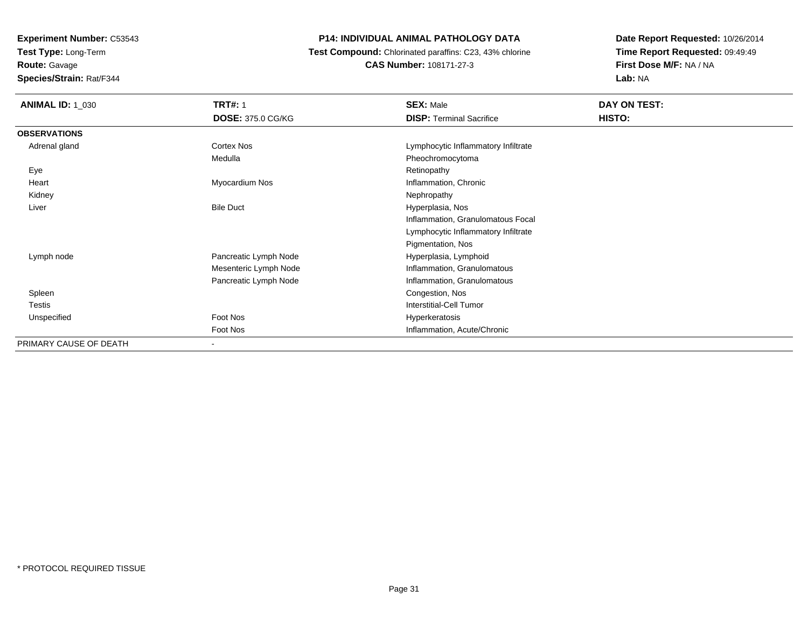**Test Type:** Long-Term

**Route:** Gavage

**Species/Strain:** Rat/F344

### **P14: INDIVIDUAL ANIMAL PATHOLOGY DATA**

 **Test Compound:** Chlorinated paraffins: C23, 43% chlorine**CAS Number:** 108171-27-3

| <b>ANIMAL ID: 1_030</b> | <b>TRT#: 1</b>           | <b>SEX: Male</b>                    | DAY ON TEST:  |  |
|-------------------------|--------------------------|-------------------------------------|---------------|--|
|                         | <b>DOSE: 375.0 CG/KG</b> | <b>DISP: Terminal Sacrifice</b>     | <b>HISTO:</b> |  |
| <b>OBSERVATIONS</b>     |                          |                                     |               |  |
| Adrenal gland           | Cortex Nos               | Lymphocytic Inflammatory Infiltrate |               |  |
|                         | Medulla                  | Pheochromocytoma                    |               |  |
| Eye                     |                          | Retinopathy                         |               |  |
| Heart                   | Myocardium Nos           | Inflammation, Chronic               |               |  |
| Kidney                  |                          | Nephropathy                         |               |  |
| Liver                   | <b>Bile Duct</b>         | Hyperplasia, Nos                    |               |  |
|                         |                          | Inflammation, Granulomatous Focal   |               |  |
|                         |                          | Lymphocytic Inflammatory Infiltrate |               |  |
|                         |                          | Pigmentation, Nos                   |               |  |
| Lymph node              | Pancreatic Lymph Node    | Hyperplasia, Lymphoid               |               |  |
|                         | Mesenteric Lymph Node    | Inflammation, Granulomatous         |               |  |
|                         | Pancreatic Lymph Node    | Inflammation, Granulomatous         |               |  |
| Spleen                  |                          | Congestion, Nos                     |               |  |
| Testis                  |                          | <b>Interstitial-Cell Tumor</b>      |               |  |
| Unspecified             | Foot Nos                 | Hyperkeratosis                      |               |  |
|                         | Foot Nos                 | Inflammation, Acute/Chronic         |               |  |
| PRIMARY CAUSE OF DEATH  | $\overline{\phantom{a}}$ |                                     |               |  |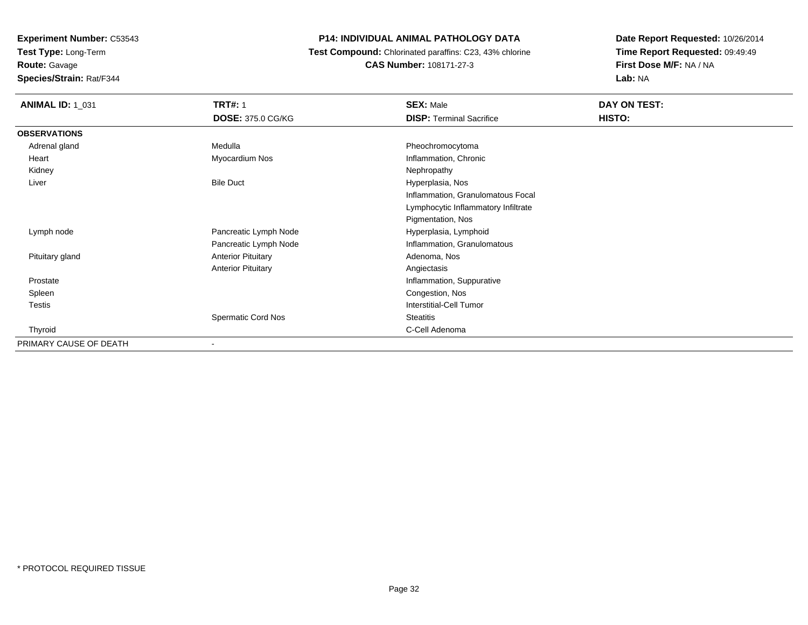**Test Type:** Long-Term

**Route:** Gavage

**Species/Strain:** Rat/F344

## **P14: INDIVIDUAL ANIMAL PATHOLOGY DATA**

 **Test Compound:** Chlorinated paraffins: C23, 43% chlorine**CAS Number:** 108171-27-3

| <b>ANIMAL ID: 1_031</b> | <b>TRT#: 1</b>            | <b>SEX: Male</b>                    | DAY ON TEST: |  |
|-------------------------|---------------------------|-------------------------------------|--------------|--|
|                         | <b>DOSE: 375.0 CG/KG</b>  | <b>DISP: Terminal Sacrifice</b>     | HISTO:       |  |
| <b>OBSERVATIONS</b>     |                           |                                     |              |  |
| Adrenal gland           | Medulla                   | Pheochromocytoma                    |              |  |
| Heart                   | Myocardium Nos            | Inflammation, Chronic               |              |  |
| Kidney                  |                           | Nephropathy                         |              |  |
| Liver                   | <b>Bile Duct</b>          | Hyperplasia, Nos                    |              |  |
|                         |                           | Inflammation, Granulomatous Focal   |              |  |
|                         |                           | Lymphocytic Inflammatory Infiltrate |              |  |
|                         |                           | Pigmentation, Nos                   |              |  |
| Lymph node              | Pancreatic Lymph Node     | Hyperplasia, Lymphoid               |              |  |
|                         | Pancreatic Lymph Node     | Inflammation, Granulomatous         |              |  |
| Pituitary gland         | <b>Anterior Pituitary</b> | Adenoma, Nos                        |              |  |
|                         | <b>Anterior Pituitary</b> | Angiectasis                         |              |  |
| Prostate                |                           | Inflammation, Suppurative           |              |  |
| Spleen                  |                           | Congestion, Nos                     |              |  |
| Testis                  |                           | Interstitial-Cell Tumor             |              |  |
|                         | <b>Spermatic Cord Nos</b> | Steatitis                           |              |  |
| Thyroid                 |                           | C-Cell Adenoma                      |              |  |
| PRIMARY CAUSE OF DEATH  |                           |                                     |              |  |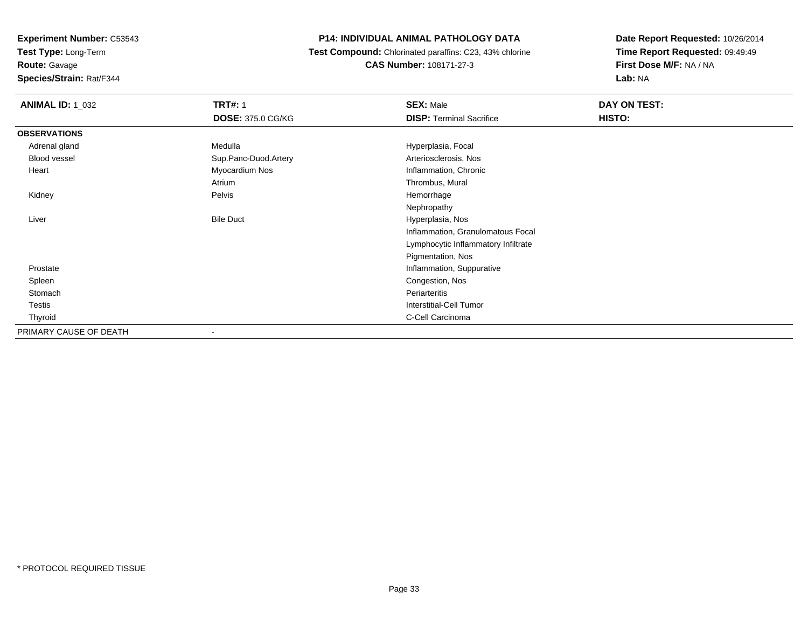**Test Type:** Long-Term

# **Route:** Gavage

**Species/Strain:** Rat/F344

# **P14: INDIVIDUAL ANIMAL PATHOLOGY DATA**

 **Test Compound:** Chlorinated paraffins: C23, 43% chlorine**CAS Number:** 108171-27-3

| <b>ANIMAL ID: 1_032</b> | <b>TRT#: 1</b>           | <b>SEX: Male</b>                    | DAY ON TEST: |  |
|-------------------------|--------------------------|-------------------------------------|--------------|--|
|                         | <b>DOSE: 375.0 CG/KG</b> | <b>DISP: Terminal Sacrifice</b>     | HISTO:       |  |
| <b>OBSERVATIONS</b>     |                          |                                     |              |  |
| Adrenal gland           | Medulla                  | Hyperplasia, Focal                  |              |  |
| Blood vessel            | Sup.Panc-Duod.Artery     | Arteriosclerosis, Nos               |              |  |
| Heart                   | Myocardium Nos           | Inflammation, Chronic               |              |  |
|                         | Atrium                   | Thrombus, Mural                     |              |  |
| Kidney                  | Pelvis                   | Hemorrhage                          |              |  |
|                         |                          | Nephropathy                         |              |  |
| Liver                   | <b>Bile Duct</b>         | Hyperplasia, Nos                    |              |  |
|                         |                          | Inflammation, Granulomatous Focal   |              |  |
|                         |                          | Lymphocytic Inflammatory Infiltrate |              |  |
|                         |                          | Pigmentation, Nos                   |              |  |
| Prostate                |                          | Inflammation, Suppurative           |              |  |
| Spleen                  |                          | Congestion, Nos                     |              |  |
| Stomach                 |                          | Periarteritis                       |              |  |
| Testis                  |                          | Interstitial-Cell Tumor             |              |  |
| Thyroid                 |                          | C-Cell Carcinoma                    |              |  |
| PRIMARY CAUSE OF DEATH  | $\overline{\phantom{a}}$ |                                     |              |  |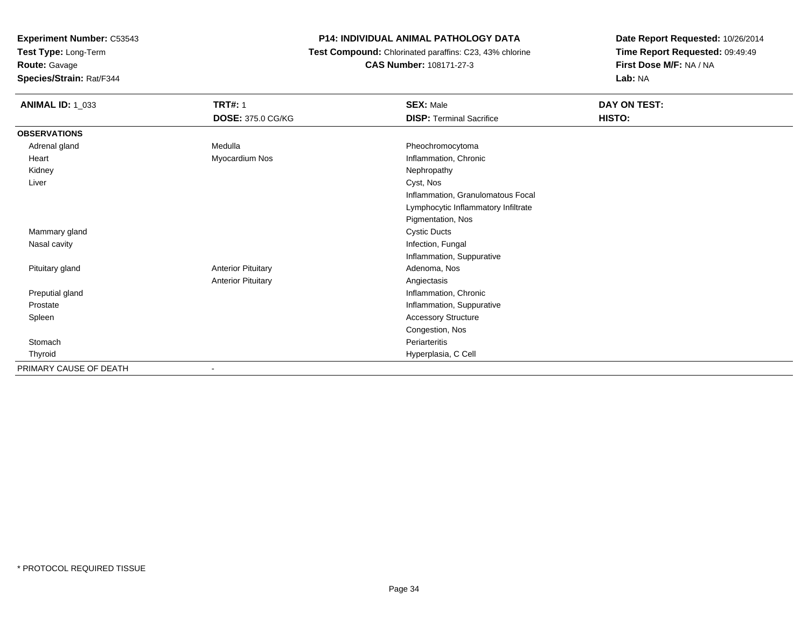**Test Type:** Long-Term

**Route:** Gavage

**Species/Strain:** Rat/F344

## **P14: INDIVIDUAL ANIMAL PATHOLOGY DATA**

 **Test Compound:** Chlorinated paraffins: C23, 43% chlorine**CAS Number:** 108171-27-3

| <b>ANIMAL ID: 1_033</b> | <b>TRT#: 1</b>            | <b>SEX: Male</b>                    | DAY ON TEST: |
|-------------------------|---------------------------|-------------------------------------|--------------|
|                         | <b>DOSE: 375.0 CG/KG</b>  | <b>DISP: Terminal Sacrifice</b>     | HISTO:       |
| <b>OBSERVATIONS</b>     |                           |                                     |              |
| Adrenal gland           | Medulla                   | Pheochromocytoma                    |              |
| Heart                   | Myocardium Nos            | Inflammation, Chronic               |              |
| Kidney                  |                           | Nephropathy                         |              |
| Liver                   |                           | Cyst, Nos                           |              |
|                         |                           | Inflammation, Granulomatous Focal   |              |
|                         |                           | Lymphocytic Inflammatory Infiltrate |              |
|                         |                           | Pigmentation, Nos                   |              |
| Mammary gland           |                           | <b>Cystic Ducts</b>                 |              |
| Nasal cavity            |                           | Infection, Fungal                   |              |
|                         |                           | Inflammation, Suppurative           |              |
| Pituitary gland         | <b>Anterior Pituitary</b> | Adenoma, Nos                        |              |
|                         | <b>Anterior Pituitary</b> | Angiectasis                         |              |
| Preputial gland         |                           | Inflammation, Chronic               |              |
| Prostate                |                           | Inflammation, Suppurative           |              |
| Spleen                  |                           | <b>Accessory Structure</b>          |              |
|                         |                           | Congestion, Nos                     |              |
| Stomach                 |                           | Periarteritis                       |              |
| Thyroid                 |                           | Hyperplasia, C Cell                 |              |
| PRIMARY CAUSE OF DEATH  |                           |                                     |              |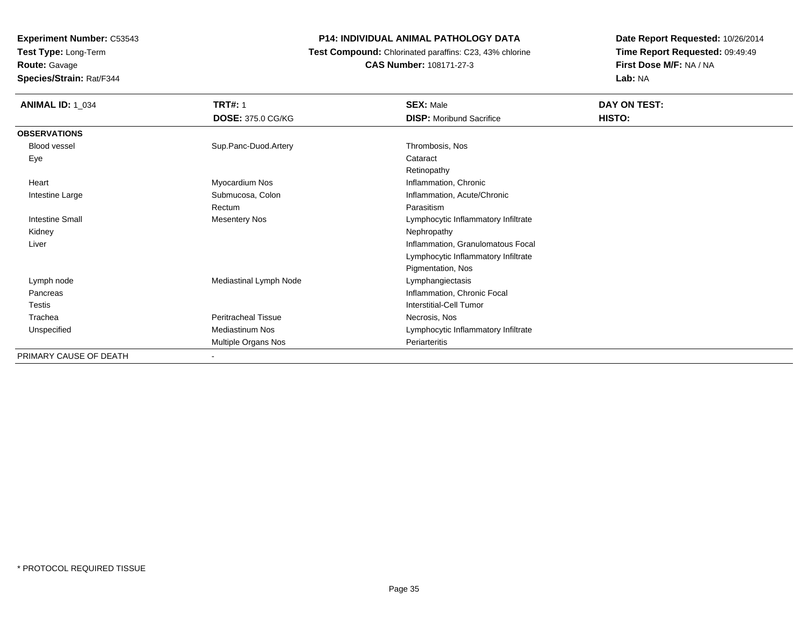**Experiment Number:** C53543**Test Type:** Long-Term

**Route:** Gavage

**Species/Strain:** Rat/F344

## **P14: INDIVIDUAL ANIMAL PATHOLOGY DATA**

 **Test Compound:** Chlorinated paraffins: C23, 43% chlorine**CAS Number:** 108171-27-3

| <b>ANIMAL ID: 1_034</b> | <b>TRT#: 1</b>             | <b>SEX: Male</b>                    | DAY ON TEST: |
|-------------------------|----------------------------|-------------------------------------|--------------|
|                         | <b>DOSE: 375.0 CG/KG</b>   | <b>DISP:</b> Moribund Sacrifice     | HISTO:       |
| <b>OBSERVATIONS</b>     |                            |                                     |              |
| Blood vessel            | Sup.Panc-Duod.Artery       | Thrombosis, Nos                     |              |
| Eye                     |                            | Cataract                            |              |
|                         |                            | Retinopathy                         |              |
| Heart                   | Myocardium Nos             | Inflammation, Chronic               |              |
| Intestine Large         | Submucosa, Colon           | Inflammation, Acute/Chronic         |              |
|                         | Rectum                     | Parasitism                          |              |
| <b>Intestine Small</b>  | <b>Mesentery Nos</b>       | Lymphocytic Inflammatory Infiltrate |              |
| Kidney                  |                            | Nephropathy                         |              |
| Liver                   |                            | Inflammation, Granulomatous Focal   |              |
|                         |                            | Lymphocytic Inflammatory Infiltrate |              |
|                         |                            | Pigmentation, Nos                   |              |
| Lymph node              | Mediastinal Lymph Node     | Lymphangiectasis                    |              |
| Pancreas                |                            | Inflammation, Chronic Focal         |              |
| Testis                  |                            | <b>Interstitial-Cell Tumor</b>      |              |
| Trachea                 | <b>Peritracheal Tissue</b> | Necrosis, Nos                       |              |
| Unspecified             | <b>Mediastinum Nos</b>     | Lymphocytic Inflammatory Infiltrate |              |
|                         | <b>Multiple Organs Nos</b> | Periarteritis                       |              |
| PRIMARY CAUSE OF DEATH  |                            |                                     |              |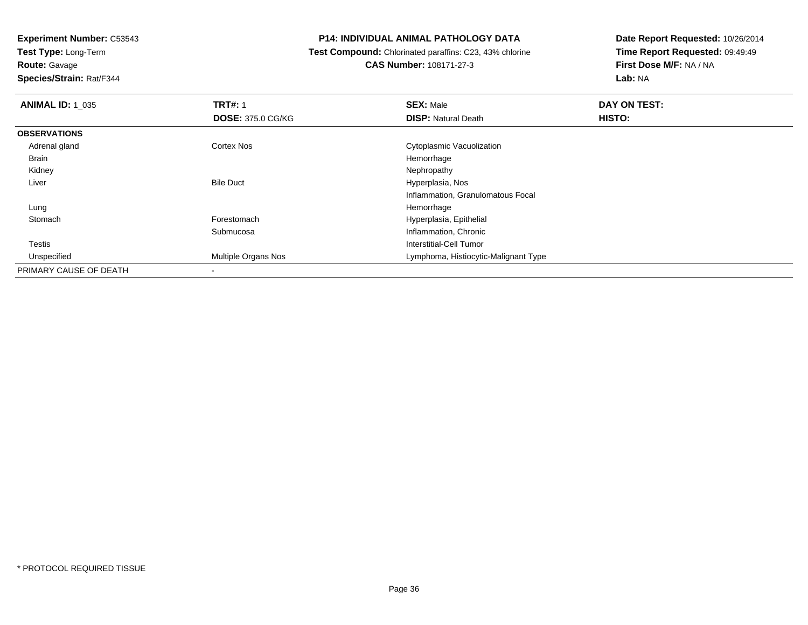**Experiment Number:** C53543**Test Type:** Long-Term

**Route:** Gavage

**Species/Strain:** Rat/F344

#### **P14: INDIVIDUAL ANIMAL PATHOLOGY DATA**

 **Test Compound:** Chlorinated paraffins: C23, 43% chlorine**CAS Number:** 108171-27-3

| <b>ANIMAL ID: 1 035</b> | <b>TRT#: 1</b>           | <b>SEX: Male</b>                     | DAY ON TEST: |  |
|-------------------------|--------------------------|--------------------------------------|--------------|--|
|                         | <b>DOSE: 375.0 CG/KG</b> | <b>DISP: Natural Death</b>           | HISTO:       |  |
| <b>OBSERVATIONS</b>     |                          |                                      |              |  |
| Adrenal gland           | <b>Cortex Nos</b>        | Cytoplasmic Vacuolization            |              |  |
| Brain                   |                          | Hemorrhage                           |              |  |
| Kidney                  |                          | Nephropathy                          |              |  |
| Liver                   | <b>Bile Duct</b>         | Hyperplasia, Nos                     |              |  |
|                         |                          | Inflammation, Granulomatous Focal    |              |  |
| Lung                    |                          | Hemorrhage                           |              |  |
| Stomach                 | Forestomach              | Hyperplasia, Epithelial              |              |  |
|                         | Submucosa                | Inflammation, Chronic                |              |  |
| Testis                  |                          | Interstitial-Cell Tumor              |              |  |
| Unspecified             | Multiple Organs Nos      | Lymphoma, Histiocytic-Malignant Type |              |  |
| PRIMARY CAUSE OF DEATH  |                          |                                      |              |  |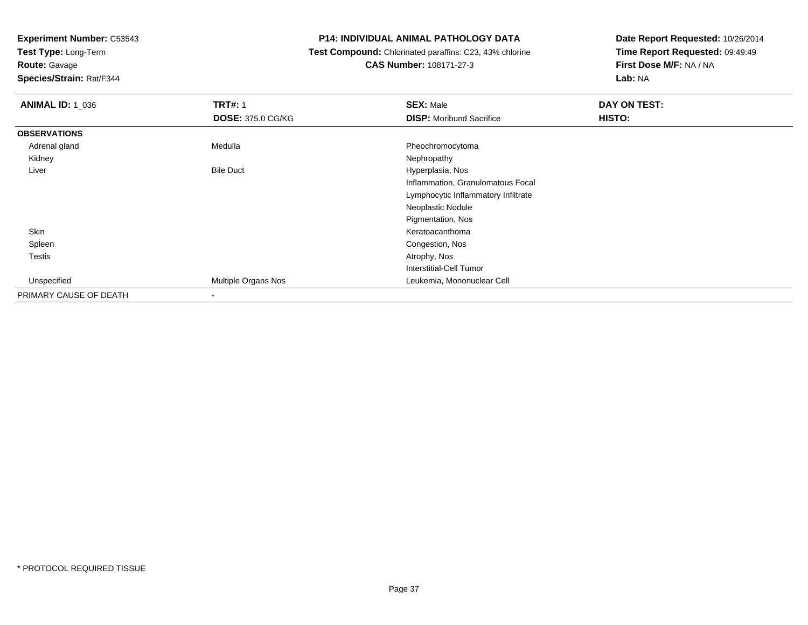**Test Type:** Long-Term

# **Route:** Gavage

**Species/Strain:** Rat/F344

#### **P14: INDIVIDUAL ANIMAL PATHOLOGY DATA**

#### **Test Compound:** Chlorinated paraffins: C23, 43% chlorine**CAS Number:** 108171-27-3

| <b>ANIMAL ID: 1_036</b> | <b>TRT#: 1</b>           | <b>SEX: Male</b>                    | DAY ON TEST: |  |
|-------------------------|--------------------------|-------------------------------------|--------------|--|
|                         | <b>DOSE: 375.0 CG/KG</b> | <b>DISP:</b> Moribund Sacrifice     | HISTO:       |  |
| <b>OBSERVATIONS</b>     |                          |                                     |              |  |
| Adrenal gland           | Medulla                  | Pheochromocytoma                    |              |  |
| Kidney                  |                          | Nephropathy                         |              |  |
| Liver                   | <b>Bile Duct</b>         | Hyperplasia, Nos                    |              |  |
|                         |                          | Inflammation, Granulomatous Focal   |              |  |
|                         |                          | Lymphocytic Inflammatory Infiltrate |              |  |
|                         |                          | Neoplastic Nodule                   |              |  |
|                         |                          | Pigmentation, Nos                   |              |  |
| Skin                    |                          | Keratoacanthoma                     |              |  |
| Spleen                  |                          | Congestion, Nos                     |              |  |
| Testis                  |                          | Atrophy, Nos                        |              |  |
|                         |                          | Interstitial-Cell Tumor             |              |  |
| Unspecified             | Multiple Organs Nos      | Leukemia, Mononuclear Cell          |              |  |
| PRIMARY CAUSE OF DEATH  | $\overline{\phantom{a}}$ |                                     |              |  |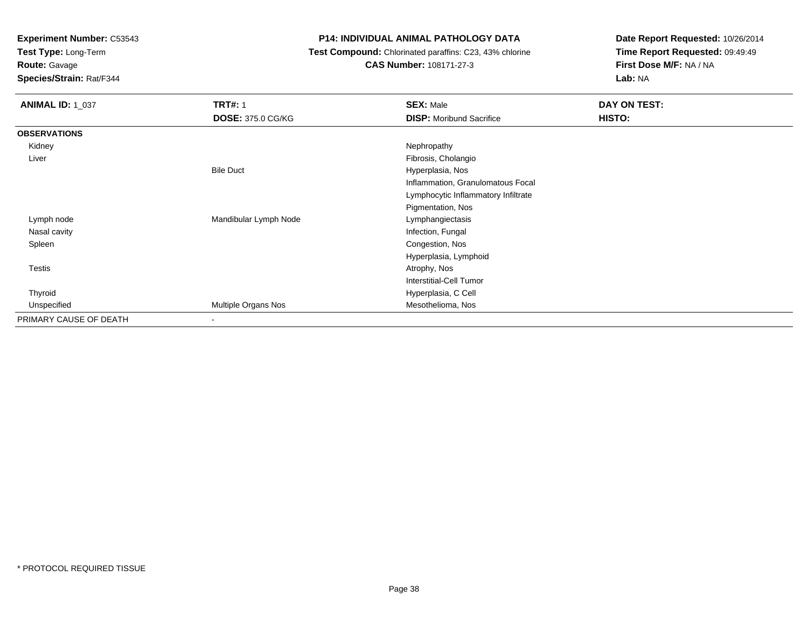**Test Type:** Long-Term

# **Route:** Gavage

**Species/Strain:** Rat/F344

#### **P14: INDIVIDUAL ANIMAL PATHOLOGY DATA**

#### **Test Compound:** Chlorinated paraffins: C23, 43% chlorine**CAS Number:** 108171-27-3

| <b>ANIMAL ID: 1_037</b> | <b>TRT#: 1</b>           | <b>SEX: Male</b>                    | DAY ON TEST: |  |
|-------------------------|--------------------------|-------------------------------------|--------------|--|
|                         | <b>DOSE: 375.0 CG/KG</b> | <b>DISP:</b> Moribund Sacrifice     | HISTO:       |  |
| <b>OBSERVATIONS</b>     |                          |                                     |              |  |
| Kidney                  |                          | Nephropathy                         |              |  |
| Liver                   |                          | Fibrosis, Cholangio                 |              |  |
|                         | <b>Bile Duct</b>         | Hyperplasia, Nos                    |              |  |
|                         |                          | Inflammation, Granulomatous Focal   |              |  |
|                         |                          | Lymphocytic Inflammatory Infiltrate |              |  |
|                         |                          | Pigmentation, Nos                   |              |  |
| Lymph node              | Mandibular Lymph Node    | Lymphangiectasis                    |              |  |
| Nasal cavity            |                          | Infection, Fungal                   |              |  |
| Spleen                  |                          | Congestion, Nos                     |              |  |
|                         |                          | Hyperplasia, Lymphoid               |              |  |
| Testis                  |                          | Atrophy, Nos                        |              |  |
|                         |                          | <b>Interstitial-Cell Tumor</b>      |              |  |
| Thyroid                 |                          | Hyperplasia, C Cell                 |              |  |
| Unspecified             | Multiple Organs Nos      | Mesothelioma, Nos                   |              |  |
| PRIMARY CAUSE OF DEATH  | $\overline{\phantom{a}}$ |                                     |              |  |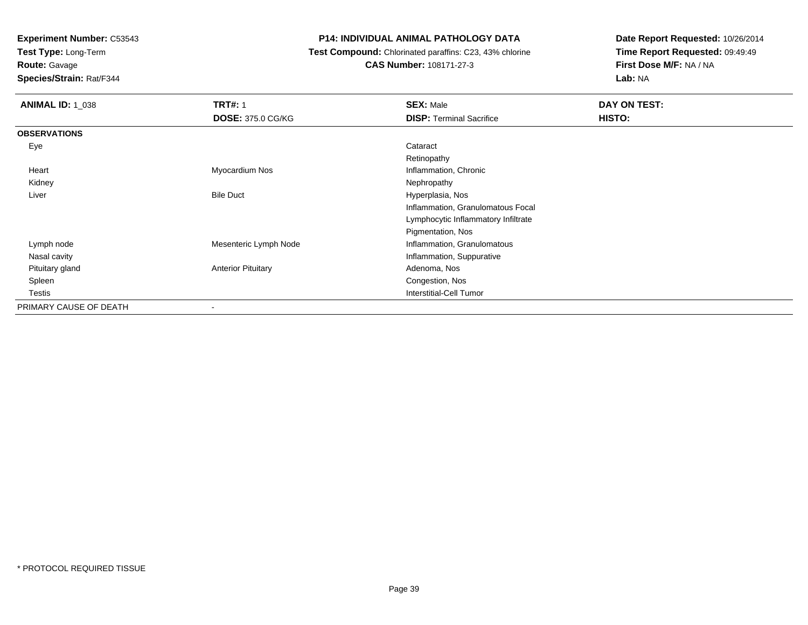**Test Type:** Long-Term

**Route:** Gavage

**Species/Strain:** Rat/F344

### **P14: INDIVIDUAL ANIMAL PATHOLOGY DATA**

 **Test Compound:** Chlorinated paraffins: C23, 43% chlorine**CAS Number:** 108171-27-3

| <b>ANIMAL ID: 1_038</b> | <b>TRT#: 1</b>            | <b>SEX: Male</b>                    | DAY ON TEST: |
|-------------------------|---------------------------|-------------------------------------|--------------|
|                         | <b>DOSE: 375.0 CG/KG</b>  | <b>DISP: Terminal Sacrifice</b>     | HISTO:       |
| <b>OBSERVATIONS</b>     |                           |                                     |              |
| Eye                     |                           | Cataract                            |              |
|                         |                           | Retinopathy                         |              |
| Heart                   | Myocardium Nos            | Inflammation, Chronic               |              |
| Kidney                  |                           | Nephropathy                         |              |
| Liver                   | <b>Bile Duct</b>          | Hyperplasia, Nos                    |              |
|                         |                           | Inflammation, Granulomatous Focal   |              |
|                         |                           | Lymphocytic Inflammatory Infiltrate |              |
|                         |                           | Pigmentation, Nos                   |              |
| Lymph node              | Mesenteric Lymph Node     | Inflammation, Granulomatous         |              |
| Nasal cavity            |                           | Inflammation, Suppurative           |              |
| Pituitary gland         | <b>Anterior Pituitary</b> | Adenoma, Nos                        |              |
| Spleen                  |                           | Congestion, Nos                     |              |
| Testis                  |                           | <b>Interstitial-Cell Tumor</b>      |              |
| PRIMARY CAUSE OF DEATH  | $\overline{\phantom{a}}$  |                                     |              |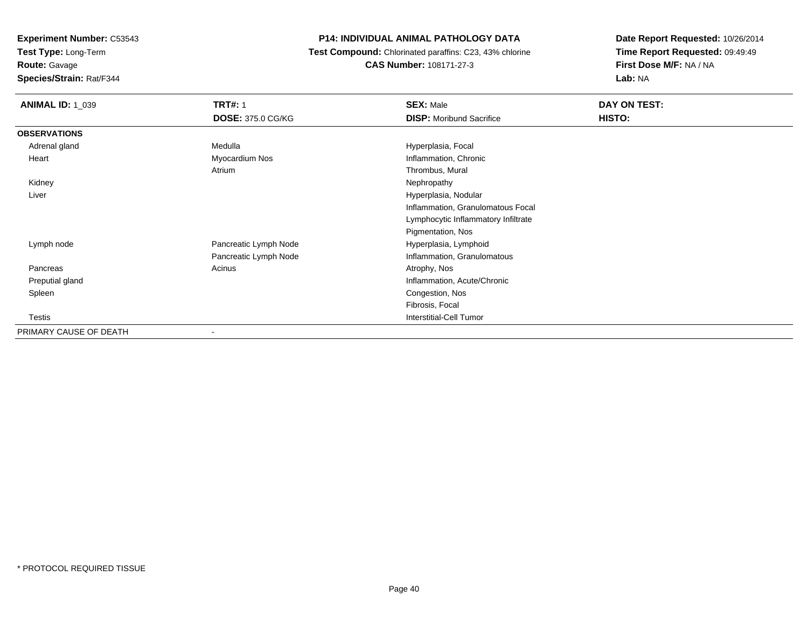**Test Type:** Long-Term

# **Route:** Gavage

**Species/Strain:** Rat/F344

### **P14: INDIVIDUAL ANIMAL PATHOLOGY DATA**

 **Test Compound:** Chlorinated paraffins: C23, 43% chlorine**CAS Number:** 108171-27-3

| <b>ANIMAL ID: 1_039</b> | <b>TRT#: 1</b>           | <b>SEX: Male</b>                    | DAY ON TEST: |
|-------------------------|--------------------------|-------------------------------------|--------------|
|                         | <b>DOSE: 375.0 CG/KG</b> | <b>DISP: Moribund Sacrifice</b>     | HISTO:       |
| <b>OBSERVATIONS</b>     |                          |                                     |              |
| Adrenal gland           | Medulla                  | Hyperplasia, Focal                  |              |
| Heart                   | Myocardium Nos           | Inflammation, Chronic               |              |
|                         | Atrium                   | Thrombus, Mural                     |              |
| Kidney                  |                          | Nephropathy                         |              |
| Liver                   |                          | Hyperplasia, Nodular                |              |
|                         |                          | Inflammation, Granulomatous Focal   |              |
|                         |                          | Lymphocytic Inflammatory Infiltrate |              |
|                         |                          | Pigmentation, Nos                   |              |
| Lymph node              | Pancreatic Lymph Node    | Hyperplasia, Lymphoid               |              |
|                         | Pancreatic Lymph Node    | Inflammation, Granulomatous         |              |
| Pancreas                | Acinus                   | Atrophy, Nos                        |              |
| Preputial gland         |                          | Inflammation, Acute/Chronic         |              |
| Spleen                  |                          | Congestion, Nos                     |              |
|                         |                          | Fibrosis, Focal                     |              |
| Testis                  |                          | Interstitial-Cell Tumor             |              |
| PRIMARY CAUSE OF DEATH  | $\blacksquare$           |                                     |              |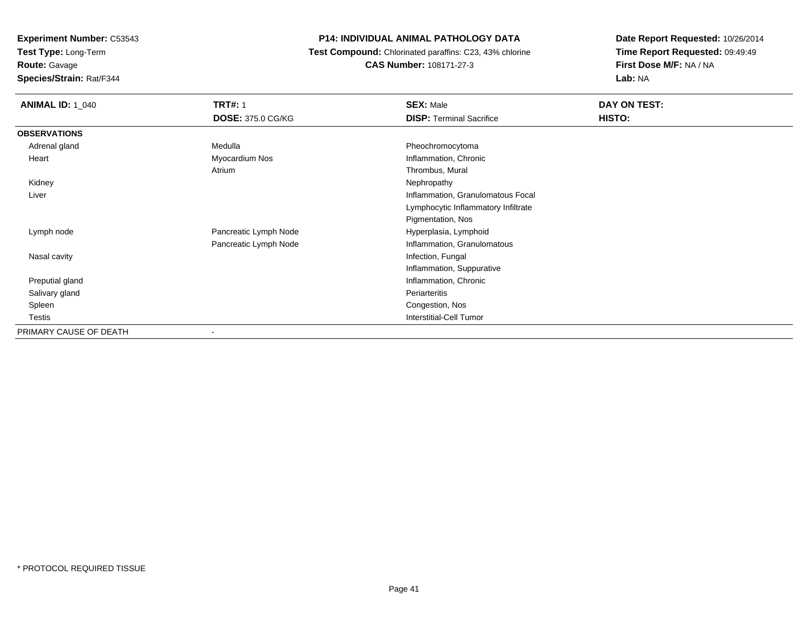**Test Type:** Long-Term

# **Route:** Gavage

**Species/Strain:** Rat/F344

# **P14: INDIVIDUAL ANIMAL PATHOLOGY DATA**

 **Test Compound:** Chlorinated paraffins: C23, 43% chlorine**CAS Number:** 108171-27-3

| <b>ANIMAL ID: 1_040</b> | <b>TRT#: 1</b>           | <b>SEX: Male</b>                    | DAY ON TEST: |
|-------------------------|--------------------------|-------------------------------------|--------------|
|                         | <b>DOSE: 375.0 CG/KG</b> | <b>DISP: Terminal Sacrifice</b>     | HISTO:       |
| <b>OBSERVATIONS</b>     |                          |                                     |              |
| Adrenal gland           | Medulla                  | Pheochromocytoma                    |              |
| Heart                   | Myocardium Nos           | Inflammation, Chronic               |              |
|                         | Atrium                   | Thrombus, Mural                     |              |
| Kidney                  |                          | Nephropathy                         |              |
| Liver                   |                          | Inflammation, Granulomatous Focal   |              |
|                         |                          | Lymphocytic Inflammatory Infiltrate |              |
|                         |                          | Pigmentation, Nos                   |              |
| Lymph node              | Pancreatic Lymph Node    | Hyperplasia, Lymphoid               |              |
|                         | Pancreatic Lymph Node    | Inflammation, Granulomatous         |              |
| Nasal cavity            |                          | Infection, Fungal                   |              |
|                         |                          | Inflammation, Suppurative           |              |
| Preputial gland         |                          | Inflammation, Chronic               |              |
| Salivary gland          |                          | Periarteritis                       |              |
| Spleen                  |                          | Congestion, Nos                     |              |
| Testis                  |                          | Interstitial-Cell Tumor             |              |
| PRIMARY CAUSE OF DEATH  |                          |                                     |              |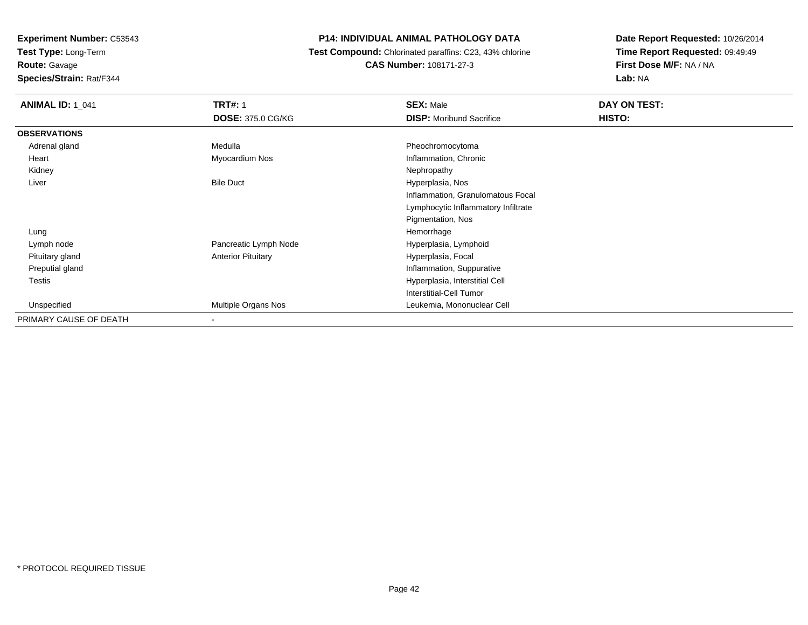**Test Type:** Long-Term

**Route:** Gavage

**Species/Strain:** Rat/F344

#### **P14: INDIVIDUAL ANIMAL PATHOLOGY DATA**

 **Test Compound:** Chlorinated paraffins: C23, 43% chlorine**CAS Number:** 108171-27-3

| <b>ANIMAL ID: 1 041</b> | <b>TRT#: 1</b>            | <b>SEX: Male</b>                    | DAY ON TEST: |
|-------------------------|---------------------------|-------------------------------------|--------------|
|                         | <b>DOSE: 375.0 CG/KG</b>  | <b>DISP:</b> Moribund Sacrifice     | HISTO:       |
| <b>OBSERVATIONS</b>     |                           |                                     |              |
| Adrenal gland           | Medulla                   | Pheochromocytoma                    |              |
| Heart                   | Myocardium Nos            | Inflammation, Chronic               |              |
| Kidney                  |                           | Nephropathy                         |              |
| Liver                   | <b>Bile Duct</b>          | Hyperplasia, Nos                    |              |
|                         |                           | Inflammation, Granulomatous Focal   |              |
|                         |                           | Lymphocytic Inflammatory Infiltrate |              |
|                         |                           | Pigmentation, Nos                   |              |
| Lung                    |                           | Hemorrhage                          |              |
| Lymph node              | Pancreatic Lymph Node     | Hyperplasia, Lymphoid               |              |
| Pituitary gland         | <b>Anterior Pituitary</b> | Hyperplasia, Focal                  |              |
| Preputial gland         |                           | Inflammation, Suppurative           |              |
| Testis                  |                           | Hyperplasia, Interstitial Cell      |              |
|                         |                           | <b>Interstitial-Cell Tumor</b>      |              |
| Unspecified             | Multiple Organs Nos       | Leukemia, Mononuclear Cell          |              |
| PRIMARY CAUSE OF DEATH  | $\,$                      |                                     |              |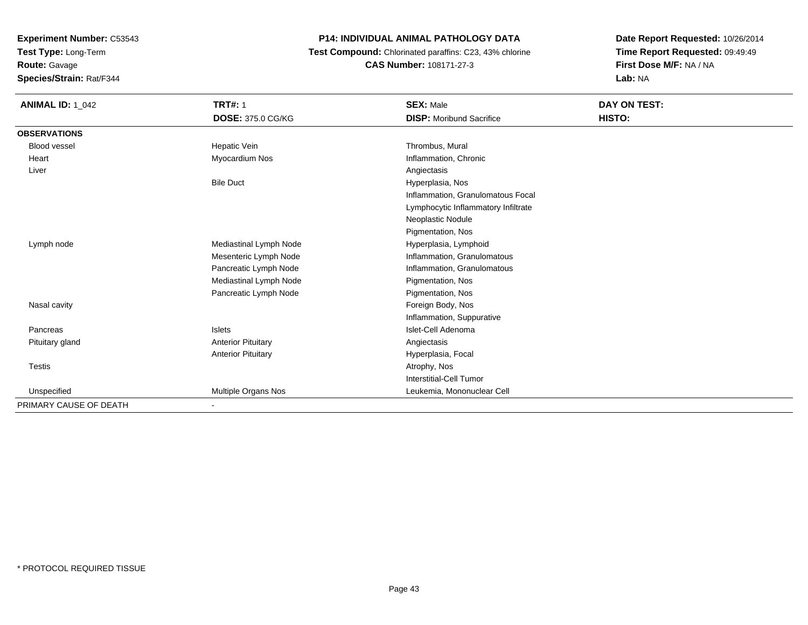**Test Type:** Long-Term

**Route:** Gavage

**Species/Strain:** Rat/F344

# **P14: INDIVIDUAL ANIMAL PATHOLOGY DATA**

 **Test Compound:** Chlorinated paraffins: C23, 43% chlorine**CAS Number:** 108171-27-3

| <b>ANIMAL ID: 1_042</b> | <b>TRT#: 1</b>            | <b>SEX: Male</b>                    | DAY ON TEST: |
|-------------------------|---------------------------|-------------------------------------|--------------|
|                         | <b>DOSE: 375.0 CG/KG</b>  | <b>DISP:</b> Moribund Sacrifice     | HISTO:       |
| <b>OBSERVATIONS</b>     |                           |                                     |              |
| <b>Blood vessel</b>     | Hepatic Vein              | Thrombus, Mural                     |              |
| Heart                   | Myocardium Nos            | Inflammation, Chronic               |              |
| Liver                   |                           | Angiectasis                         |              |
|                         | <b>Bile Duct</b>          | Hyperplasia, Nos                    |              |
|                         |                           | Inflammation, Granulomatous Focal   |              |
|                         |                           | Lymphocytic Inflammatory Infiltrate |              |
|                         |                           | Neoplastic Nodule                   |              |
|                         |                           | Pigmentation, Nos                   |              |
| Lymph node              | Mediastinal Lymph Node    | Hyperplasia, Lymphoid               |              |
|                         | Mesenteric Lymph Node     | Inflammation, Granulomatous         |              |
|                         | Pancreatic Lymph Node     | Inflammation, Granulomatous         |              |
|                         | Mediastinal Lymph Node    | Pigmentation, Nos                   |              |
|                         | Pancreatic Lymph Node     | Pigmentation, Nos                   |              |
| Nasal cavity            |                           | Foreign Body, Nos                   |              |
|                         |                           | Inflammation, Suppurative           |              |
| Pancreas                | <b>Islets</b>             | Islet-Cell Adenoma                  |              |
| Pituitary gland         | <b>Anterior Pituitary</b> | Angiectasis                         |              |
|                         | <b>Anterior Pituitary</b> | Hyperplasia, Focal                  |              |
| <b>Testis</b>           |                           | Atrophy, Nos                        |              |
|                         |                           | Interstitial-Cell Tumor             |              |
| Unspecified             | Multiple Organs Nos       | Leukemia, Mononuclear Cell          |              |
| PRIMARY CAUSE OF DEATH  |                           |                                     |              |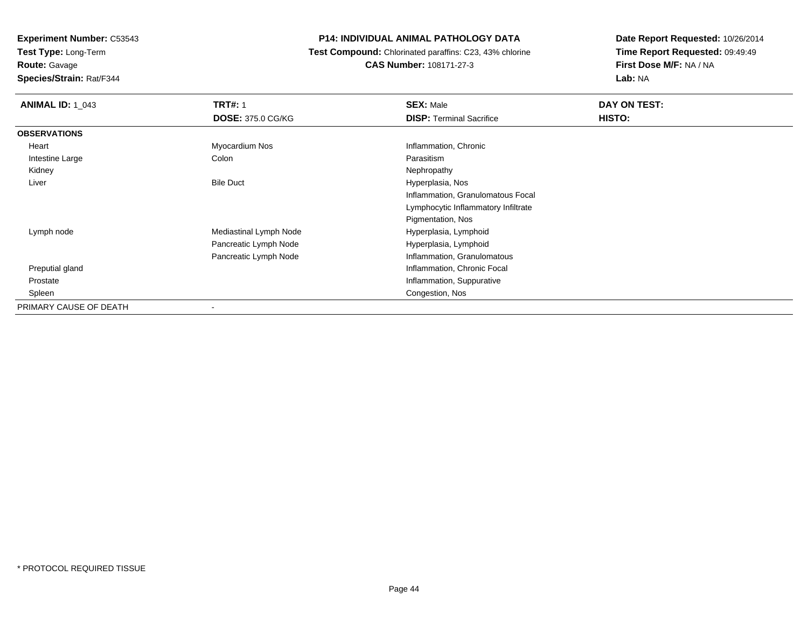**Test Type:** Long-Term**Route:** Gavage

**Species/Strain:** Rat/F344

### **P14: INDIVIDUAL ANIMAL PATHOLOGY DATA**

 **Test Compound:** Chlorinated paraffins: C23, 43% chlorine**CAS Number:** 108171-27-3

| <b>ANIMAL ID: 1 043</b> | <b>TRT#: 1</b>           | <b>SEX: Male</b>                    | DAY ON TEST:  |
|-------------------------|--------------------------|-------------------------------------|---------------|
|                         | <b>DOSE: 375.0 CG/KG</b> | <b>DISP: Terminal Sacrifice</b>     | <b>HISTO:</b> |
| <b>OBSERVATIONS</b>     |                          |                                     |               |
| Heart                   | Myocardium Nos           | Inflammation, Chronic               |               |
| Intestine Large         | Colon                    | Parasitism                          |               |
| Kidney                  |                          | Nephropathy                         |               |
| Liver                   | <b>Bile Duct</b>         | Hyperplasia, Nos                    |               |
|                         |                          | Inflammation, Granulomatous Focal   |               |
|                         |                          | Lymphocytic Inflammatory Infiltrate |               |
|                         |                          | Pigmentation, Nos                   |               |
| Lymph node              | Mediastinal Lymph Node   | Hyperplasia, Lymphoid               |               |
|                         | Pancreatic Lymph Node    | Hyperplasia, Lymphoid               |               |
|                         | Pancreatic Lymph Node    | Inflammation, Granulomatous         |               |
| Preputial gland         |                          | Inflammation, Chronic Focal         |               |
| Prostate                |                          | Inflammation, Suppurative           |               |
| Spleen                  |                          | Congestion, Nos                     |               |
| PRIMARY CAUSE OF DEATH  | ۰                        |                                     |               |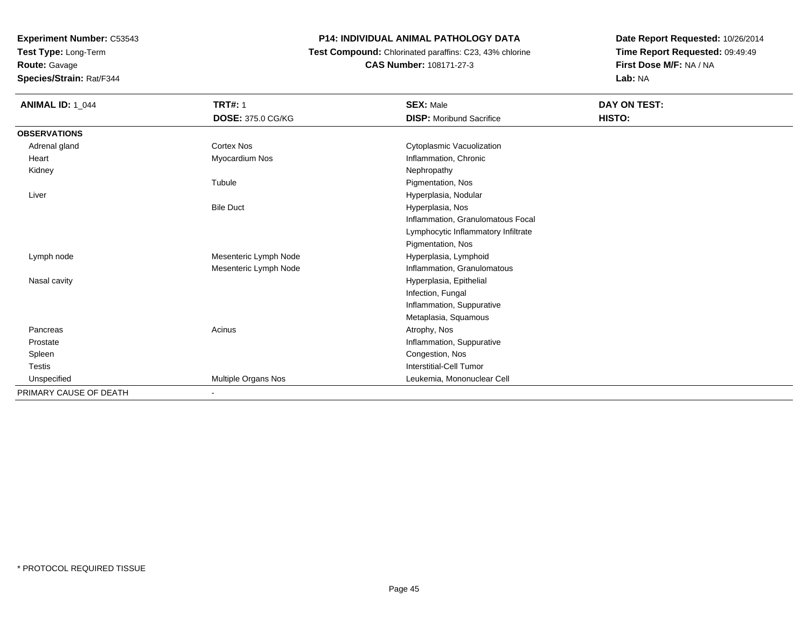**Test Type:** Long-Term

**Route:** Gavage

**Species/Strain:** Rat/F344

### **P14: INDIVIDUAL ANIMAL PATHOLOGY DATA**

 **Test Compound:** Chlorinated paraffins: C23, 43% chlorine**CAS Number:** 108171-27-3

| <b>ANIMAL ID: 1_044</b> | <b>TRT#: 1</b>           | <b>SEX: Male</b>                    | DAY ON TEST: |
|-------------------------|--------------------------|-------------------------------------|--------------|
|                         | <b>DOSE: 375.0 CG/KG</b> | <b>DISP:</b> Moribund Sacrifice     | HISTO:       |
| <b>OBSERVATIONS</b>     |                          |                                     |              |
| Adrenal gland           | <b>Cortex Nos</b>        | Cytoplasmic Vacuolization           |              |
| Heart                   | Myocardium Nos           | Inflammation, Chronic               |              |
| Kidney                  |                          | Nephropathy                         |              |
|                         | Tubule                   | Pigmentation, Nos                   |              |
| Liver                   |                          | Hyperplasia, Nodular                |              |
|                         | <b>Bile Duct</b>         | Hyperplasia, Nos                    |              |
|                         |                          | Inflammation, Granulomatous Focal   |              |
|                         |                          | Lymphocytic Inflammatory Infiltrate |              |
|                         |                          | Pigmentation, Nos                   |              |
| Lymph node              | Mesenteric Lymph Node    | Hyperplasia, Lymphoid               |              |
|                         | Mesenteric Lymph Node    | Inflammation, Granulomatous         |              |
| Nasal cavity            |                          | Hyperplasia, Epithelial             |              |
|                         |                          | Infection, Fungal                   |              |
|                         |                          | Inflammation, Suppurative           |              |
|                         |                          | Metaplasia, Squamous                |              |
| Pancreas                | Acinus                   | Atrophy, Nos                        |              |
| Prostate                |                          | Inflammation, Suppurative           |              |
| Spleen                  |                          | Congestion, Nos                     |              |
| <b>Testis</b>           |                          | <b>Interstitial-Cell Tumor</b>      |              |
| Unspecified             | Multiple Organs Nos      | Leukemia, Mononuclear Cell          |              |
| PRIMARY CAUSE OF DEATH  | $\blacksquare$           |                                     |              |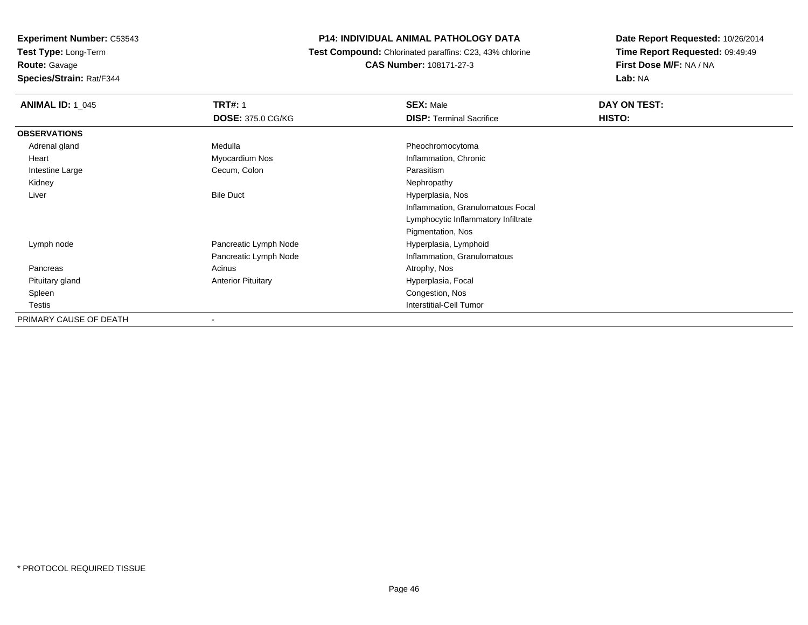**Experiment Number:** C53543**Test Type:** Long-Term

**Route:** Gavage

**Species/Strain:** Rat/F344

# **P14: INDIVIDUAL ANIMAL PATHOLOGY DATA**

 **Test Compound:** Chlorinated paraffins: C23, 43% chlorine**CAS Number:** 108171-27-3

| <b>ANIMAL ID: 1 045</b> | <b>TRT#: 1</b>            | <b>SEX: Male</b>                    | DAY ON TEST: |
|-------------------------|---------------------------|-------------------------------------|--------------|
|                         | <b>DOSE: 375.0 CG/KG</b>  | <b>DISP: Terminal Sacrifice</b>     | HISTO:       |
| <b>OBSERVATIONS</b>     |                           |                                     |              |
| Adrenal gland           | Medulla                   | Pheochromocytoma                    |              |
| Heart                   | Myocardium Nos            | Inflammation, Chronic               |              |
| Intestine Large         | Cecum, Colon              | Parasitism                          |              |
| Kidney                  |                           | Nephropathy                         |              |
| Liver                   | <b>Bile Duct</b>          | Hyperplasia, Nos                    |              |
|                         |                           | Inflammation, Granulomatous Focal   |              |
|                         |                           | Lymphocytic Inflammatory Infiltrate |              |
|                         |                           | Pigmentation, Nos                   |              |
| Lymph node              | Pancreatic Lymph Node     | Hyperplasia, Lymphoid               |              |
|                         | Pancreatic Lymph Node     | Inflammation, Granulomatous         |              |
| Pancreas                | Acinus                    | Atrophy, Nos                        |              |
| Pituitary gland         | <b>Anterior Pituitary</b> | Hyperplasia, Focal                  |              |
| Spleen                  |                           | Congestion, Nos                     |              |
| Testis                  |                           | Interstitial-Cell Tumor             |              |
| PRIMARY CAUSE OF DEATH  | $\overline{\phantom{a}}$  |                                     |              |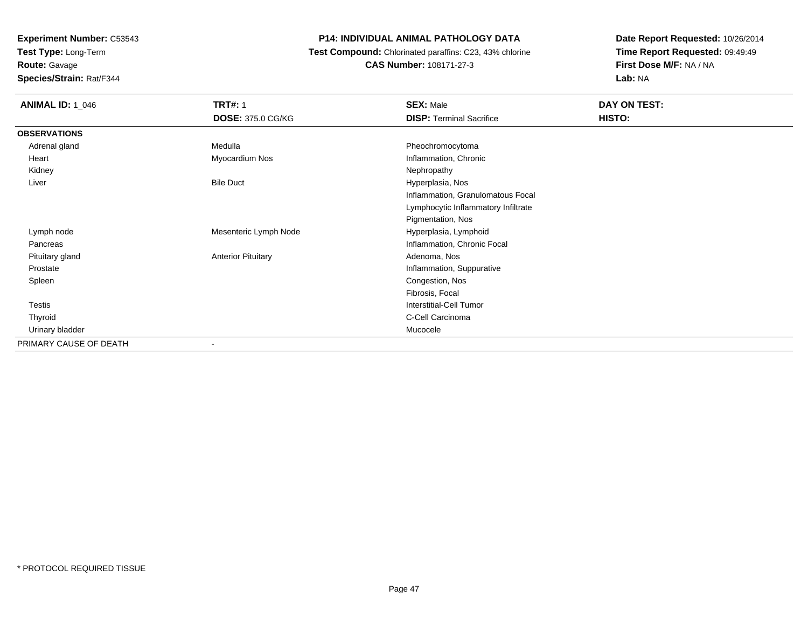**Test Type:** Long-Term

**Route:** Gavage

**Species/Strain:** Rat/F344

## **P14: INDIVIDUAL ANIMAL PATHOLOGY DATA**

 **Test Compound:** Chlorinated paraffins: C23, 43% chlorine**CAS Number:** 108171-27-3

| <b>ANIMAL ID: 1_046</b> | <b>TRT#: 1</b><br><b>DOSE: 375.0 CG/KG</b> | <b>SEX: Male</b><br><b>DISP: Terminal Sacrifice</b> | DAY ON TEST:<br>HISTO: |
|-------------------------|--------------------------------------------|-----------------------------------------------------|------------------------|
| <b>OBSERVATIONS</b>     |                                            |                                                     |                        |
| Adrenal gland           | Medulla                                    | Pheochromocytoma                                    |                        |
| Heart                   | Myocardium Nos                             | Inflammation, Chronic                               |                        |
| Kidney                  |                                            | Nephropathy                                         |                        |
| Liver                   | <b>Bile Duct</b>                           | Hyperplasia, Nos                                    |                        |
|                         |                                            | Inflammation, Granulomatous Focal                   |                        |
|                         |                                            | Lymphocytic Inflammatory Infiltrate                 |                        |
|                         |                                            | Pigmentation, Nos                                   |                        |
| Lymph node              | Mesenteric Lymph Node                      | Hyperplasia, Lymphoid                               |                        |
| Pancreas                |                                            | Inflammation, Chronic Focal                         |                        |
| Pituitary gland         | <b>Anterior Pituitary</b>                  | Adenoma, Nos                                        |                        |
| Prostate                |                                            | Inflammation, Suppurative                           |                        |
| Spleen                  |                                            | Congestion, Nos                                     |                        |
|                         |                                            | Fibrosis, Focal                                     |                        |
| Testis                  |                                            | Interstitial-Cell Tumor                             |                        |
| Thyroid                 |                                            | C-Cell Carcinoma                                    |                        |
| Urinary bladder         |                                            | Mucocele                                            |                        |
| PRIMARY CAUSE OF DEATH  | $\blacksquare$                             |                                                     |                        |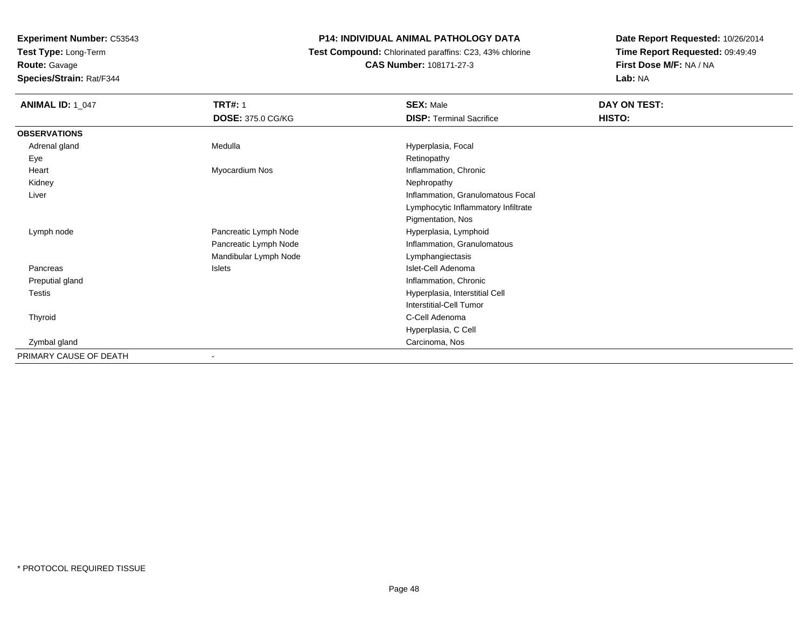**Test Type:** Long-Term

**Route:** Gavage

**Species/Strain:** Rat/F344

#### **P14: INDIVIDUAL ANIMAL PATHOLOGY DATA**

 **Test Compound:** Chlorinated paraffins: C23, 43% chlorine**CAS Number:** 108171-27-3

| <b>ANIMAL ID: 1_047</b> | <b>TRT#: 1</b>           | <b>SEX: Male</b>                    | DAY ON TEST: |  |
|-------------------------|--------------------------|-------------------------------------|--------------|--|
|                         | <b>DOSE: 375.0 CG/KG</b> | <b>DISP: Terminal Sacrifice</b>     | HISTO:       |  |
| <b>OBSERVATIONS</b>     |                          |                                     |              |  |
| Adrenal gland           | Medulla                  | Hyperplasia, Focal                  |              |  |
| Eye                     |                          | Retinopathy                         |              |  |
| Heart                   | Myocardium Nos           | Inflammation, Chronic               |              |  |
| Kidney                  |                          | Nephropathy                         |              |  |
| Liver                   |                          | Inflammation, Granulomatous Focal   |              |  |
|                         |                          | Lymphocytic Inflammatory Infiltrate |              |  |
|                         |                          | Pigmentation, Nos                   |              |  |
| Lymph node              | Pancreatic Lymph Node    | Hyperplasia, Lymphoid               |              |  |
|                         | Pancreatic Lymph Node    | Inflammation, Granulomatous         |              |  |
|                         | Mandibular Lymph Node    | Lymphangiectasis                    |              |  |
| Pancreas                | Islets                   | Islet-Cell Adenoma                  |              |  |
| Preputial gland         |                          | Inflammation, Chronic               |              |  |
| Testis                  |                          | Hyperplasia, Interstitial Cell      |              |  |
|                         |                          | Interstitial-Cell Tumor             |              |  |
| Thyroid                 |                          | C-Cell Adenoma                      |              |  |
|                         |                          | Hyperplasia, C Cell                 |              |  |
| Zymbal gland            |                          | Carcinoma, Nos                      |              |  |
| PRIMARY CAUSE OF DEATH  |                          |                                     |              |  |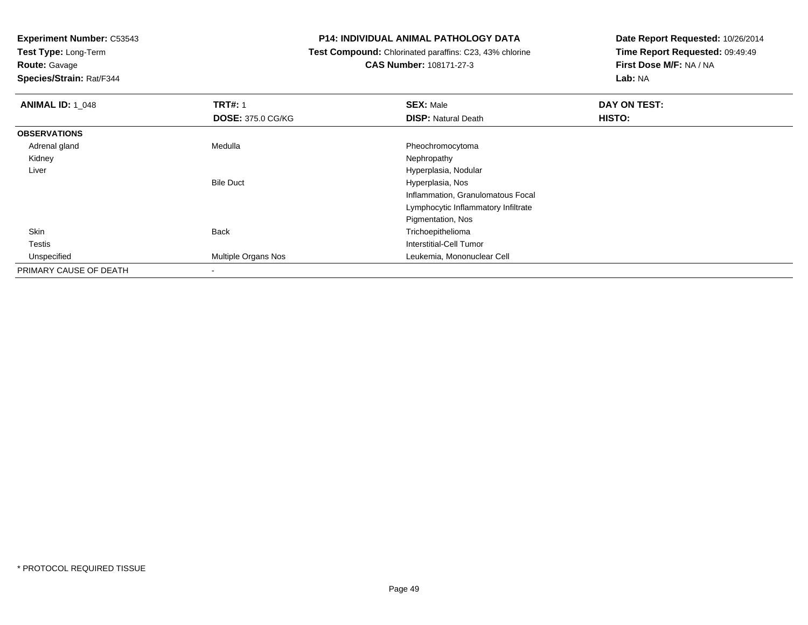**Test Type:** Long-Term

**Route:** Gavage

**Species/Strain:** Rat/F344

#### **P14: INDIVIDUAL ANIMAL PATHOLOGY DATA**

 **Test Compound:** Chlorinated paraffins: C23, 43% chlorine**CAS Number:** 108171-27-3

| <b>ANIMAL ID: 1_048</b> | <b>TRT#: 1</b>           | <b>SEX: Male</b>                    | DAY ON TEST: |  |
|-------------------------|--------------------------|-------------------------------------|--------------|--|
|                         | <b>DOSE: 375.0 CG/KG</b> | <b>DISP: Natural Death</b>          | HISTO:       |  |
| <b>OBSERVATIONS</b>     |                          |                                     |              |  |
| Adrenal gland           | Medulla                  | Pheochromocytoma                    |              |  |
| Kidney                  |                          | Nephropathy                         |              |  |
| Liver                   |                          | Hyperplasia, Nodular                |              |  |
|                         | <b>Bile Duct</b>         | Hyperplasia, Nos                    |              |  |
|                         |                          | Inflammation, Granulomatous Focal   |              |  |
|                         |                          | Lymphocytic Inflammatory Infiltrate |              |  |
|                         |                          | Pigmentation, Nos                   |              |  |
| Skin                    | <b>Back</b>              | Trichoepithelioma                   |              |  |
| <b>Testis</b>           |                          | Interstitial-Cell Tumor             |              |  |
| Unspecified             | Multiple Organs Nos      | Leukemia, Mononuclear Cell          |              |  |
| PRIMARY CAUSE OF DEATH  |                          |                                     |              |  |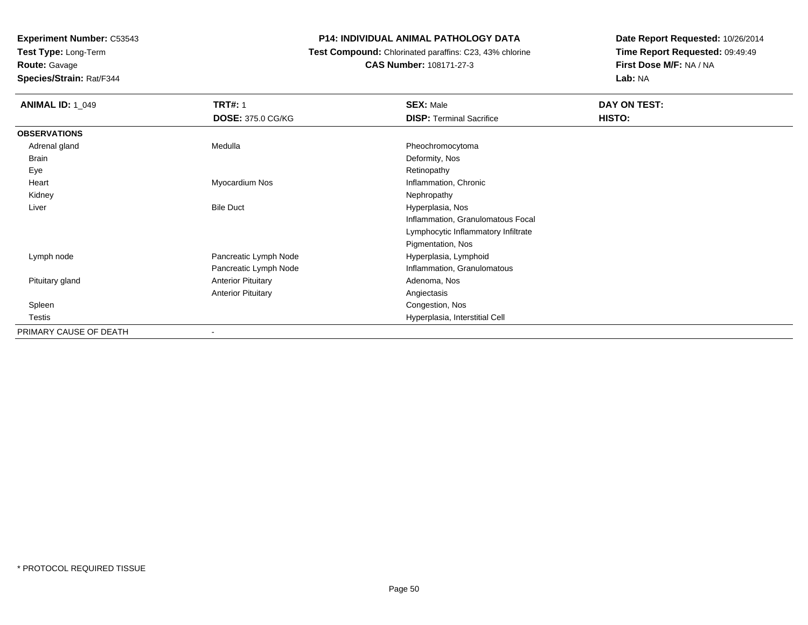**Test Type:** Long-Term

**Route:** Gavage

**Species/Strain:** Rat/F344

### **P14: INDIVIDUAL ANIMAL PATHOLOGY DATA**

 **Test Compound:** Chlorinated paraffins: C23, 43% chlorine**CAS Number:** 108171-27-3

| <b>ANIMAL ID: 1_049</b> | <b>TRT#: 1</b>            | <b>SEX: Male</b>                    | DAY ON TEST: |  |
|-------------------------|---------------------------|-------------------------------------|--------------|--|
|                         | <b>DOSE: 375.0 CG/KG</b>  | <b>DISP: Terminal Sacrifice</b>     | HISTO:       |  |
| <b>OBSERVATIONS</b>     |                           |                                     |              |  |
| Adrenal gland           | Medulla                   | Pheochromocytoma                    |              |  |
| Brain                   |                           | Deformity, Nos                      |              |  |
| Eye                     |                           | Retinopathy                         |              |  |
| Heart                   | Myocardium Nos            | Inflammation, Chronic               |              |  |
| Kidney                  |                           | Nephropathy                         |              |  |
| Liver                   | <b>Bile Duct</b>          | Hyperplasia, Nos                    |              |  |
|                         |                           | Inflammation, Granulomatous Focal   |              |  |
|                         |                           | Lymphocytic Inflammatory Infiltrate |              |  |
|                         |                           | Pigmentation, Nos                   |              |  |
| Lymph node              | Pancreatic Lymph Node     | Hyperplasia, Lymphoid               |              |  |
|                         | Pancreatic Lymph Node     | Inflammation, Granulomatous         |              |  |
| Pituitary gland         | <b>Anterior Pituitary</b> | Adenoma, Nos                        |              |  |
|                         | <b>Anterior Pituitary</b> | Angiectasis                         |              |  |
| Spleen                  |                           | Congestion, Nos                     |              |  |
| Testis                  |                           | Hyperplasia, Interstitial Cell      |              |  |
| PRIMARY CAUSE OF DEATH  | $\overline{\phantom{a}}$  |                                     |              |  |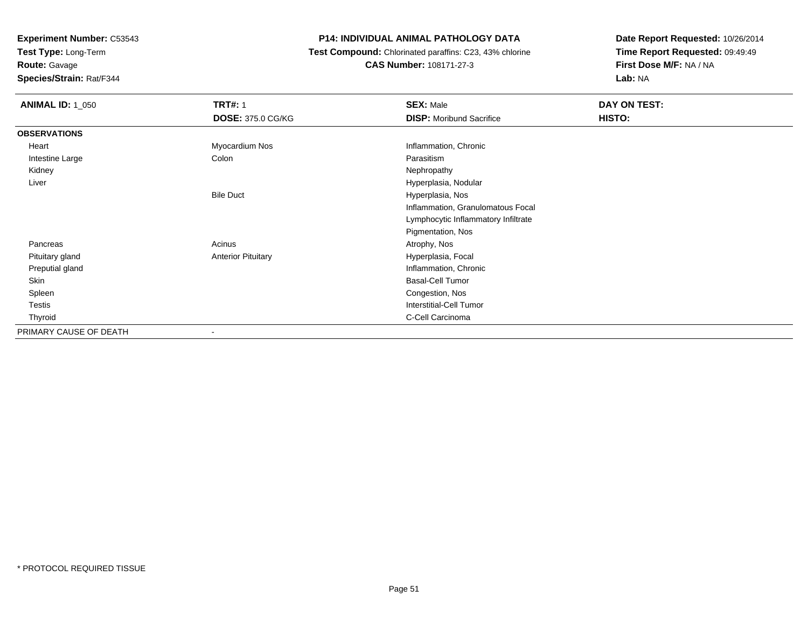**Test Type:** Long-Term

**Route:** Gavage

**Species/Strain:** Rat/F344

### **P14: INDIVIDUAL ANIMAL PATHOLOGY DATA**

 **Test Compound:** Chlorinated paraffins: C23, 43% chlorine**CAS Number:** 108171-27-3

| <b>ANIMAL ID: 1_050</b> | <b>TRT#: 1</b>            | <b>SEX: Male</b>                    | DAY ON TEST: |
|-------------------------|---------------------------|-------------------------------------|--------------|
|                         | <b>DOSE: 375.0 CG/KG</b>  | <b>DISP:</b> Moribund Sacrifice     | HISTO:       |
| <b>OBSERVATIONS</b>     |                           |                                     |              |
| Heart                   | Myocardium Nos            | Inflammation, Chronic               |              |
| Intestine Large         | Colon                     | Parasitism                          |              |
| Kidney                  |                           | Nephropathy                         |              |
| Liver                   |                           | Hyperplasia, Nodular                |              |
|                         | <b>Bile Duct</b>          | Hyperplasia, Nos                    |              |
|                         |                           | Inflammation, Granulomatous Focal   |              |
|                         |                           | Lymphocytic Inflammatory Infiltrate |              |
|                         |                           | Pigmentation, Nos                   |              |
| Pancreas                | Acinus                    | Atrophy, Nos                        |              |
| Pituitary gland         | <b>Anterior Pituitary</b> | Hyperplasia, Focal                  |              |
| Preputial gland         |                           | Inflammation, Chronic               |              |
| Skin                    |                           | <b>Basal-Cell Tumor</b>             |              |
| Spleen                  |                           | Congestion, Nos                     |              |
| Testis                  |                           | <b>Interstitial-Cell Tumor</b>      |              |
| Thyroid                 |                           | C-Cell Carcinoma                    |              |
| PRIMARY CAUSE OF DEATH  |                           |                                     |              |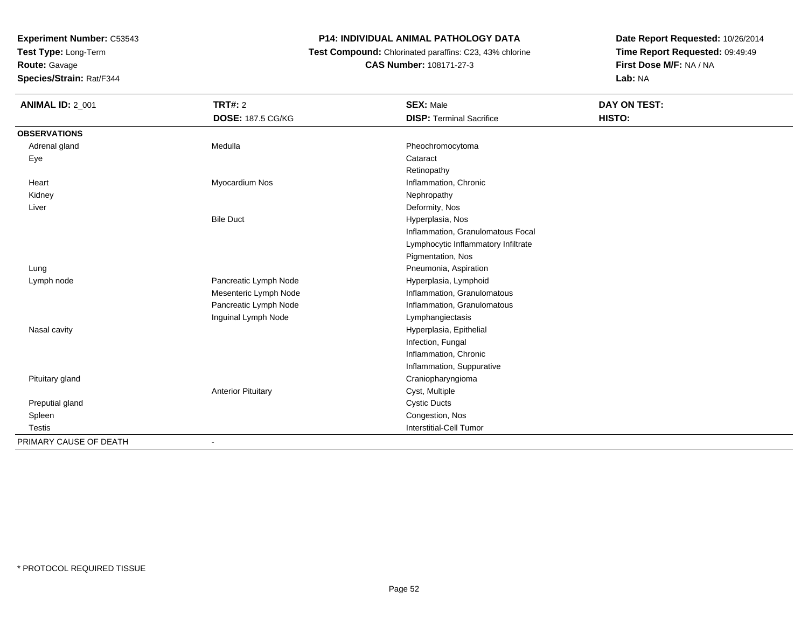**Test Type:** Long-Term

**Route:** Gavage

**Species/Strain:** Rat/F344

### **P14: INDIVIDUAL ANIMAL PATHOLOGY DATA**

 **Test Compound:** Chlorinated paraffins: C23, 43% chlorine**CAS Number:** 108171-27-3

| <b>ANIMAL ID: 2_001</b> | <b>TRT#: 2</b>            | <b>SEX: Male</b>                    | DAY ON TEST: |
|-------------------------|---------------------------|-------------------------------------|--------------|
|                         | <b>DOSE: 187.5 CG/KG</b>  | <b>DISP: Terminal Sacrifice</b>     | HISTO:       |
| <b>OBSERVATIONS</b>     |                           |                                     |              |
| Adrenal gland           | Medulla                   | Pheochromocytoma                    |              |
| Eye                     |                           | Cataract                            |              |
|                         |                           | Retinopathy                         |              |
| Heart                   | Myocardium Nos            | Inflammation, Chronic               |              |
| Kidney                  |                           | Nephropathy                         |              |
| Liver                   |                           | Deformity, Nos                      |              |
|                         | <b>Bile Duct</b>          | Hyperplasia, Nos                    |              |
|                         |                           | Inflammation, Granulomatous Focal   |              |
|                         |                           | Lymphocytic Inflammatory Infiltrate |              |
|                         |                           | Pigmentation, Nos                   |              |
| Lung                    |                           | Pneumonia, Aspiration               |              |
| Lymph node              | Pancreatic Lymph Node     | Hyperplasia, Lymphoid               |              |
|                         | Mesenteric Lymph Node     | Inflammation, Granulomatous         |              |
|                         | Pancreatic Lymph Node     | Inflammation, Granulomatous         |              |
|                         | Inguinal Lymph Node       | Lymphangiectasis                    |              |
| Nasal cavity            |                           | Hyperplasia, Epithelial             |              |
|                         |                           | Infection, Fungal                   |              |
|                         |                           | Inflammation, Chronic               |              |
|                         |                           | Inflammation, Suppurative           |              |
| Pituitary gland         |                           | Craniopharyngioma                   |              |
|                         | <b>Anterior Pituitary</b> | Cyst, Multiple                      |              |
| Preputial gland         |                           | <b>Cystic Ducts</b>                 |              |
| Spleen                  |                           | Congestion, Nos                     |              |
| <b>Testis</b>           |                           | <b>Interstitial-Cell Tumor</b>      |              |
| PRIMARY CAUSE OF DEATH  |                           |                                     |              |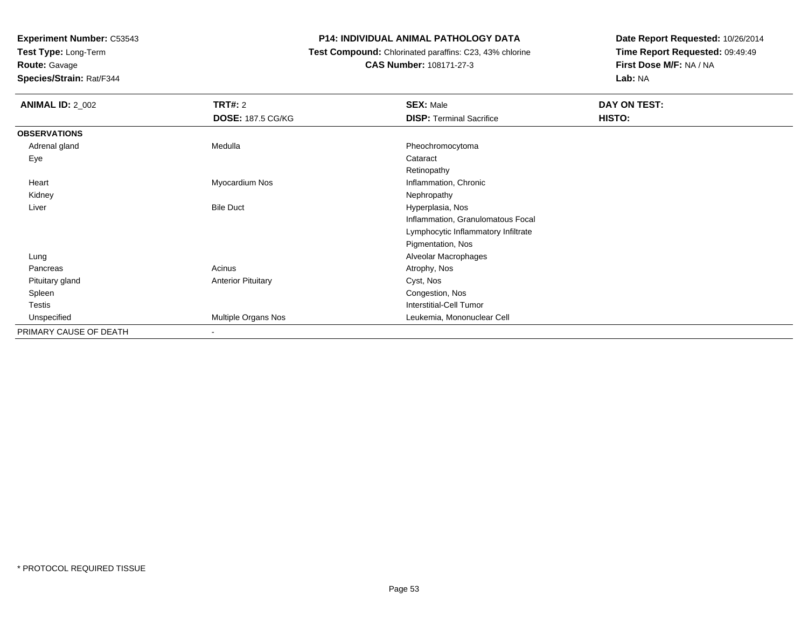**Test Type:** Long-Term

**Route:** Gavage

**Species/Strain:** Rat/F344

#### **P14: INDIVIDUAL ANIMAL PATHOLOGY DATA**

 **Test Compound:** Chlorinated paraffins: C23, 43% chlorine**CAS Number:** 108171-27-3

| <b>ANIMAL ID: 2_002</b> | <b>TRT#: 2</b>            | <b>SEX: Male</b>                    | DAY ON TEST: |  |
|-------------------------|---------------------------|-------------------------------------|--------------|--|
|                         | <b>DOSE: 187.5 CG/KG</b>  | <b>DISP: Terminal Sacrifice</b>     | HISTO:       |  |
| <b>OBSERVATIONS</b>     |                           |                                     |              |  |
| Adrenal gland           | Medulla                   | Pheochromocytoma                    |              |  |
| Eye                     |                           | Cataract                            |              |  |
|                         |                           | Retinopathy                         |              |  |
| Heart                   | Myocardium Nos            | Inflammation, Chronic               |              |  |
| Kidney                  |                           | Nephropathy                         |              |  |
| Liver                   | <b>Bile Duct</b>          | Hyperplasia, Nos                    |              |  |
|                         |                           | Inflammation, Granulomatous Focal   |              |  |
|                         |                           | Lymphocytic Inflammatory Infiltrate |              |  |
|                         |                           | Pigmentation, Nos                   |              |  |
| Lung                    |                           | Alveolar Macrophages                |              |  |
| Pancreas                | Acinus                    | Atrophy, Nos                        |              |  |
| Pituitary gland         | <b>Anterior Pituitary</b> | Cyst, Nos                           |              |  |
| Spleen                  |                           | Congestion, Nos                     |              |  |
| <b>Testis</b>           |                           | <b>Interstitial-Cell Tumor</b>      |              |  |
| Unspecified             | Multiple Organs Nos       | Leukemia, Mononuclear Cell          |              |  |
| PRIMARY CAUSE OF DEATH  | $\blacksquare$            |                                     |              |  |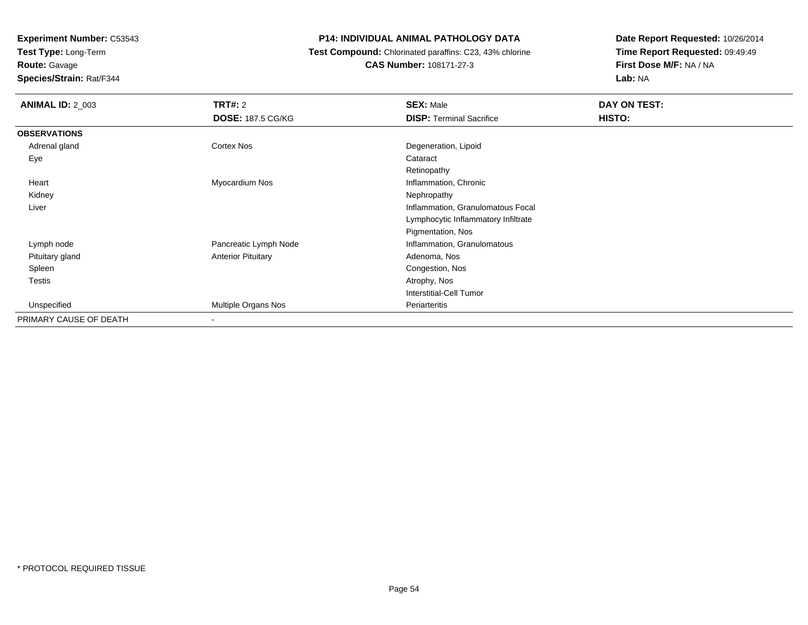**Test Type:** Long-Term

**Route:** Gavage

**Species/Strain:** Rat/F344

#### **P14: INDIVIDUAL ANIMAL PATHOLOGY DATA**

 **Test Compound:** Chlorinated paraffins: C23, 43% chlorine**CAS Number:** 108171-27-3

| <b>ANIMAL ID: 2_003</b> | <b>TRT#: 2</b>            | <b>SEX: Male</b>                    | DAY ON TEST: |  |
|-------------------------|---------------------------|-------------------------------------|--------------|--|
|                         | <b>DOSE: 187.5 CG/KG</b>  | <b>DISP: Terminal Sacrifice</b>     | HISTO:       |  |
| <b>OBSERVATIONS</b>     |                           |                                     |              |  |
| Adrenal gland           | Cortex Nos                | Degeneration, Lipoid                |              |  |
| Eye                     |                           | Cataract                            |              |  |
|                         |                           | Retinopathy                         |              |  |
| Heart                   | Myocardium Nos            | Inflammation, Chronic               |              |  |
| Kidney                  |                           | Nephropathy                         |              |  |
| Liver                   |                           | Inflammation, Granulomatous Focal   |              |  |
|                         |                           | Lymphocytic Inflammatory Infiltrate |              |  |
|                         |                           | Pigmentation, Nos                   |              |  |
| Lymph node              | Pancreatic Lymph Node     | Inflammation, Granulomatous         |              |  |
| Pituitary gland         | <b>Anterior Pituitary</b> | Adenoma, Nos                        |              |  |
| Spleen                  |                           | Congestion, Nos                     |              |  |
| Testis                  |                           | Atrophy, Nos                        |              |  |
|                         |                           | <b>Interstitial-Cell Tumor</b>      |              |  |
| Unspecified             | Multiple Organs Nos       | Periarteritis                       |              |  |
| PRIMARY CAUSE OF DEATH  | ۰                         |                                     |              |  |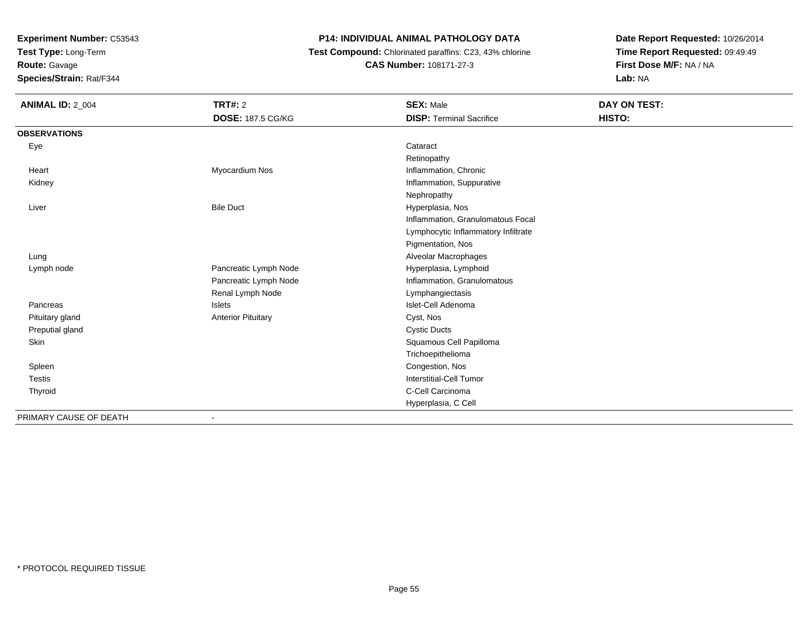**Test Type:** Long-Term

**Route:** Gavage

**Species/Strain:** Rat/F344

# **P14: INDIVIDUAL ANIMAL PATHOLOGY DATA**

 **Test Compound:** Chlorinated paraffins: C23, 43% chlorine**CAS Number:** 108171-27-3

| <b>ANIMAL ID: 2_004</b> | <b>TRT#: 2</b>            | <b>SEX: Male</b>                    | <b>DAY ON TEST:</b> |
|-------------------------|---------------------------|-------------------------------------|---------------------|
|                         | <b>DOSE: 187.5 CG/KG</b>  | <b>DISP: Terminal Sacrifice</b>     | HISTO:              |
| <b>OBSERVATIONS</b>     |                           |                                     |                     |
| Eye                     |                           | Cataract                            |                     |
|                         |                           | Retinopathy                         |                     |
| Heart                   | Myocardium Nos            | Inflammation, Chronic               |                     |
| Kidney                  |                           | Inflammation, Suppurative           |                     |
|                         |                           | Nephropathy                         |                     |
| Liver                   | <b>Bile Duct</b>          | Hyperplasia, Nos                    |                     |
|                         |                           | Inflammation, Granulomatous Focal   |                     |
|                         |                           | Lymphocytic Inflammatory Infiltrate |                     |
|                         |                           | Pigmentation, Nos                   |                     |
| Lung                    |                           | Alveolar Macrophages                |                     |
| Lymph node              | Pancreatic Lymph Node     | Hyperplasia, Lymphoid               |                     |
|                         | Pancreatic Lymph Node     | Inflammation, Granulomatous         |                     |
|                         | Renal Lymph Node          | Lymphangiectasis                    |                     |
| Pancreas                | Islets                    | Islet-Cell Adenoma                  |                     |
| Pituitary gland         | <b>Anterior Pituitary</b> | Cyst, Nos                           |                     |
| Preputial gland         |                           | <b>Cystic Ducts</b>                 |                     |
| Skin                    |                           | Squamous Cell Papilloma             |                     |
|                         |                           | Trichoepithelioma                   |                     |
| Spleen                  |                           | Congestion, Nos                     |                     |
| <b>Testis</b>           |                           | Interstitial-Cell Tumor             |                     |
| Thyroid                 |                           | C-Cell Carcinoma                    |                     |
|                         |                           | Hyperplasia, C Cell                 |                     |
| PRIMARY CAUSE OF DEATH  |                           |                                     |                     |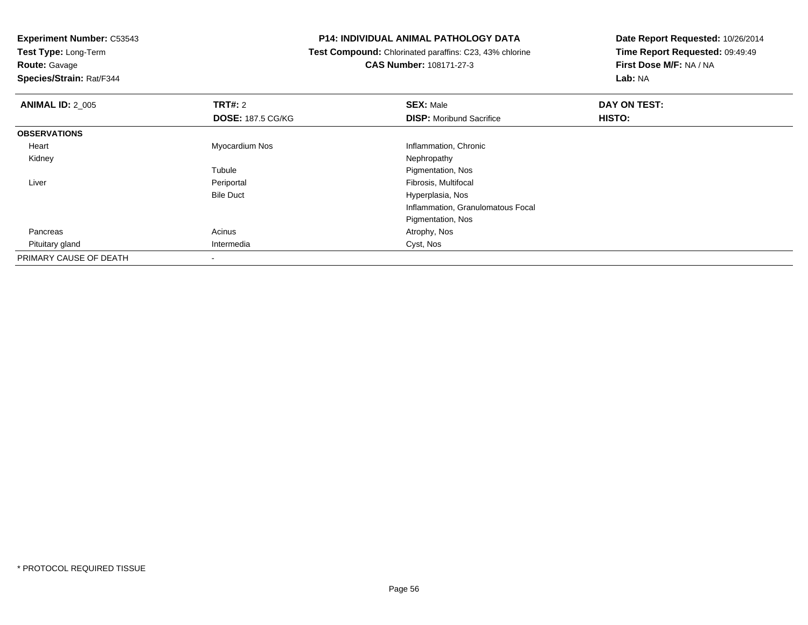**Test Type:** Long-Term

# **Route:** Gavage

**Species/Strain:** Rat/F344

#### **P14: INDIVIDUAL ANIMAL PATHOLOGY DATA**

 **Test Compound:** Chlorinated paraffins: C23, 43% chlorine**CAS Number:** 108171-27-3

| <b>ANIMAL ID: 2 005</b> | TRT#: 2                  | <b>SEX: Male</b>                  | DAY ON TEST: |  |
|-------------------------|--------------------------|-----------------------------------|--------------|--|
|                         | <b>DOSE: 187.5 CG/KG</b> | <b>DISP:</b> Moribund Sacrifice   | HISTO:       |  |
| <b>OBSERVATIONS</b>     |                          |                                   |              |  |
| Heart                   | Myocardium Nos           | Inflammation, Chronic             |              |  |
| Kidney                  |                          | Nephropathy                       |              |  |
|                         | Tubule                   | Pigmentation, Nos                 |              |  |
| Liver                   | Periportal               | Fibrosis, Multifocal              |              |  |
|                         | <b>Bile Duct</b>         | Hyperplasia, Nos                  |              |  |
|                         |                          | Inflammation, Granulomatous Focal |              |  |
|                         |                          | Pigmentation, Nos                 |              |  |
| Pancreas                | Acinus                   | Atrophy, Nos                      |              |  |
| Pituitary gland         | Intermedia               | Cyst, Nos                         |              |  |
| PRIMARY CAUSE OF DEATH  |                          |                                   |              |  |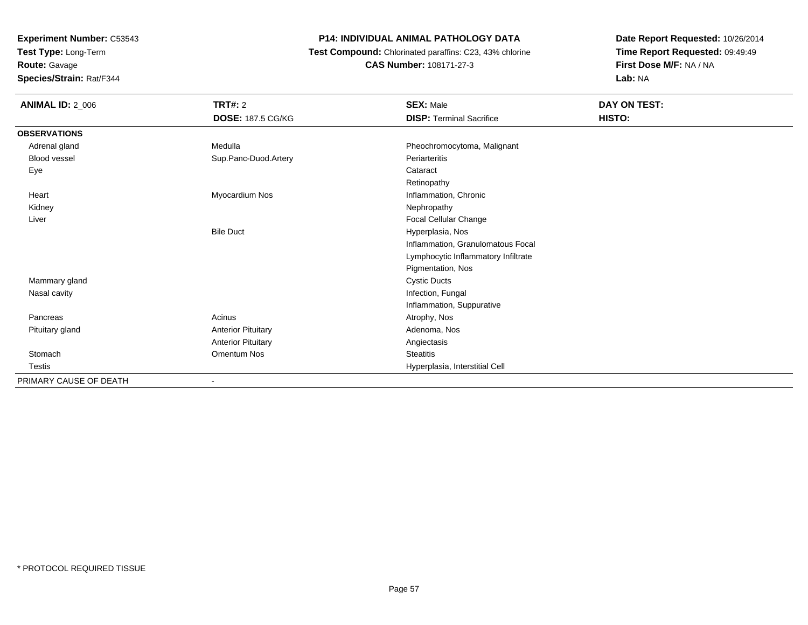**Test Type:** Long-Term

**Route:** Gavage

**Species/Strain:** Rat/F344

# **P14: INDIVIDUAL ANIMAL PATHOLOGY DATA**

 **Test Compound:** Chlorinated paraffins: C23, 43% chlorine**CAS Number:** 108171-27-3

| <b>ANIMAL ID: 2_006</b> | TRT#: 2                   | <b>SEX: Male</b>                    | DAY ON TEST: |  |
|-------------------------|---------------------------|-------------------------------------|--------------|--|
|                         | <b>DOSE: 187.5 CG/KG</b>  | <b>DISP: Terminal Sacrifice</b>     | HISTO:       |  |
| <b>OBSERVATIONS</b>     |                           |                                     |              |  |
| Adrenal gland           | Medulla                   | Pheochromocytoma, Malignant         |              |  |
| Blood vessel            | Sup.Panc-Duod.Artery      | Periarteritis                       |              |  |
| Eye                     |                           | Cataract                            |              |  |
|                         |                           | Retinopathy                         |              |  |
| Heart                   | Myocardium Nos            | Inflammation, Chronic               |              |  |
| Kidney                  |                           | Nephropathy                         |              |  |
| Liver                   |                           | Focal Cellular Change               |              |  |
|                         | <b>Bile Duct</b>          | Hyperplasia, Nos                    |              |  |
|                         |                           | Inflammation, Granulomatous Focal   |              |  |
|                         |                           | Lymphocytic Inflammatory Infiltrate |              |  |
|                         |                           | Pigmentation, Nos                   |              |  |
| Mammary gland           |                           | <b>Cystic Ducts</b>                 |              |  |
| Nasal cavity            |                           | Infection, Fungal                   |              |  |
|                         |                           | Inflammation, Suppurative           |              |  |
| Pancreas                | Acinus                    | Atrophy, Nos                        |              |  |
| Pituitary gland         | <b>Anterior Pituitary</b> | Adenoma, Nos                        |              |  |
|                         | <b>Anterior Pituitary</b> | Angiectasis                         |              |  |
| Stomach                 | Omentum Nos               | <b>Steatitis</b>                    |              |  |
| Testis                  |                           | Hyperplasia, Interstitial Cell      |              |  |
| PRIMARY CAUSE OF DEATH  |                           |                                     |              |  |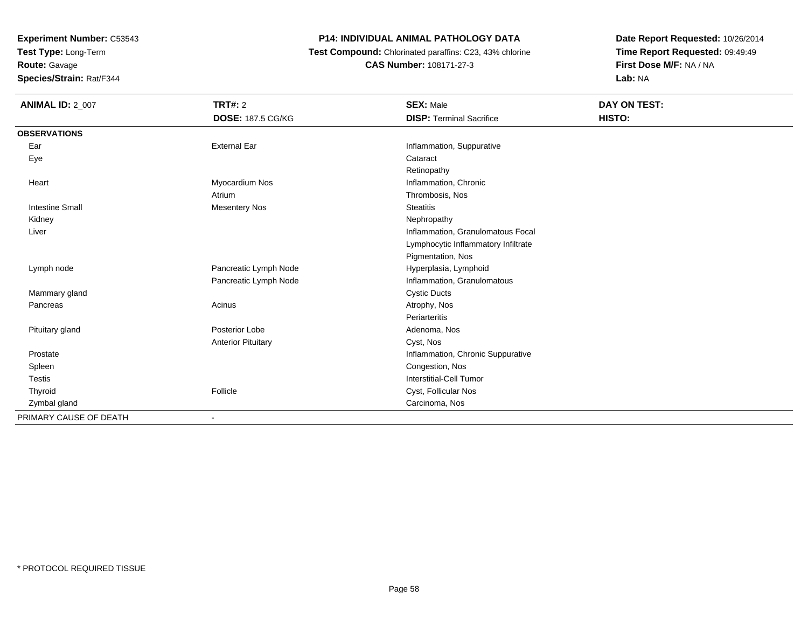**Test Type:** Long-Term

**Route:** Gavage

**Species/Strain:** Rat/F344

# **P14: INDIVIDUAL ANIMAL PATHOLOGY DATA**

 **Test Compound:** Chlorinated paraffins: C23, 43% chlorine**CAS Number:** 108171-27-3

| <b>ANIMAL ID: 2_007</b> | <b>TRT#: 2</b>            | <b>SEX: Male</b>                    | <b>DAY ON TEST:</b> |  |
|-------------------------|---------------------------|-------------------------------------|---------------------|--|
|                         | <b>DOSE: 187.5 CG/KG</b>  | <b>DISP: Terminal Sacrifice</b>     | HISTO:              |  |
| <b>OBSERVATIONS</b>     |                           |                                     |                     |  |
| Ear                     | <b>External Ear</b>       | Inflammation, Suppurative           |                     |  |
| Eye                     |                           | Cataract                            |                     |  |
|                         |                           | Retinopathy                         |                     |  |
| Heart                   | Myocardium Nos            | Inflammation, Chronic               |                     |  |
|                         | Atrium                    | Thrombosis, Nos                     |                     |  |
| <b>Intestine Small</b>  | <b>Mesentery Nos</b>      | <b>Steatitis</b>                    |                     |  |
| Kidney                  |                           | Nephropathy                         |                     |  |
| Liver                   |                           | Inflammation, Granulomatous Focal   |                     |  |
|                         |                           | Lymphocytic Inflammatory Infiltrate |                     |  |
|                         |                           | Pigmentation, Nos                   |                     |  |
| Lymph node              | Pancreatic Lymph Node     | Hyperplasia, Lymphoid               |                     |  |
|                         | Pancreatic Lymph Node     | Inflammation, Granulomatous         |                     |  |
| Mammary gland           |                           | <b>Cystic Ducts</b>                 |                     |  |
| Pancreas                | Acinus                    | Atrophy, Nos                        |                     |  |
|                         |                           | Periarteritis                       |                     |  |
| Pituitary gland         | Posterior Lobe            | Adenoma, Nos                        |                     |  |
|                         | <b>Anterior Pituitary</b> | Cyst, Nos                           |                     |  |
| Prostate                |                           | Inflammation, Chronic Suppurative   |                     |  |
| Spleen                  |                           | Congestion, Nos                     |                     |  |
| <b>Testis</b>           |                           | <b>Interstitial-Cell Tumor</b>      |                     |  |
| Thyroid                 | Follicle                  | Cyst, Follicular Nos                |                     |  |
| Zymbal gland            |                           | Carcinoma, Nos                      |                     |  |
| PRIMARY CAUSE OF DEATH  | $\blacksquare$            |                                     |                     |  |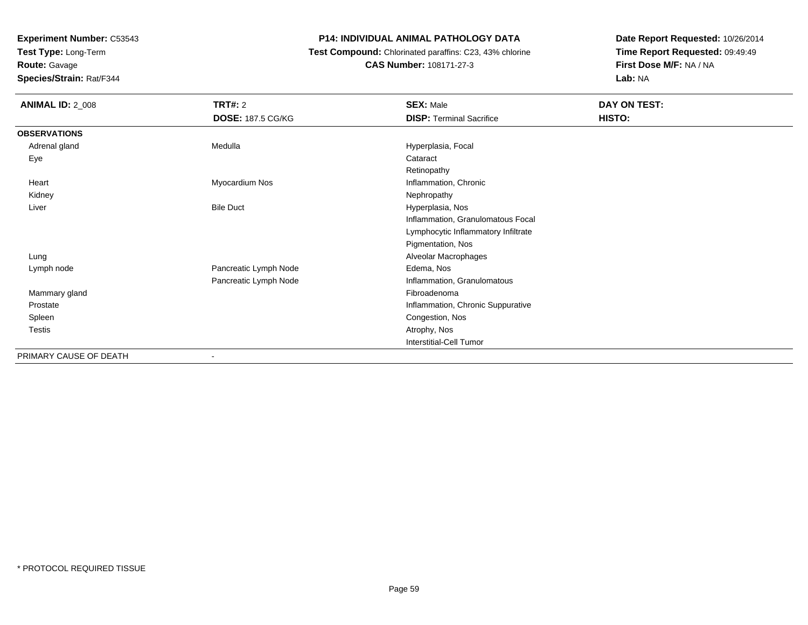**Test Type:** Long-Term

**Route:** Gavage

**Species/Strain:** Rat/F344

#### **P14: INDIVIDUAL ANIMAL PATHOLOGY DATA**

 **Test Compound:** Chlorinated paraffins: C23, 43% chlorine**CAS Number:** 108171-27-3

| <b>ANIMAL ID: 2_008</b> | TRT#: 2                  | <b>SEX: Male</b>                    | DAY ON TEST: |  |
|-------------------------|--------------------------|-------------------------------------|--------------|--|
|                         | <b>DOSE: 187.5 CG/KG</b> | <b>DISP: Terminal Sacrifice</b>     | HISTO:       |  |
| <b>OBSERVATIONS</b>     |                          |                                     |              |  |
| Adrenal gland           | Medulla                  | Hyperplasia, Focal                  |              |  |
| Eye                     |                          | Cataract                            |              |  |
|                         |                          | Retinopathy                         |              |  |
| Heart                   | Myocardium Nos           | Inflammation, Chronic               |              |  |
| Kidney                  |                          | Nephropathy                         |              |  |
| Liver                   | <b>Bile Duct</b>         | Hyperplasia, Nos                    |              |  |
|                         |                          | Inflammation, Granulomatous Focal   |              |  |
|                         |                          | Lymphocytic Inflammatory Infiltrate |              |  |
|                         |                          | Pigmentation, Nos                   |              |  |
| Lung                    |                          | Alveolar Macrophages                |              |  |
| Lymph node              | Pancreatic Lymph Node    | Edema, Nos                          |              |  |
|                         | Pancreatic Lymph Node    | Inflammation, Granulomatous         |              |  |
| Mammary gland           |                          | Fibroadenoma                        |              |  |
| Prostate                |                          | Inflammation, Chronic Suppurative   |              |  |
| Spleen                  |                          | Congestion, Nos                     |              |  |
| Testis                  |                          | Atrophy, Nos                        |              |  |
|                         |                          | Interstitial-Cell Tumor             |              |  |
| PRIMARY CAUSE OF DEATH  |                          |                                     |              |  |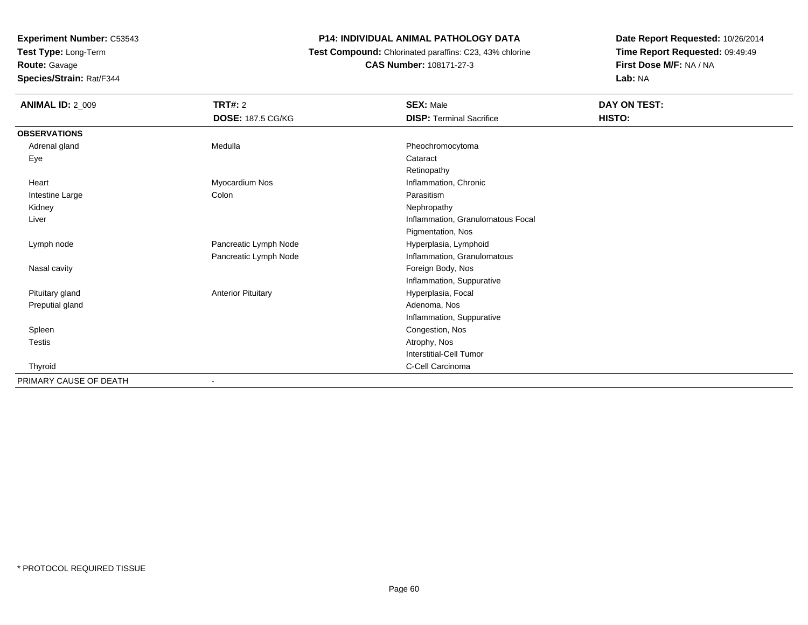**Test Type:** Long-Term

**Route:** Gavage

**Species/Strain:** Rat/F344

# **P14: INDIVIDUAL ANIMAL PATHOLOGY DATA**

 **Test Compound:** Chlorinated paraffins: C23, 43% chlorine**CAS Number:** 108171-27-3

| <b>ANIMAL ID: 2_009</b> | <b>TRT#: 2</b>            | <b>SEX: Male</b>                  | DAY ON TEST: |  |
|-------------------------|---------------------------|-----------------------------------|--------------|--|
|                         | <b>DOSE: 187.5 CG/KG</b>  | <b>DISP: Terminal Sacrifice</b>   | HISTO:       |  |
| <b>OBSERVATIONS</b>     |                           |                                   |              |  |
| Adrenal gland           | Medulla                   | Pheochromocytoma                  |              |  |
| Eye                     |                           | Cataract                          |              |  |
|                         |                           | Retinopathy                       |              |  |
| Heart                   | Myocardium Nos            | Inflammation, Chronic             |              |  |
| Intestine Large         | Colon                     | Parasitism                        |              |  |
| Kidney                  |                           | Nephropathy                       |              |  |
| Liver                   |                           | Inflammation, Granulomatous Focal |              |  |
|                         |                           | Pigmentation, Nos                 |              |  |
| Lymph node              | Pancreatic Lymph Node     | Hyperplasia, Lymphoid             |              |  |
|                         | Pancreatic Lymph Node     | Inflammation, Granulomatous       |              |  |
| Nasal cavity            |                           | Foreign Body, Nos                 |              |  |
|                         |                           | Inflammation, Suppurative         |              |  |
| Pituitary gland         | <b>Anterior Pituitary</b> | Hyperplasia, Focal                |              |  |
| Preputial gland         |                           | Adenoma, Nos                      |              |  |
|                         |                           | Inflammation, Suppurative         |              |  |
| Spleen                  |                           | Congestion, Nos                   |              |  |
| Testis                  |                           | Atrophy, Nos                      |              |  |
|                         |                           | <b>Interstitial-Cell Tumor</b>    |              |  |
| Thyroid                 |                           | C-Cell Carcinoma                  |              |  |
| PRIMARY CAUSE OF DEATH  |                           |                                   |              |  |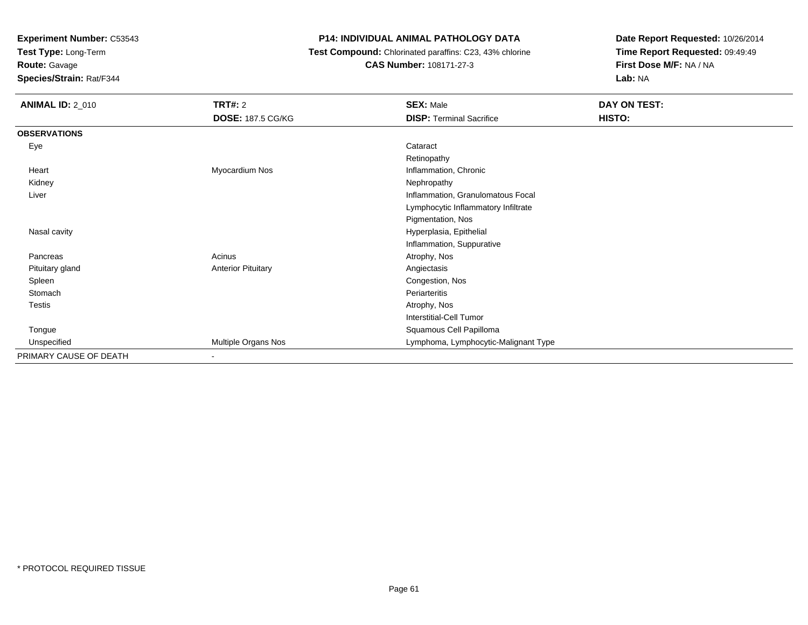**Test Type:** Long-Term

# **Route:** Gavage

**Species/Strain:** Rat/F344

# **P14: INDIVIDUAL ANIMAL PATHOLOGY DATA**

#### **Test Compound:** Chlorinated paraffins: C23, 43% chlorine**CAS Number:** 108171-27-3

| <b>ANIMAL ID: 2_010</b> | <b>TRT#: 2</b>             | <b>SEX: Male</b>                     | DAY ON TEST: |
|-------------------------|----------------------------|--------------------------------------|--------------|
|                         | <b>DOSE: 187.5 CG/KG</b>   | <b>DISP: Terminal Sacrifice</b>      | HISTO:       |
| <b>OBSERVATIONS</b>     |                            |                                      |              |
| Eye                     |                            | Cataract                             |              |
|                         |                            | Retinopathy                          |              |
| Heart                   | Myocardium Nos             | Inflammation, Chronic                |              |
| Kidney                  |                            | Nephropathy                          |              |
| Liver                   |                            | Inflammation, Granulomatous Focal    |              |
|                         |                            | Lymphocytic Inflammatory Infiltrate  |              |
|                         |                            | Pigmentation, Nos                    |              |
| Nasal cavity            |                            | Hyperplasia, Epithelial              |              |
|                         |                            | Inflammation, Suppurative            |              |
| Pancreas                | Acinus                     | Atrophy, Nos                         |              |
| Pituitary gland         | <b>Anterior Pituitary</b>  | Angiectasis                          |              |
| Spleen                  |                            | Congestion, Nos                      |              |
| Stomach                 |                            | Periarteritis                        |              |
| Testis                  |                            | Atrophy, Nos                         |              |
|                         |                            | <b>Interstitial-Cell Tumor</b>       |              |
| Tongue                  |                            | Squamous Cell Papilloma              |              |
| Unspecified             | <b>Multiple Organs Nos</b> | Lymphoma, Lymphocytic-Malignant Type |              |
| PRIMARY CAUSE OF DEATH  |                            |                                      |              |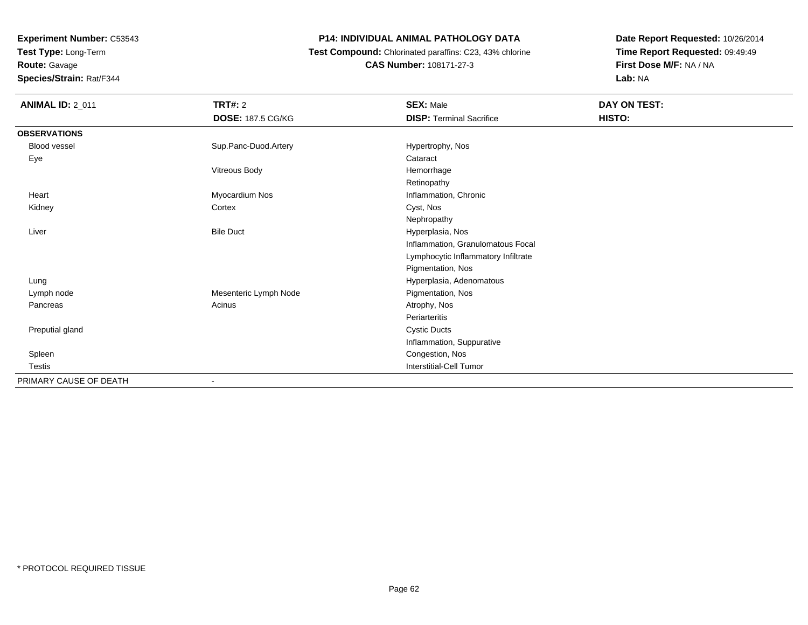**Test Type:** Long-Term

**Route:** Gavage

**Species/Strain:** Rat/F344

# **P14: INDIVIDUAL ANIMAL PATHOLOGY DATA**

 **Test Compound:** Chlorinated paraffins: C23, 43% chlorine**CAS Number:** 108171-27-3

| <b>ANIMAL ID: 2_011</b> | TRT#: 2                  | <b>SEX: Male</b>                    | DAY ON TEST: |
|-------------------------|--------------------------|-------------------------------------|--------------|
|                         | <b>DOSE: 187.5 CG/KG</b> | <b>DISP: Terminal Sacrifice</b>     | HISTO:       |
| <b>OBSERVATIONS</b>     |                          |                                     |              |
| Blood vessel            | Sup.Panc-Duod.Artery     | Hypertrophy, Nos                    |              |
| Eye                     |                          | Cataract                            |              |
|                         | Vitreous Body            | Hemorrhage                          |              |
|                         |                          | Retinopathy                         |              |
| Heart                   | Myocardium Nos           | Inflammation, Chronic               |              |
| Kidney                  | Cortex                   | Cyst, Nos                           |              |
|                         |                          | Nephropathy                         |              |
| Liver                   | <b>Bile Duct</b>         | Hyperplasia, Nos                    |              |
|                         |                          | Inflammation, Granulomatous Focal   |              |
|                         |                          | Lymphocytic Inflammatory Infiltrate |              |
|                         |                          | Pigmentation, Nos                   |              |
| Lung                    |                          | Hyperplasia, Adenomatous            |              |
| Lymph node              | Mesenteric Lymph Node    | Pigmentation, Nos                   |              |
| Pancreas                | Acinus                   | Atrophy, Nos                        |              |
|                         |                          | Periarteritis                       |              |
| Preputial gland         |                          | <b>Cystic Ducts</b>                 |              |
|                         |                          | Inflammation, Suppurative           |              |
| Spleen                  |                          | Congestion, Nos                     |              |
| <b>Testis</b>           |                          | Interstitial-Cell Tumor             |              |
| PRIMARY CAUSE OF DEATH  |                          |                                     |              |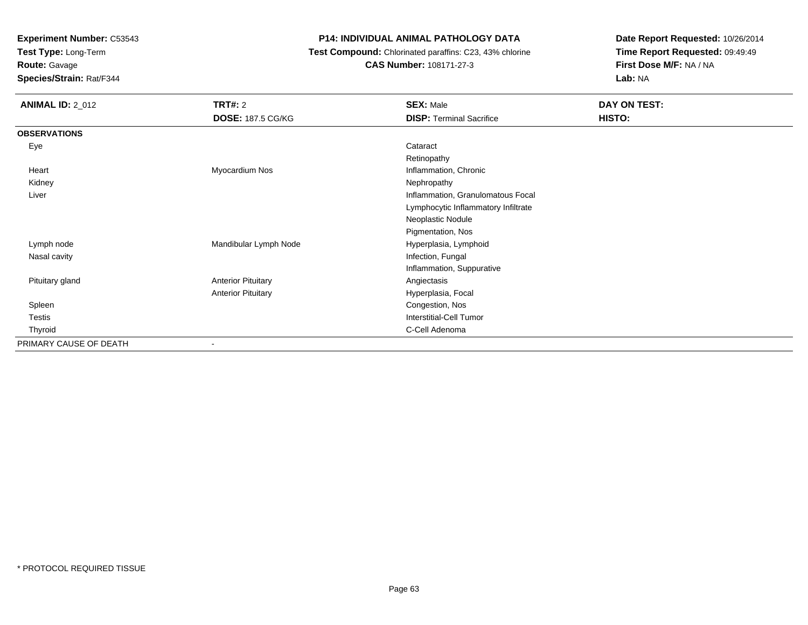**Test Type:** Long-Term

**Route:** Gavage

**Species/Strain:** Rat/F344

### **P14: INDIVIDUAL ANIMAL PATHOLOGY DATA**

 **Test Compound:** Chlorinated paraffins: C23, 43% chlorine**CAS Number:** 108171-27-3

| <b>ANIMAL ID: 2_012</b> | TRT#: 2                   | <b>SEX: Male</b>                    | DAY ON TEST: |
|-------------------------|---------------------------|-------------------------------------|--------------|
|                         | <b>DOSE: 187.5 CG/KG</b>  | <b>DISP: Terminal Sacrifice</b>     | HISTO:       |
| <b>OBSERVATIONS</b>     |                           |                                     |              |
| Eye                     |                           | Cataract                            |              |
|                         |                           | Retinopathy                         |              |
| Heart                   | Myocardium Nos            | Inflammation, Chronic               |              |
| Kidney                  |                           | Nephropathy                         |              |
| Liver                   |                           | Inflammation, Granulomatous Focal   |              |
|                         |                           | Lymphocytic Inflammatory Infiltrate |              |
|                         |                           | Neoplastic Nodule                   |              |
|                         |                           | Pigmentation, Nos                   |              |
| Lymph node              | Mandibular Lymph Node     | Hyperplasia, Lymphoid               |              |
| Nasal cavity            |                           | Infection, Fungal                   |              |
|                         |                           | Inflammation, Suppurative           |              |
| Pituitary gland         | <b>Anterior Pituitary</b> | Angiectasis                         |              |
|                         | <b>Anterior Pituitary</b> | Hyperplasia, Focal                  |              |
| Spleen                  |                           | Congestion, Nos                     |              |
| <b>Testis</b>           |                           | <b>Interstitial-Cell Tumor</b>      |              |
| Thyroid                 |                           | C-Cell Adenoma                      |              |
| PRIMARY CAUSE OF DEATH  |                           |                                     |              |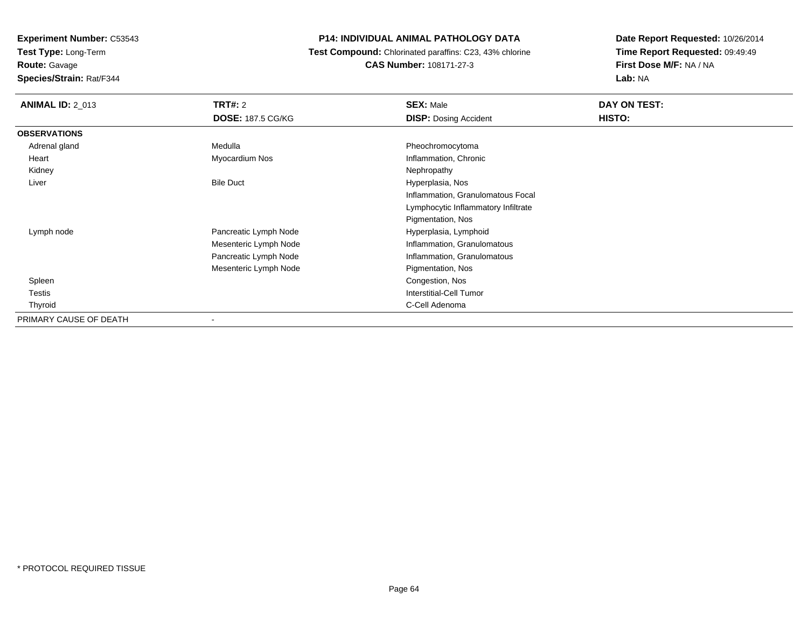**Test Type:** Long-Term

**Route:** Gavage

**Species/Strain:** Rat/F344

#### **P14: INDIVIDUAL ANIMAL PATHOLOGY DATA**

 **Test Compound:** Chlorinated paraffins: C23, 43% chlorine**CAS Number:** 108171-27-3

| <b>ANIMAL ID: 2_013</b> | <b>TRT#: 2</b>           | <b>SEX: Male</b>                    | DAY ON TEST: |
|-------------------------|--------------------------|-------------------------------------|--------------|
|                         | <b>DOSE: 187.5 CG/KG</b> | <b>DISP: Dosing Accident</b>        | HISTO:       |
| <b>OBSERVATIONS</b>     |                          |                                     |              |
| Adrenal gland           | Medulla                  | Pheochromocytoma                    |              |
| Heart                   | Myocardium Nos           | Inflammation, Chronic               |              |
| Kidney                  |                          | Nephropathy                         |              |
| Liver                   | <b>Bile Duct</b>         | Hyperplasia, Nos                    |              |
|                         |                          | Inflammation, Granulomatous Focal   |              |
|                         |                          | Lymphocytic Inflammatory Infiltrate |              |
|                         |                          | Pigmentation, Nos                   |              |
| Lymph node              | Pancreatic Lymph Node    | Hyperplasia, Lymphoid               |              |
|                         | Mesenteric Lymph Node    | Inflammation, Granulomatous         |              |
|                         | Pancreatic Lymph Node    | Inflammation, Granulomatous         |              |
|                         | Mesenteric Lymph Node    | Pigmentation, Nos                   |              |
| Spleen                  |                          | Congestion, Nos                     |              |
| Testis                  |                          | <b>Interstitial-Cell Tumor</b>      |              |
| Thyroid                 |                          | C-Cell Adenoma                      |              |
| PRIMARY CAUSE OF DEATH  | $\overline{\phantom{a}}$ |                                     |              |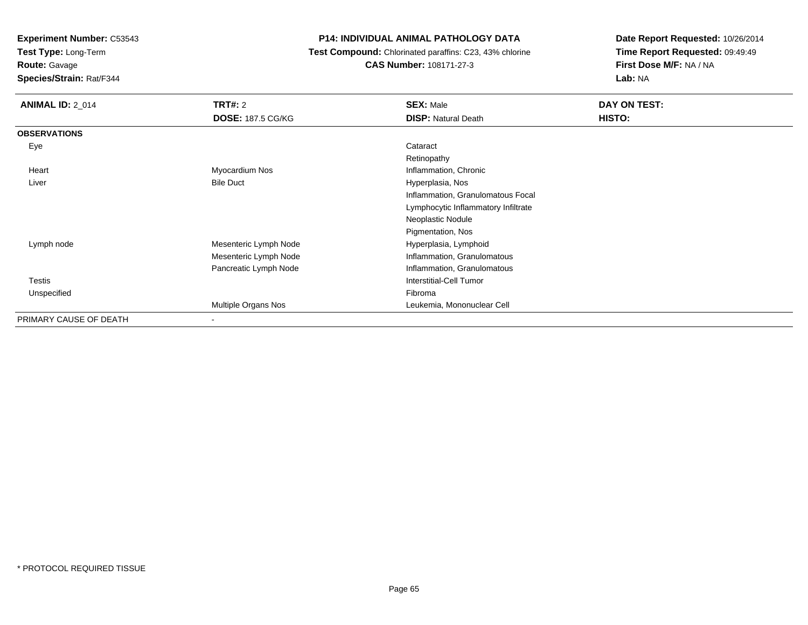**Test Type:** Long-Term

# **Route:** Gavage

**Species/Strain:** Rat/F344

### **P14: INDIVIDUAL ANIMAL PATHOLOGY DATA**

#### **Test Compound:** Chlorinated paraffins: C23, 43% chlorine**CAS Number:** 108171-27-3

| <b>ANIMAL ID: 2_014</b> | TRT#: 2                  | <b>SEX: Male</b>                    | DAY ON TEST: |
|-------------------------|--------------------------|-------------------------------------|--------------|
|                         | <b>DOSE: 187.5 CG/KG</b> | <b>DISP: Natural Death</b>          | HISTO:       |
| <b>OBSERVATIONS</b>     |                          |                                     |              |
| Eye                     |                          | Cataract                            |              |
|                         |                          | Retinopathy                         |              |
| Heart                   | Myocardium Nos           | Inflammation, Chronic               |              |
| Liver                   | <b>Bile Duct</b>         | Hyperplasia, Nos                    |              |
|                         |                          | Inflammation, Granulomatous Focal   |              |
|                         |                          | Lymphocytic Inflammatory Infiltrate |              |
|                         |                          | Neoplastic Nodule                   |              |
|                         |                          | Pigmentation, Nos                   |              |
| Lymph node              | Mesenteric Lymph Node    | Hyperplasia, Lymphoid               |              |
|                         | Mesenteric Lymph Node    | Inflammation, Granulomatous         |              |
|                         | Pancreatic Lymph Node    | Inflammation, Granulomatous         |              |
| Testis                  |                          | <b>Interstitial-Cell Tumor</b>      |              |
| Unspecified             |                          | Fibroma                             |              |
|                         | Multiple Organs Nos      | Leukemia, Mononuclear Cell          |              |
| PRIMARY CAUSE OF DEATH  | $\blacksquare$           |                                     |              |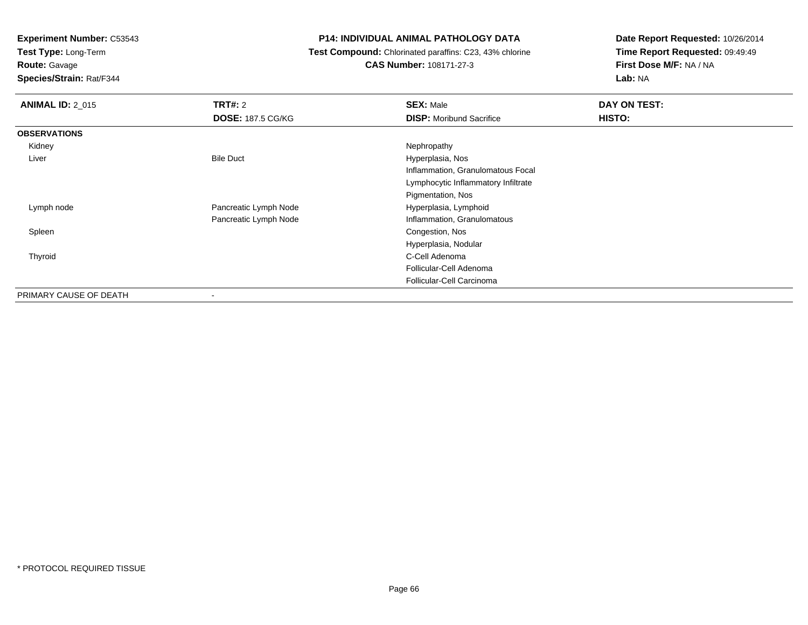**Test Type:** Long-Term

**Route:** Gavage

**Species/Strain:** Rat/F344

#### **P14: INDIVIDUAL ANIMAL PATHOLOGY DATA**

 **Test Compound:** Chlorinated paraffins: C23, 43% chlorine**CAS Number:** 108171-27-3

| <b>ANIMAL ID: 2_015</b> | <b>TRT#: 2</b>           | <b>SEX: Male</b>                    | DAY ON TEST: |
|-------------------------|--------------------------|-------------------------------------|--------------|
|                         | <b>DOSE: 187.5 CG/KG</b> | <b>DISP:</b> Moribund Sacrifice     | HISTO:       |
| <b>OBSERVATIONS</b>     |                          |                                     |              |
| Kidney                  |                          | Nephropathy                         |              |
| Liver                   | <b>Bile Duct</b>         | Hyperplasia, Nos                    |              |
|                         |                          | Inflammation, Granulomatous Focal   |              |
|                         |                          | Lymphocytic Inflammatory Infiltrate |              |
|                         |                          | Pigmentation, Nos                   |              |
| Lymph node              | Pancreatic Lymph Node    | Hyperplasia, Lymphoid               |              |
|                         | Pancreatic Lymph Node    | Inflammation, Granulomatous         |              |
| Spleen                  |                          | Congestion, Nos                     |              |
|                         |                          | Hyperplasia, Nodular                |              |
| Thyroid                 |                          | C-Cell Adenoma                      |              |
|                         |                          | Follicular-Cell Adenoma             |              |
|                         |                          | Follicular-Cell Carcinoma           |              |
| PRIMARY CAUSE OF DEATH  | ٠                        |                                     |              |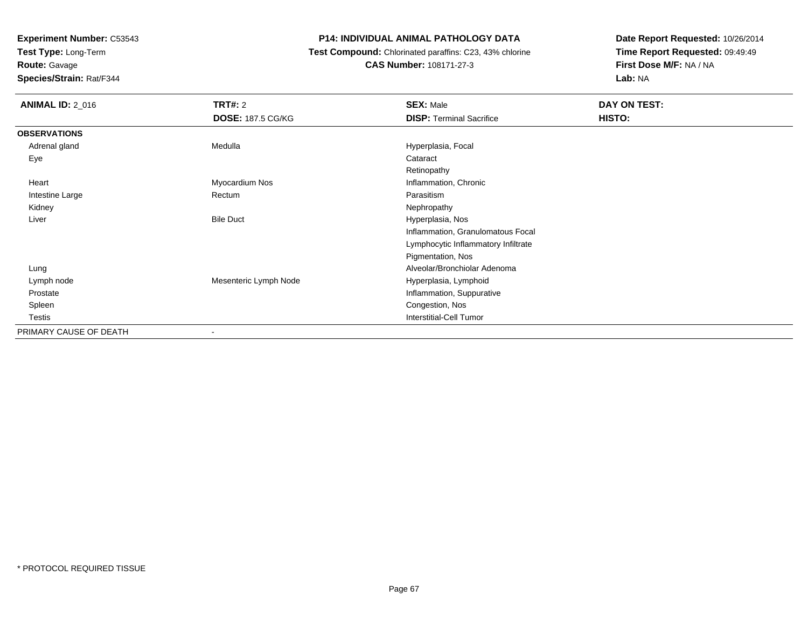**Test Type:** Long-Term

**Route:** Gavage

**Species/Strain:** Rat/F344

## **P14: INDIVIDUAL ANIMAL PATHOLOGY DATA**

 **Test Compound:** Chlorinated paraffins: C23, 43% chlorine**CAS Number:** 108171-27-3

| <b>ANIMAL ID: 2_016</b> | <b>TRT#: 2</b>           | <b>SEX: Male</b>                    | DAY ON TEST: |
|-------------------------|--------------------------|-------------------------------------|--------------|
|                         | <b>DOSE: 187.5 CG/KG</b> | <b>DISP: Terminal Sacrifice</b>     | HISTO:       |
| <b>OBSERVATIONS</b>     |                          |                                     |              |
| Adrenal gland           | Medulla                  | Hyperplasia, Focal                  |              |
| Eye                     |                          | Cataract                            |              |
|                         |                          | Retinopathy                         |              |
| Heart                   | Myocardium Nos           | Inflammation, Chronic               |              |
| Intestine Large         | Rectum                   | Parasitism                          |              |
| Kidney                  |                          | Nephropathy                         |              |
| Liver                   | <b>Bile Duct</b>         | Hyperplasia, Nos                    |              |
|                         |                          | Inflammation, Granulomatous Focal   |              |
|                         |                          | Lymphocytic Inflammatory Infiltrate |              |
|                         |                          | Pigmentation, Nos                   |              |
| Lung                    |                          | Alveolar/Bronchiolar Adenoma        |              |
| Lymph node              | Mesenteric Lymph Node    | Hyperplasia, Lymphoid               |              |
| Prostate                |                          | Inflammation, Suppurative           |              |
| Spleen                  |                          | Congestion, Nos                     |              |
| Testis                  |                          | Interstitial-Cell Tumor             |              |
| PRIMARY CAUSE OF DEATH  | $\overline{\phantom{a}}$ |                                     |              |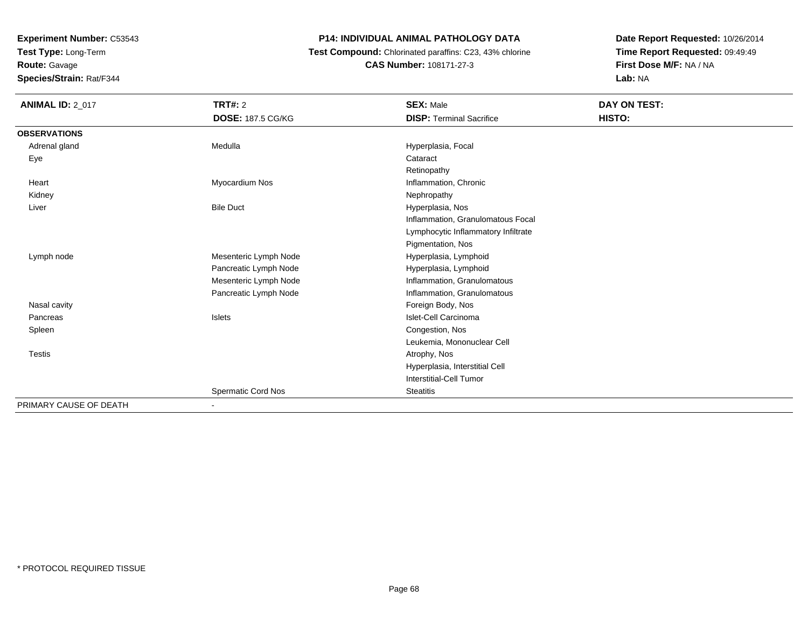**Test Type:** Long-Term

# **Route:** Gavage

**Species/Strain:** Rat/F344

# **P14: INDIVIDUAL ANIMAL PATHOLOGY DATA**

 **Test Compound:** Chlorinated paraffins: C23, 43% chlorine**CAS Number:** 108171-27-3

| <b>ANIMAL ID: 2_017</b> | <b>TRT#: 2</b>           | <b>SEX: Male</b>                    | DAY ON TEST: |  |
|-------------------------|--------------------------|-------------------------------------|--------------|--|
|                         | <b>DOSE: 187.5 CG/KG</b> | <b>DISP: Terminal Sacrifice</b>     | HISTO:       |  |
| <b>OBSERVATIONS</b>     |                          |                                     |              |  |
| Adrenal gland           | Medulla                  | Hyperplasia, Focal                  |              |  |
| Eye                     |                          | Cataract                            |              |  |
|                         |                          | Retinopathy                         |              |  |
| Heart                   | Myocardium Nos           | Inflammation, Chronic               |              |  |
| Kidney                  |                          | Nephropathy                         |              |  |
| Liver                   | <b>Bile Duct</b>         | Hyperplasia, Nos                    |              |  |
|                         |                          | Inflammation, Granulomatous Focal   |              |  |
|                         |                          | Lymphocytic Inflammatory Infiltrate |              |  |
|                         |                          | Pigmentation, Nos                   |              |  |
| Lymph node              | Mesenteric Lymph Node    | Hyperplasia, Lymphoid               |              |  |
|                         | Pancreatic Lymph Node    | Hyperplasia, Lymphoid               |              |  |
|                         | Mesenteric Lymph Node    | Inflammation, Granulomatous         |              |  |
|                         | Pancreatic Lymph Node    | Inflammation, Granulomatous         |              |  |
| Nasal cavity            |                          | Foreign Body, Nos                   |              |  |
| Pancreas                | Islets                   | Islet-Cell Carcinoma                |              |  |
| Spleen                  |                          | Congestion, Nos                     |              |  |
|                         |                          | Leukemia, Mononuclear Cell          |              |  |
| <b>Testis</b>           |                          | Atrophy, Nos                        |              |  |
|                         |                          | Hyperplasia, Interstitial Cell      |              |  |
|                         |                          | <b>Interstitial-Cell Tumor</b>      |              |  |
|                         | Spermatic Cord Nos       | <b>Steatitis</b>                    |              |  |
| PRIMARY CAUSE OF DEATH  |                          |                                     |              |  |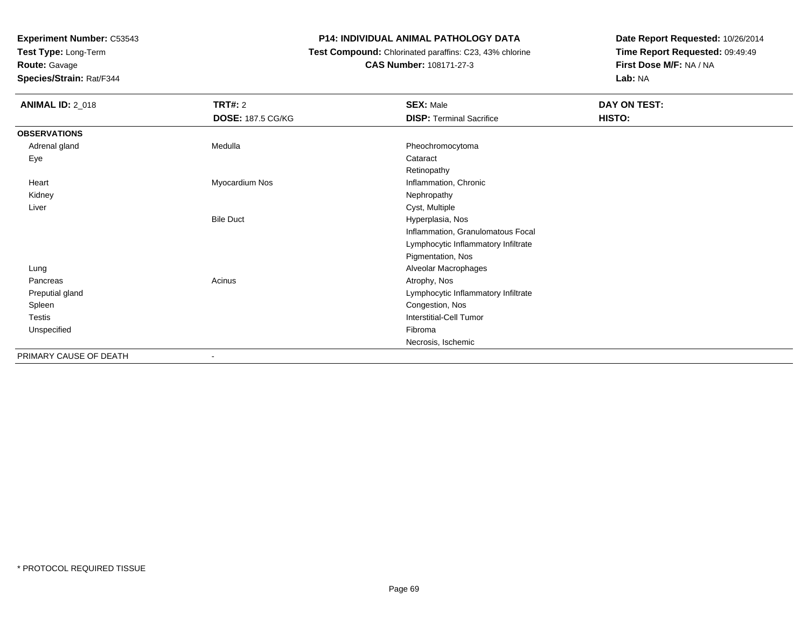**Test Type:** Long-Term

**Route:** Gavage

**Species/Strain:** Rat/F344

#### **P14: INDIVIDUAL ANIMAL PATHOLOGY DATA**

 **Test Compound:** Chlorinated paraffins: C23, 43% chlorine**CAS Number:** 108171-27-3

| <b>ANIMAL ID: 2_018</b> | TRT#: 2                  | <b>SEX: Male</b>                    | DAY ON TEST: |  |
|-------------------------|--------------------------|-------------------------------------|--------------|--|
|                         | <b>DOSE: 187.5 CG/KG</b> | <b>DISP: Terminal Sacrifice</b>     | HISTO:       |  |
| <b>OBSERVATIONS</b>     |                          |                                     |              |  |
| Adrenal gland           | Medulla                  | Pheochromocytoma                    |              |  |
| Eye                     |                          | Cataract                            |              |  |
|                         |                          | Retinopathy                         |              |  |
| Heart                   | Myocardium Nos           | Inflammation, Chronic               |              |  |
| Kidney                  |                          | Nephropathy                         |              |  |
| Liver                   |                          | Cyst, Multiple                      |              |  |
|                         | <b>Bile Duct</b>         | Hyperplasia, Nos                    |              |  |
|                         |                          | Inflammation, Granulomatous Focal   |              |  |
|                         |                          | Lymphocytic Inflammatory Infiltrate |              |  |
|                         |                          | Pigmentation, Nos                   |              |  |
| Lung                    |                          | Alveolar Macrophages                |              |  |
| Pancreas                | Acinus                   | Atrophy, Nos                        |              |  |
| Preputial gland         |                          | Lymphocytic Inflammatory Infiltrate |              |  |
| Spleen                  |                          | Congestion, Nos                     |              |  |
| Testis                  |                          | <b>Interstitial-Cell Tumor</b>      |              |  |
| Unspecified             |                          | Fibroma                             |              |  |
|                         |                          | Necrosis, Ischemic                  |              |  |
| PRIMARY CAUSE OF DEATH  | $\overline{\phantom{a}}$ |                                     |              |  |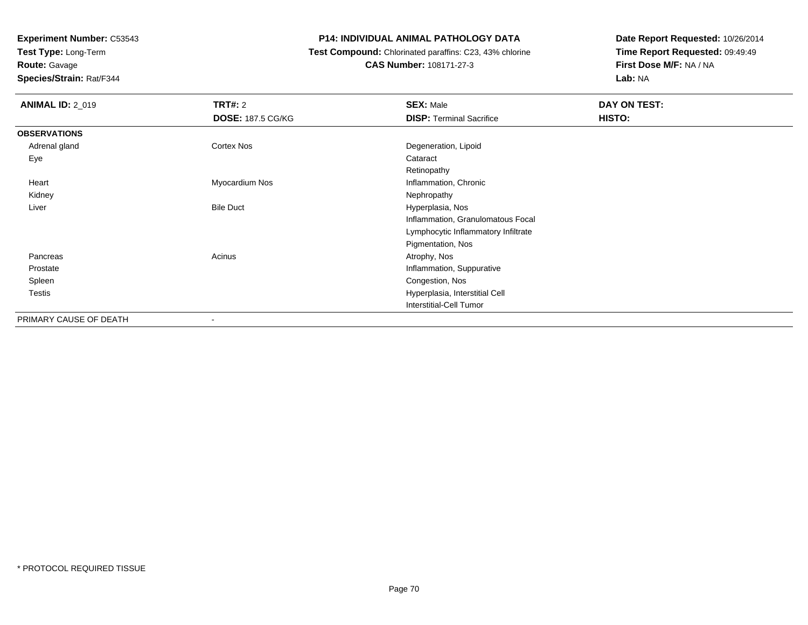**Test Type:** Long-Term

**Route:** Gavage

**Species/Strain:** Rat/F344

### **P14: INDIVIDUAL ANIMAL PATHOLOGY DATA**

 **Test Compound:** Chlorinated paraffins: C23, 43% chlorine**CAS Number:** 108171-27-3

| <b>ANIMAL ID: 2_019</b> | TRT#: 2                  | <b>SEX: Male</b>                    | DAY ON TEST: |
|-------------------------|--------------------------|-------------------------------------|--------------|
|                         | <b>DOSE: 187.5 CG/KG</b> | <b>DISP: Terminal Sacrifice</b>     | HISTO:       |
| <b>OBSERVATIONS</b>     |                          |                                     |              |
| Adrenal gland           | Cortex Nos               | Degeneration, Lipoid                |              |
| Eye                     |                          | Cataract                            |              |
|                         |                          | Retinopathy                         |              |
| Heart                   | Myocardium Nos           | Inflammation, Chronic               |              |
| Kidney                  |                          | Nephropathy                         |              |
| Liver                   | <b>Bile Duct</b>         | Hyperplasia, Nos                    |              |
|                         |                          | Inflammation, Granulomatous Focal   |              |
|                         |                          | Lymphocytic Inflammatory Infiltrate |              |
|                         |                          | Pigmentation, Nos                   |              |
| Pancreas                | Acinus                   | Atrophy, Nos                        |              |
| Prostate                |                          | Inflammation, Suppurative           |              |
| Spleen                  |                          | Congestion, Nos                     |              |
| <b>Testis</b>           |                          | Hyperplasia, Interstitial Cell      |              |
|                         |                          | <b>Interstitial-Cell Tumor</b>      |              |
| PRIMARY CAUSE OF DEATH  | ۰                        |                                     |              |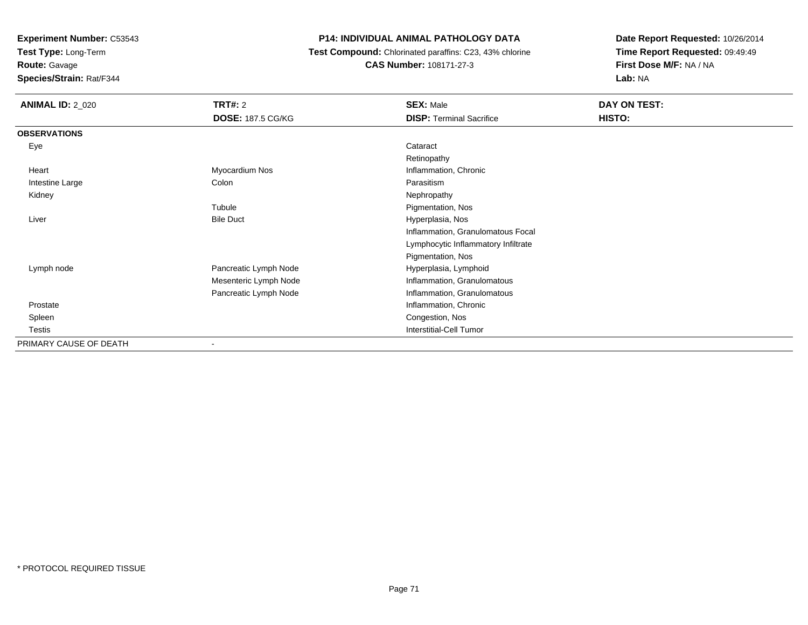**Test Type:** Long-Term

# **Route:** Gavage

**Species/Strain:** Rat/F344

# **P14: INDIVIDUAL ANIMAL PATHOLOGY DATA**

 **Test Compound:** Chlorinated paraffins: C23, 43% chlorine**CAS Number:** 108171-27-3

| <b>ANIMAL ID: 2_020</b> | TRT#: 2<br><b>DOSE: 187.5 CG/KG</b> | <b>SEX: Male</b><br><b>DISP: Terminal Sacrifice</b> | DAY ON TEST:<br>HISTO: |
|-------------------------|-------------------------------------|-----------------------------------------------------|------------------------|
| <b>OBSERVATIONS</b>     |                                     |                                                     |                        |
| Eye                     |                                     | Cataract                                            |                        |
|                         |                                     | Retinopathy                                         |                        |
| Heart                   | Myocardium Nos                      | Inflammation, Chronic                               |                        |
| Intestine Large         | Colon                               | Parasitism                                          |                        |
| Kidney                  |                                     | Nephropathy                                         |                        |
|                         | Tubule                              | Pigmentation, Nos                                   |                        |
| Liver                   | <b>Bile Duct</b>                    | Hyperplasia, Nos                                    |                        |
|                         |                                     | Inflammation, Granulomatous Focal                   |                        |
|                         |                                     | Lymphocytic Inflammatory Infiltrate                 |                        |
|                         |                                     | Pigmentation, Nos                                   |                        |
| Lymph node              | Pancreatic Lymph Node               | Hyperplasia, Lymphoid                               |                        |
|                         | Mesenteric Lymph Node               | Inflammation, Granulomatous                         |                        |
|                         | Pancreatic Lymph Node               | Inflammation, Granulomatous                         |                        |
| Prostate                |                                     | Inflammation, Chronic                               |                        |
| Spleen                  |                                     | Congestion, Nos                                     |                        |
| Testis                  |                                     | <b>Interstitial-Cell Tumor</b>                      |                        |
| PRIMARY CAUSE OF DEATH  |                                     |                                                     |                        |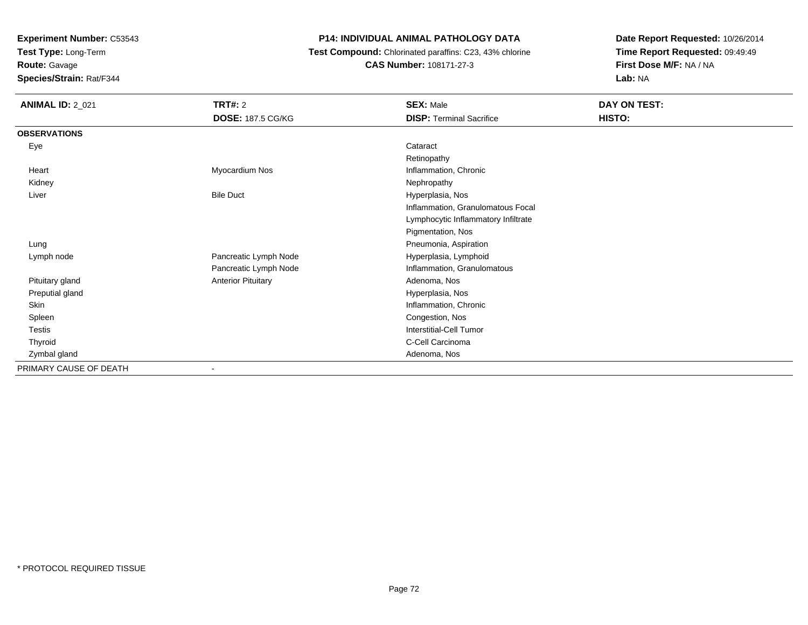**Test Type:** Long-Term

# **Route:** Gavage

**Species/Strain:** Rat/F344

# **P14: INDIVIDUAL ANIMAL PATHOLOGY DATA**

 **Test Compound:** Chlorinated paraffins: C23, 43% chlorine**CAS Number:** 108171-27-3

| <b>ANIMAL ID: 2_021</b> | <b>TRT#: 2</b>            | <b>SEX: Male</b>                    | DAY ON TEST: |  |
|-------------------------|---------------------------|-------------------------------------|--------------|--|
|                         | <b>DOSE: 187.5 CG/KG</b>  | <b>DISP: Terminal Sacrifice</b>     | HISTO:       |  |
| <b>OBSERVATIONS</b>     |                           |                                     |              |  |
| Eye                     |                           | Cataract                            |              |  |
|                         |                           | Retinopathy                         |              |  |
| Heart                   | Myocardium Nos            | Inflammation, Chronic               |              |  |
| Kidney                  |                           | Nephropathy                         |              |  |
| Liver                   | <b>Bile Duct</b>          | Hyperplasia, Nos                    |              |  |
|                         |                           | Inflammation, Granulomatous Focal   |              |  |
|                         |                           | Lymphocytic Inflammatory Infiltrate |              |  |
|                         |                           | Pigmentation, Nos                   |              |  |
| Lung                    |                           | Pneumonia, Aspiration               |              |  |
| Lymph node              | Pancreatic Lymph Node     | Hyperplasia, Lymphoid               |              |  |
|                         | Pancreatic Lymph Node     | Inflammation, Granulomatous         |              |  |
| Pituitary gland         | <b>Anterior Pituitary</b> | Adenoma, Nos                        |              |  |
| Preputial gland         |                           | Hyperplasia, Nos                    |              |  |
| Skin                    |                           | Inflammation, Chronic               |              |  |
| Spleen                  |                           | Congestion, Nos                     |              |  |
| <b>Testis</b>           |                           | Interstitial-Cell Tumor             |              |  |
| Thyroid                 |                           | C-Cell Carcinoma                    |              |  |
| Zymbal gland            |                           | Adenoma, Nos                        |              |  |
| PRIMARY CAUSE OF DEATH  |                           |                                     |              |  |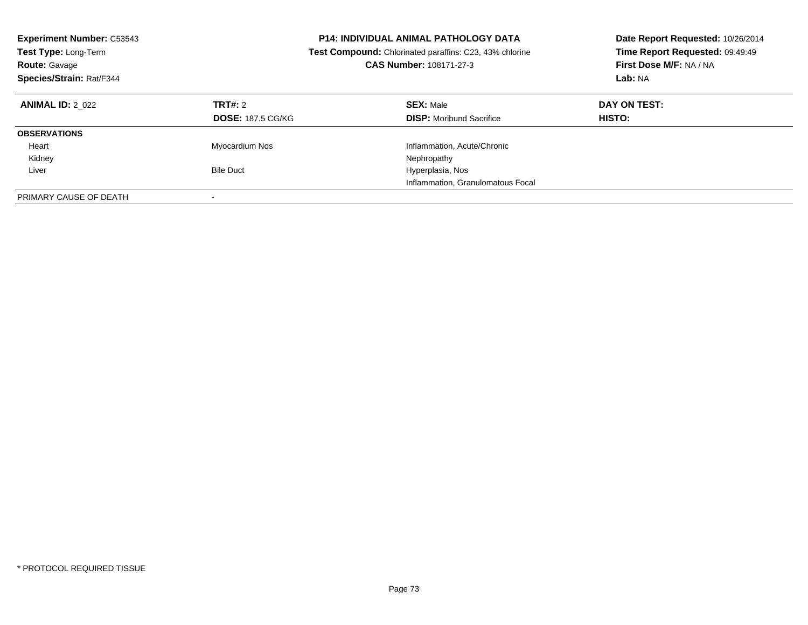| <b>Experiment Number: C53543</b><br><b>Test Type: Long-Term</b><br><b>Route: Gavage</b><br>Species/Strain: Rat/F344 |                                     | <b>P14: INDIVIDUAL ANIMAL PATHOLOGY DATA</b><br><b>Test Compound:</b> Chlorinated paraffins: C23, 43% chlorine<br>CAS Number: 108171-27-3 | Date Report Requested: 10/26/2014<br>Time Report Requested: 09:49:49<br>First Dose M/F: NA / NA<br>Lab: NA |
|---------------------------------------------------------------------------------------------------------------------|-------------------------------------|-------------------------------------------------------------------------------------------------------------------------------------------|------------------------------------------------------------------------------------------------------------|
| <b>ANIMAL ID: 2 022</b>                                                                                             | TRT#: 2<br><b>DOSE: 187.5 CG/KG</b> | <b>SEX: Male</b><br><b>DISP:</b> Moribund Sacrifice                                                                                       | DAY ON TEST:<br><b>HISTO:</b>                                                                              |
| <b>OBSERVATIONS</b>                                                                                                 |                                     |                                                                                                                                           |                                                                                                            |
| Heart                                                                                                               | Myocardium Nos                      | Inflammation, Acute/Chronic                                                                                                               |                                                                                                            |
| Kidney                                                                                                              |                                     | Nephropathy                                                                                                                               |                                                                                                            |
| Liver                                                                                                               | <b>Bile Duct</b>                    | Hyperplasia, Nos                                                                                                                          |                                                                                                            |
|                                                                                                                     |                                     | Inflammation, Granulomatous Focal                                                                                                         |                                                                                                            |
| PRIMARY CAUSE OF DEATH                                                                                              |                                     |                                                                                                                                           |                                                                                                            |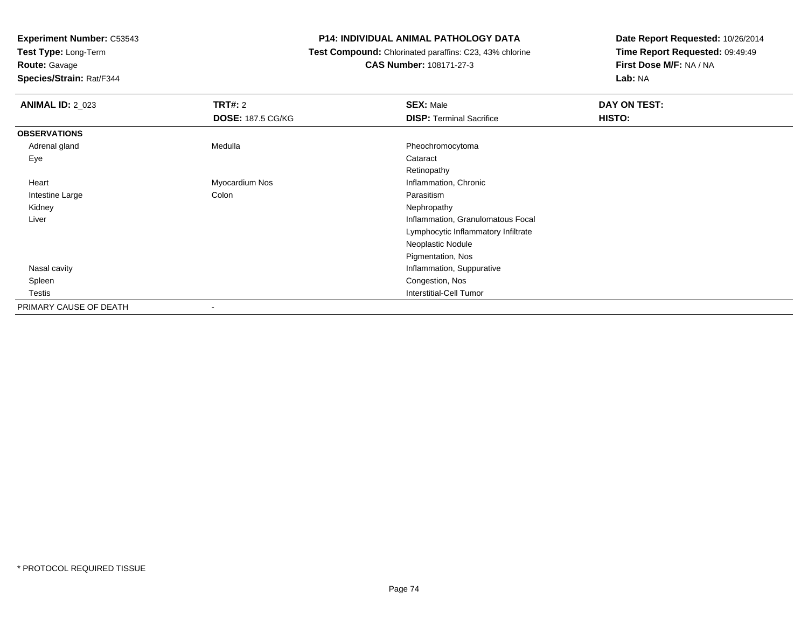**Test Type:** Long-Term

# **Route:** Gavage

**Species/Strain:** Rat/F344

#### **P14: INDIVIDUAL ANIMAL PATHOLOGY DATA**

 **Test Compound:** Chlorinated paraffins: C23, 43% chlorine**CAS Number:** 108171-27-3

| <b>ANIMAL ID: 2_023</b> | <b>TRT#: 2</b><br><b>DOSE: 187.5 CG/KG</b> | <b>SEX: Male</b><br><b>DISP: Terminal Sacrifice</b> | DAY ON TEST:<br>HISTO: |
|-------------------------|--------------------------------------------|-----------------------------------------------------|------------------------|
| <b>OBSERVATIONS</b>     |                                            |                                                     |                        |
| Adrenal gland           | Medulla                                    | Pheochromocytoma                                    |                        |
| Eye                     |                                            | Cataract                                            |                        |
|                         |                                            | Retinopathy                                         |                        |
| Heart                   | Myocardium Nos                             | Inflammation, Chronic                               |                        |
| Intestine Large         | Colon                                      | Parasitism                                          |                        |
| Kidney                  |                                            | Nephropathy                                         |                        |
| Liver                   |                                            | Inflammation, Granulomatous Focal                   |                        |
|                         |                                            | Lymphocytic Inflammatory Infiltrate                 |                        |
|                         |                                            | Neoplastic Nodule                                   |                        |
|                         |                                            | Pigmentation, Nos                                   |                        |
| Nasal cavity            |                                            | Inflammation, Suppurative                           |                        |
| Spleen                  |                                            | Congestion, Nos                                     |                        |
| <b>Testis</b>           |                                            | <b>Interstitial-Cell Tumor</b>                      |                        |
| PRIMARY CAUSE OF DEATH  |                                            |                                                     |                        |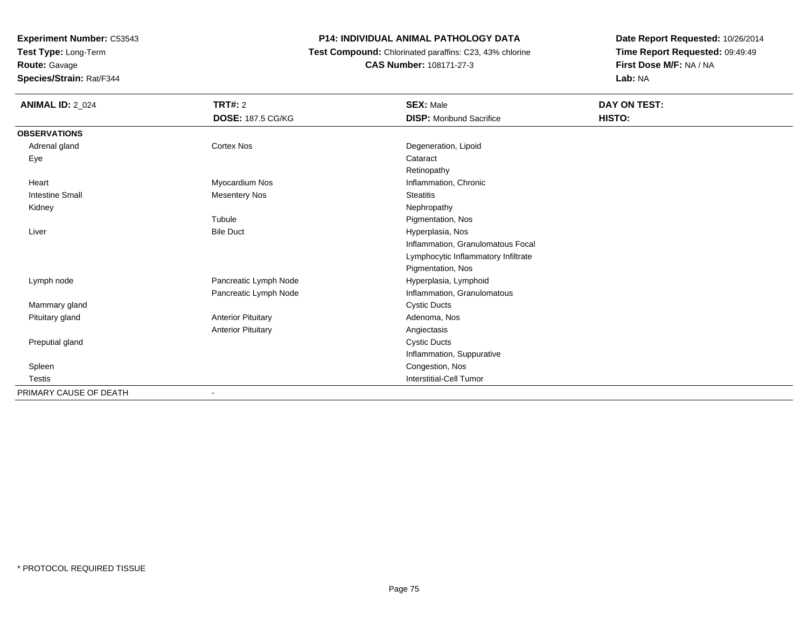**Test Type:** Long-Term**Route:** Gavage

**Species/Strain:** Rat/F344

# **P14: INDIVIDUAL ANIMAL PATHOLOGY DATA**

 **Test Compound:** Chlorinated paraffins: C23, 43% chlorine**CAS Number:** 108171-27-3

| <b>ANIMAL ID: 2_024</b> | TRT#: 2                   | <b>SEX: Male</b>                    | DAY ON TEST: |
|-------------------------|---------------------------|-------------------------------------|--------------|
|                         | <b>DOSE: 187.5 CG/KG</b>  | <b>DISP:</b> Moribund Sacrifice     | HISTO:       |
| <b>OBSERVATIONS</b>     |                           |                                     |              |
| Adrenal gland           | <b>Cortex Nos</b>         | Degeneration, Lipoid                |              |
| Eye                     |                           | Cataract                            |              |
|                         |                           | Retinopathy                         |              |
| Heart                   | Myocardium Nos            | Inflammation, Chronic               |              |
| <b>Intestine Small</b>  | <b>Mesentery Nos</b>      | <b>Steatitis</b>                    |              |
| Kidney                  |                           | Nephropathy                         |              |
|                         | Tubule                    | Pigmentation, Nos                   |              |
| Liver                   | <b>Bile Duct</b>          | Hyperplasia, Nos                    |              |
|                         |                           | Inflammation, Granulomatous Focal   |              |
|                         |                           | Lymphocytic Inflammatory Infiltrate |              |
|                         |                           | Pigmentation, Nos                   |              |
| Lymph node              | Pancreatic Lymph Node     | Hyperplasia, Lymphoid               |              |
|                         | Pancreatic Lymph Node     | Inflammation, Granulomatous         |              |
| Mammary gland           |                           | <b>Cystic Ducts</b>                 |              |
| Pituitary gland         | <b>Anterior Pituitary</b> | Adenoma, Nos                        |              |
|                         | <b>Anterior Pituitary</b> | Angiectasis                         |              |
| Preputial gland         |                           | <b>Cystic Ducts</b>                 |              |
|                         |                           | Inflammation, Suppurative           |              |
| Spleen                  |                           | Congestion, Nos                     |              |
| <b>Testis</b>           |                           | Interstitial-Cell Tumor             |              |
| PRIMARY CAUSE OF DEATH  | $\blacksquare$            |                                     |              |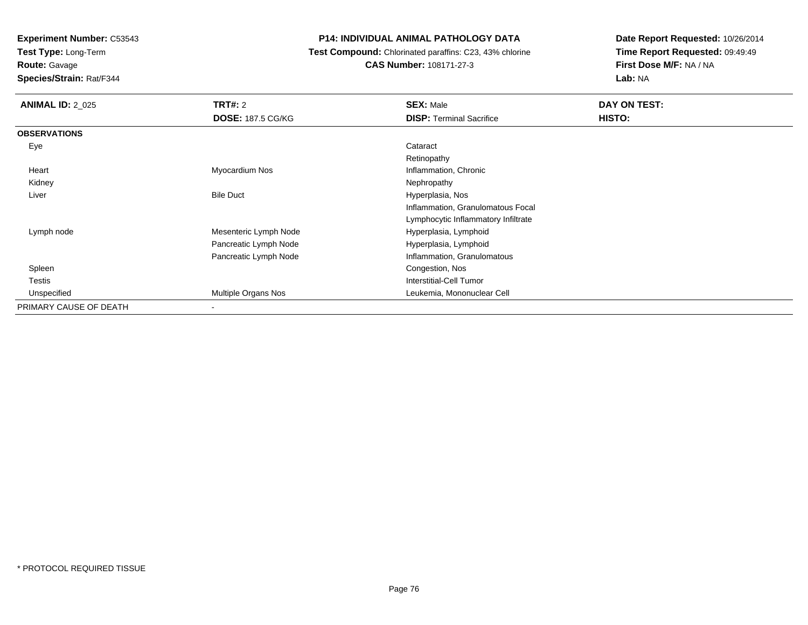**Test Type:** Long-Term

**Route:** Gavage

**Species/Strain:** Rat/F344

## **P14: INDIVIDUAL ANIMAL PATHOLOGY DATA**

 **Test Compound:** Chlorinated paraffins: C23, 43% chlorine**CAS Number:** 108171-27-3

| <b>ANIMAL ID: 2 025</b> | TRT#: 2                  | <b>SEX: Male</b>                    | DAY ON TEST: |
|-------------------------|--------------------------|-------------------------------------|--------------|
|                         | <b>DOSE: 187.5 CG/KG</b> | <b>DISP:</b> Terminal Sacrifice     | HISTO:       |
| <b>OBSERVATIONS</b>     |                          |                                     |              |
| Eye                     |                          | Cataract                            |              |
|                         |                          | Retinopathy                         |              |
| Heart                   | Myocardium Nos           | Inflammation, Chronic               |              |
| Kidney                  |                          | Nephropathy                         |              |
| Liver                   | <b>Bile Duct</b>         | Hyperplasia, Nos                    |              |
|                         |                          | Inflammation, Granulomatous Focal   |              |
|                         |                          | Lymphocytic Inflammatory Infiltrate |              |
| Lymph node              | Mesenteric Lymph Node    | Hyperplasia, Lymphoid               |              |
|                         | Pancreatic Lymph Node    | Hyperplasia, Lymphoid               |              |
|                         | Pancreatic Lymph Node    | Inflammation, Granulomatous         |              |
| Spleen                  |                          | Congestion, Nos                     |              |
| Testis                  |                          | <b>Interstitial-Cell Tumor</b>      |              |
| Unspecified             | Multiple Organs Nos      | Leukemia, Mononuclear Cell          |              |
| PRIMARY CAUSE OF DEATH  |                          |                                     |              |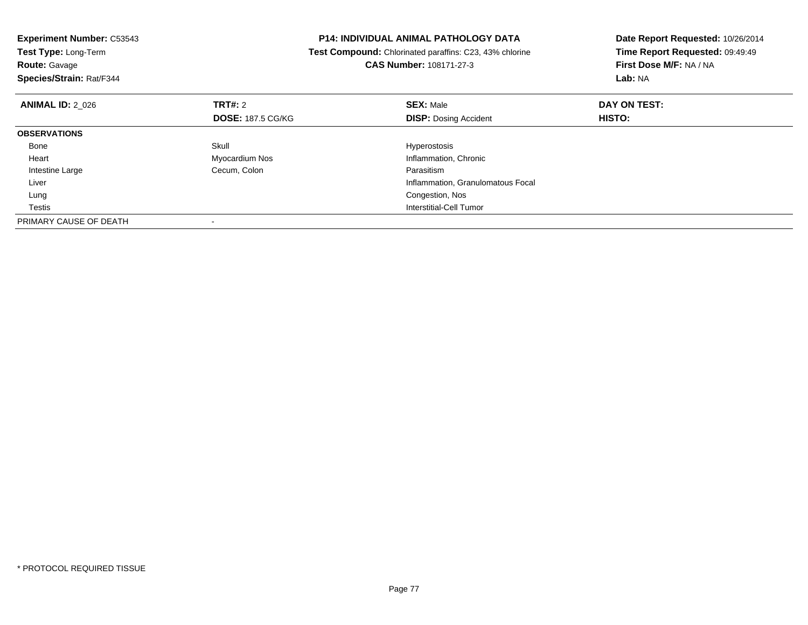| <b>Experiment Number: C53543</b><br>Test Type: Long-Term<br><b>Route: Gavage</b> |                          | <b>P14: INDIVIDUAL ANIMAL PATHOLOGY DATA</b><br>Test Compound: Chlorinated paraffins: C23, 43% chlorine<br><b>CAS Number: 108171-27-3</b> | Date Report Requested: 10/26/2014<br>Time Report Requested: 09:49:49<br>First Dose M/F: NA / NA |
|----------------------------------------------------------------------------------|--------------------------|-------------------------------------------------------------------------------------------------------------------------------------------|-------------------------------------------------------------------------------------------------|
| Species/Strain: Rat/F344                                                         |                          |                                                                                                                                           | Lab: NA                                                                                         |
| <b>ANIMAL ID: 2 026</b>                                                          | <b>TRT#: 2</b>           | <b>SEX: Male</b>                                                                                                                          | DAY ON TEST:                                                                                    |
|                                                                                  | <b>DOSE: 187.5 CG/KG</b> | <b>DISP:</b> Dosing Accident                                                                                                              | HISTO:                                                                                          |
| <b>OBSERVATIONS</b>                                                              |                          |                                                                                                                                           |                                                                                                 |
| Bone                                                                             | Skull                    | Hyperostosis                                                                                                                              |                                                                                                 |
| Heart                                                                            | Myocardium Nos           | Inflammation, Chronic                                                                                                                     |                                                                                                 |
| Intestine Large                                                                  | Cecum, Colon             | Parasitism                                                                                                                                |                                                                                                 |
| Liver                                                                            |                          | Inflammation, Granulomatous Focal                                                                                                         |                                                                                                 |
| Lung                                                                             |                          | Congestion, Nos                                                                                                                           |                                                                                                 |
| Testis                                                                           |                          | Interstitial-Cell Tumor                                                                                                                   |                                                                                                 |
| PRIMARY CAUSE OF DEATH                                                           |                          |                                                                                                                                           |                                                                                                 |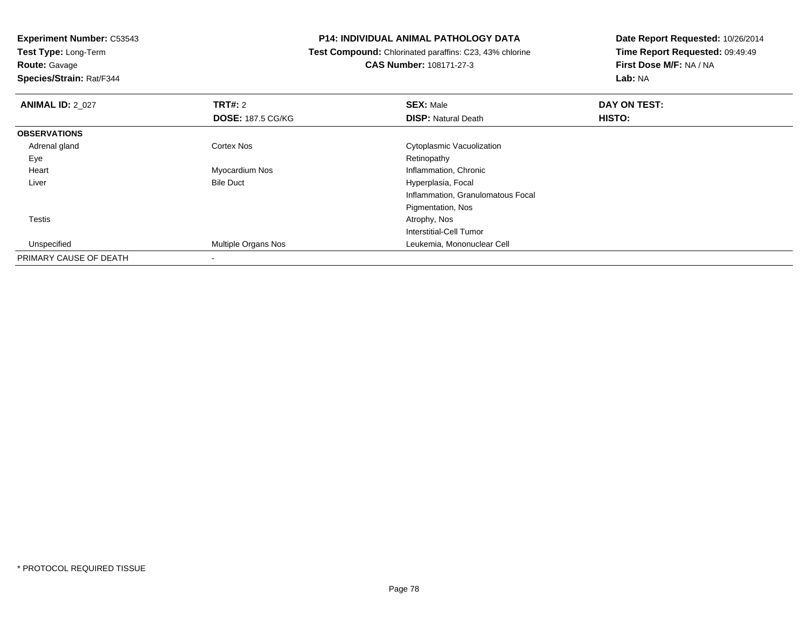**Test Type:** Long-Term**Route:** Gavage

**Species/Strain:** Rat/F344

#### **P14: INDIVIDUAL ANIMAL PATHOLOGY DATA**

 **Test Compound:** Chlorinated paraffins: C23, 43% chlorine**CAS Number:** 108171-27-3

| <b>ANIMAL ID: 2 027</b> | TRT#: 2                    | <b>SEX: Male</b>                  | DAY ON TEST: |  |
|-------------------------|----------------------------|-----------------------------------|--------------|--|
|                         | <b>DOSE: 187.5 CG/KG</b>   | <b>DISP: Natural Death</b>        | HISTO:       |  |
| <b>OBSERVATIONS</b>     |                            |                                   |              |  |
| Adrenal gland           | <b>Cortex Nos</b>          | Cytoplasmic Vacuolization         |              |  |
| Eye                     |                            | Retinopathy                       |              |  |
| Heart                   | Myocardium Nos             | Inflammation, Chronic             |              |  |
| Liver                   | <b>Bile Duct</b>           | Hyperplasia, Focal                |              |  |
|                         |                            | Inflammation, Granulomatous Focal |              |  |
|                         |                            | Pigmentation, Nos                 |              |  |
| <b>Testis</b>           |                            | Atrophy, Nos                      |              |  |
|                         |                            | Interstitial-Cell Tumor           |              |  |
| Unspecified             | <b>Multiple Organs Nos</b> | Leukemia, Mononuclear Cell        |              |  |
| PRIMARY CAUSE OF DEATH  |                            |                                   |              |  |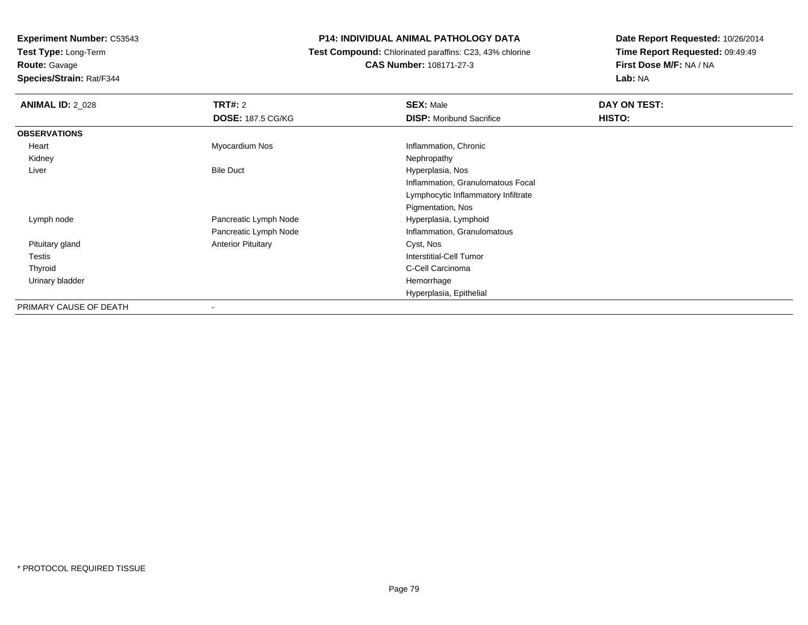**Test Type:** Long-Term**Route:** Gavage

**Species/Strain:** Rat/F344

#### **P14: INDIVIDUAL ANIMAL PATHOLOGY DATA**

 **Test Compound:** Chlorinated paraffins: C23, 43% chlorine**CAS Number:** 108171-27-3

| <b>ANIMAL ID: 2_028</b> | <b>TRT#:</b> 2<br><b>DOSE: 187.5 CG/KG</b> | <b>SEX: Male</b><br><b>DISP:</b> Moribund Sacrifice | DAY ON TEST:<br><b>HISTO:</b> |
|-------------------------|--------------------------------------------|-----------------------------------------------------|-------------------------------|
| <b>OBSERVATIONS</b>     |                                            |                                                     |                               |
| Heart                   | Myocardium Nos                             | Inflammation, Chronic                               |                               |
| Kidney                  |                                            | Nephropathy                                         |                               |
| Liver                   | <b>Bile Duct</b>                           | Hyperplasia, Nos                                    |                               |
|                         |                                            | Inflammation, Granulomatous Focal                   |                               |
|                         |                                            | Lymphocytic Inflammatory Infiltrate                 |                               |
|                         |                                            | Pigmentation, Nos                                   |                               |
| Lymph node              | Pancreatic Lymph Node                      | Hyperplasia, Lymphoid                               |                               |
|                         | Pancreatic Lymph Node                      | Inflammation, Granulomatous                         |                               |
| Pituitary gland         | <b>Anterior Pituitary</b>                  | Cyst, Nos                                           |                               |
| <b>Testis</b>           |                                            | Interstitial-Cell Tumor                             |                               |
| Thyroid                 |                                            | C-Cell Carcinoma                                    |                               |
| Urinary bladder         |                                            | Hemorrhage                                          |                               |
|                         |                                            | Hyperplasia, Epithelial                             |                               |
| PRIMARY CAUSE OF DEATH  | $\overline{\phantom{a}}$                   |                                                     |                               |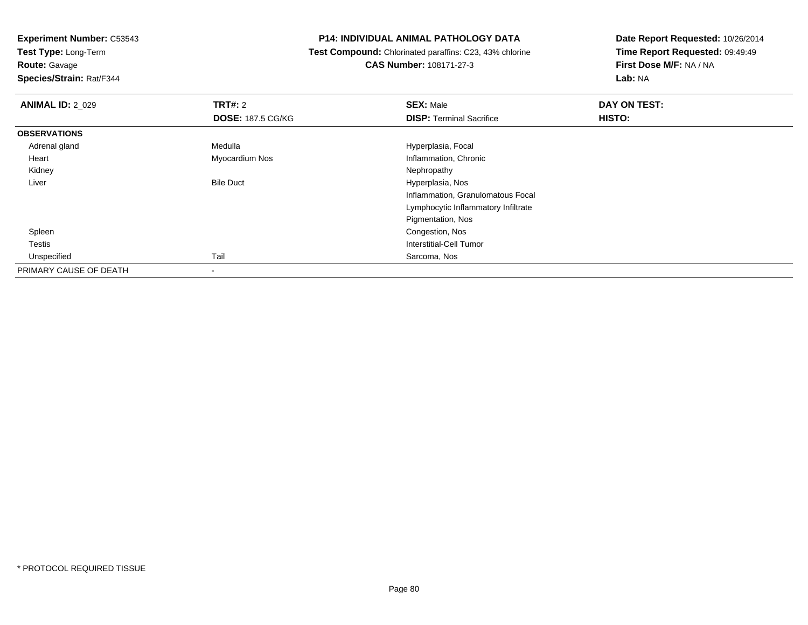**Test Type:** Long-Term

# **Route:** Gavage

**Species/Strain:** Rat/F344

#### **P14: INDIVIDUAL ANIMAL PATHOLOGY DATA**

 **Test Compound:** Chlorinated paraffins: C23, 43% chlorine**CAS Number:** 108171-27-3

| <b>ANIMAL ID: 2 029</b> | <b>TRT#: 2</b>           | <b>SEX: Male</b>                    | DAY ON TEST: |  |
|-------------------------|--------------------------|-------------------------------------|--------------|--|
|                         | <b>DOSE: 187.5 CG/KG</b> | <b>DISP: Terminal Sacrifice</b>     | HISTO:       |  |
| <b>OBSERVATIONS</b>     |                          |                                     |              |  |
| Adrenal gland           | Medulla                  | Hyperplasia, Focal                  |              |  |
| Heart                   | Myocardium Nos           | Inflammation, Chronic               |              |  |
| Kidney                  |                          | Nephropathy                         |              |  |
| Liver                   | <b>Bile Duct</b>         | Hyperplasia, Nos                    |              |  |
|                         |                          | Inflammation, Granulomatous Focal   |              |  |
|                         |                          | Lymphocytic Inflammatory Infiltrate |              |  |
|                         |                          | Pigmentation, Nos                   |              |  |
| Spleen                  |                          | Congestion, Nos                     |              |  |
| Testis                  |                          | Interstitial-Cell Tumor             |              |  |
| Unspecified             | Tail                     | Sarcoma, Nos                        |              |  |
| PRIMARY CAUSE OF DEATH  |                          |                                     |              |  |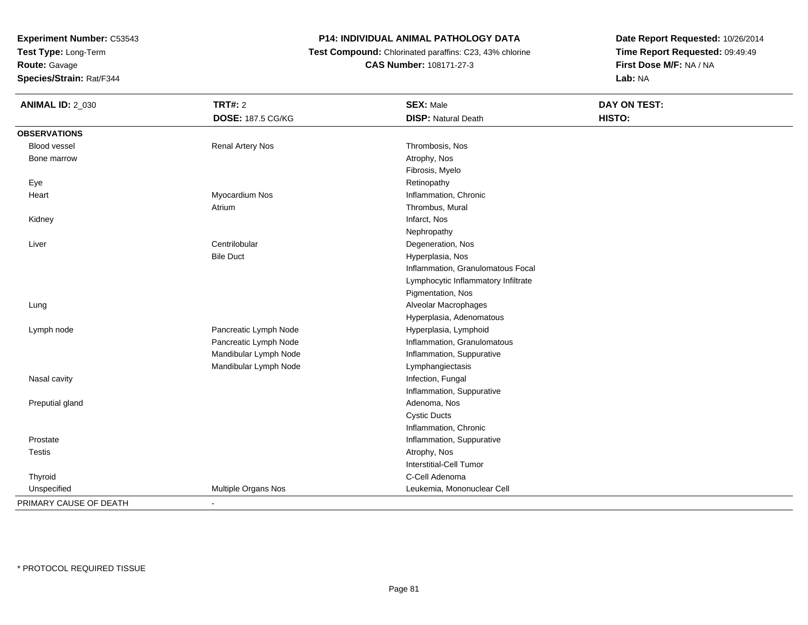**Test Type:** Long-Term

# **Route:** Gavage

**Species/Strain:** Rat/F344

# **P14: INDIVIDUAL ANIMAL PATHOLOGY DATA**

 **Test Compound:** Chlorinated paraffins: C23, 43% chlorine**CAS Number:** 108171-27-3

| <b>ANIMAL ID: 2_030</b> | <b>TRT#: 2</b>           | <b>SEX: Male</b>                    | <b>DAY ON TEST:</b> |
|-------------------------|--------------------------|-------------------------------------|---------------------|
|                         | <b>DOSE: 187.5 CG/KG</b> | <b>DISP: Natural Death</b>          | HISTO:              |
| <b>OBSERVATIONS</b>     |                          |                                     |                     |
| <b>Blood vessel</b>     | <b>Renal Artery Nos</b>  | Thrombosis, Nos                     |                     |
| Bone marrow             |                          | Atrophy, Nos                        |                     |
|                         |                          | Fibrosis, Myelo                     |                     |
| Eye                     |                          | Retinopathy                         |                     |
| Heart                   | Myocardium Nos           | Inflammation, Chronic               |                     |
|                         | Atrium                   | Thrombus, Mural                     |                     |
| Kidney                  |                          | Infarct, Nos                        |                     |
|                         |                          | Nephropathy                         |                     |
| Liver                   | Centrilobular            | Degeneration, Nos                   |                     |
|                         | <b>Bile Duct</b>         | Hyperplasia, Nos                    |                     |
|                         |                          | Inflammation, Granulomatous Focal   |                     |
|                         |                          | Lymphocytic Inflammatory Infiltrate |                     |
|                         |                          | Pigmentation, Nos                   |                     |
| Lung                    |                          | Alveolar Macrophages                |                     |
|                         |                          | Hyperplasia, Adenomatous            |                     |
| Lymph node              | Pancreatic Lymph Node    | Hyperplasia, Lymphoid               |                     |
|                         | Pancreatic Lymph Node    | Inflammation, Granulomatous         |                     |
|                         | Mandibular Lymph Node    | Inflammation, Suppurative           |                     |
|                         | Mandibular Lymph Node    | Lymphangiectasis                    |                     |
| Nasal cavity            |                          | Infection, Fungal                   |                     |
|                         |                          | Inflammation, Suppurative           |                     |
| Preputial gland         |                          | Adenoma, Nos                        |                     |
|                         |                          | <b>Cystic Ducts</b>                 |                     |
|                         |                          | Inflammation, Chronic               |                     |
| Prostate                |                          | Inflammation, Suppurative           |                     |
| <b>Testis</b>           |                          | Atrophy, Nos                        |                     |
|                         |                          | Interstitial-Cell Tumor             |                     |
| Thyroid                 |                          | C-Cell Adenoma                      |                     |
| Unspecified             | Multiple Organs Nos      | Leukemia, Mononuclear Cell          |                     |
| PRIMARY CAUSE OF DEATH  |                          |                                     |                     |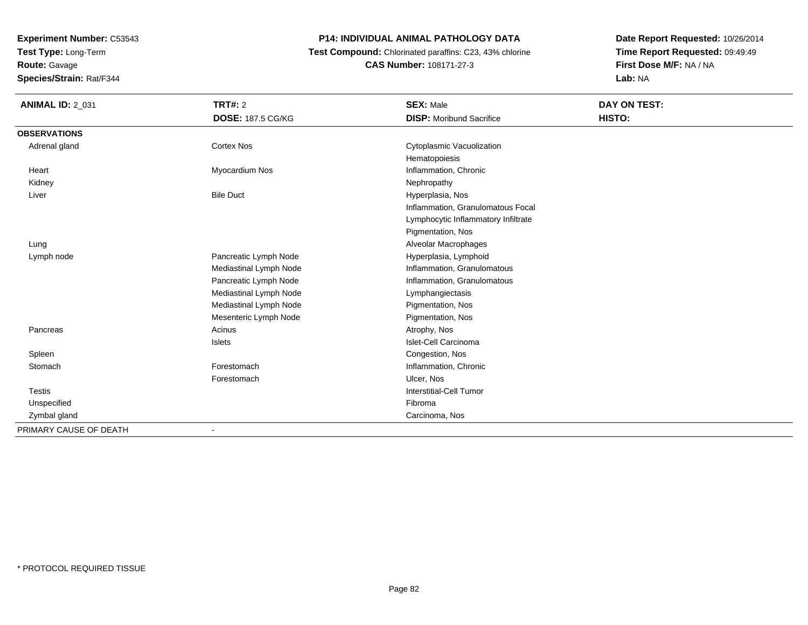**Test Type:** Long-Term

**Route:** Gavage

**Species/Strain:** Rat/F344

## **P14: INDIVIDUAL ANIMAL PATHOLOGY DATA**

 **Test Compound:** Chlorinated paraffins: C23, 43% chlorine**CAS Number:** 108171-27-3

| <b>ANIMAL ID: 2_031</b> | <b>TRT#: 2</b>           | <b>SEX: Male</b>                    | DAY ON TEST: |  |
|-------------------------|--------------------------|-------------------------------------|--------------|--|
|                         | <b>DOSE: 187.5 CG/KG</b> | <b>DISP:</b> Moribund Sacrifice     | HISTO:       |  |
| <b>OBSERVATIONS</b>     |                          |                                     |              |  |
| Adrenal gland           | <b>Cortex Nos</b>        | Cytoplasmic Vacuolization           |              |  |
|                         |                          | Hematopoiesis                       |              |  |
| Heart                   | Myocardium Nos           | Inflammation, Chronic               |              |  |
| Kidney                  |                          | Nephropathy                         |              |  |
| Liver                   | <b>Bile Duct</b>         | Hyperplasia, Nos                    |              |  |
|                         |                          | Inflammation, Granulomatous Focal   |              |  |
|                         |                          | Lymphocytic Inflammatory Infiltrate |              |  |
|                         |                          | Pigmentation, Nos                   |              |  |
| Lung                    |                          | Alveolar Macrophages                |              |  |
| Lymph node              | Pancreatic Lymph Node    | Hyperplasia, Lymphoid               |              |  |
|                         | Mediastinal Lymph Node   | Inflammation, Granulomatous         |              |  |
|                         | Pancreatic Lymph Node    | Inflammation, Granulomatous         |              |  |
|                         | Mediastinal Lymph Node   | Lymphangiectasis                    |              |  |
|                         | Mediastinal Lymph Node   | Pigmentation, Nos                   |              |  |
|                         | Mesenteric Lymph Node    | Pigmentation, Nos                   |              |  |
| Pancreas                | Acinus                   | Atrophy, Nos                        |              |  |
|                         | Islets                   | Islet-Cell Carcinoma                |              |  |
| Spleen                  |                          | Congestion, Nos                     |              |  |
| Stomach                 | Forestomach              | Inflammation, Chronic               |              |  |
|                         | Forestomach              | Ulcer, Nos                          |              |  |
| <b>Testis</b>           |                          | <b>Interstitial-Cell Tumor</b>      |              |  |
| Unspecified             |                          | Fibroma                             |              |  |
| Zymbal gland            |                          | Carcinoma, Nos                      |              |  |
| PRIMARY CAUSE OF DEATH  |                          |                                     |              |  |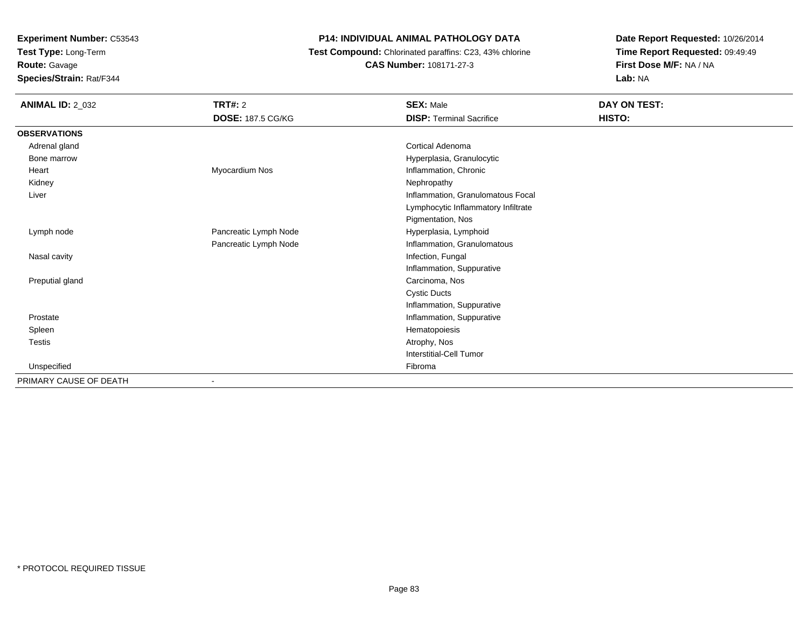**Test Type:** Long-Term

**Route:** Gavage

**Species/Strain:** Rat/F344

## **P14: INDIVIDUAL ANIMAL PATHOLOGY DATA**

 **Test Compound:** Chlorinated paraffins: C23, 43% chlorine**CAS Number:** 108171-27-3

| <b>ANIMAL ID: 2_032</b> | <b>TRT#: 2</b>           | <b>SEX: Male</b>                    | DAY ON TEST: |  |
|-------------------------|--------------------------|-------------------------------------|--------------|--|
|                         | <b>DOSE: 187.5 CG/KG</b> | <b>DISP: Terminal Sacrifice</b>     | HISTO:       |  |
| <b>OBSERVATIONS</b>     |                          |                                     |              |  |
| Adrenal gland           |                          | Cortical Adenoma                    |              |  |
| Bone marrow             |                          | Hyperplasia, Granulocytic           |              |  |
| Heart                   | Myocardium Nos           | Inflammation, Chronic               |              |  |
| Kidney                  |                          | Nephropathy                         |              |  |
| Liver                   |                          | Inflammation, Granulomatous Focal   |              |  |
|                         |                          | Lymphocytic Inflammatory Infiltrate |              |  |
|                         |                          | Pigmentation, Nos                   |              |  |
| Lymph node              | Pancreatic Lymph Node    | Hyperplasia, Lymphoid               |              |  |
|                         | Pancreatic Lymph Node    | Inflammation, Granulomatous         |              |  |
| Nasal cavity            |                          | Infection, Fungal                   |              |  |
|                         |                          | Inflammation, Suppurative           |              |  |
| Preputial gland         |                          | Carcinoma, Nos                      |              |  |
|                         |                          | <b>Cystic Ducts</b>                 |              |  |
|                         |                          | Inflammation, Suppurative           |              |  |
| Prostate                |                          | Inflammation, Suppurative           |              |  |
| Spleen                  |                          | Hematopoiesis                       |              |  |
| <b>Testis</b>           |                          | Atrophy, Nos                        |              |  |
|                         |                          | <b>Interstitial-Cell Tumor</b>      |              |  |
| Unspecified             |                          | Fibroma                             |              |  |
| PRIMARY CAUSE OF DEATH  |                          |                                     |              |  |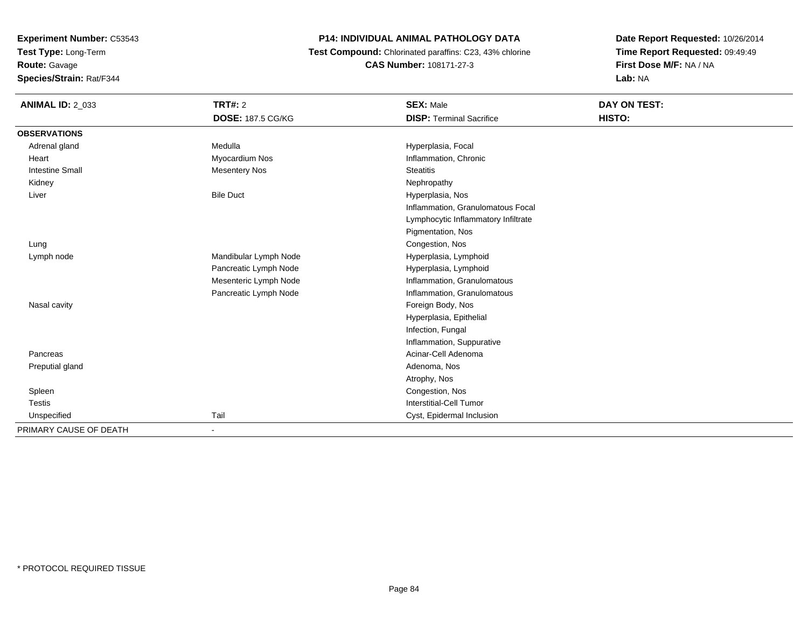**Experiment Number:** C53543**Test Type:** Long-Term

**Route:** Gavage

**Species/Strain:** Rat/F344

# **P14: INDIVIDUAL ANIMAL PATHOLOGY DATA**

 **Test Compound:** Chlorinated paraffins: C23, 43% chlorine**CAS Number:** 108171-27-3

| <b>ANIMAL ID: 2_033</b> | <b>TRT#: 2</b>           | <b>SEX: Male</b>                    | DAY ON TEST: |
|-------------------------|--------------------------|-------------------------------------|--------------|
|                         | <b>DOSE: 187.5 CG/KG</b> | <b>DISP: Terminal Sacrifice</b>     | HISTO:       |
| <b>OBSERVATIONS</b>     |                          |                                     |              |
| Adrenal gland           | Medulla                  | Hyperplasia, Focal                  |              |
| Heart                   | Myocardium Nos           | Inflammation, Chronic               |              |
| <b>Intestine Small</b>  | <b>Mesentery Nos</b>     | <b>Steatitis</b>                    |              |
| Kidney                  |                          | Nephropathy                         |              |
| Liver                   | <b>Bile Duct</b>         | Hyperplasia, Nos                    |              |
|                         |                          | Inflammation, Granulomatous Focal   |              |
|                         |                          | Lymphocytic Inflammatory Infiltrate |              |
|                         |                          | Pigmentation, Nos                   |              |
| Lung                    |                          | Congestion, Nos                     |              |
| Lymph node              | Mandibular Lymph Node    | Hyperplasia, Lymphoid               |              |
|                         | Pancreatic Lymph Node    | Hyperplasia, Lymphoid               |              |
|                         | Mesenteric Lymph Node    | Inflammation, Granulomatous         |              |
|                         | Pancreatic Lymph Node    | Inflammation, Granulomatous         |              |
| Nasal cavity            |                          | Foreign Body, Nos                   |              |
|                         |                          | Hyperplasia, Epithelial             |              |
|                         |                          | Infection, Fungal                   |              |
|                         |                          | Inflammation, Suppurative           |              |
| Pancreas                |                          | Acinar-Cell Adenoma                 |              |
| Preputial gland         |                          | Adenoma, Nos                        |              |
|                         |                          | Atrophy, Nos                        |              |
| Spleen                  |                          | Congestion, Nos                     |              |
| <b>Testis</b>           |                          | Interstitial-Cell Tumor             |              |
| Unspecified             | Tail                     | Cyst, Epidermal Inclusion           |              |
| PRIMARY CAUSE OF DEATH  |                          |                                     |              |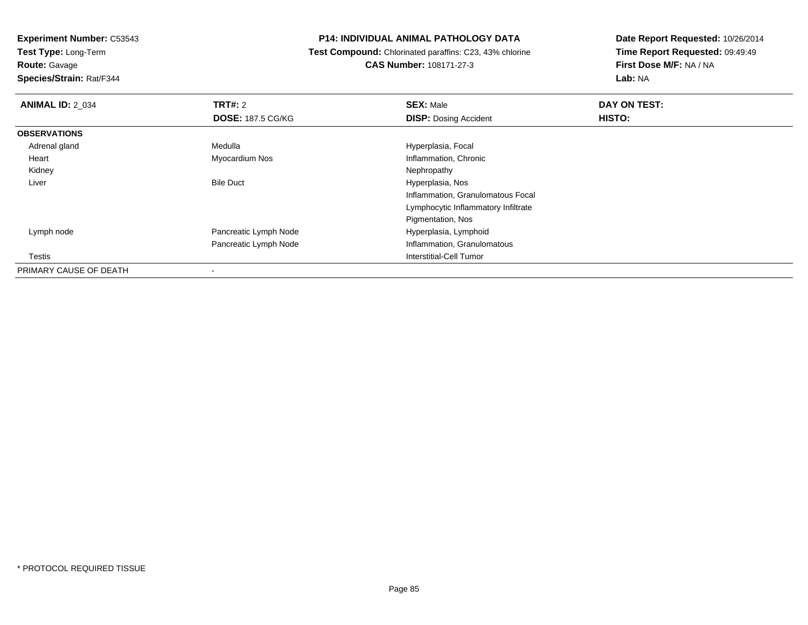**Test Type:** Long-Term**Route:** Gavage

**Species/Strain:** Rat/F344

#### **P14: INDIVIDUAL ANIMAL PATHOLOGY DATA**

 **Test Compound:** Chlorinated paraffins: C23, 43% chlorine**CAS Number:** 108171-27-3

| <b>ANIMAL ID: 2_034</b> | TRT#: 2                  | <b>SEX: Male</b>                    | DAY ON TEST: |  |
|-------------------------|--------------------------|-------------------------------------|--------------|--|
|                         | <b>DOSE: 187.5 CG/KG</b> | <b>DISP: Dosing Accident</b>        | HISTO:       |  |
| <b>OBSERVATIONS</b>     |                          |                                     |              |  |
| Adrenal gland           | Medulla                  | Hyperplasia, Focal                  |              |  |
| Heart                   | Myocardium Nos           | Inflammation, Chronic               |              |  |
| Kidney                  |                          | Nephropathy                         |              |  |
| Liver                   | <b>Bile Duct</b>         | Hyperplasia, Nos                    |              |  |
|                         |                          | Inflammation, Granulomatous Focal   |              |  |
|                         |                          | Lymphocytic Inflammatory Infiltrate |              |  |
|                         |                          | Pigmentation, Nos                   |              |  |
| Lymph node              | Pancreatic Lymph Node    | Hyperplasia, Lymphoid               |              |  |
|                         | Pancreatic Lymph Node    | Inflammation, Granulomatous         |              |  |
| Testis                  |                          | Interstitial-Cell Tumor             |              |  |
| PRIMARY CAUSE OF DEATH  |                          |                                     |              |  |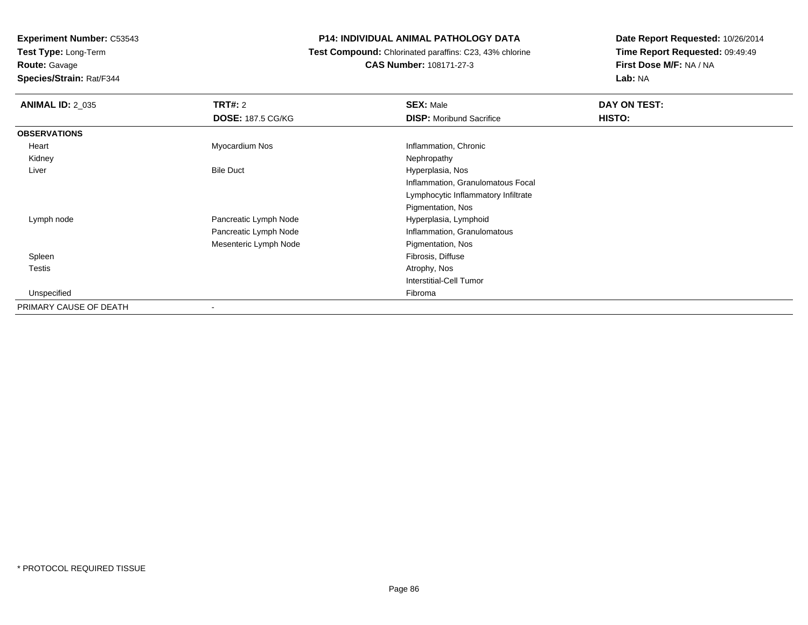**Test Type:** Long-Term**Route:** Gavage

**Species/Strain:** Rat/F344

## **P14: INDIVIDUAL ANIMAL PATHOLOGY DATA**

 **Test Compound:** Chlorinated paraffins: C23, 43% chlorine**CAS Number:** 108171-27-3

| <b>ANIMAL ID: 2_035</b> | <b>TRT#: 2</b>           | <b>SEX: Male</b>                    | DAY ON TEST: |
|-------------------------|--------------------------|-------------------------------------|--------------|
|                         | <b>DOSE: 187.5 CG/KG</b> | <b>DISP:</b> Moribund Sacrifice     | HISTO:       |
| <b>OBSERVATIONS</b>     |                          |                                     |              |
| Heart                   | Myocardium Nos           | Inflammation, Chronic               |              |
| Kidney                  |                          | Nephropathy                         |              |
| Liver                   | <b>Bile Duct</b>         | Hyperplasia, Nos                    |              |
|                         |                          | Inflammation, Granulomatous Focal   |              |
|                         |                          | Lymphocytic Inflammatory Infiltrate |              |
|                         |                          | Pigmentation, Nos                   |              |
| Lymph node              | Pancreatic Lymph Node    | Hyperplasia, Lymphoid               |              |
|                         | Pancreatic Lymph Node    | Inflammation, Granulomatous         |              |
|                         | Mesenteric Lymph Node    | Pigmentation, Nos                   |              |
| Spleen                  |                          | Fibrosis, Diffuse                   |              |
| Testis                  |                          | Atrophy, Nos                        |              |
|                         |                          | <b>Interstitial-Cell Tumor</b>      |              |
| Unspecified             |                          | Fibroma                             |              |
| PRIMARY CAUSE OF DEATH  |                          |                                     |              |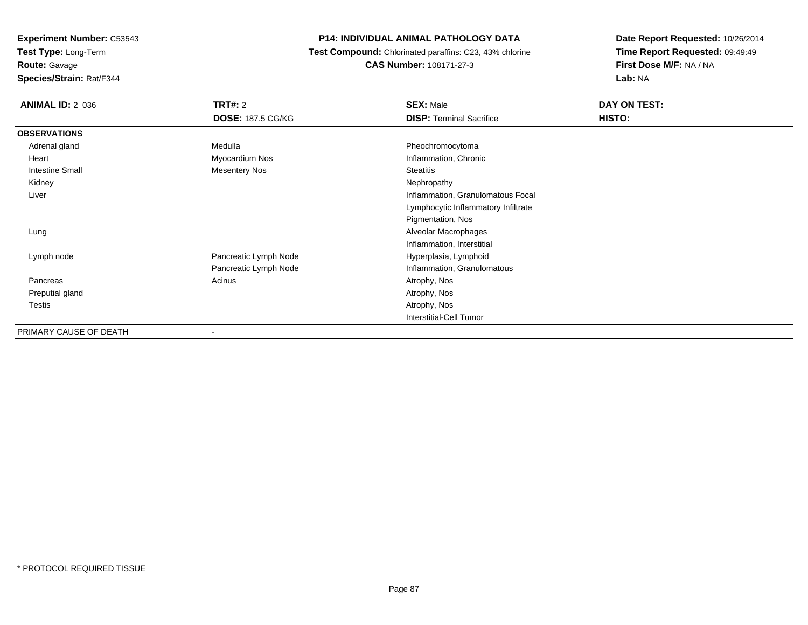**Test Type:** Long-Term

**Route:** Gavage

**Species/Strain:** Rat/F344

#### **P14: INDIVIDUAL ANIMAL PATHOLOGY DATA**

 **Test Compound:** Chlorinated paraffins: C23, 43% chlorine**CAS Number:** 108171-27-3

| <b>ANIMAL ID: 2 036</b> | TRT#: 2                  | <b>SEX: Male</b>                    | DAY ON TEST: |
|-------------------------|--------------------------|-------------------------------------|--------------|
|                         | <b>DOSE: 187.5 CG/KG</b> | <b>DISP: Terminal Sacrifice</b>     | HISTO:       |
| <b>OBSERVATIONS</b>     |                          |                                     |              |
| Adrenal gland           | Medulla                  | Pheochromocytoma                    |              |
| Heart                   | Myocardium Nos           | Inflammation, Chronic               |              |
| <b>Intestine Small</b>  | <b>Mesentery Nos</b>     | <b>Steatitis</b>                    |              |
| Kidney                  |                          | Nephropathy                         |              |
| Liver                   |                          | Inflammation, Granulomatous Focal   |              |
|                         |                          | Lymphocytic Inflammatory Infiltrate |              |
|                         |                          | Pigmentation, Nos                   |              |
| Lung                    |                          | Alveolar Macrophages                |              |
|                         |                          | Inflammation, Interstitial          |              |
| Lymph node              | Pancreatic Lymph Node    | Hyperplasia, Lymphoid               |              |
|                         | Pancreatic Lymph Node    | Inflammation, Granulomatous         |              |
| Pancreas                | Acinus                   | Atrophy, Nos                        |              |
| Preputial gland         |                          | Atrophy, Nos                        |              |
| Testis                  |                          | Atrophy, Nos                        |              |
|                         |                          | Interstitial-Cell Tumor             |              |
| PRIMARY CAUSE OF DEATH  | $\overline{\phantom{a}}$ |                                     |              |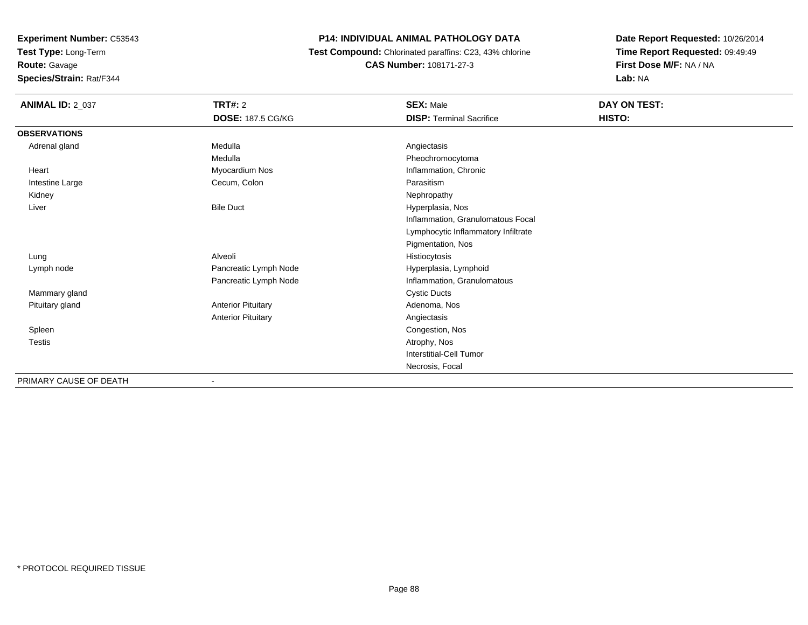**Test Type:** Long-Term

**Route:** Gavage

**Species/Strain:** Rat/F344

# **P14: INDIVIDUAL ANIMAL PATHOLOGY DATA**

 **Test Compound:** Chlorinated paraffins: C23, 43% chlorine**CAS Number:** 108171-27-3

**Date Report Requested:** 10/26/2014**Time Report Requested:** 09:49:49**First Dose M/F:** NA / NA**Lab:** NA

| <b>ANIMAL ID: 2_037</b> | <b>TRT#: 2</b>            | <b>SEX: Male</b>                    | DAY ON TEST: |  |
|-------------------------|---------------------------|-------------------------------------|--------------|--|
|                         | <b>DOSE: 187.5 CG/KG</b>  | <b>DISP: Terminal Sacrifice</b>     | HISTO:       |  |
| <b>OBSERVATIONS</b>     |                           |                                     |              |  |
| Adrenal gland           | Medulla                   | Angiectasis                         |              |  |
|                         | Medulla                   | Pheochromocytoma                    |              |  |
| Heart                   | Myocardium Nos            | Inflammation, Chronic               |              |  |
| Intestine Large         | Cecum, Colon              | Parasitism                          |              |  |
| Kidney                  |                           | Nephropathy                         |              |  |
| Liver                   | <b>Bile Duct</b>          | Hyperplasia, Nos                    |              |  |
|                         |                           | Inflammation, Granulomatous Focal   |              |  |
|                         |                           | Lymphocytic Inflammatory Infiltrate |              |  |
|                         |                           | Pigmentation, Nos                   |              |  |
| Lung                    | Alveoli                   | Histiocytosis                       |              |  |
| Lymph node              | Pancreatic Lymph Node     | Hyperplasia, Lymphoid               |              |  |
|                         | Pancreatic Lymph Node     | Inflammation, Granulomatous         |              |  |
| Mammary gland           |                           | <b>Cystic Ducts</b>                 |              |  |
| Pituitary gland         | <b>Anterior Pituitary</b> | Adenoma, Nos                        |              |  |
|                         | <b>Anterior Pituitary</b> | Angiectasis                         |              |  |
| Spleen                  |                           | Congestion, Nos                     |              |  |
| Testis                  |                           | Atrophy, Nos                        |              |  |
|                         |                           | Interstitial-Cell Tumor             |              |  |
|                         |                           | Necrosis, Focal                     |              |  |
| PRIMARY CAUSE OF DEATH  | $\overline{\phantom{a}}$  |                                     |              |  |

-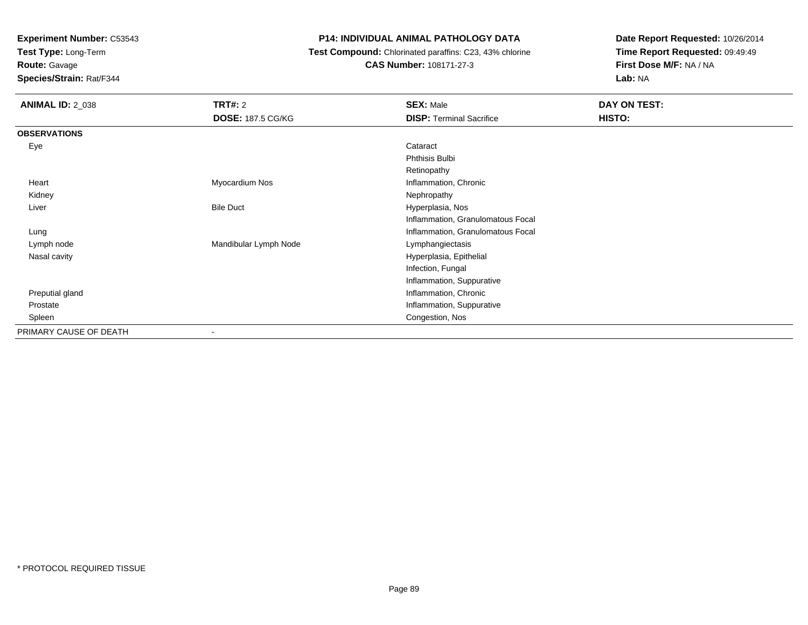**Test Type:** Long-Term

**Route:** Gavage

**Species/Strain:** Rat/F344

## **P14: INDIVIDUAL ANIMAL PATHOLOGY DATA**

 **Test Compound:** Chlorinated paraffins: C23, 43% chlorine**CAS Number:** 108171-27-3

| <b>ANIMAL ID: 2_038</b> | <b>TRT#: 2</b>           | <b>SEX: Male</b>                  | DAY ON TEST: |
|-------------------------|--------------------------|-----------------------------------|--------------|
|                         | <b>DOSE: 187.5 CG/KG</b> | <b>DISP: Terminal Sacrifice</b>   | HISTO:       |
| <b>OBSERVATIONS</b>     |                          |                                   |              |
| Eye                     |                          | Cataract                          |              |
|                         |                          | Phthisis Bulbi                    |              |
|                         |                          | Retinopathy                       |              |
| Heart                   | Myocardium Nos           | Inflammation, Chronic             |              |
| Kidney                  |                          | Nephropathy                       |              |
| Liver                   | <b>Bile Duct</b>         | Hyperplasia, Nos                  |              |
|                         |                          | Inflammation, Granulomatous Focal |              |
| Lung                    |                          | Inflammation, Granulomatous Focal |              |
| Lymph node              | Mandibular Lymph Node    | Lymphangiectasis                  |              |
| Nasal cavity            |                          | Hyperplasia, Epithelial           |              |
|                         |                          | Infection, Fungal                 |              |
|                         |                          | Inflammation, Suppurative         |              |
| Preputial gland         |                          | Inflammation, Chronic             |              |
| Prostate                |                          | Inflammation, Suppurative         |              |
| Spleen                  |                          | Congestion, Nos                   |              |
| PRIMARY CAUSE OF DEATH  | $\,$                     |                                   |              |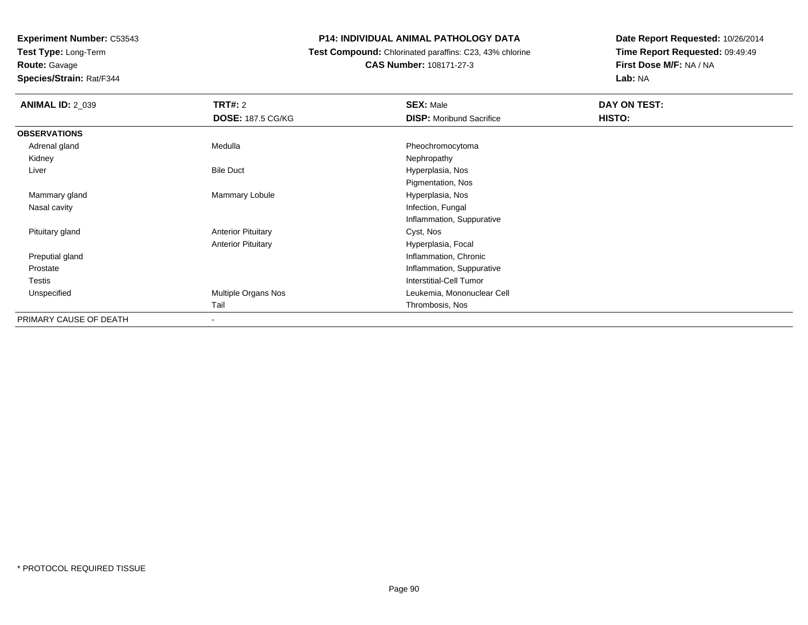**Test Type:** Long-Term

**Route:** Gavage

**Species/Strain:** Rat/F344

## **P14: INDIVIDUAL ANIMAL PATHOLOGY DATA**

 **Test Compound:** Chlorinated paraffins: C23, 43% chlorine**CAS Number:** 108171-27-3

| <b>ANIMAL ID: 2_039</b> | <b>TRT#: 2</b>            | <b>SEX: Male</b>                | DAY ON TEST: |  |
|-------------------------|---------------------------|---------------------------------|--------------|--|
|                         | <b>DOSE: 187.5 CG/KG</b>  | <b>DISP:</b> Moribund Sacrifice | HISTO:       |  |
| <b>OBSERVATIONS</b>     |                           |                                 |              |  |
| Adrenal gland           | Medulla                   | Pheochromocytoma                |              |  |
| Kidney                  |                           | Nephropathy                     |              |  |
| Liver                   | <b>Bile Duct</b>          | Hyperplasia, Nos                |              |  |
|                         |                           | Pigmentation, Nos               |              |  |
| Mammary gland           | Mammary Lobule            | Hyperplasia, Nos                |              |  |
| Nasal cavity            |                           | Infection, Fungal               |              |  |
|                         |                           | Inflammation, Suppurative       |              |  |
| Pituitary gland         | <b>Anterior Pituitary</b> | Cyst, Nos                       |              |  |
|                         | <b>Anterior Pituitary</b> | Hyperplasia, Focal              |              |  |
| Preputial gland         |                           | Inflammation, Chronic           |              |  |
| Prostate                |                           | Inflammation, Suppurative       |              |  |
| Testis                  |                           | Interstitial-Cell Tumor         |              |  |
| Unspecified             | Multiple Organs Nos       | Leukemia, Mononuclear Cell      |              |  |
|                         | Tail                      | Thrombosis, Nos                 |              |  |
| PRIMARY CAUSE OF DEATH  | ۰                         |                                 |              |  |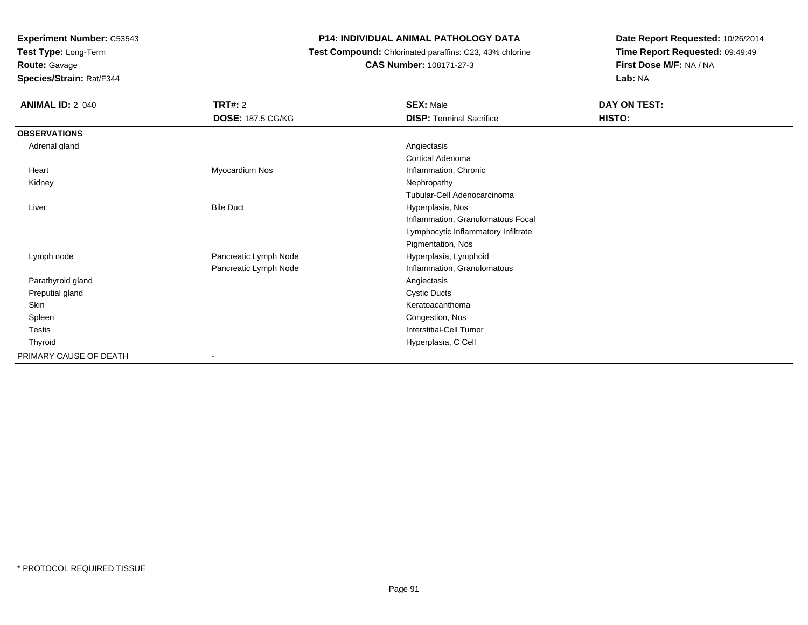**Test Type:** Long-Term

# **Route:** Gavage

**Species/Strain:** Rat/F344

## **P14: INDIVIDUAL ANIMAL PATHOLOGY DATA**

#### **Test Compound:** Chlorinated paraffins: C23, 43% chlorine**CAS Number:** 108171-27-3

| <b>ANIMAL ID: 2_040</b> | TRT#: 2                  | <b>SEX: Male</b>                    | DAY ON TEST: |
|-------------------------|--------------------------|-------------------------------------|--------------|
|                         | <b>DOSE: 187.5 CG/KG</b> | <b>DISP: Terminal Sacrifice</b>     | HISTO:       |
| <b>OBSERVATIONS</b>     |                          |                                     |              |
| Adrenal gland           |                          | Angiectasis                         |              |
|                         |                          | <b>Cortical Adenoma</b>             |              |
| Heart                   | Myocardium Nos           | Inflammation, Chronic               |              |
| Kidney                  |                          | Nephropathy                         |              |
|                         |                          | Tubular-Cell Adenocarcinoma         |              |
| Liver                   | <b>Bile Duct</b>         | Hyperplasia, Nos                    |              |
|                         |                          | Inflammation, Granulomatous Focal   |              |
|                         |                          | Lymphocytic Inflammatory Infiltrate |              |
|                         |                          | Pigmentation, Nos                   |              |
| Lymph node              | Pancreatic Lymph Node    | Hyperplasia, Lymphoid               |              |
|                         | Pancreatic Lymph Node    | Inflammation, Granulomatous         |              |
| Parathyroid gland       |                          | Angiectasis                         |              |
| Preputial gland         |                          | <b>Cystic Ducts</b>                 |              |
| Skin                    |                          | Keratoacanthoma                     |              |
| Spleen                  |                          | Congestion, Nos                     |              |
| Testis                  |                          | <b>Interstitial-Cell Tumor</b>      |              |
| Thyroid                 |                          | Hyperplasia, C Cell                 |              |
| PRIMARY CAUSE OF DEATH  |                          |                                     |              |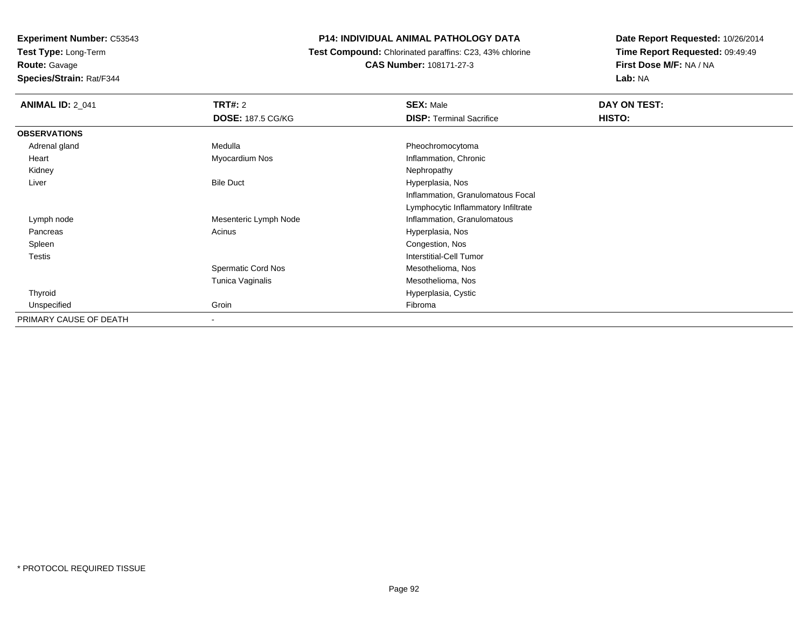**Test Type:** Long-Term**Route:** Gavage

**Species/Strain:** Rat/F344

#### **P14: INDIVIDUAL ANIMAL PATHOLOGY DATA**

 **Test Compound:** Chlorinated paraffins: C23, 43% chlorine**CAS Number:** 108171-27-3

| <b>ANIMAL ID: 2_041</b> | <b>TRT#: 2</b>            | <b>SEX: Male</b>                    | DAY ON TEST: |  |
|-------------------------|---------------------------|-------------------------------------|--------------|--|
|                         | <b>DOSE: 187.5 CG/KG</b>  | <b>DISP: Terminal Sacrifice</b>     | HISTO:       |  |
| <b>OBSERVATIONS</b>     |                           |                                     |              |  |
| Adrenal gland           | Medulla                   | Pheochromocytoma                    |              |  |
| Heart                   | Myocardium Nos            | Inflammation, Chronic               |              |  |
| Kidney                  |                           | Nephropathy                         |              |  |
| Liver                   | <b>Bile Duct</b>          | Hyperplasia, Nos                    |              |  |
|                         |                           | Inflammation, Granulomatous Focal   |              |  |
|                         |                           | Lymphocytic Inflammatory Infiltrate |              |  |
| Lymph node              | Mesenteric Lymph Node     | Inflammation, Granulomatous         |              |  |
| Pancreas                | Acinus                    | Hyperplasia, Nos                    |              |  |
| Spleen                  |                           | Congestion, Nos                     |              |  |
| <b>Testis</b>           |                           | Interstitial-Cell Tumor             |              |  |
|                         | <b>Spermatic Cord Nos</b> | Mesothelioma, Nos                   |              |  |
|                         | Tunica Vaginalis          | Mesothelioma, Nos                   |              |  |
| Thyroid                 |                           | Hyperplasia, Cystic                 |              |  |
| Unspecified             | Groin                     | Fibroma                             |              |  |
| PRIMARY CAUSE OF DEATH  | ۰                         |                                     |              |  |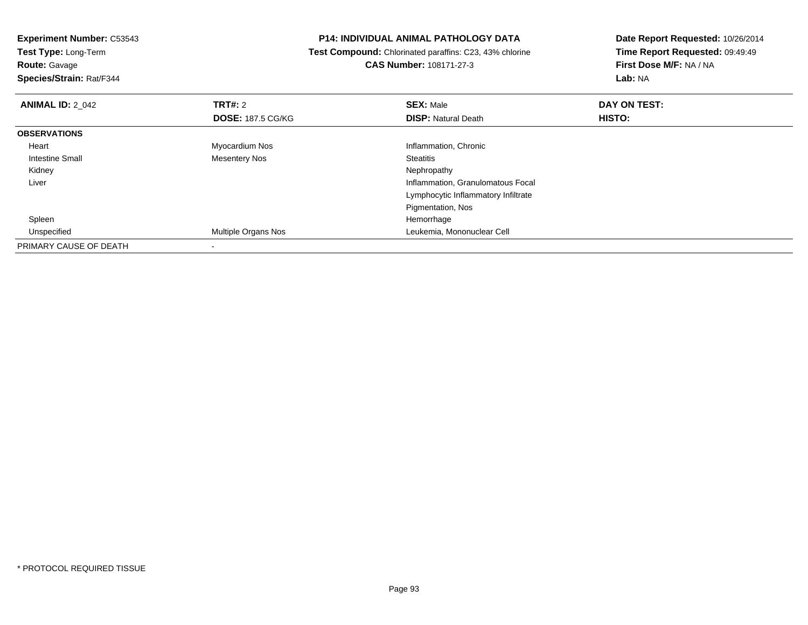**Test Type:** Long-Term**Route:** Gavage

**Species/Strain:** Rat/F344

#### **P14: INDIVIDUAL ANIMAL PATHOLOGY DATA**

 **Test Compound:** Chlorinated paraffins: C23, 43% chlorine**CAS Number:** 108171-27-3

| <b>ANIMAL ID: 2 042</b> | TRT#: 2                  | <b>SEX: Male</b>                    | DAY ON TEST:  |  |
|-------------------------|--------------------------|-------------------------------------|---------------|--|
|                         | <b>DOSE: 187.5 CG/KG</b> | <b>DISP: Natural Death</b>          | <b>HISTO:</b> |  |
| <b>OBSERVATIONS</b>     |                          |                                     |               |  |
| Heart                   | Myocardium Nos           | Inflammation, Chronic               |               |  |
| Intestine Small         | <b>Mesentery Nos</b>     | <b>Steatitis</b>                    |               |  |
| Kidney                  |                          | Nephropathy                         |               |  |
| Liver                   |                          | Inflammation, Granulomatous Focal   |               |  |
|                         |                          | Lymphocytic Inflammatory Infiltrate |               |  |
|                         |                          | Pigmentation, Nos                   |               |  |
| Spleen                  |                          | Hemorrhage                          |               |  |
| Unspecified             | Multiple Organs Nos      | Leukemia, Mononuclear Cell          |               |  |
| PRIMARY CAUSE OF DEATH  |                          |                                     |               |  |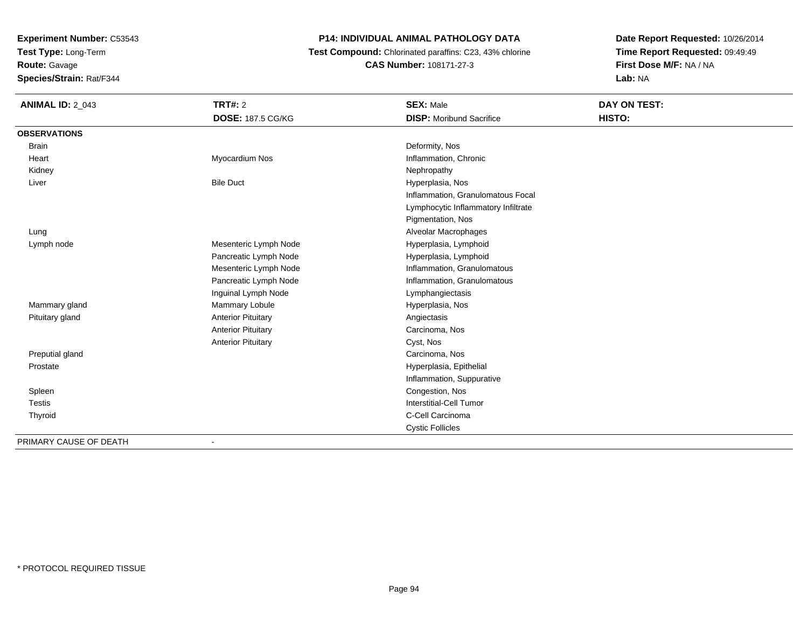**Test Type:** Long-Term

**Route:** Gavage

**Species/Strain:** Rat/F344

## **P14: INDIVIDUAL ANIMAL PATHOLOGY DATA**

 **Test Compound:** Chlorinated paraffins: C23, 43% chlorine**CAS Number:** 108171-27-3

| <b>ANIMAL ID: 2_043</b> | TRT#: 2                   | <b>SEX: Male</b>                    | DAY ON TEST: |  |
|-------------------------|---------------------------|-------------------------------------|--------------|--|
|                         | <b>DOSE: 187.5 CG/KG</b>  | <b>DISP:</b> Moribund Sacrifice     | HISTO:       |  |
| <b>OBSERVATIONS</b>     |                           |                                     |              |  |
| <b>Brain</b>            |                           | Deformity, Nos                      |              |  |
| Heart                   | Myocardium Nos            | Inflammation, Chronic               |              |  |
| Kidney                  |                           | Nephropathy                         |              |  |
| Liver                   | <b>Bile Duct</b>          | Hyperplasia, Nos                    |              |  |
|                         |                           | Inflammation, Granulomatous Focal   |              |  |
|                         |                           | Lymphocytic Inflammatory Infiltrate |              |  |
|                         |                           | Pigmentation, Nos                   |              |  |
| Lung                    |                           | Alveolar Macrophages                |              |  |
| Lymph node              | Mesenteric Lymph Node     | Hyperplasia, Lymphoid               |              |  |
|                         | Pancreatic Lymph Node     | Hyperplasia, Lymphoid               |              |  |
|                         | Mesenteric Lymph Node     | Inflammation, Granulomatous         |              |  |
|                         | Pancreatic Lymph Node     | Inflammation, Granulomatous         |              |  |
|                         | Inguinal Lymph Node       | Lymphangiectasis                    |              |  |
| Mammary gland           | Mammary Lobule            | Hyperplasia, Nos                    |              |  |
| Pituitary gland         | <b>Anterior Pituitary</b> | Angiectasis                         |              |  |
|                         | <b>Anterior Pituitary</b> | Carcinoma, Nos                      |              |  |
|                         | <b>Anterior Pituitary</b> | Cyst, Nos                           |              |  |
| Preputial gland         |                           | Carcinoma, Nos                      |              |  |
| Prostate                |                           | Hyperplasia, Epithelial             |              |  |
|                         |                           | Inflammation, Suppurative           |              |  |
| Spleen                  |                           | Congestion, Nos                     |              |  |
| <b>Testis</b>           |                           | Interstitial-Cell Tumor             |              |  |
| Thyroid                 |                           | C-Cell Carcinoma                    |              |  |
|                         |                           | <b>Cystic Follicles</b>             |              |  |
| PRIMARY CAUSE OF DEATH  |                           |                                     |              |  |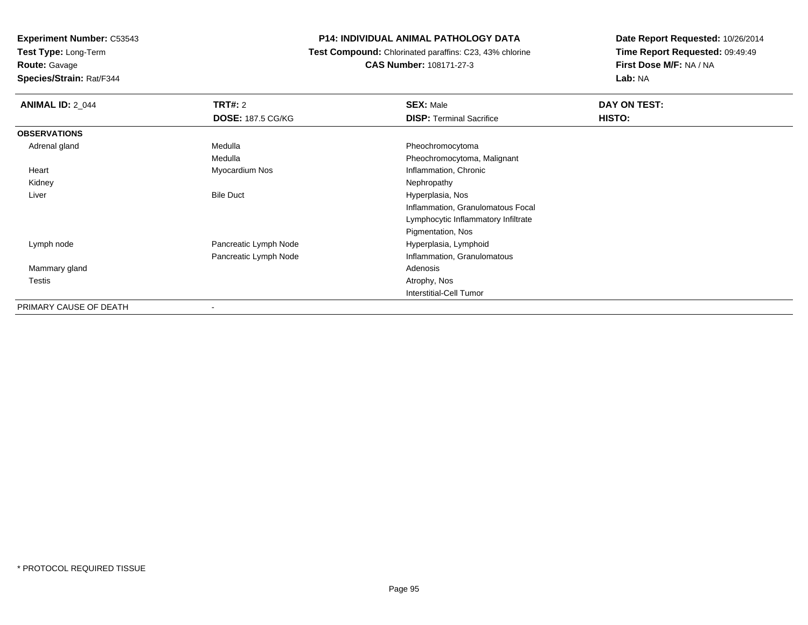**Test Type:** Long-Term

**Route:** Gavage

**Species/Strain:** Rat/F344

#### **P14: INDIVIDUAL ANIMAL PATHOLOGY DATA**

 **Test Compound:** Chlorinated paraffins: C23, 43% chlorine**CAS Number:** 108171-27-3

| <b>ANIMAL ID: 2_044</b> | <b>TRT#: 2</b><br><b>DOSE: 187.5 CG/KG</b> | <b>SEX: Male</b><br><b>DISP: Terminal Sacrifice</b> | DAY ON TEST:<br>HISTO: |
|-------------------------|--------------------------------------------|-----------------------------------------------------|------------------------|
| <b>OBSERVATIONS</b>     |                                            |                                                     |                        |
| Adrenal gland           | Medulla                                    | Pheochromocytoma                                    |                        |
|                         | Medulla                                    | Pheochromocytoma, Malignant                         |                        |
| Heart                   | Myocardium Nos                             | Inflammation, Chronic                               |                        |
| Kidney                  |                                            | Nephropathy                                         |                        |
| Liver                   | <b>Bile Duct</b>                           | Hyperplasia, Nos                                    |                        |
|                         |                                            | Inflammation, Granulomatous Focal                   |                        |
|                         |                                            | Lymphocytic Inflammatory Infiltrate                 |                        |
|                         |                                            | Pigmentation, Nos                                   |                        |
| Lymph node              | Pancreatic Lymph Node                      | Hyperplasia, Lymphoid                               |                        |
|                         | Pancreatic Lymph Node                      | Inflammation, Granulomatous                         |                        |
| Mammary gland           |                                            | Adenosis                                            |                        |
| <b>Testis</b>           |                                            | Atrophy, Nos                                        |                        |
|                         |                                            | <b>Interstitial-Cell Tumor</b>                      |                        |
| PRIMARY CAUSE OF DEATH  | $\overline{\phantom{a}}$                   |                                                     |                        |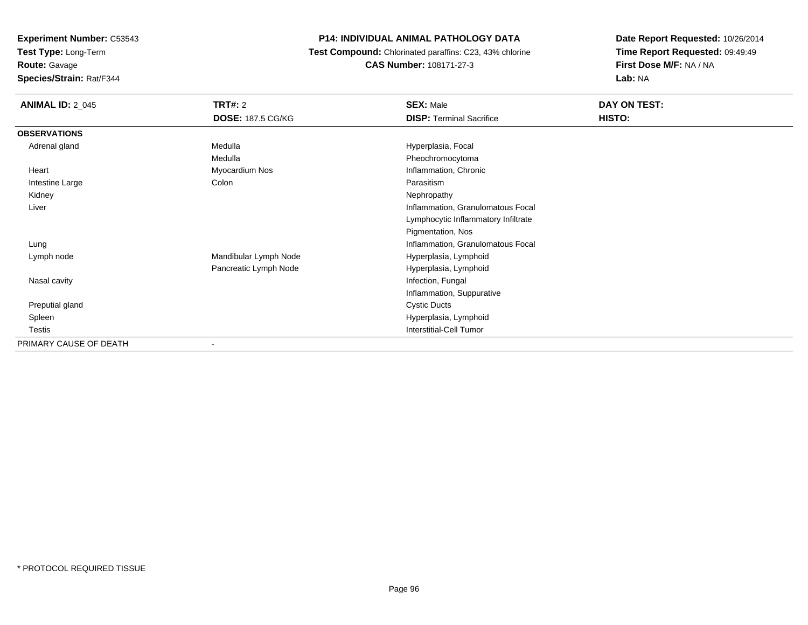**Test Type:** Long-Term

**Route:** Gavage

**Species/Strain:** Rat/F344

## **P14: INDIVIDUAL ANIMAL PATHOLOGY DATA**

 **Test Compound:** Chlorinated paraffins: C23, 43% chlorine**CAS Number:** 108171-27-3

| <b>ANIMAL ID: 2_045</b> | <b>TRT#: 2</b>           | <b>SEX: Male</b>                    | DAY ON TEST: |
|-------------------------|--------------------------|-------------------------------------|--------------|
|                         | <b>DOSE: 187.5 CG/KG</b> | <b>DISP: Terminal Sacrifice</b>     | HISTO:       |
| <b>OBSERVATIONS</b>     |                          |                                     |              |
| Adrenal gland           | Medulla                  | Hyperplasia, Focal                  |              |
|                         | Medulla                  | Pheochromocytoma                    |              |
| Heart                   | Myocardium Nos           | Inflammation, Chronic               |              |
| Intestine Large         | Colon                    | Parasitism                          |              |
| Kidney                  |                          | Nephropathy                         |              |
| Liver                   |                          | Inflammation, Granulomatous Focal   |              |
|                         |                          | Lymphocytic Inflammatory Infiltrate |              |
|                         |                          | Pigmentation, Nos                   |              |
| Lung                    |                          | Inflammation, Granulomatous Focal   |              |
| Lymph node              | Mandibular Lymph Node    | Hyperplasia, Lymphoid               |              |
|                         | Pancreatic Lymph Node    | Hyperplasia, Lymphoid               |              |
| Nasal cavity            |                          | Infection, Fungal                   |              |
|                         |                          | Inflammation, Suppurative           |              |
| Preputial gland         |                          | <b>Cystic Ducts</b>                 |              |
| Spleen                  |                          | Hyperplasia, Lymphoid               |              |
| Testis                  |                          | <b>Interstitial-Cell Tumor</b>      |              |
| PRIMARY CAUSE OF DEATH  |                          |                                     |              |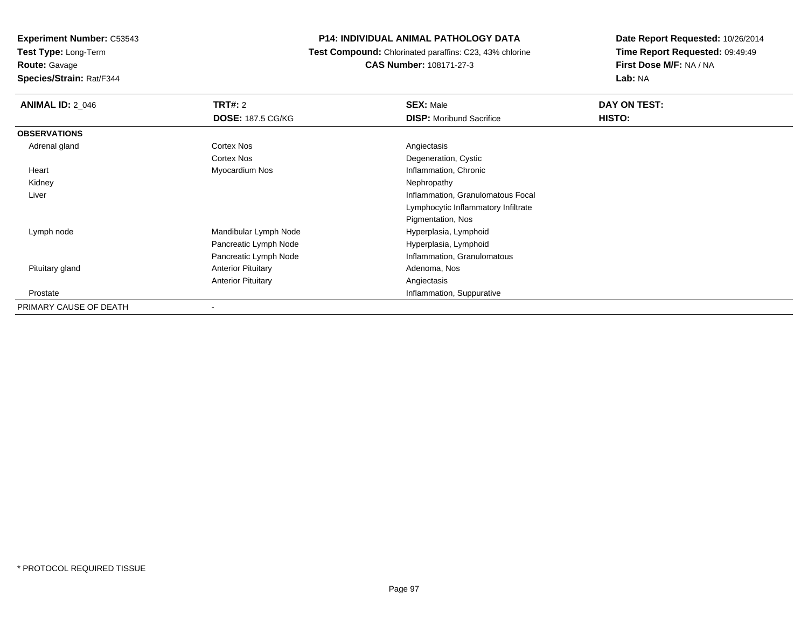**Test Type:** Long-Term

# **Route:** Gavage

**Species/Strain:** Rat/F344

## **P14: INDIVIDUAL ANIMAL PATHOLOGY DATA**

 **Test Compound:** Chlorinated paraffins: C23, 43% chlorine**CAS Number:** 108171-27-3

| <b>ANIMAL ID: 2 046</b> | <b>TRT#: 2</b><br><b>DOSE: 187.5 CG/KG</b> | <b>SEX: Male</b><br><b>DISP:</b> Moribund Sacrifice | DAY ON TEST:<br><b>HISTO:</b> |
|-------------------------|--------------------------------------------|-----------------------------------------------------|-------------------------------|
| <b>OBSERVATIONS</b>     |                                            |                                                     |                               |
| Adrenal gland           | Cortex Nos                                 | Angiectasis                                         |                               |
|                         | Cortex Nos                                 | Degeneration, Cystic                                |                               |
| Heart                   | Myocardium Nos                             | Inflammation, Chronic                               |                               |
| Kidney                  |                                            | Nephropathy                                         |                               |
| Liver                   |                                            | Inflammation, Granulomatous Focal                   |                               |
|                         |                                            | Lymphocytic Inflammatory Infiltrate                 |                               |
|                         |                                            | Pigmentation, Nos                                   |                               |
| Lymph node              | Mandibular Lymph Node                      | Hyperplasia, Lymphoid                               |                               |
|                         | Pancreatic Lymph Node                      | Hyperplasia, Lymphoid                               |                               |
|                         | Pancreatic Lymph Node                      | Inflammation, Granulomatous                         |                               |
| Pituitary gland         | <b>Anterior Pituitary</b>                  | Adenoma, Nos                                        |                               |
|                         | <b>Anterior Pituitary</b>                  | Angiectasis                                         |                               |
| Prostate                |                                            | Inflammation, Suppurative                           |                               |
| PRIMARY CAUSE OF DEATH  |                                            |                                                     |                               |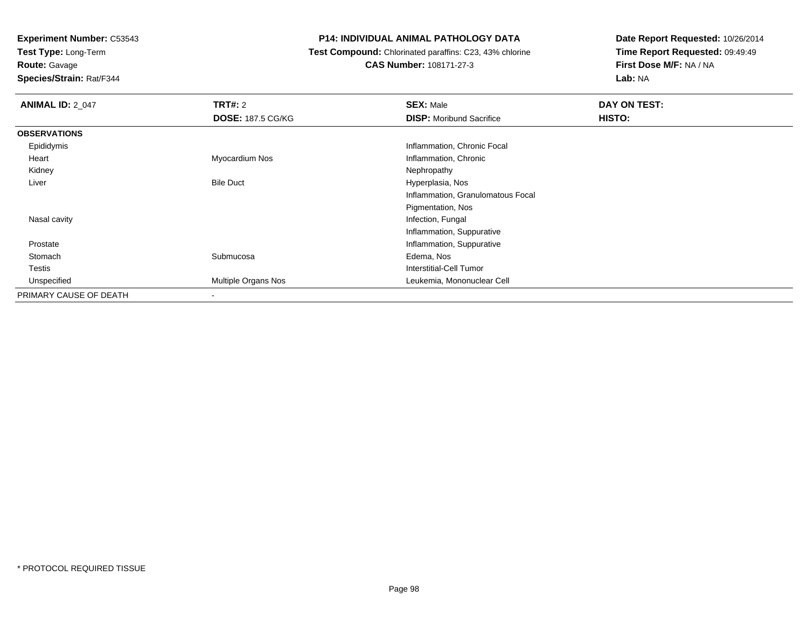**Test Type:** Long-Term

**Route:** Gavage

**Species/Strain:** Rat/F344

#### **P14: INDIVIDUAL ANIMAL PATHOLOGY DATA**

 **Test Compound:** Chlorinated paraffins: C23, 43% chlorine**CAS Number:** 108171-27-3

| <b>ANIMAL ID: 2 047</b> | <b>TRT#: 2</b>           | <b>SEX: Male</b>                  | DAY ON TEST: |  |
|-------------------------|--------------------------|-----------------------------------|--------------|--|
|                         | <b>DOSE: 187.5 CG/KG</b> | <b>DISP:</b> Moribund Sacrifice   | HISTO:       |  |
| <b>OBSERVATIONS</b>     |                          |                                   |              |  |
| Epididymis              |                          | Inflammation, Chronic Focal       |              |  |
| Heart                   | Myocardium Nos           | Inflammation, Chronic             |              |  |
| Kidney                  |                          | Nephropathy                       |              |  |
| Liver                   | <b>Bile Duct</b>         | Hyperplasia, Nos                  |              |  |
|                         |                          | Inflammation, Granulomatous Focal |              |  |
|                         |                          | Pigmentation, Nos                 |              |  |
| Nasal cavity            |                          | Infection, Fungal                 |              |  |
|                         |                          | Inflammation, Suppurative         |              |  |
| Prostate                |                          | Inflammation, Suppurative         |              |  |
| Stomach                 | Submucosa                | Edema, Nos                        |              |  |
| Testis                  |                          | Interstitial-Cell Tumor           |              |  |
| Unspecified             | Multiple Organs Nos      | Leukemia, Mononuclear Cell        |              |  |
| PRIMARY CAUSE OF DEATH  |                          |                                   |              |  |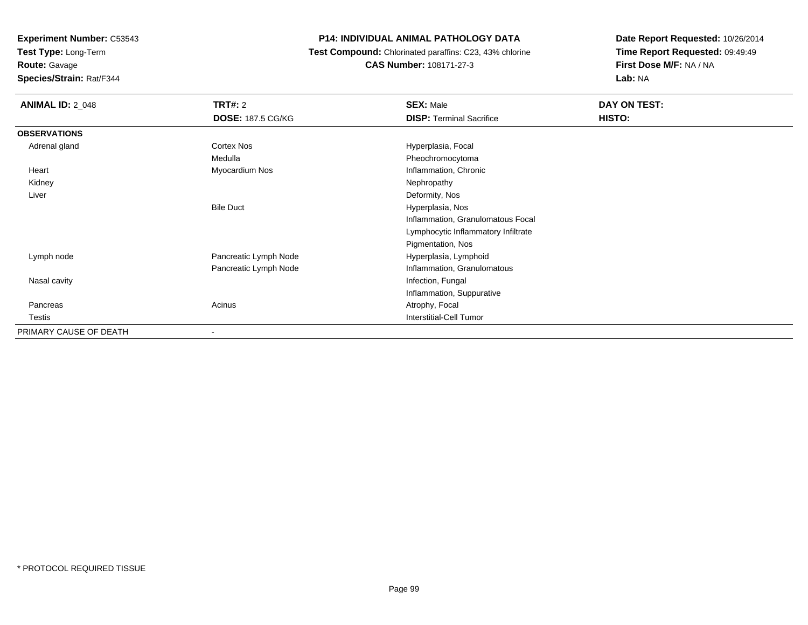**Test Type:** Long-Term

**Route:** Gavage

**Species/Strain:** Rat/F344

## **P14: INDIVIDUAL ANIMAL PATHOLOGY DATA**

 **Test Compound:** Chlorinated paraffins: C23, 43% chlorine**CAS Number:** 108171-27-3

| <b>ANIMAL ID: 2_048</b> | <b>TRT#: 2</b>           | <b>SEX: Male</b>                    | DAY ON TEST: |  |
|-------------------------|--------------------------|-------------------------------------|--------------|--|
|                         | <b>DOSE: 187.5 CG/KG</b> | <b>DISP: Terminal Sacrifice</b>     | HISTO:       |  |
| <b>OBSERVATIONS</b>     |                          |                                     |              |  |
| Adrenal gland           | <b>Cortex Nos</b>        | Hyperplasia, Focal                  |              |  |
|                         | Medulla                  | Pheochromocytoma                    |              |  |
| Heart                   | Myocardium Nos           | Inflammation, Chronic               |              |  |
| Kidney                  |                          | Nephropathy                         |              |  |
| Liver                   |                          | Deformity, Nos                      |              |  |
|                         | <b>Bile Duct</b>         | Hyperplasia, Nos                    |              |  |
|                         |                          | Inflammation, Granulomatous Focal   |              |  |
|                         |                          | Lymphocytic Inflammatory Infiltrate |              |  |
|                         |                          | Pigmentation, Nos                   |              |  |
| Lymph node              | Pancreatic Lymph Node    | Hyperplasia, Lymphoid               |              |  |
|                         | Pancreatic Lymph Node    | Inflammation, Granulomatous         |              |  |
| Nasal cavity            |                          | Infection, Fungal                   |              |  |
|                         |                          | Inflammation, Suppurative           |              |  |
| Pancreas                | Acinus                   | Atrophy, Focal                      |              |  |
| Testis                  |                          | <b>Interstitial-Cell Tumor</b>      |              |  |
| PRIMARY CAUSE OF DEATH  | $\overline{\phantom{a}}$ |                                     |              |  |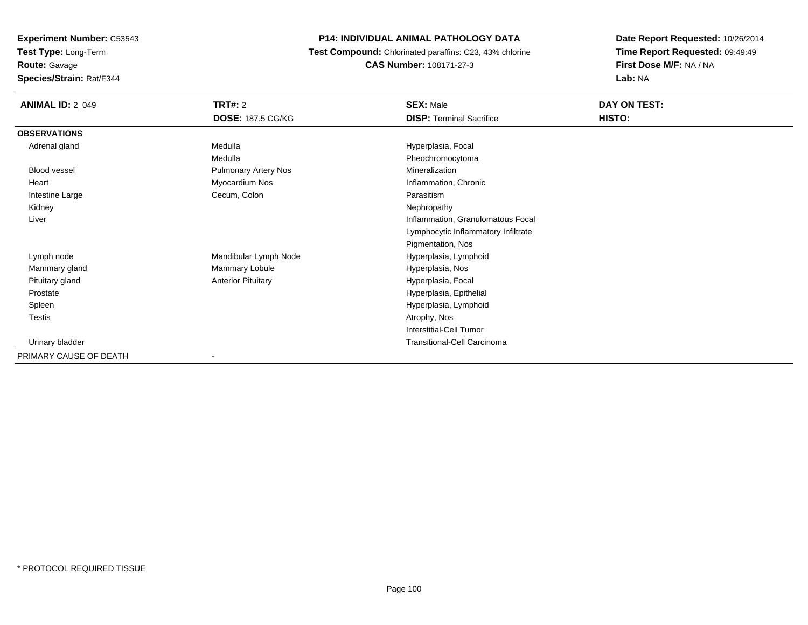**Test Type:** Long-Term

**Route:** Gavage

**Species/Strain:** Rat/F344

# **P14: INDIVIDUAL ANIMAL PATHOLOGY DATA**

 **Test Compound:** Chlorinated paraffins: C23, 43% chlorine**CAS Number:** 108171-27-3

| <b>ANIMAL ID: 2_049</b> | TRT#: 2                     | <b>SEX: Male</b>                    | DAY ON TEST: |
|-------------------------|-----------------------------|-------------------------------------|--------------|
|                         | <b>DOSE: 187.5 CG/KG</b>    | <b>DISP: Terminal Sacrifice</b>     | HISTO:       |
| <b>OBSERVATIONS</b>     |                             |                                     |              |
| Adrenal gland           | Medulla                     | Hyperplasia, Focal                  |              |
|                         | Medulla                     | Pheochromocytoma                    |              |
| <b>Blood vessel</b>     | <b>Pulmonary Artery Nos</b> | Mineralization                      |              |
| Heart                   | Myocardium Nos              | Inflammation, Chronic               |              |
| Intestine Large         | Cecum, Colon                | Parasitism                          |              |
| Kidney                  |                             | Nephropathy                         |              |
| Liver                   |                             | Inflammation, Granulomatous Focal   |              |
|                         |                             | Lymphocytic Inflammatory Infiltrate |              |
|                         |                             | Pigmentation, Nos                   |              |
| Lymph node              | Mandibular Lymph Node       | Hyperplasia, Lymphoid               |              |
| Mammary gland           | Mammary Lobule              | Hyperplasia, Nos                    |              |
| Pituitary gland         | <b>Anterior Pituitary</b>   | Hyperplasia, Focal                  |              |
| Prostate                |                             | Hyperplasia, Epithelial             |              |
| Spleen                  |                             | Hyperplasia, Lymphoid               |              |
| Testis                  |                             | Atrophy, Nos                        |              |
|                         |                             | <b>Interstitial-Cell Tumor</b>      |              |
| Urinary bladder         |                             | <b>Transitional-Cell Carcinoma</b>  |              |
| PRIMARY CAUSE OF DEATH  |                             |                                     |              |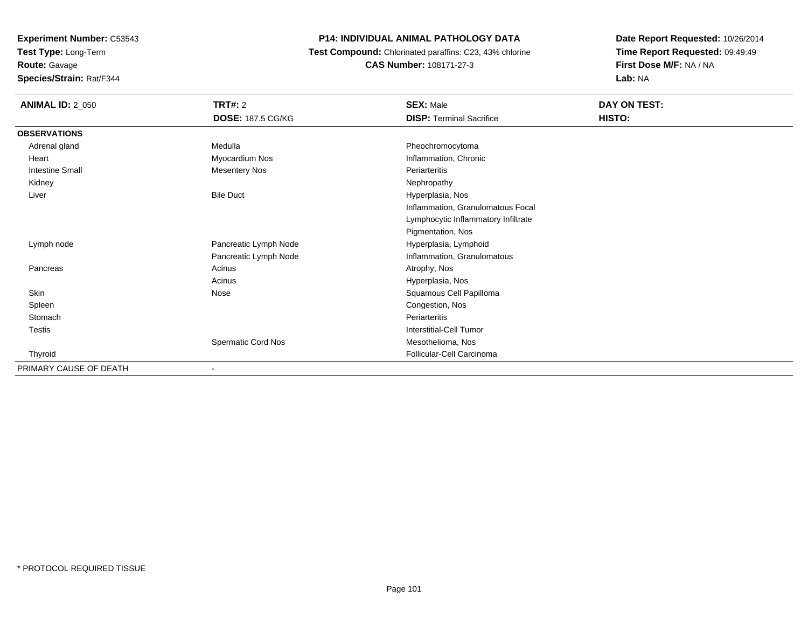**Test Type:** Long-Term

**Route:** Gavage

**Species/Strain:** Rat/F344

## **P14: INDIVIDUAL ANIMAL PATHOLOGY DATA**

 **Test Compound:** Chlorinated paraffins: C23, 43% chlorine**CAS Number:** 108171-27-3

| <b>ANIMAL ID: 2_050</b> | TRT#: 2                  | <b>SEX: Male</b>                    | DAY ON TEST: |  |
|-------------------------|--------------------------|-------------------------------------|--------------|--|
|                         | <b>DOSE: 187.5 CG/KG</b> | <b>DISP: Terminal Sacrifice</b>     | HISTO:       |  |
| <b>OBSERVATIONS</b>     |                          |                                     |              |  |
| Adrenal gland           | Medulla                  | Pheochromocytoma                    |              |  |
| Heart                   | Myocardium Nos           | Inflammation, Chronic               |              |  |
| <b>Intestine Small</b>  | <b>Mesentery Nos</b>     | Periarteritis                       |              |  |
| Kidney                  |                          | Nephropathy                         |              |  |
| Liver                   | <b>Bile Duct</b>         | Hyperplasia, Nos                    |              |  |
|                         |                          | Inflammation, Granulomatous Focal   |              |  |
|                         |                          | Lymphocytic Inflammatory Infiltrate |              |  |
|                         |                          | Pigmentation, Nos                   |              |  |
| Lymph node              | Pancreatic Lymph Node    | Hyperplasia, Lymphoid               |              |  |
|                         | Pancreatic Lymph Node    | Inflammation, Granulomatous         |              |  |
| Pancreas                | Acinus                   | Atrophy, Nos                        |              |  |
|                         | Acinus                   | Hyperplasia, Nos                    |              |  |
| Skin                    | Nose                     | Squamous Cell Papilloma             |              |  |
| Spleen                  |                          | Congestion, Nos                     |              |  |
| Stomach                 |                          | Periarteritis                       |              |  |
| Testis                  |                          | Interstitial-Cell Tumor             |              |  |
|                         | Spermatic Cord Nos       | Mesothelioma, Nos                   |              |  |
| Thyroid                 |                          | Follicular-Cell Carcinoma           |              |  |
| PRIMARY CAUSE OF DEATH  | $\blacksquare$           |                                     |              |  |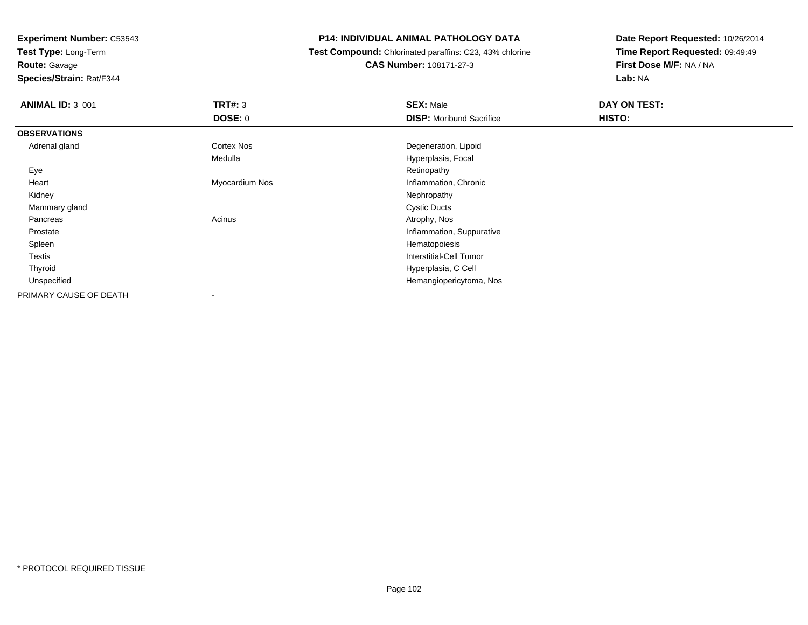**Test Type:** Long-Term

**Route:** Gavage

**Species/Strain:** Rat/F344

#### **P14: INDIVIDUAL ANIMAL PATHOLOGY DATA**

 **Test Compound:** Chlorinated paraffins: C23, 43% chlorine**CAS Number:** 108171-27-3

| <b>ANIMAL ID: 3_001</b> | TRT#: 3           | <b>SEX: Male</b>                | DAY ON TEST: |
|-------------------------|-------------------|---------------------------------|--------------|
|                         | <b>DOSE: 0</b>    | <b>DISP:</b> Moribund Sacrifice | HISTO:       |
| <b>OBSERVATIONS</b>     |                   |                                 |              |
| Adrenal gland           | <b>Cortex Nos</b> | Degeneration, Lipoid            |              |
|                         | Medulla           | Hyperplasia, Focal              |              |
| Eye                     |                   | Retinopathy                     |              |
| Heart                   | Myocardium Nos    | Inflammation, Chronic           |              |
| Kidney                  |                   | Nephropathy                     |              |
| Mammary gland           |                   | <b>Cystic Ducts</b>             |              |
| Pancreas                | Acinus            | Atrophy, Nos                    |              |
| Prostate                |                   | Inflammation, Suppurative       |              |
| Spleen                  |                   | Hematopoiesis                   |              |
| <b>Testis</b>           |                   | Interstitial-Cell Tumor         |              |
| Thyroid                 |                   | Hyperplasia, C Cell             |              |
| Unspecified             |                   | Hemangiopericytoma, Nos         |              |
| PRIMARY CAUSE OF DEATH  |                   |                                 |              |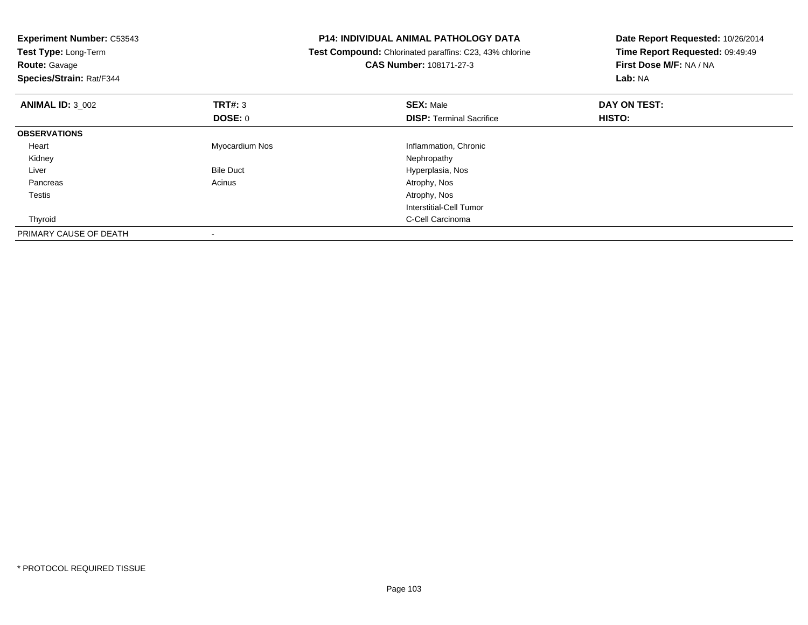| <b>Experiment Number: C53543</b><br>Test Type: Long-Term<br><b>Route: Gavage</b><br>Species/Strain: Rat/F344 |                  | <b>P14: INDIVIDUAL ANIMAL PATHOLOGY DATA</b><br>Test Compound: Chlorinated paraffins: C23, 43% chlorine<br><b>CAS Number: 108171-27-3</b> | Date Report Requested: 10/26/2014<br>Time Report Requested: 09:49:49<br>First Dose M/F: NA / NA<br>Lab: NA |
|--------------------------------------------------------------------------------------------------------------|------------------|-------------------------------------------------------------------------------------------------------------------------------------------|------------------------------------------------------------------------------------------------------------|
| <b>ANIMAL ID: 3_002</b>                                                                                      | TRT#: 3          | <b>SEX: Male</b>                                                                                                                          | DAY ON TEST:                                                                                               |
|                                                                                                              | <b>DOSE: 0</b>   | <b>DISP:</b> Terminal Sacrifice                                                                                                           | HISTO:                                                                                                     |
| <b>OBSERVATIONS</b>                                                                                          |                  |                                                                                                                                           |                                                                                                            |
| Heart                                                                                                        | Myocardium Nos   | Inflammation, Chronic                                                                                                                     |                                                                                                            |
| Kidney                                                                                                       |                  | Nephropathy                                                                                                                               |                                                                                                            |
| Liver                                                                                                        | <b>Bile Duct</b> | Hyperplasia, Nos                                                                                                                          |                                                                                                            |
| Pancreas                                                                                                     | Acinus           | Atrophy, Nos                                                                                                                              |                                                                                                            |
| Testis                                                                                                       |                  | Atrophy, Nos                                                                                                                              |                                                                                                            |
|                                                                                                              |                  | <b>Interstitial-Cell Tumor</b>                                                                                                            |                                                                                                            |
| Thyroid                                                                                                      |                  | C-Cell Carcinoma                                                                                                                          |                                                                                                            |
| PRIMARY CAUSE OF DEATH                                                                                       |                  |                                                                                                                                           |                                                                                                            |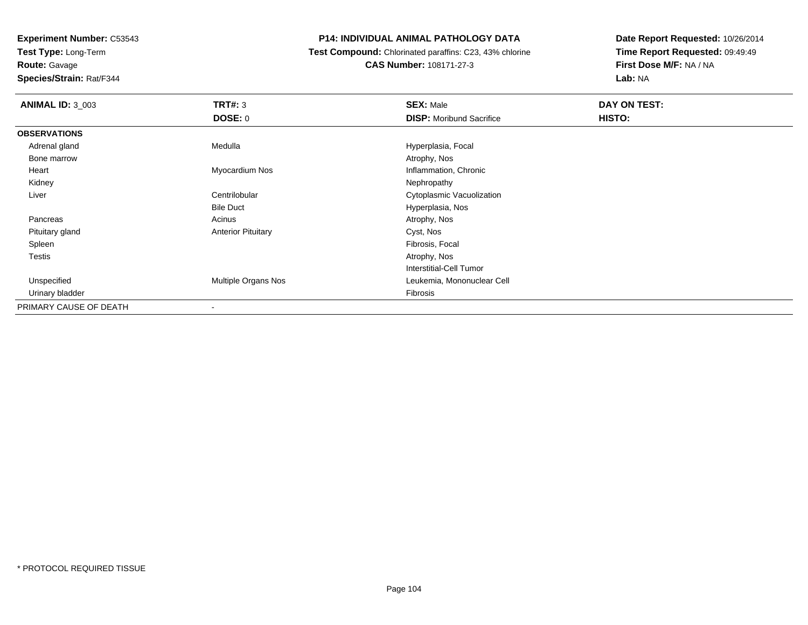**Test Type:** Long-Term

**Route:** Gavage

**Species/Strain:** Rat/F344

#### **P14: INDIVIDUAL ANIMAL PATHOLOGY DATA**

 **Test Compound:** Chlorinated paraffins: C23, 43% chlorine**CAS Number:** 108171-27-3

| <b>ANIMAL ID: 3_003</b> | TRT#: 3                   | <b>SEX: Male</b>                | DAY ON TEST: |
|-------------------------|---------------------------|---------------------------------|--------------|
|                         | <b>DOSE: 0</b>            | <b>DISP:</b> Moribund Sacrifice | HISTO:       |
| <b>OBSERVATIONS</b>     |                           |                                 |              |
| Adrenal gland           | Medulla                   | Hyperplasia, Focal              |              |
| Bone marrow             |                           | Atrophy, Nos                    |              |
| Heart                   | Myocardium Nos            | Inflammation, Chronic           |              |
| Kidney                  |                           | Nephropathy                     |              |
| Liver                   | Centrilobular             | Cytoplasmic Vacuolization       |              |
|                         | <b>Bile Duct</b>          | Hyperplasia, Nos                |              |
| Pancreas                | Acinus                    | Atrophy, Nos                    |              |
| Pituitary gland         | <b>Anterior Pituitary</b> | Cyst, Nos                       |              |
| Spleen                  |                           | Fibrosis, Focal                 |              |
| <b>Testis</b>           |                           | Atrophy, Nos                    |              |
|                         |                           | <b>Interstitial-Cell Tumor</b>  |              |
| Unspecified             | Multiple Organs Nos       | Leukemia, Mononuclear Cell      |              |
| Urinary bladder         |                           | Fibrosis                        |              |
| PRIMARY CAUSE OF DEATH  |                           |                                 |              |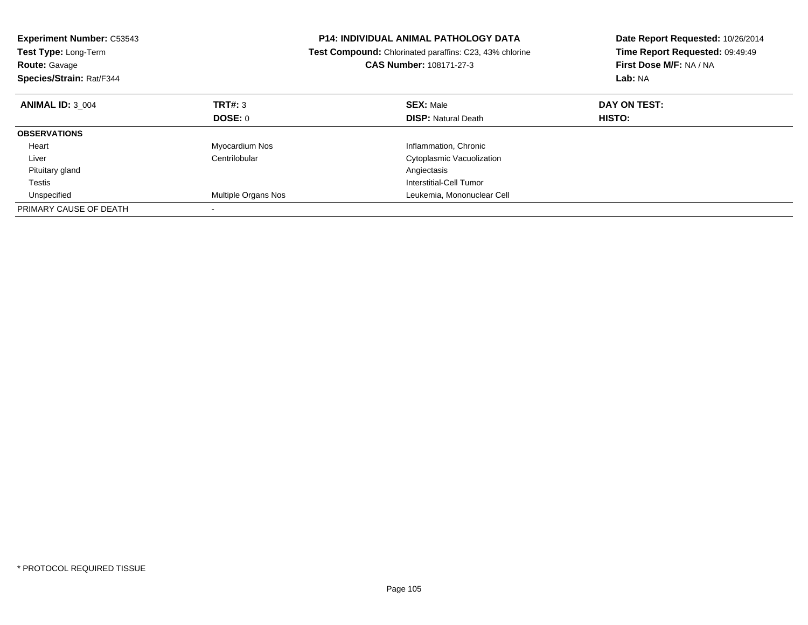| <b>Experiment Number: C53543</b><br><b>Test Type: Long-Term</b><br><b>Route: Gavage</b><br>Species/Strain: Rat/F344 |                            | <b>P14: INDIVIDUAL ANIMAL PATHOLOGY DATA</b><br>Test Compound: Chlorinated paraffins: C23, 43% chlorine<br><b>CAS Number: 108171-27-3</b> | Date Report Requested: 10/26/2014<br>Time Report Requested: 09:49:49<br>First Dose M/F: NA / NA<br>Lab: NA |
|---------------------------------------------------------------------------------------------------------------------|----------------------------|-------------------------------------------------------------------------------------------------------------------------------------------|------------------------------------------------------------------------------------------------------------|
| <b>ANIMAL ID: 3 004</b>                                                                                             | TRT#: 3                    | <b>SEX: Male</b>                                                                                                                          | DAY ON TEST:                                                                                               |
|                                                                                                                     | DOSE: 0                    | <b>DISP:</b> Natural Death                                                                                                                | HISTO:                                                                                                     |
| <b>OBSERVATIONS</b>                                                                                                 |                            |                                                                                                                                           |                                                                                                            |
| Heart                                                                                                               | Myocardium Nos             | Inflammation, Chronic                                                                                                                     |                                                                                                            |
| Liver                                                                                                               | Centrilobular              | <b>Cytoplasmic Vacuolization</b>                                                                                                          |                                                                                                            |
| Pituitary gland                                                                                                     |                            | Angiectasis                                                                                                                               |                                                                                                            |
| Testis                                                                                                              |                            | Interstitial-Cell Tumor                                                                                                                   |                                                                                                            |
| Unspecified                                                                                                         | <b>Multiple Organs Nos</b> | Leukemia, Mononuclear Cell                                                                                                                |                                                                                                            |
| PRIMARY CAUSE OF DEATH                                                                                              |                            |                                                                                                                                           |                                                                                                            |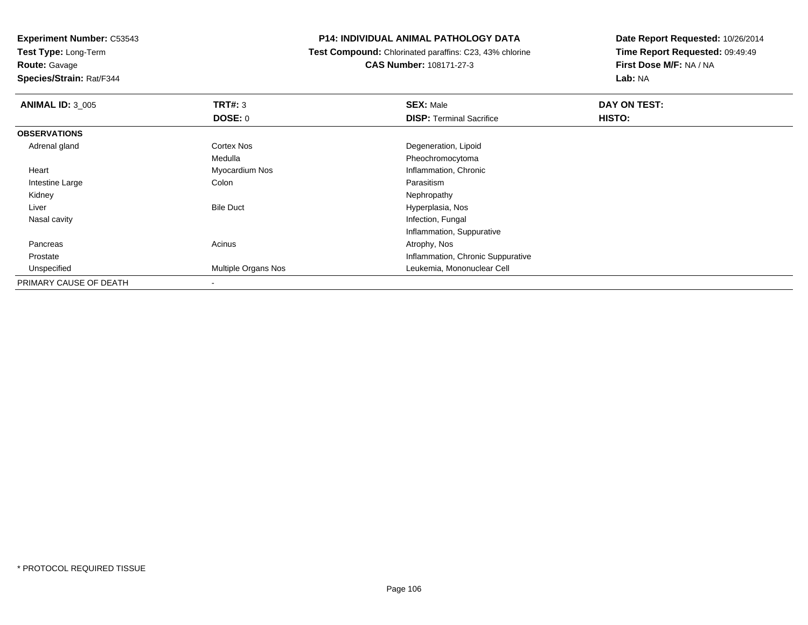**Test Type:** Long-Term

**Route:** Gavage

**Species/Strain:** Rat/F344

## **P14: INDIVIDUAL ANIMAL PATHOLOGY DATA**

 **Test Compound:** Chlorinated paraffins: C23, 43% chlorine**CAS Number:** 108171-27-3

| <b>ANIMAL ID: 3 005</b> | TRT#: 3             | <b>SEX: Male</b>                  | DAY ON TEST: |  |
|-------------------------|---------------------|-----------------------------------|--------------|--|
|                         | <b>DOSE: 0</b>      | <b>DISP:</b> Terminal Sacrifice   | HISTO:       |  |
| <b>OBSERVATIONS</b>     |                     |                                   |              |  |
| Adrenal gland           | Cortex Nos          | Degeneration, Lipoid              |              |  |
|                         | Medulla             | Pheochromocytoma                  |              |  |
| Heart                   | Myocardium Nos      | Inflammation, Chronic             |              |  |
| Intestine Large         | Colon               | Parasitism                        |              |  |
| Kidney                  |                     | Nephropathy                       |              |  |
| Liver                   | <b>Bile Duct</b>    | Hyperplasia, Nos                  |              |  |
| Nasal cavity            |                     | Infection, Fungal                 |              |  |
|                         |                     | Inflammation, Suppurative         |              |  |
| Pancreas                | Acinus              | Atrophy, Nos                      |              |  |
| Prostate                |                     | Inflammation, Chronic Suppurative |              |  |
| Unspecified             | Multiple Organs Nos | Leukemia, Mononuclear Cell        |              |  |
| PRIMARY CAUSE OF DEATH  |                     |                                   |              |  |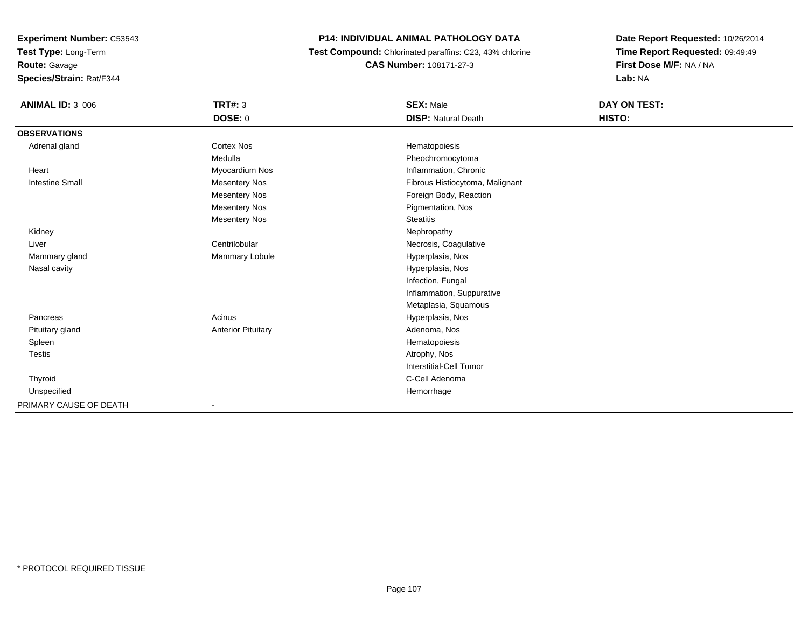**Test Type:** Long-Term

**Route:** Gavage

**Species/Strain:** Rat/F344

# **P14: INDIVIDUAL ANIMAL PATHOLOGY DATA**

 **Test Compound:** Chlorinated paraffins: C23, 43% chlorine**CAS Number:** 108171-27-3

| <b>ANIMAL ID: 3_006</b> | <b>TRT#: 3</b>            | <b>SEX: Male</b>                | DAY ON TEST: |
|-------------------------|---------------------------|---------------------------------|--------------|
|                         | DOSE: 0                   | <b>DISP: Natural Death</b>      | HISTO:       |
| <b>OBSERVATIONS</b>     |                           |                                 |              |
| Adrenal gland           | <b>Cortex Nos</b>         | Hematopoiesis                   |              |
|                         | Medulla                   | Pheochromocytoma                |              |
| Heart                   | Myocardium Nos            | Inflammation, Chronic           |              |
| <b>Intestine Small</b>  | <b>Mesentery Nos</b>      | Fibrous Histiocytoma, Malignant |              |
|                         | <b>Mesentery Nos</b>      | Foreign Body, Reaction          |              |
|                         | <b>Mesentery Nos</b>      | Pigmentation, Nos               |              |
|                         | <b>Mesentery Nos</b>      | <b>Steatitis</b>                |              |
| Kidney                  |                           | Nephropathy                     |              |
| Liver                   | Centrilobular             | Necrosis, Coagulative           |              |
| Mammary gland           | Mammary Lobule            | Hyperplasia, Nos                |              |
| Nasal cavity            |                           | Hyperplasia, Nos                |              |
|                         |                           | Infection, Fungal               |              |
|                         |                           | Inflammation, Suppurative       |              |
|                         |                           | Metaplasia, Squamous            |              |
| Pancreas                | Acinus                    | Hyperplasia, Nos                |              |
| Pituitary gland         | <b>Anterior Pituitary</b> | Adenoma, Nos                    |              |
| Spleen                  |                           | Hematopoiesis                   |              |
| <b>Testis</b>           |                           | Atrophy, Nos                    |              |
|                         |                           | <b>Interstitial-Cell Tumor</b>  |              |
| Thyroid                 |                           | C-Cell Adenoma                  |              |
| Unspecified             |                           | Hemorrhage                      |              |
| PRIMARY CAUSE OF DEATH  | $\blacksquare$            |                                 |              |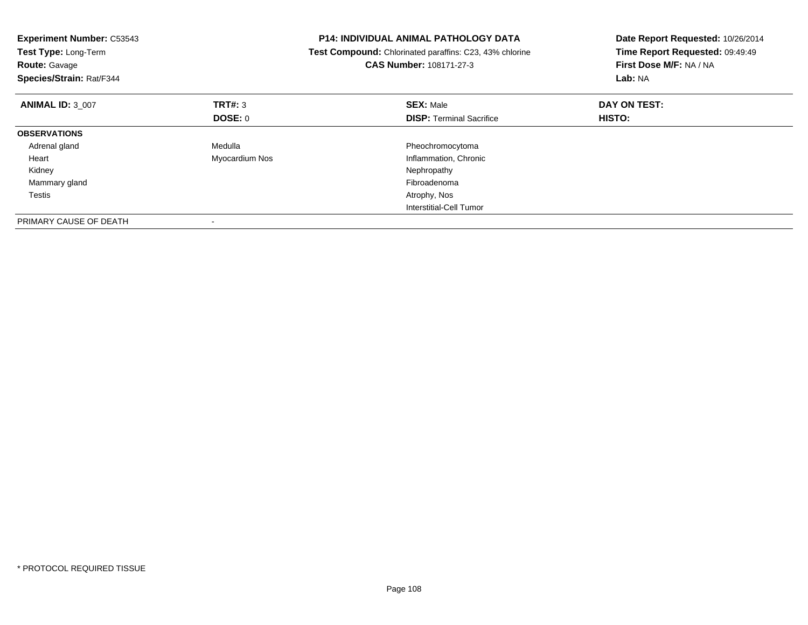| <b>Experiment Number: C53543</b><br>Test Type: Long-Term<br><b>Route: Gavage</b><br>Species/Strain: Rat/F344 |                | <b>P14: INDIVIDUAL ANIMAL PATHOLOGY DATA</b><br>Test Compound: Chlorinated paraffins: C23, 43% chlorine<br><b>CAS Number: 108171-27-3</b> | Date Report Requested: 10/26/2014<br>Time Report Requested: 09:49:49<br>First Dose M/F: NA / NA<br>Lab: NA |
|--------------------------------------------------------------------------------------------------------------|----------------|-------------------------------------------------------------------------------------------------------------------------------------------|------------------------------------------------------------------------------------------------------------|
| <b>ANIMAL ID: 3 007</b>                                                                                      | TRT#: 3        | <b>SEX: Male</b>                                                                                                                          | DAY ON TEST:                                                                                               |
|                                                                                                              | DOSE: 0        | <b>DISP:</b> Terminal Sacrifice                                                                                                           | HISTO:                                                                                                     |
| <b>OBSERVATIONS</b>                                                                                          |                |                                                                                                                                           |                                                                                                            |
| Adrenal gland                                                                                                | Medulla        | Pheochromocytoma                                                                                                                          |                                                                                                            |
| Heart                                                                                                        | Myocardium Nos | Inflammation, Chronic                                                                                                                     |                                                                                                            |
| Kidney                                                                                                       |                | Nephropathy                                                                                                                               |                                                                                                            |
| Mammary gland                                                                                                |                | Fibroadenoma                                                                                                                              |                                                                                                            |
| Testis                                                                                                       |                | Atrophy, Nos                                                                                                                              |                                                                                                            |
|                                                                                                              |                | Interstitial-Cell Tumor                                                                                                                   |                                                                                                            |
| PRIMARY CAUSE OF DEATH                                                                                       |                |                                                                                                                                           |                                                                                                            |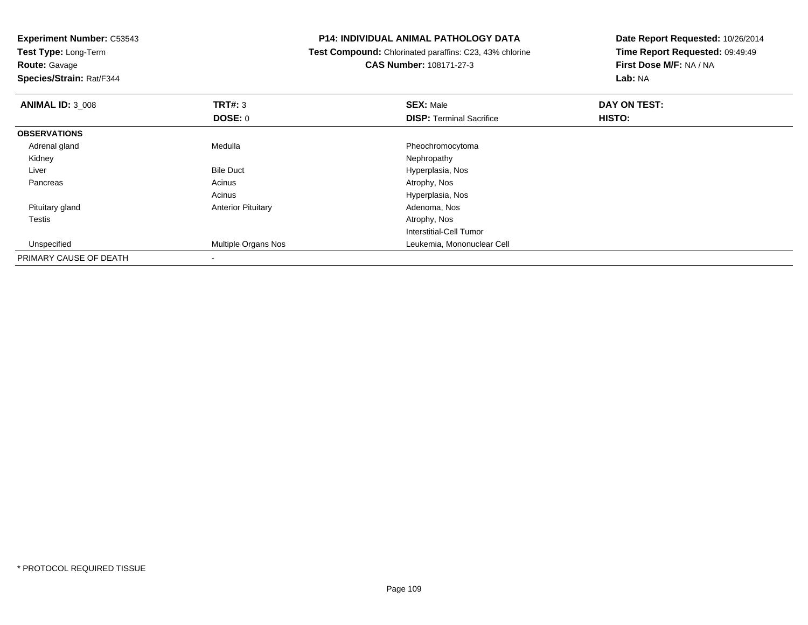| <b>Experiment Number: C53543</b> |                           | <b>P14: INDIVIDUAL ANIMAL PATHOLOGY DATA</b>            | Date Report Requested: 10/26/2014 |
|----------------------------------|---------------------------|---------------------------------------------------------|-----------------------------------|
| <b>Test Type: Long-Term</b>      |                           | Test Compound: Chlorinated paraffins: C23, 43% chlorine | Time Report Requested: 09:49:49   |
| <b>Route: Gavage</b>             |                           | <b>CAS Number: 108171-27-3</b>                          | First Dose M/F: NA / NA           |
| Species/Strain: Rat/F344         |                           |                                                         | Lab: NA                           |
| <b>ANIMAL ID: 3_008</b>          | <b>TRT#: 3</b>            | <b>SEX: Male</b>                                        | DAY ON TEST:                      |
|                                  | <b>DOSE: 0</b>            | <b>DISP: Terminal Sacrifice</b>                         | HISTO:                            |
| <b>OBSERVATIONS</b>              |                           |                                                         |                                   |
| Adrenal gland                    | Medulla                   | Pheochromocytoma                                        |                                   |
| Kidney                           |                           | Nephropathy                                             |                                   |
| Liver                            | <b>Bile Duct</b>          | Hyperplasia, Nos                                        |                                   |
| Pancreas                         | Acinus                    | Atrophy, Nos                                            |                                   |
|                                  | Acinus                    | Hyperplasia, Nos                                        |                                   |
| Pituitary gland                  | <b>Anterior Pituitary</b> | Adenoma, Nos                                            |                                   |
| Testis                           |                           | Atrophy, Nos                                            |                                   |
|                                  |                           | <b>Interstitial-Cell Tumor</b>                          |                                   |
| Unspecified                      | Multiple Organs Nos       | Leukemia, Mononuclear Cell                              |                                   |
| PRIMARY CAUSE OF DEATH           |                           |                                                         |                                   |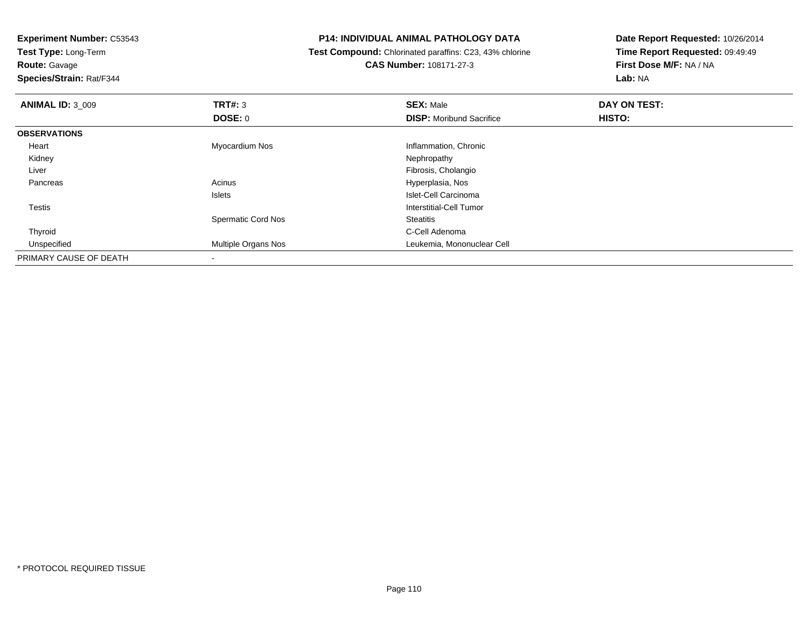**Test Type:** Long-Term**Route:** Gavage

**Species/Strain:** Rat/F344

### **P14: INDIVIDUAL ANIMAL PATHOLOGY DATA**

 **Test Compound:** Chlorinated paraffins: C23, 43% chlorine**CAS Number:** 108171-27-3

| <b>ANIMAL ID: 3 009</b> | TRT#: 3                   | <b>SEX: Male</b>                | DAY ON TEST: |  |
|-------------------------|---------------------------|---------------------------------|--------------|--|
|                         | <b>DOSE: 0</b>            | <b>DISP:</b> Moribund Sacrifice | HISTO:       |  |
| <b>OBSERVATIONS</b>     |                           |                                 |              |  |
| Heart                   | Myocardium Nos            | Inflammation, Chronic           |              |  |
| Kidney                  |                           | Nephropathy                     |              |  |
| Liver                   |                           | Fibrosis, Cholangio             |              |  |
| Pancreas                | Acinus                    | Hyperplasia, Nos                |              |  |
|                         | Islets                    | Islet-Cell Carcinoma            |              |  |
| <b>Testis</b>           |                           | Interstitial-Cell Tumor         |              |  |
|                         | <b>Spermatic Cord Nos</b> | <b>Steatitis</b>                |              |  |
| Thyroid                 |                           | C-Cell Adenoma                  |              |  |
| Unspecified             | Multiple Organs Nos       | Leukemia, Mononuclear Cell      |              |  |
| PRIMARY CAUSE OF DEATH  |                           |                                 |              |  |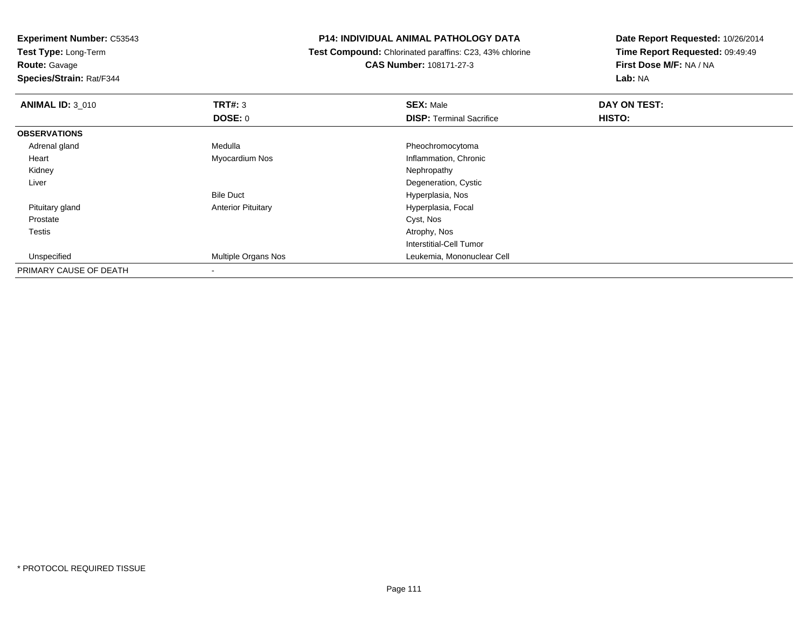**Test Type:** Long-Term

**Route:** Gavage

**Species/Strain:** Rat/F344

# **P14: INDIVIDUAL ANIMAL PATHOLOGY DATA**

 **Test Compound:** Chlorinated paraffins: C23, 43% chlorine**CAS Number:** 108171-27-3

| <b>ANIMAL ID: 3_010</b> | TRT#: 3                   | <b>SEX: Male</b>                | DAY ON TEST: |  |
|-------------------------|---------------------------|---------------------------------|--------------|--|
|                         | DOSE: 0                   | <b>DISP: Terminal Sacrifice</b> | HISTO:       |  |
| <b>OBSERVATIONS</b>     |                           |                                 |              |  |
| Adrenal gland           | Medulla                   | Pheochromocytoma                |              |  |
| Heart                   | Myocardium Nos            | Inflammation, Chronic           |              |  |
| Kidney                  |                           | Nephropathy                     |              |  |
| Liver                   |                           | Degeneration, Cystic            |              |  |
|                         | <b>Bile Duct</b>          | Hyperplasia, Nos                |              |  |
| Pituitary gland         | <b>Anterior Pituitary</b> | Hyperplasia, Focal              |              |  |
| Prostate                |                           | Cyst, Nos                       |              |  |
| Testis                  |                           | Atrophy, Nos                    |              |  |
|                         |                           | Interstitial-Cell Tumor         |              |  |
| Unspecified             | Multiple Organs Nos       | Leukemia, Mononuclear Cell      |              |  |
| PRIMARY CAUSE OF DEATH  |                           |                                 |              |  |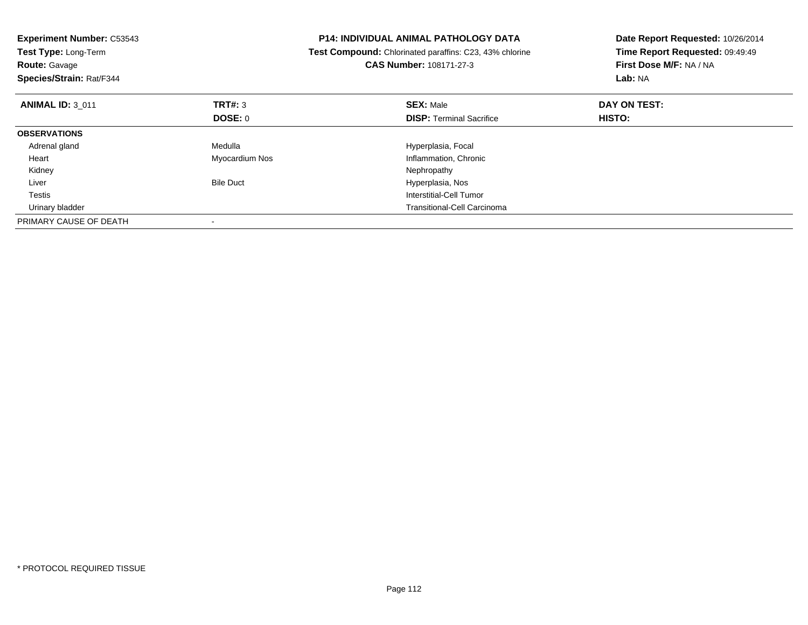| <b>Experiment Number: C53543</b><br>Test Type: Long-Term<br><b>Route: Gavage</b><br>Species/Strain: Rat/F344 |                  | <b>P14: INDIVIDUAL ANIMAL PATHOLOGY DATA</b><br>Test Compound: Chlorinated paraffins: C23, 43% chlorine<br><b>CAS Number: 108171-27-3</b> | Date Report Requested: 10/26/2014<br>Time Report Requested: 09:49:49<br>First Dose M/F: NA / NA<br>Lab: NA |  |
|--------------------------------------------------------------------------------------------------------------|------------------|-------------------------------------------------------------------------------------------------------------------------------------------|------------------------------------------------------------------------------------------------------------|--|
| <b>ANIMAL ID: 3 011</b>                                                                                      | <b>TRT#: 3</b>   | <b>SEX: Male</b>                                                                                                                          | DAY ON TEST:                                                                                               |  |
|                                                                                                              | DOSE: 0          | <b>DISP:</b> Terminal Sacrifice                                                                                                           | HISTO:                                                                                                     |  |
| <b>OBSERVATIONS</b>                                                                                          |                  |                                                                                                                                           |                                                                                                            |  |
| Adrenal gland                                                                                                | Medulla          | Hyperplasia, Focal                                                                                                                        |                                                                                                            |  |
| Heart                                                                                                        | Myocardium Nos   | Inflammation, Chronic                                                                                                                     |                                                                                                            |  |
| Kidney                                                                                                       |                  | Nephropathy                                                                                                                               |                                                                                                            |  |
| Liver                                                                                                        | <b>Bile Duct</b> | Hyperplasia, Nos                                                                                                                          |                                                                                                            |  |
| Testis                                                                                                       |                  | Interstitial-Cell Tumor                                                                                                                   |                                                                                                            |  |
| Urinary bladder                                                                                              |                  | <b>Transitional-Cell Carcinoma</b>                                                                                                        |                                                                                                            |  |
| PRIMARY CAUSE OF DEATH                                                                                       |                  |                                                                                                                                           |                                                                                                            |  |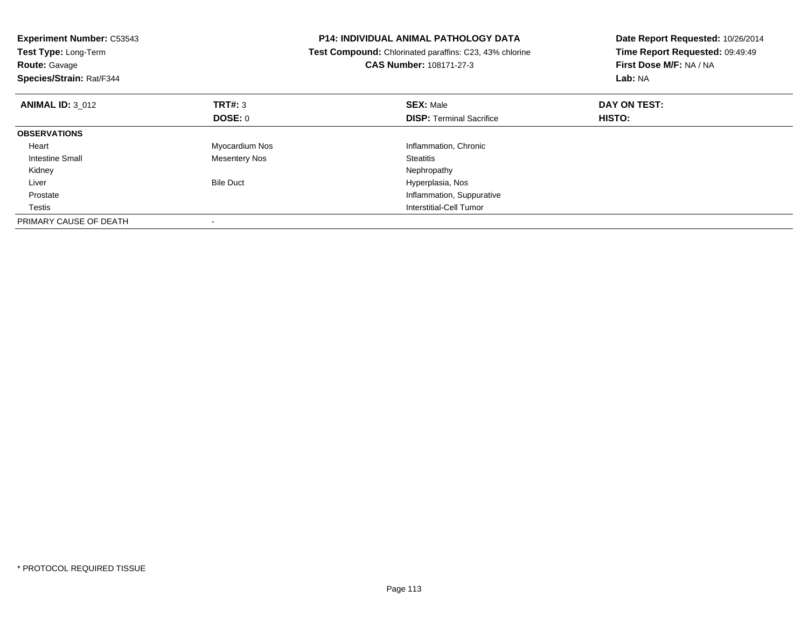| <b>Experiment Number: C53543</b><br>Test Type: Long-Term<br><b>Route: Gavage</b><br>Species/Strain: Rat/F344 |                      | <b>P14: INDIVIDUAL ANIMAL PATHOLOGY DATA</b><br>Test Compound: Chlorinated paraffins: C23, 43% chlorine<br><b>CAS Number: 108171-27-3</b> | Date Report Requested: 10/26/2014<br>Time Report Requested: 09:49:49<br>First Dose M/F: NA / NA<br>Lab: NA |
|--------------------------------------------------------------------------------------------------------------|----------------------|-------------------------------------------------------------------------------------------------------------------------------------------|------------------------------------------------------------------------------------------------------------|
| <b>ANIMAL ID: 3 012</b>                                                                                      | TRT#: 3              | <b>SEX: Male</b>                                                                                                                          | DAY ON TEST:                                                                                               |
|                                                                                                              | <b>DOSE: 0</b>       | <b>DISP:</b> Terminal Sacrifice                                                                                                           | HISTO:                                                                                                     |
| <b>OBSERVATIONS</b>                                                                                          |                      |                                                                                                                                           |                                                                                                            |
| Heart                                                                                                        | Myocardium Nos       | Inflammation, Chronic                                                                                                                     |                                                                                                            |
| <b>Intestine Small</b>                                                                                       | <b>Mesentery Nos</b> | <b>Steatitis</b>                                                                                                                          |                                                                                                            |
| Kidney                                                                                                       |                      | Nephropathy                                                                                                                               |                                                                                                            |
| Liver                                                                                                        | <b>Bile Duct</b>     | Hyperplasia, Nos                                                                                                                          |                                                                                                            |
| Prostate                                                                                                     |                      | Inflammation, Suppurative                                                                                                                 |                                                                                                            |
| Testis                                                                                                       |                      | Interstitial-Cell Tumor                                                                                                                   |                                                                                                            |
| PRIMARY CAUSE OF DEATH                                                                                       |                      |                                                                                                                                           |                                                                                                            |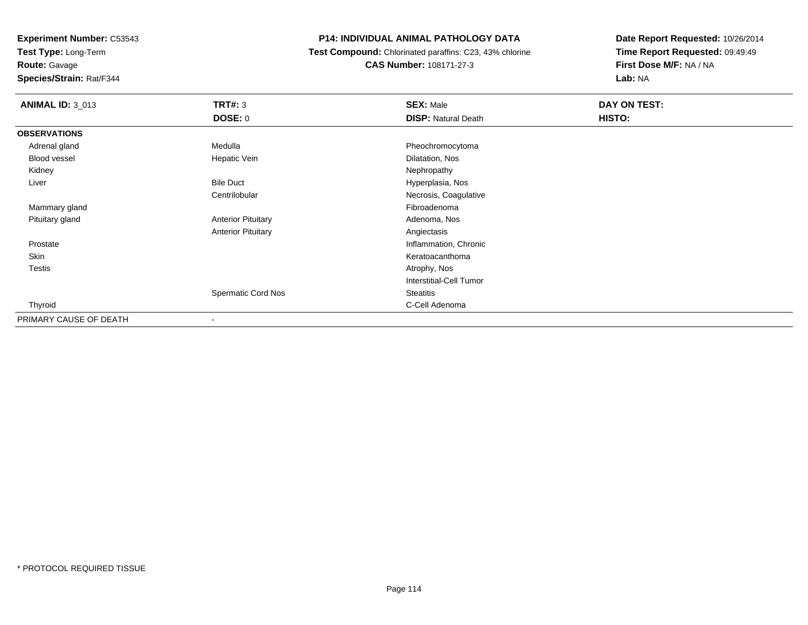**Test Type:** Long-Term

# **Route:** Gavage

**Species/Strain:** Rat/F344

# **P14: INDIVIDUAL ANIMAL PATHOLOGY DATA**

 **Test Compound:** Chlorinated paraffins: C23, 43% chlorine**CAS Number:** 108171-27-3

| <b>ANIMAL ID: 3_013</b> | TRT#: 3                   | <b>SEX: Male</b>               | DAY ON TEST: |  |
|-------------------------|---------------------------|--------------------------------|--------------|--|
|                         | <b>DOSE: 0</b>            | <b>DISP: Natural Death</b>     | HISTO:       |  |
| <b>OBSERVATIONS</b>     |                           |                                |              |  |
| Adrenal gland           | Medulla                   | Pheochromocytoma               |              |  |
| Blood vessel            | Hepatic Vein              | Dilatation, Nos                |              |  |
| Kidney                  |                           | Nephropathy                    |              |  |
| Liver                   | <b>Bile Duct</b>          | Hyperplasia, Nos               |              |  |
|                         | Centrilobular             | Necrosis, Coagulative          |              |  |
| Mammary gland           |                           | Fibroadenoma                   |              |  |
| Pituitary gland         | <b>Anterior Pituitary</b> | Adenoma, Nos                   |              |  |
|                         | <b>Anterior Pituitary</b> | Angiectasis                    |              |  |
| Prostate                |                           | Inflammation, Chronic          |              |  |
| Skin                    |                           | Keratoacanthoma                |              |  |
| Testis                  |                           | Atrophy, Nos                   |              |  |
|                         |                           | <b>Interstitial-Cell Tumor</b> |              |  |
|                         | Spermatic Cord Nos        | <b>Steatitis</b>               |              |  |
| Thyroid                 |                           | C-Cell Adenoma                 |              |  |
| PRIMARY CAUSE OF DEATH  | $\overline{\phantom{a}}$  |                                |              |  |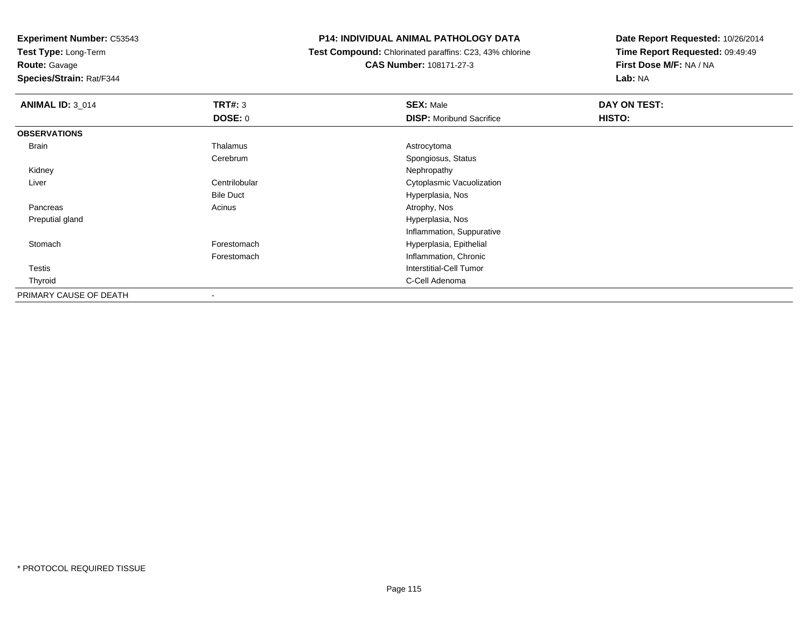**Test Type:** Long-Term

**Route:** Gavage

**Species/Strain:** Rat/F344

### **P14: INDIVIDUAL ANIMAL PATHOLOGY DATA**

 **Test Compound:** Chlorinated paraffins: C23, 43% chlorine**CAS Number:** 108171-27-3

| <b>ANIMAL ID: 3_014</b> | TRT#: 3                  | <b>SEX: Male</b>                | DAY ON TEST: |
|-------------------------|--------------------------|---------------------------------|--------------|
|                         | <b>DOSE: 0</b>           | <b>DISP:</b> Moribund Sacrifice | HISTO:       |
| <b>OBSERVATIONS</b>     |                          |                                 |              |
| Brain                   | Thalamus                 | Astrocytoma                     |              |
|                         | Cerebrum                 | Spongiosus, Status              |              |
| Kidney                  |                          | Nephropathy                     |              |
| Liver                   | Centrilobular            | Cytoplasmic Vacuolization       |              |
|                         | <b>Bile Duct</b>         | Hyperplasia, Nos                |              |
| Pancreas                | Acinus                   | Atrophy, Nos                    |              |
| Preputial gland         |                          | Hyperplasia, Nos                |              |
|                         |                          | Inflammation, Suppurative       |              |
| Stomach                 | Forestomach              | Hyperplasia, Epithelial         |              |
|                         | Forestomach              | Inflammation, Chronic           |              |
| Testis                  |                          | Interstitial-Cell Tumor         |              |
| Thyroid                 |                          | C-Cell Adenoma                  |              |
| PRIMARY CAUSE OF DEATH  | $\overline{\phantom{a}}$ |                                 |              |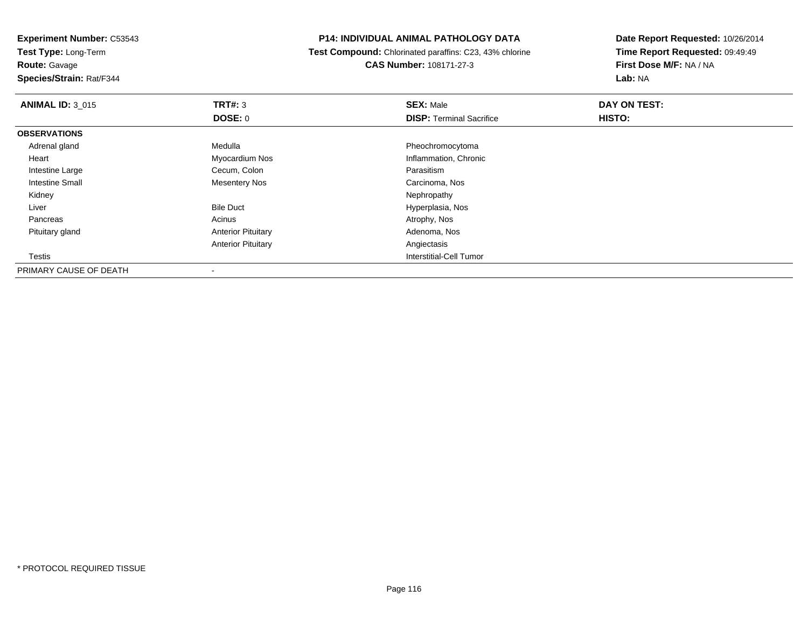**Test Type:** Long-Term

**Route:** Gavage

**Species/Strain:** Rat/F344

### **P14: INDIVIDUAL ANIMAL PATHOLOGY DATA**

 **Test Compound:** Chlorinated paraffins: C23, 43% chlorine**CAS Number:** 108171-27-3

| <b>ANIMAL ID: 3 015</b> | TRT#: 3                   | <b>SEX: Male</b>                | DAY ON TEST: |  |
|-------------------------|---------------------------|---------------------------------|--------------|--|
|                         | <b>DOSE: 0</b>            | <b>DISP: Terminal Sacrifice</b> | HISTO:       |  |
| <b>OBSERVATIONS</b>     |                           |                                 |              |  |
| Adrenal gland           | Medulla                   | Pheochromocytoma                |              |  |
| Heart                   | Myocardium Nos            | Inflammation, Chronic           |              |  |
| Intestine Large         | Cecum, Colon              | Parasitism                      |              |  |
| Intestine Small         | <b>Mesentery Nos</b>      | Carcinoma, Nos                  |              |  |
| Kidney                  |                           | Nephropathy                     |              |  |
| Liver                   | <b>Bile Duct</b>          | Hyperplasia, Nos                |              |  |
| Pancreas                | Acinus                    | Atrophy, Nos                    |              |  |
| Pituitary gland         | <b>Anterior Pituitary</b> | Adenoma, Nos                    |              |  |
|                         | <b>Anterior Pituitary</b> | Angiectasis                     |              |  |
| Testis                  |                           | Interstitial-Cell Tumor         |              |  |
| PRIMARY CAUSE OF DEATH  | $\overline{\phantom{a}}$  |                                 |              |  |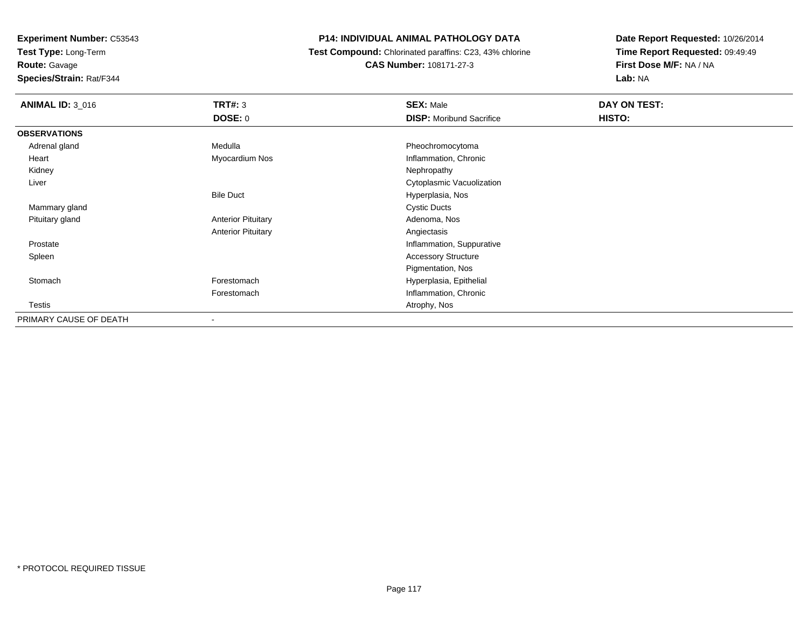**Test Type:** Long-Term

# **Route:** Gavage

**Species/Strain:** Rat/F344

# **P14: INDIVIDUAL ANIMAL PATHOLOGY DATA**

 **Test Compound:** Chlorinated paraffins: C23, 43% chlorine**CAS Number:** 108171-27-3

| <b>ANIMAL ID: 3_016</b> | <b>TRT#: 3</b>            | <b>SEX: Male</b>                | DAY ON TEST: |  |
|-------------------------|---------------------------|---------------------------------|--------------|--|
|                         | <b>DOSE: 0</b>            | <b>DISP:</b> Moribund Sacrifice | HISTO:       |  |
| <b>OBSERVATIONS</b>     |                           |                                 |              |  |
| Adrenal gland           | Medulla                   | Pheochromocytoma                |              |  |
| Heart                   | Myocardium Nos            | Inflammation, Chronic           |              |  |
| Kidney                  |                           | Nephropathy                     |              |  |
| Liver                   |                           | Cytoplasmic Vacuolization       |              |  |
|                         | <b>Bile Duct</b>          | Hyperplasia, Nos                |              |  |
| Mammary gland           |                           | <b>Cystic Ducts</b>             |              |  |
| Pituitary gland         | <b>Anterior Pituitary</b> | Adenoma, Nos                    |              |  |
|                         | <b>Anterior Pituitary</b> | Angiectasis                     |              |  |
| Prostate                |                           | Inflammation, Suppurative       |              |  |
| Spleen                  |                           | <b>Accessory Structure</b>      |              |  |
|                         |                           | Pigmentation, Nos               |              |  |
| Stomach                 | Forestomach               | Hyperplasia, Epithelial         |              |  |
|                         | Forestomach               | Inflammation, Chronic           |              |  |
| Testis                  |                           | Atrophy, Nos                    |              |  |
| PRIMARY CAUSE OF DEATH  | $\overline{\phantom{a}}$  |                                 |              |  |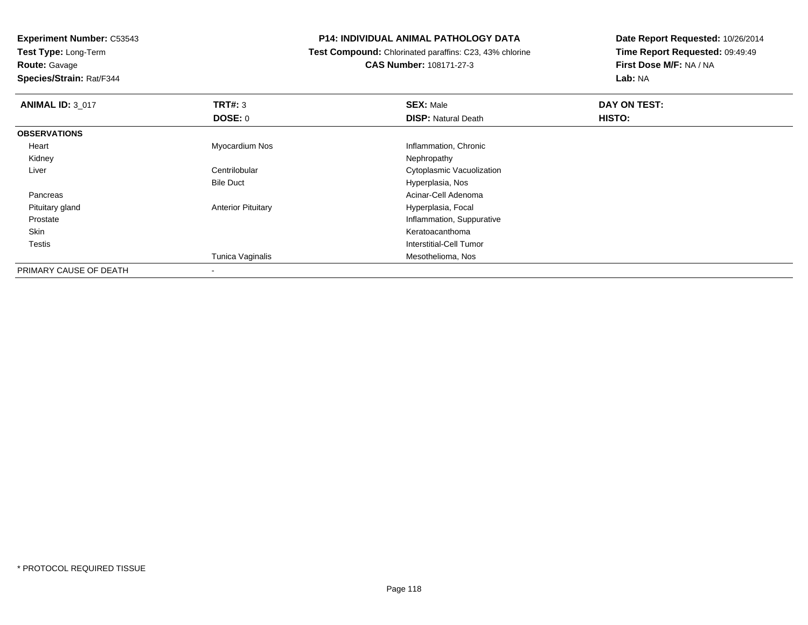**Test Type:** Long-Term

**Route:** Gavage

**Species/Strain:** Rat/F344

### **P14: INDIVIDUAL ANIMAL PATHOLOGY DATA**

 **Test Compound:** Chlorinated paraffins: C23, 43% chlorine**CAS Number:** 108171-27-3

| <b>ANIMAL ID: 3 017</b> | TRT#: 3                   | <b>SEX: Male</b>               | DAY ON TEST: |  |
|-------------------------|---------------------------|--------------------------------|--------------|--|
|                         | <b>DOSE: 0</b>            | <b>DISP: Natural Death</b>     | HISTO:       |  |
| <b>OBSERVATIONS</b>     |                           |                                |              |  |
| Heart                   | Myocardium Nos            | Inflammation, Chronic          |              |  |
| Kidney                  |                           | Nephropathy                    |              |  |
| Liver                   | Centrilobular             | Cytoplasmic Vacuolization      |              |  |
|                         | <b>Bile Duct</b>          | Hyperplasia, Nos               |              |  |
| Pancreas                |                           | Acinar-Cell Adenoma            |              |  |
| Pituitary gland         | <b>Anterior Pituitary</b> | Hyperplasia, Focal             |              |  |
| Prostate                |                           | Inflammation, Suppurative      |              |  |
| Skin                    |                           | Keratoacanthoma                |              |  |
| <b>Testis</b>           |                           | <b>Interstitial-Cell Tumor</b> |              |  |
|                         | Tunica Vaginalis          | Mesothelioma, Nos              |              |  |
| PRIMARY CAUSE OF DEATH  | $\,$ $\,$                 |                                |              |  |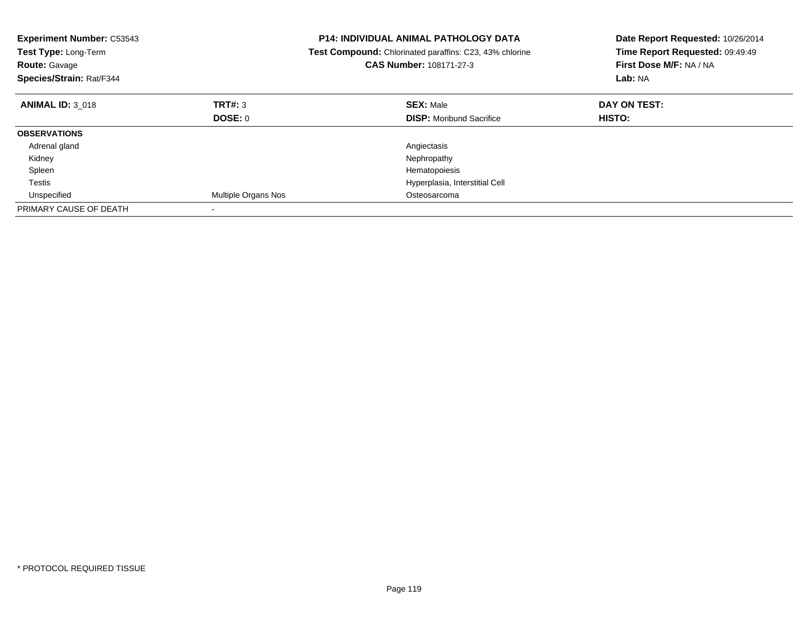| <b>Experiment Number: C53543</b><br>Test Type: Long-Term<br><b>Route: Gavage</b><br>Species/Strain: Rat/F344 |                     | <b>P14: INDIVIDUAL ANIMAL PATHOLOGY DATA</b><br>Test Compound: Chlorinated paraffins: C23, 43% chlorine<br><b>CAS Number: 108171-27-3</b> | Date Report Requested: 10/26/2014<br>Time Report Requested: 09:49:49<br>First Dose M/F: NA / NA<br>Lab: NA |
|--------------------------------------------------------------------------------------------------------------|---------------------|-------------------------------------------------------------------------------------------------------------------------------------------|------------------------------------------------------------------------------------------------------------|
| <b>ANIMAL ID: 3 018</b>                                                                                      | TRT#: 3             | <b>SEX: Male</b>                                                                                                                          | DAY ON TEST:                                                                                               |
|                                                                                                              | DOSE: 0             | <b>DISP:</b> Moribund Sacrifice                                                                                                           | <b>HISTO:</b>                                                                                              |
| <b>OBSERVATIONS</b>                                                                                          |                     |                                                                                                                                           |                                                                                                            |
| Adrenal gland                                                                                                |                     | Angiectasis                                                                                                                               |                                                                                                            |
| Kidney                                                                                                       |                     | Nephropathy                                                                                                                               |                                                                                                            |
| Spleen                                                                                                       |                     | Hematopoiesis                                                                                                                             |                                                                                                            |
| Testis                                                                                                       |                     | Hyperplasia, Interstitial Cell                                                                                                            |                                                                                                            |
| Unspecified                                                                                                  | Multiple Organs Nos | Osteosarcoma                                                                                                                              |                                                                                                            |
| PRIMARY CAUSE OF DEATH                                                                                       |                     |                                                                                                                                           |                                                                                                            |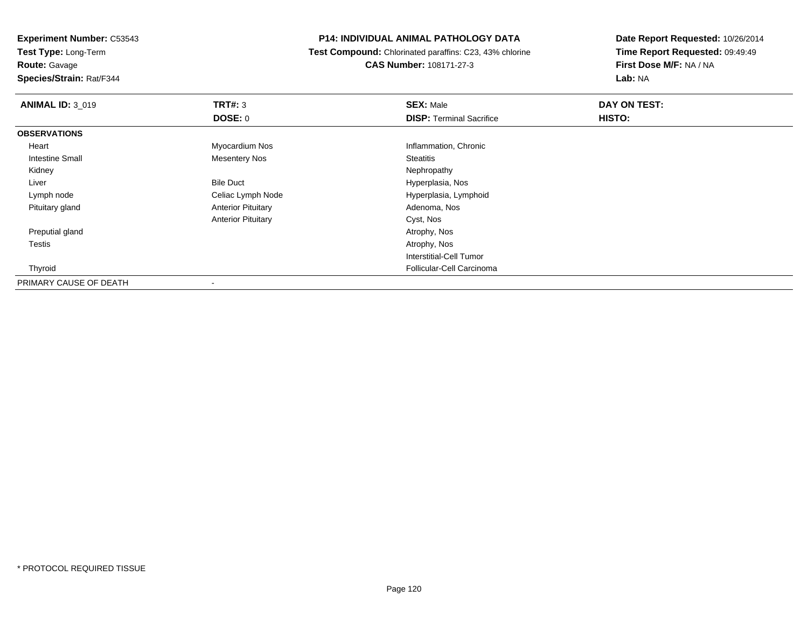**Test Type:** Long-Term

**Route:** Gavage

**Species/Strain:** Rat/F344

# **P14: INDIVIDUAL ANIMAL PATHOLOGY DATA**

 **Test Compound:** Chlorinated paraffins: C23, 43% chlorine**CAS Number:** 108171-27-3

| <b>ANIMAL ID: 3_019</b> | TRT#: 3                   | <b>SEX: Male</b>                | DAY ON TEST: |
|-------------------------|---------------------------|---------------------------------|--------------|
|                         | DOSE: 0                   | <b>DISP: Terminal Sacrifice</b> | HISTO:       |
| <b>OBSERVATIONS</b>     |                           |                                 |              |
| Heart                   | Myocardium Nos            | Inflammation, Chronic           |              |
| <b>Intestine Small</b>  | <b>Mesentery Nos</b>      | <b>Steatitis</b>                |              |
| Kidney                  |                           | Nephropathy                     |              |
| Liver                   | <b>Bile Duct</b>          | Hyperplasia, Nos                |              |
| Lymph node              | Celiac Lymph Node         | Hyperplasia, Lymphoid           |              |
| Pituitary gland         | <b>Anterior Pituitary</b> | Adenoma, Nos                    |              |
|                         | <b>Anterior Pituitary</b> | Cyst, Nos                       |              |
| Preputial gland         |                           | Atrophy, Nos                    |              |
| Testis                  |                           | Atrophy, Nos                    |              |
|                         |                           | <b>Interstitial-Cell Tumor</b>  |              |
| Thyroid                 |                           | Follicular-Cell Carcinoma       |              |
| PRIMARY CAUSE OF DEATH  |                           |                                 |              |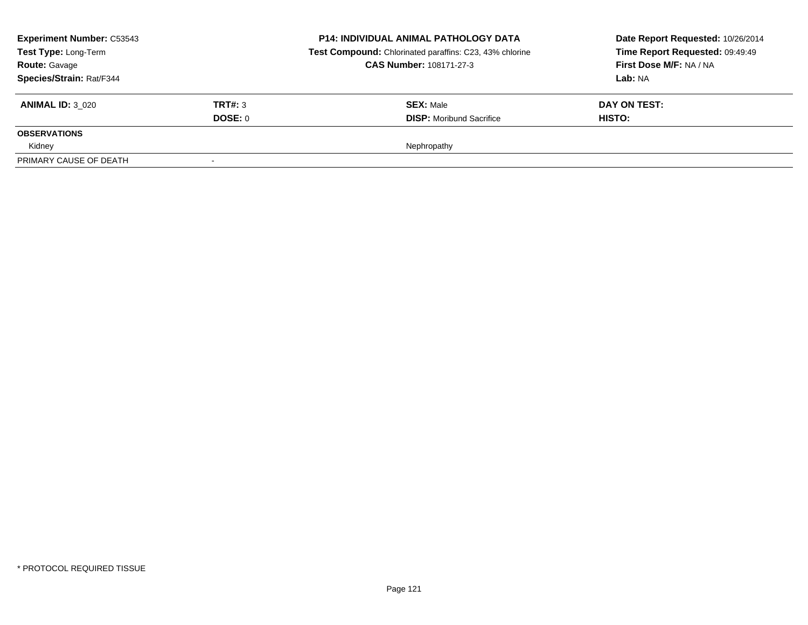| <b>Experiment Number: C53543</b><br>Test Type: Long-Term<br><b>Route: Gavage</b><br>Species/Strain: Rat/F344 |                          | <b>P14: INDIVIDUAL ANIMAL PATHOLOGY DATA</b><br>Test Compound: Chlorinated paraffins: C23, 43% chlorine<br><b>CAS Number: 108171-27-3</b> | Date Report Requested: 10/26/2014<br>Time Report Requested: 09:49:49<br>First Dose M/F: NA / NA<br><b>Lab: NA</b> |
|--------------------------------------------------------------------------------------------------------------|--------------------------|-------------------------------------------------------------------------------------------------------------------------------------------|-------------------------------------------------------------------------------------------------------------------|
| <b>ANIMAL ID: 3 020</b>                                                                                      | TRT#: 3<br>DOSE: 0       | <b>SEX: Male</b><br><b>DISP:</b> Moribund Sacrifice                                                                                       | DAY ON TEST:<br>HISTO:                                                                                            |
| <b>OBSERVATIONS</b>                                                                                          |                          |                                                                                                                                           |                                                                                                                   |
| Kidney<br>PRIMARY CAUSE OF DEATH                                                                             | $\overline{\phantom{a}}$ | Nephropathy                                                                                                                               |                                                                                                                   |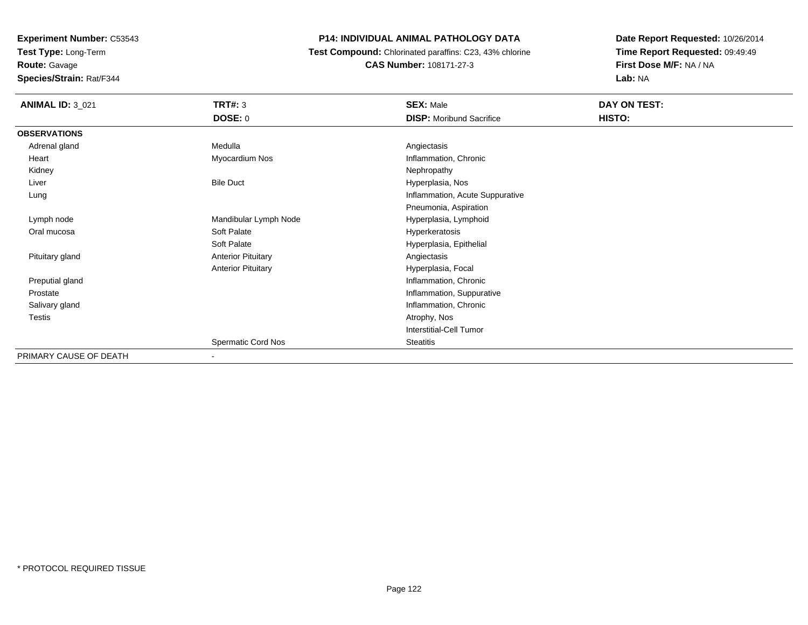**Test Type:** Long-Term

**Route:** Gavage

**Species/Strain:** Rat/F344

# **P14: INDIVIDUAL ANIMAL PATHOLOGY DATA**

 **Test Compound:** Chlorinated paraffins: C23, 43% chlorine**CAS Number:** 108171-27-3

| <b>ANIMAL ID: 3_021</b> | <b>TRT#: 3</b>            | <b>SEX: Male</b>                | DAY ON TEST: |
|-------------------------|---------------------------|---------------------------------|--------------|
|                         | <b>DOSE: 0</b>            | <b>DISP:</b> Moribund Sacrifice | HISTO:       |
| <b>OBSERVATIONS</b>     |                           |                                 |              |
| Adrenal gland           | Medulla                   | Angiectasis                     |              |
| Heart                   | Myocardium Nos            | Inflammation, Chronic           |              |
| Kidney                  |                           | Nephropathy                     |              |
| Liver                   | <b>Bile Duct</b>          | Hyperplasia, Nos                |              |
| Lung                    |                           | Inflammation, Acute Suppurative |              |
|                         |                           | Pneumonia, Aspiration           |              |
| Lymph node              | Mandibular Lymph Node     | Hyperplasia, Lymphoid           |              |
| Oral mucosa             | Soft Palate               | Hyperkeratosis                  |              |
|                         | Soft Palate               | Hyperplasia, Epithelial         |              |
| Pituitary gland         | <b>Anterior Pituitary</b> | Angiectasis                     |              |
|                         | <b>Anterior Pituitary</b> | Hyperplasia, Focal              |              |
| Preputial gland         |                           | Inflammation, Chronic           |              |
| Prostate                |                           | Inflammation, Suppurative       |              |
| Salivary gland          |                           | Inflammation, Chronic           |              |
| Testis                  |                           | Atrophy, Nos                    |              |
|                         |                           | <b>Interstitial-Cell Tumor</b>  |              |
|                         | <b>Spermatic Cord Nos</b> | Steatitis                       |              |
| PRIMARY CAUSE OF DEATH  | $\overline{\phantom{0}}$  |                                 |              |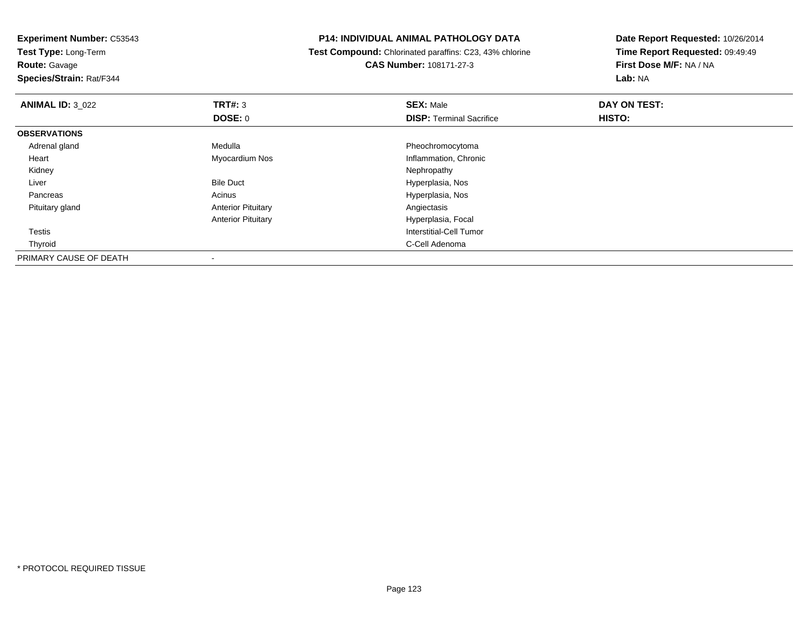**Test Type:** Long-Term

**Route:** Gavage

**Species/Strain:** Rat/F344

### **P14: INDIVIDUAL ANIMAL PATHOLOGY DATA**

 **Test Compound:** Chlorinated paraffins: C23, 43% chlorine**CAS Number:** 108171-27-3

| <b>ANIMAL ID: 3_022</b> | TRT#: 3                   | <b>SEX: Male</b>                | DAY ON TEST: |  |
|-------------------------|---------------------------|---------------------------------|--------------|--|
|                         | <b>DOSE: 0</b>            | <b>DISP: Terminal Sacrifice</b> | HISTO:       |  |
| <b>OBSERVATIONS</b>     |                           |                                 |              |  |
| Adrenal gland           | Medulla                   | Pheochromocytoma                |              |  |
| Heart                   | Myocardium Nos            | Inflammation, Chronic           |              |  |
| Kidney                  |                           | Nephropathy                     |              |  |
| Liver                   | <b>Bile Duct</b>          | Hyperplasia, Nos                |              |  |
| Pancreas                | Acinus                    | Hyperplasia, Nos                |              |  |
| Pituitary gland         | <b>Anterior Pituitary</b> | Angiectasis                     |              |  |
|                         | <b>Anterior Pituitary</b> | Hyperplasia, Focal              |              |  |
| <b>Testis</b>           |                           | Interstitial-Cell Tumor         |              |  |
| Thyroid                 |                           | C-Cell Adenoma                  |              |  |
| PRIMARY CAUSE OF DEATH  | $\,$                      |                                 |              |  |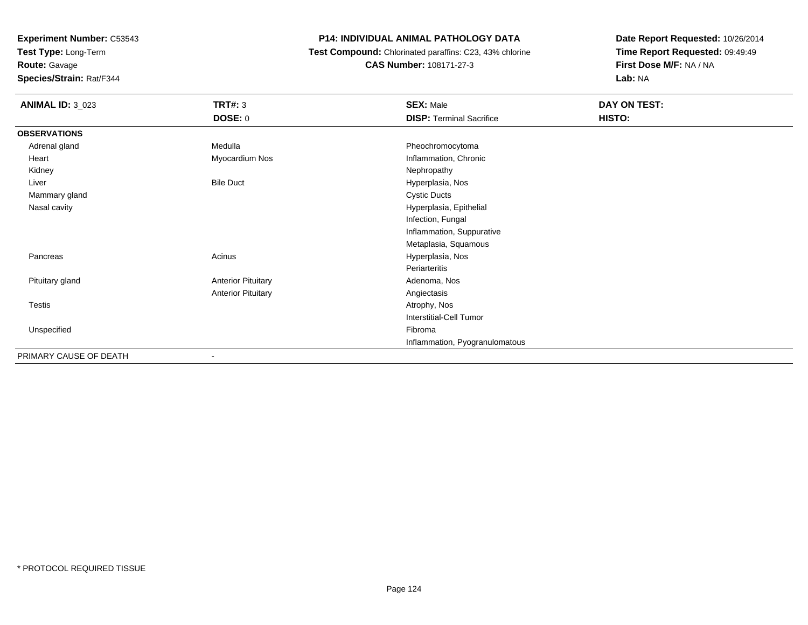**Test Type:** Long-Term

**Route:** Gavage

**Species/Strain:** Rat/F344

# **P14: INDIVIDUAL ANIMAL PATHOLOGY DATA**

 **Test Compound:** Chlorinated paraffins: C23, 43% chlorine**CAS Number:** 108171-27-3

| <b>ANIMAL ID: 3_023</b> | <b>TRT#: 3</b>            | <b>SEX: Male</b>                | DAY ON TEST: |  |
|-------------------------|---------------------------|---------------------------------|--------------|--|
|                         | <b>DOSE: 0</b>            | <b>DISP: Terminal Sacrifice</b> | HISTO:       |  |
| <b>OBSERVATIONS</b>     |                           |                                 |              |  |
| Adrenal gland           | Medulla                   | Pheochromocytoma                |              |  |
| Heart                   | Myocardium Nos            | Inflammation, Chronic           |              |  |
| Kidney                  |                           | Nephropathy                     |              |  |
| Liver                   | <b>Bile Duct</b>          | Hyperplasia, Nos                |              |  |
| Mammary gland           |                           | <b>Cystic Ducts</b>             |              |  |
| Nasal cavity            |                           | Hyperplasia, Epithelial         |              |  |
|                         |                           | Infection, Fungal               |              |  |
|                         |                           | Inflammation, Suppurative       |              |  |
|                         |                           | Metaplasia, Squamous            |              |  |
| Pancreas                | Acinus                    | Hyperplasia, Nos                |              |  |
|                         |                           | Periarteritis                   |              |  |
| Pituitary gland         | <b>Anterior Pituitary</b> | Adenoma, Nos                    |              |  |
|                         | <b>Anterior Pituitary</b> | Angiectasis                     |              |  |
| Testis                  |                           | Atrophy, Nos                    |              |  |
|                         |                           | Interstitial-Cell Tumor         |              |  |
| Unspecified             |                           | Fibroma                         |              |  |
|                         |                           | Inflammation, Pyogranulomatous  |              |  |
| PRIMARY CAUSE OF DEATH  | $\blacksquare$            |                                 |              |  |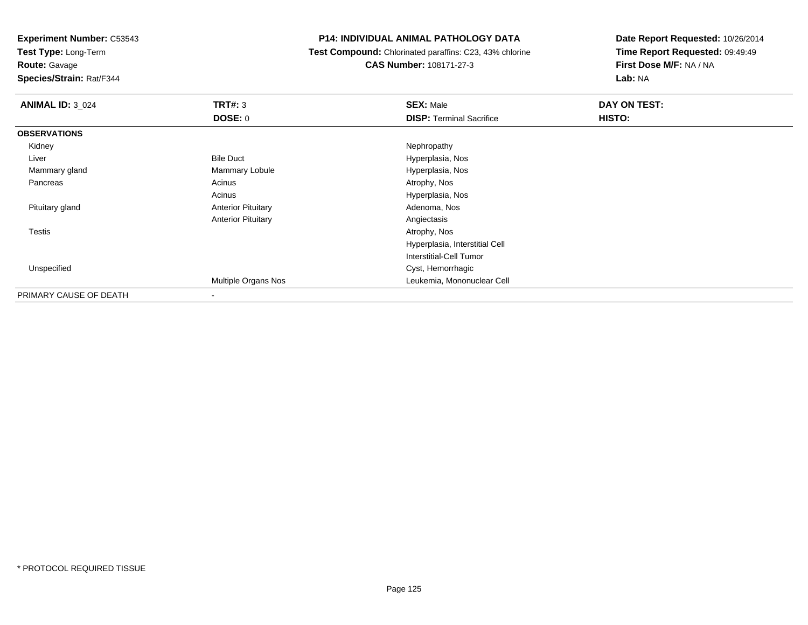**Test Type:** Long-Term

# **Route:** Gavage

**Species/Strain:** Rat/F344

# **P14: INDIVIDUAL ANIMAL PATHOLOGY DATA**

 **Test Compound:** Chlorinated paraffins: C23, 43% chlorine**CAS Number:** 108171-27-3

| <b>ANIMAL ID: 3_024</b> | TRT#: 3                    | <b>SEX: Male</b>                | DAY ON TEST: |
|-------------------------|----------------------------|---------------------------------|--------------|
|                         | <b>DOSE: 0</b>             | <b>DISP: Terminal Sacrifice</b> | HISTO:       |
| <b>OBSERVATIONS</b>     |                            |                                 |              |
| Kidney                  |                            | Nephropathy                     |              |
| Liver                   | <b>Bile Duct</b>           | Hyperplasia, Nos                |              |
| Mammary gland           | <b>Mammary Lobule</b>      | Hyperplasia, Nos                |              |
| Pancreas                | Acinus                     | Atrophy, Nos                    |              |
|                         | Acinus                     | Hyperplasia, Nos                |              |
| Pituitary gland         | <b>Anterior Pituitary</b>  | Adenoma, Nos                    |              |
|                         | <b>Anterior Pituitary</b>  | Angiectasis                     |              |
| <b>Testis</b>           |                            | Atrophy, Nos                    |              |
|                         |                            | Hyperplasia, Interstitial Cell  |              |
|                         |                            | Interstitial-Cell Tumor         |              |
| Unspecified             |                            | Cyst, Hemorrhagic               |              |
|                         | <b>Multiple Organs Nos</b> | Leukemia, Mononuclear Cell      |              |
| PRIMARY CAUSE OF DEATH  | $\overline{\phantom{a}}$   |                                 |              |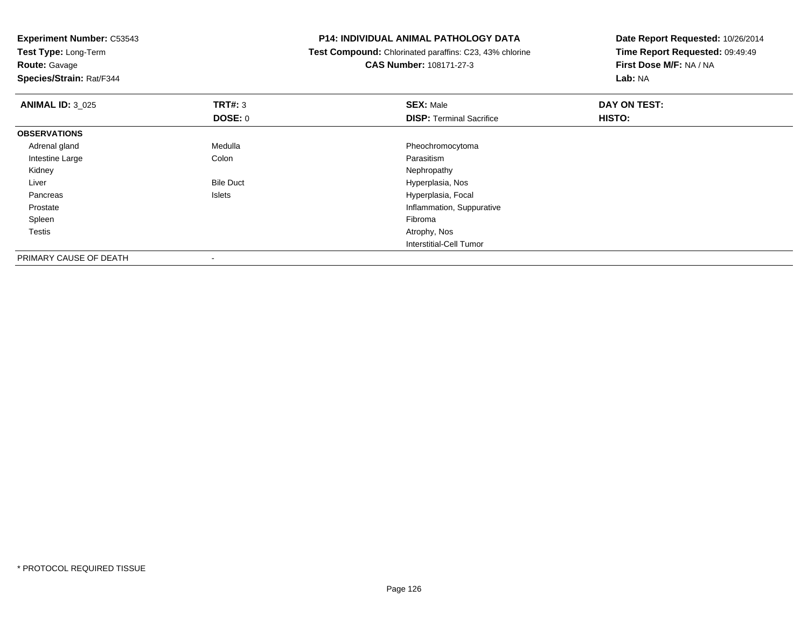**Experiment Number:** C53543**Test Type:** Long-Term**Route:** Gavage **Species/Strain:** Rat/F344**P14: INDIVIDUAL ANIMAL PATHOLOGY DATA Test Compound:** Chlorinated paraffins: C23, 43% chlorine**CAS Number:** 108171-27-3**Date Report Requested:** 10/26/2014**Time Report Requested:** 09:49:49**First Dose M/F:** NA / NA**Lab:** NA**ANIMAL ID:** 3\_025 **TRT#:** <sup>3</sup> **SEX:** Male **DAY ON TEST: DOSE:** 0**DISP:** Terminal Sacrifice **HISTO: OBSERVATIONS** Adrenal gland Medulla Pheochromocytoma Intestine Largee and the Colon Colon Colon Colon and the Parasitism Nephropathy Kidneyy the control of the control of the control of the control of the control of the control of the control of the control of the control of the control of the control of the control of the control of the control of the contro LiverBile Duct **Hyperplasia**, Nos s and the set of the set of the set of the set of the set of the set of the set of the set of the set of the set of the set of the set of the set of the set of the set of the set of the set of the set of the set of the set Pancreas ProstateInflammation, Suppurative<br>Fibroma Spleenn and the control of the control of the control of the control of the control of the control of the control of the control of the control of the control of the control of the control of the control of the control of the co Testiss and the contract of the contract of the contract of the contract of the contract of the contract of the contract of the contract of the contract of the contract of the contract of the contract of the contract of the cont Interstitial-Cell TumorPRIMARY CAUSE OF DEATH

-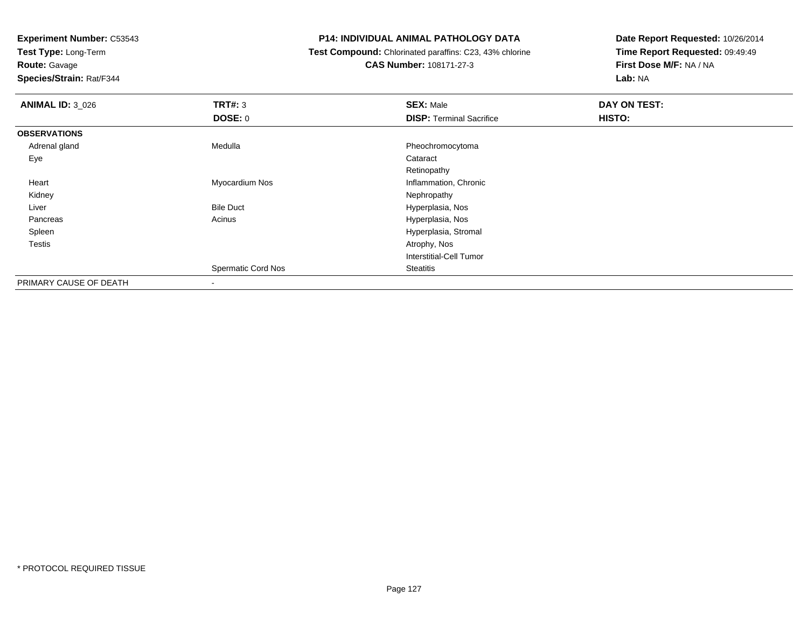**Test Type:** Long-Term

# **Route:** Gavage

**Species/Strain:** Rat/F344

### **P14: INDIVIDUAL ANIMAL PATHOLOGY DATA**

 **Test Compound:** Chlorinated paraffins: C23, 43% chlorine**CAS Number:** 108171-27-3

| <b>ANIMAL ID: 3_026</b> | TRT#: 3                   | <b>SEX: Male</b>                | DAY ON TEST: |  |
|-------------------------|---------------------------|---------------------------------|--------------|--|
|                         | <b>DOSE: 0</b>            | <b>DISP: Terminal Sacrifice</b> | HISTO:       |  |
| <b>OBSERVATIONS</b>     |                           |                                 |              |  |
| Adrenal gland           | Medulla                   | Pheochromocytoma                |              |  |
| Eye                     |                           | Cataract                        |              |  |
|                         |                           | Retinopathy                     |              |  |
| Heart                   | Myocardium Nos            | Inflammation, Chronic           |              |  |
| Kidney                  |                           | Nephropathy                     |              |  |
| Liver                   | <b>Bile Duct</b>          | Hyperplasia, Nos                |              |  |
| Pancreas                | Acinus                    | Hyperplasia, Nos                |              |  |
| Spleen                  |                           | Hyperplasia, Stromal            |              |  |
| <b>Testis</b>           |                           | Atrophy, Nos                    |              |  |
|                         |                           | <b>Interstitial-Cell Tumor</b>  |              |  |
|                         | <b>Spermatic Cord Nos</b> | Steatitis                       |              |  |
| PRIMARY CAUSE OF DEATH  | $\blacksquare$            |                                 |              |  |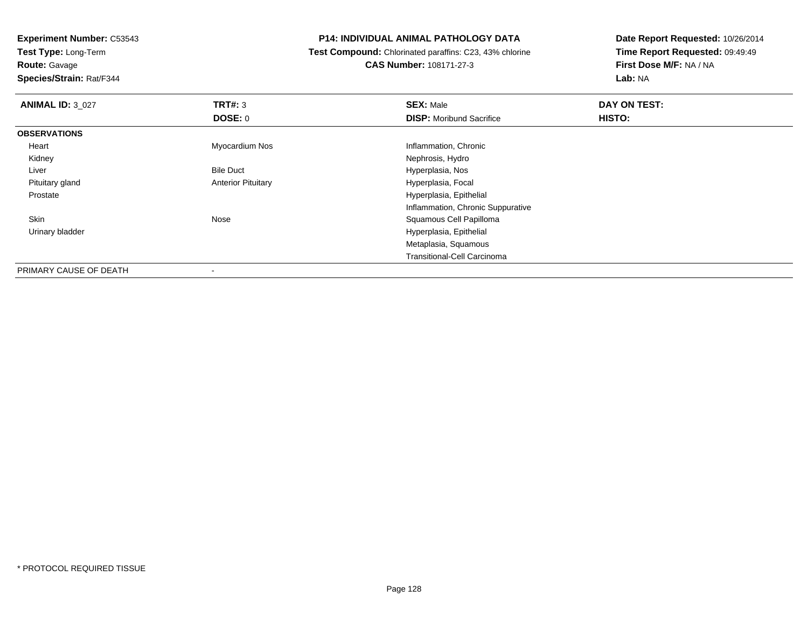**Test Type:** Long-Term**Route:** Gavage

**Species/Strain:** Rat/F344

### **P14: INDIVIDUAL ANIMAL PATHOLOGY DATA**

 **Test Compound:** Chlorinated paraffins: C23, 43% chlorine**CAS Number:** 108171-27-3

| <b>ANIMAL ID: 3 027</b> | <b>TRT#: 3</b>            | <b>SEX: Male</b>                   | DAY ON TEST: |  |
|-------------------------|---------------------------|------------------------------------|--------------|--|
|                         | <b>DOSE: 0</b>            | <b>DISP:</b> Moribund Sacrifice    | HISTO:       |  |
| <b>OBSERVATIONS</b>     |                           |                                    |              |  |
| Heart                   | Myocardium Nos            | Inflammation, Chronic              |              |  |
| Kidney                  |                           | Nephrosis, Hydro                   |              |  |
| Liver                   | <b>Bile Duct</b>          | Hyperplasia, Nos                   |              |  |
| Pituitary gland         | <b>Anterior Pituitary</b> | Hyperplasia, Focal                 |              |  |
| Prostate                |                           | Hyperplasia, Epithelial            |              |  |
|                         |                           | Inflammation, Chronic Suppurative  |              |  |
| Skin                    | Nose                      | Squamous Cell Papilloma            |              |  |
| Urinary bladder         |                           | Hyperplasia, Epithelial            |              |  |
|                         |                           | Metaplasia, Squamous               |              |  |
|                         |                           | <b>Transitional-Cell Carcinoma</b> |              |  |
| PRIMARY CAUSE OF DEATH  | -                         |                                    |              |  |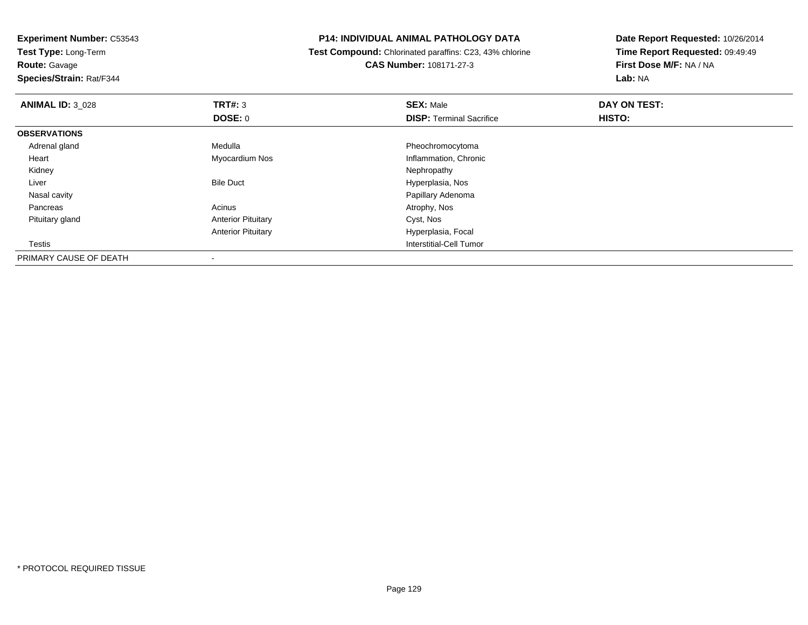**Test Type:** Long-Term

**Route:** Gavage

**Species/Strain:** Rat/F344

### **P14: INDIVIDUAL ANIMAL PATHOLOGY DATA**

 **Test Compound:** Chlorinated paraffins: C23, 43% chlorine**CAS Number:** 108171-27-3

| <b>ANIMAL ID: 3 028</b> | TRT#: 3                   | <b>SEX: Male</b>                | DAY ON TEST: |  |
|-------------------------|---------------------------|---------------------------------|--------------|--|
|                         | <b>DOSE: 0</b>            | <b>DISP: Terminal Sacrifice</b> | HISTO:       |  |
| <b>OBSERVATIONS</b>     |                           |                                 |              |  |
| Adrenal gland           | Medulla                   | Pheochromocytoma                |              |  |
| Heart                   | Myocardium Nos            | Inflammation, Chronic           |              |  |
| Kidney                  |                           | Nephropathy                     |              |  |
| Liver                   | <b>Bile Duct</b>          | Hyperplasia, Nos                |              |  |
| Nasal cavity            |                           | Papillary Adenoma               |              |  |
| Pancreas                | Acinus                    | Atrophy, Nos                    |              |  |
| Pituitary gland         | <b>Anterior Pituitary</b> | Cyst, Nos                       |              |  |
|                         | <b>Anterior Pituitary</b> | Hyperplasia, Focal              |              |  |
| <b>Testis</b>           |                           | Interstitial-Cell Tumor         |              |  |
| PRIMARY CAUSE OF DEATH  |                           |                                 |              |  |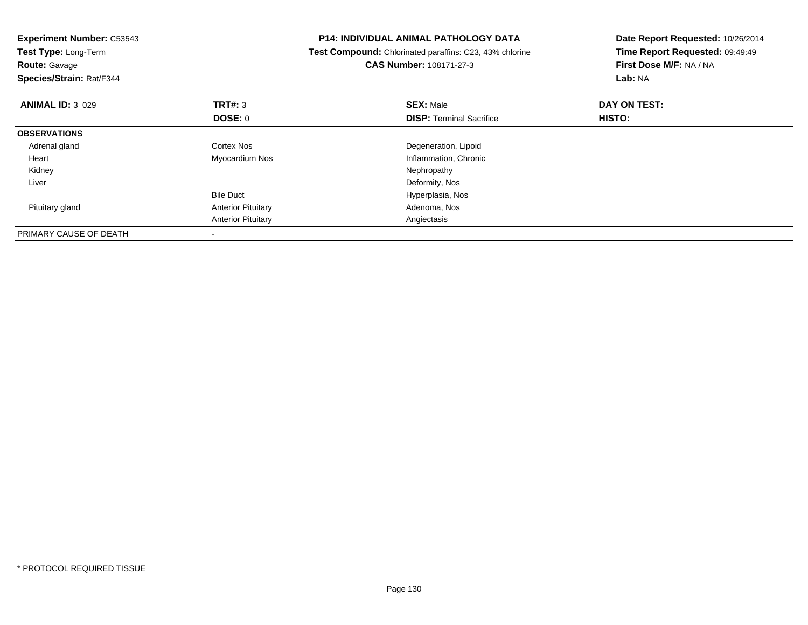| <b>Experiment Number: C53543</b><br>Test Type: Long-Term<br><b>Route:</b> Gavage<br>Species/Strain: Rat/F344 |                           | <b>P14: INDIVIDUAL ANIMAL PATHOLOGY DATA</b><br>Test Compound: Chlorinated paraffins: C23, 43% chlorine<br><b>CAS Number: 108171-27-3</b> | Date Report Requested: 10/26/2014<br>Time Report Requested: 09:49:49<br>First Dose M/F: NA / NA<br>Lab: NA |
|--------------------------------------------------------------------------------------------------------------|---------------------------|-------------------------------------------------------------------------------------------------------------------------------------------|------------------------------------------------------------------------------------------------------------|
| <b>ANIMAL ID: 3 029</b>                                                                                      | TRT#: 3                   | <b>SEX: Male</b>                                                                                                                          | DAY ON TEST:                                                                                               |
|                                                                                                              | DOSE: 0                   | <b>DISP:</b> Terminal Sacrifice                                                                                                           | HISTO:                                                                                                     |
| <b>OBSERVATIONS</b>                                                                                          |                           |                                                                                                                                           |                                                                                                            |
| Adrenal gland                                                                                                | Cortex Nos                | Degeneration, Lipoid                                                                                                                      |                                                                                                            |
| Heart                                                                                                        | Myocardium Nos            | Inflammation, Chronic                                                                                                                     |                                                                                                            |
| Kidney                                                                                                       |                           | Nephropathy                                                                                                                               |                                                                                                            |
| Liver                                                                                                        |                           | Deformity, Nos                                                                                                                            |                                                                                                            |
|                                                                                                              | <b>Bile Duct</b>          | Hyperplasia, Nos                                                                                                                          |                                                                                                            |
| Pituitary gland                                                                                              | <b>Anterior Pituitary</b> | Adenoma, Nos                                                                                                                              |                                                                                                            |
|                                                                                                              | <b>Anterior Pituitary</b> | Angiectasis                                                                                                                               |                                                                                                            |
| PRIMARY CAUSE OF DEATH                                                                                       |                           |                                                                                                                                           |                                                                                                            |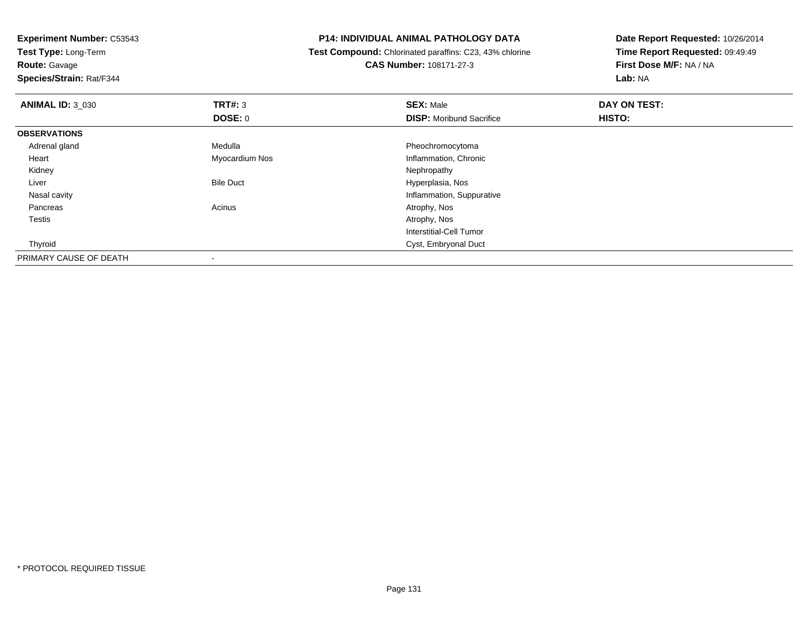**Test Type:** Long-Term

**Route:** Gavage

**Species/Strain:** Rat/F344

### **P14: INDIVIDUAL ANIMAL PATHOLOGY DATA**

 **Test Compound:** Chlorinated paraffins: C23, 43% chlorine**CAS Number:** 108171-27-3

| <b>ANIMAL ID: 3 030</b> | TRT#: 3          | <b>SEX: Male</b>                | DAY ON TEST: |  |
|-------------------------|------------------|---------------------------------|--------------|--|
|                         | DOSE: 0          | <b>DISP:</b> Moribund Sacrifice | HISTO:       |  |
| <b>OBSERVATIONS</b>     |                  |                                 |              |  |
| Adrenal gland           | Medulla          | Pheochromocytoma                |              |  |
| Heart                   | Myocardium Nos   | Inflammation, Chronic           |              |  |
| Kidney                  |                  | Nephropathy                     |              |  |
| Liver                   | <b>Bile Duct</b> | Hyperplasia, Nos                |              |  |
| Nasal cavity            |                  | Inflammation, Suppurative       |              |  |
| Pancreas                | Acinus           | Atrophy, Nos                    |              |  |
| <b>Testis</b>           |                  | Atrophy, Nos                    |              |  |
|                         |                  | Interstitial-Cell Tumor         |              |  |
| Thyroid                 |                  | Cyst, Embryonal Duct            |              |  |
| PRIMARY CAUSE OF DEATH  |                  |                                 |              |  |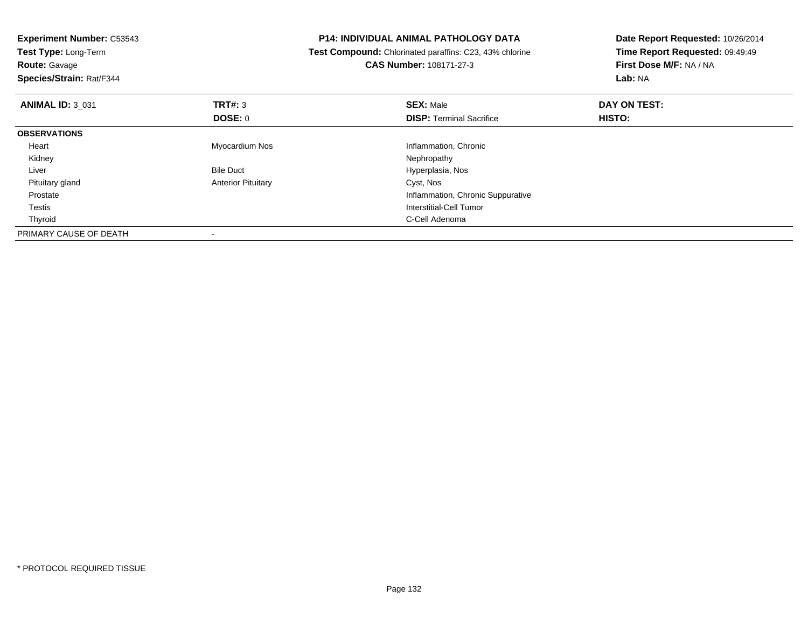| <b>Experiment Number: C53543</b><br>Test Type: Long-Term |                           | <b>P14: INDIVIDUAL ANIMAL PATHOLOGY DATA</b>                   | Date Report Requested: 10/26/2014 |
|----------------------------------------------------------|---------------------------|----------------------------------------------------------------|-----------------------------------|
|                                                          |                           | <b>Test Compound:</b> Chlorinated paraffins: C23, 43% chlorine | Time Report Requested: 09:49:49   |
| <b>Route: Gavage</b>                                     |                           | <b>CAS Number: 108171-27-3</b>                                 | First Dose M/F: NA / NA           |
| Species/Strain: Rat/F344                                 |                           |                                                                | Lab: NA                           |
| <b>ANIMAL ID: 3 031</b>                                  | TRT#: 3                   | <b>SEX: Male</b>                                               | DAY ON TEST:                      |
|                                                          | <b>DOSE: 0</b>            | <b>DISP:</b> Terminal Sacrifice                                | HISTO:                            |
| <b>OBSERVATIONS</b>                                      |                           |                                                                |                                   |
| Heart                                                    | Myocardium Nos            | Inflammation, Chronic                                          |                                   |
| Kidney                                                   |                           | Nephropathy                                                    |                                   |
| Liver                                                    | <b>Bile Duct</b>          | Hyperplasia, Nos                                               |                                   |
| Pituitary gland                                          | <b>Anterior Pituitary</b> | Cyst, Nos                                                      |                                   |
| Prostate                                                 |                           | Inflammation, Chronic Suppurative                              |                                   |
| Testis                                                   |                           | Interstitial-Cell Tumor                                        |                                   |
| Thyroid                                                  |                           | C-Cell Adenoma                                                 |                                   |
| PRIMARY CAUSE OF DEATH                                   |                           |                                                                |                                   |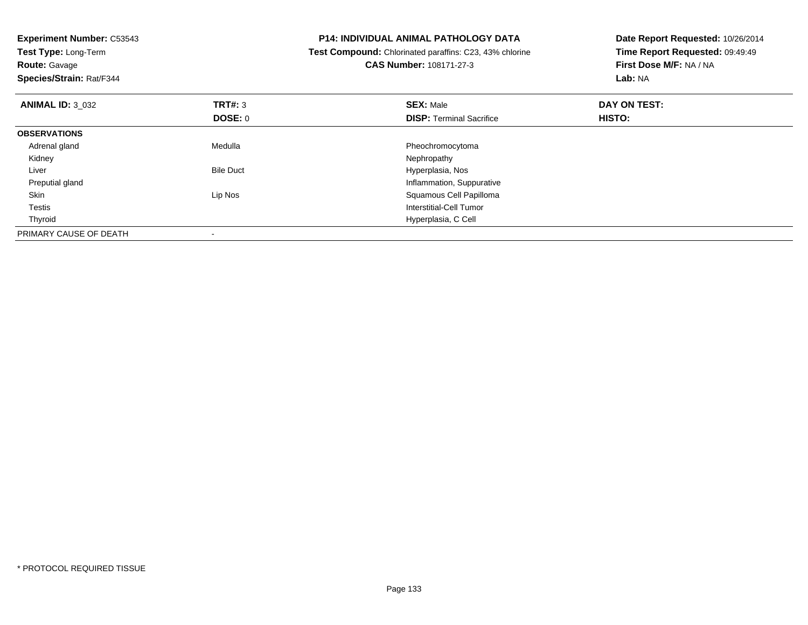| <b>Experiment Number: C53543</b><br><b>Test Type: Long-Term</b><br><b>Route: Gavage</b><br>Species/Strain: Rat/F344 |                  | <b>P14: INDIVIDUAL ANIMAL PATHOLOGY DATA</b><br>Test Compound: Chlorinated paraffins: C23, 43% chlorine<br>CAS Number: 108171-27-3 | Date Report Requested: 10/26/2014<br>Time Report Requested: 09:49:49<br>First Dose M/F: NA / NA<br><b>Lab: NA</b> |
|---------------------------------------------------------------------------------------------------------------------|------------------|------------------------------------------------------------------------------------------------------------------------------------|-------------------------------------------------------------------------------------------------------------------|
| <b>ANIMAL ID: 3_032</b>                                                                                             | <b>TRT#: 3</b>   | <b>SEX: Male</b>                                                                                                                   | DAY ON TEST:                                                                                                      |
|                                                                                                                     | DOSE: 0          | <b>DISP:</b> Terminal Sacrifice                                                                                                    | HISTO:                                                                                                            |
| <b>OBSERVATIONS</b>                                                                                                 |                  |                                                                                                                                    |                                                                                                                   |
| Adrenal gland                                                                                                       | Medulla          | Pheochromocytoma                                                                                                                   |                                                                                                                   |
| Kidney                                                                                                              |                  | Nephropathy                                                                                                                        |                                                                                                                   |
| Liver                                                                                                               | <b>Bile Duct</b> | Hyperplasia, Nos                                                                                                                   |                                                                                                                   |
| Preputial gland                                                                                                     |                  | Inflammation, Suppurative                                                                                                          |                                                                                                                   |
| Skin                                                                                                                | Lip Nos          | Squamous Cell Papilloma                                                                                                            |                                                                                                                   |
| Testis                                                                                                              |                  | Interstitial-Cell Tumor                                                                                                            |                                                                                                                   |
| Thyroid                                                                                                             |                  | Hyperplasia, C Cell                                                                                                                |                                                                                                                   |
| PRIMARY CAUSE OF DEATH                                                                                              |                  |                                                                                                                                    |                                                                                                                   |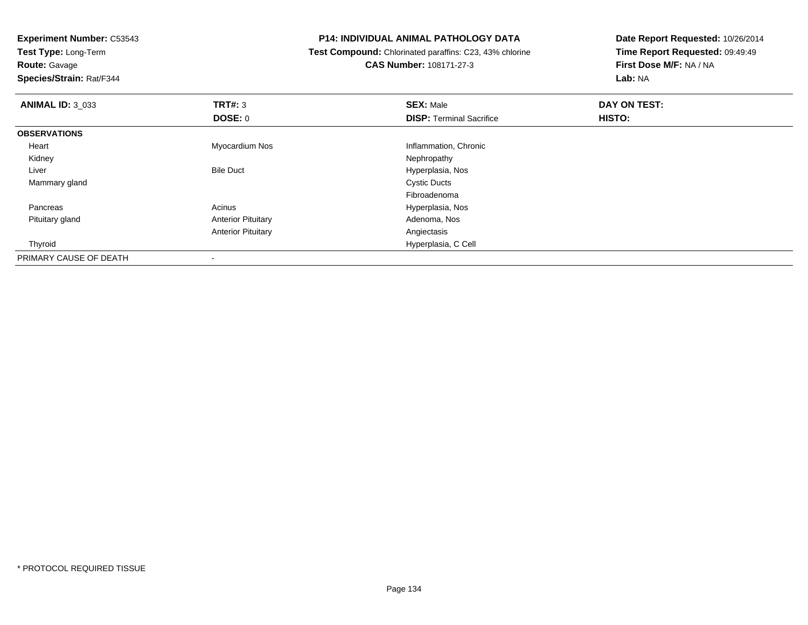**Test Type:** Long-Term**Route:** Gavage

# **Species/Strain:** Rat/F344

### **P14: INDIVIDUAL ANIMAL PATHOLOGY DATA**

 **Test Compound:** Chlorinated paraffins: C23, 43% chlorine**CAS Number:** 108171-27-3

| <b>ANIMAL ID: 3 033</b> | TRT#: 3                   | <b>SEX: Male</b>                | DAY ON TEST: |  |
|-------------------------|---------------------------|---------------------------------|--------------|--|
|                         | <b>DOSE: 0</b>            | <b>DISP: Terminal Sacrifice</b> | HISTO:       |  |
| <b>OBSERVATIONS</b>     |                           |                                 |              |  |
| Heart                   | Myocardium Nos            | Inflammation, Chronic           |              |  |
| Kidney                  |                           | Nephropathy                     |              |  |
| Liver                   | <b>Bile Duct</b>          | Hyperplasia, Nos                |              |  |
| Mammary gland           |                           | <b>Cystic Ducts</b>             |              |  |
|                         |                           | Fibroadenoma                    |              |  |
| Pancreas                | Acinus                    | Hyperplasia, Nos                |              |  |
| Pituitary gland         | <b>Anterior Pituitary</b> | Adenoma, Nos                    |              |  |
|                         | <b>Anterior Pituitary</b> | Angiectasis                     |              |  |
| Thyroid                 |                           | Hyperplasia, C Cell             |              |  |
| PRIMARY CAUSE OF DEATH  | $\overline{\phantom{a}}$  |                                 |              |  |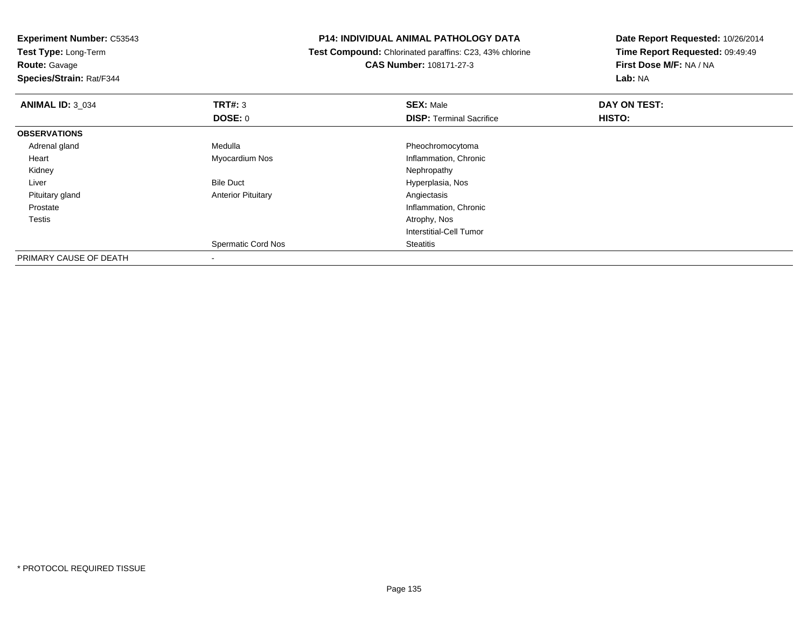**Test Type:** Long-Term**Route:** Gavage

**Species/Strain:** Rat/F344

### **P14: INDIVIDUAL ANIMAL PATHOLOGY DATA**

 **Test Compound:** Chlorinated paraffins: C23, 43% chlorine**CAS Number:** 108171-27-3

| <b>ANIMAL ID: 3 034</b> | TRT#: 3                   | <b>SEX: Male</b>                | DAY ON TEST: |  |
|-------------------------|---------------------------|---------------------------------|--------------|--|
|                         | <b>DOSE: 0</b>            | <b>DISP: Terminal Sacrifice</b> | HISTO:       |  |
| <b>OBSERVATIONS</b>     |                           |                                 |              |  |
| Adrenal gland           | Medulla                   | Pheochromocytoma                |              |  |
| Heart                   | Myocardium Nos            | Inflammation, Chronic           |              |  |
| Kidney                  |                           | Nephropathy                     |              |  |
| Liver                   | <b>Bile Duct</b>          | Hyperplasia, Nos                |              |  |
| Pituitary gland         | <b>Anterior Pituitary</b> | Angiectasis                     |              |  |
| Prostate                |                           | Inflammation, Chronic           |              |  |
| Testis                  |                           | Atrophy, Nos                    |              |  |
|                         |                           | <b>Interstitial-Cell Tumor</b>  |              |  |
|                         | <b>Spermatic Cord Nos</b> | <b>Steatitis</b>                |              |  |
| PRIMARY CAUSE OF DEATH  |                           |                                 |              |  |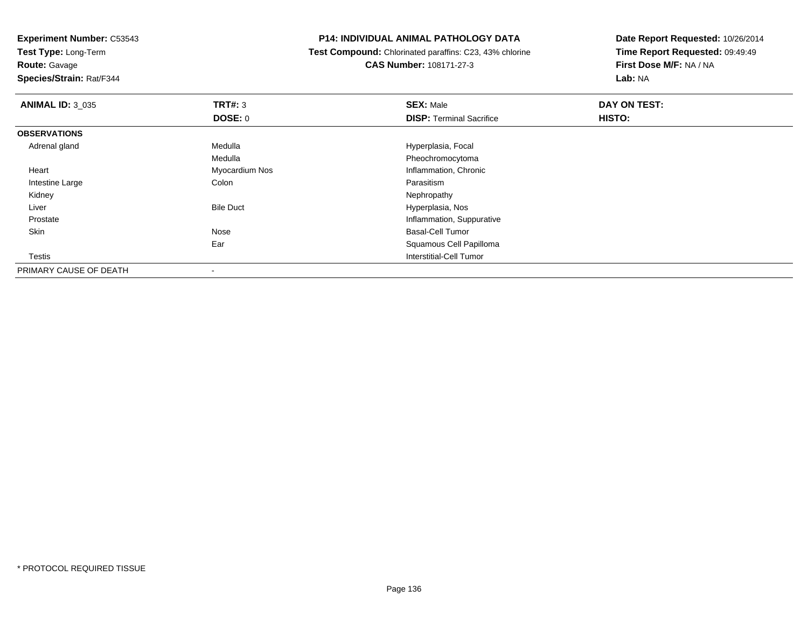**Test Type:** Long-Term

# **Route:** Gavage

**Species/Strain:** Rat/F344

## **P14: INDIVIDUAL ANIMAL PATHOLOGY DATA**

 **Test Compound:** Chlorinated paraffins: C23, 43% chlorine**CAS Number:** 108171-27-3

| <b>ANIMAL ID: 3_035</b> | TRT#: 3                  | <b>SEX: Male</b>                | DAY ON TEST: |  |
|-------------------------|--------------------------|---------------------------------|--------------|--|
|                         | DOSE: 0                  | <b>DISP: Terminal Sacrifice</b> | HISTO:       |  |
| <b>OBSERVATIONS</b>     |                          |                                 |              |  |
| Adrenal gland           | Medulla                  | Hyperplasia, Focal              |              |  |
|                         | Medulla                  | Pheochromocytoma                |              |  |
| Heart                   | Myocardium Nos           | Inflammation, Chronic           |              |  |
| Intestine Large         | Colon                    | Parasitism                      |              |  |
| Kidney                  |                          | Nephropathy                     |              |  |
| Liver                   | <b>Bile Duct</b>         | Hyperplasia, Nos                |              |  |
| Prostate                |                          | Inflammation, Suppurative       |              |  |
| Skin                    | Nose                     | <b>Basal-Cell Tumor</b>         |              |  |
|                         | Ear                      | Squamous Cell Papilloma         |              |  |
| Testis                  |                          | Interstitial-Cell Tumor         |              |  |
| PRIMARY CAUSE OF DEATH  | $\overline{\phantom{a}}$ |                                 |              |  |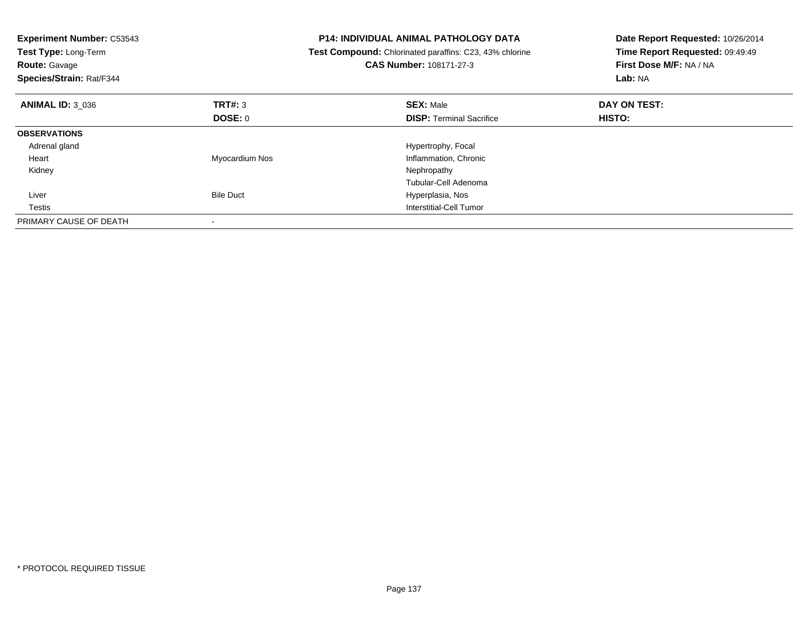| <b>Experiment Number: C53543</b><br>Test Type: Long-Term<br><b>Route: Gavage</b><br>Species/Strain: Rat/F344 |                  | <b>P14: INDIVIDUAL ANIMAL PATHOLOGY DATA</b><br><b>Test Compound:</b> Chlorinated paraffins: C23, 43% chlorine<br><b>CAS Number: 108171-27-3</b> | Date Report Requested: 10/26/2014<br>Time Report Requested: 09:49:49<br>First Dose M/F: NA / NA<br>Lab: NA |  |
|--------------------------------------------------------------------------------------------------------------|------------------|--------------------------------------------------------------------------------------------------------------------------------------------------|------------------------------------------------------------------------------------------------------------|--|
| <b>ANIMAL ID: 3 036</b>                                                                                      | TRT#: 3          | <b>SEX: Male</b>                                                                                                                                 | DAY ON TEST:                                                                                               |  |
|                                                                                                              | <b>DOSE: 0</b>   | <b>DISP:</b> Terminal Sacrifice                                                                                                                  | <b>HISTO:</b>                                                                                              |  |
| <b>OBSERVATIONS</b>                                                                                          |                  |                                                                                                                                                  |                                                                                                            |  |
| Adrenal gland                                                                                                |                  | Hypertrophy, Focal                                                                                                                               |                                                                                                            |  |
| Heart                                                                                                        | Myocardium Nos   | Inflammation, Chronic                                                                                                                            |                                                                                                            |  |
| Kidney                                                                                                       |                  | Nephropathy                                                                                                                                      |                                                                                                            |  |
|                                                                                                              |                  | Tubular-Cell Adenoma                                                                                                                             |                                                                                                            |  |
| Liver                                                                                                        | <b>Bile Duct</b> | Hyperplasia, Nos                                                                                                                                 |                                                                                                            |  |
| Testis                                                                                                       |                  | Interstitial-Cell Tumor                                                                                                                          |                                                                                                            |  |
| PRIMARY CAUSE OF DEATH                                                                                       |                  |                                                                                                                                                  |                                                                                                            |  |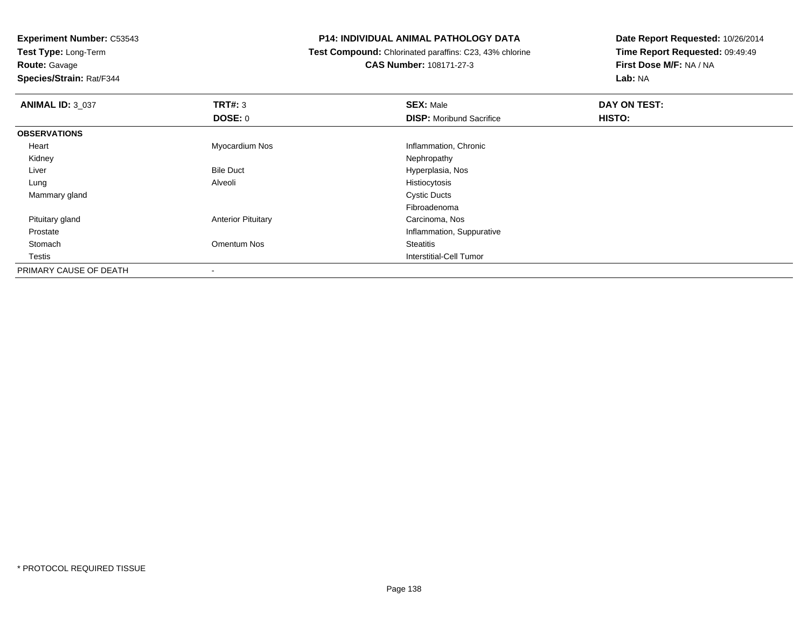**Test Type:** Long-Term

**Route:** Gavage

**Species/Strain:** Rat/F344

### **P14: INDIVIDUAL ANIMAL PATHOLOGY DATA**

 **Test Compound:** Chlorinated paraffins: C23, 43% chlorine**CAS Number:** 108171-27-3

| <b>ANIMAL ID: 3 037</b> | TRT#: 3                   | <b>SEX: Male</b>                | DAY ON TEST: |  |
|-------------------------|---------------------------|---------------------------------|--------------|--|
|                         | <b>DOSE: 0</b>            | <b>DISP:</b> Moribund Sacrifice | HISTO:       |  |
| <b>OBSERVATIONS</b>     |                           |                                 |              |  |
| Heart                   | Myocardium Nos            | Inflammation, Chronic           |              |  |
| Kidney                  |                           | Nephropathy                     |              |  |
| Liver                   | <b>Bile Duct</b>          | Hyperplasia, Nos                |              |  |
| Lung                    | Alveoli                   | Histiocytosis                   |              |  |
| Mammary gland           |                           | <b>Cystic Ducts</b>             |              |  |
|                         |                           | Fibroadenoma                    |              |  |
| Pituitary gland         | <b>Anterior Pituitary</b> | Carcinoma, Nos                  |              |  |
| Prostate                |                           | Inflammation, Suppurative       |              |  |
| Stomach                 | Omentum Nos               | <b>Steatitis</b>                |              |  |
| Testis                  |                           | Interstitial-Cell Tumor         |              |  |
| PRIMARY CAUSE OF DEATH  |                           |                                 |              |  |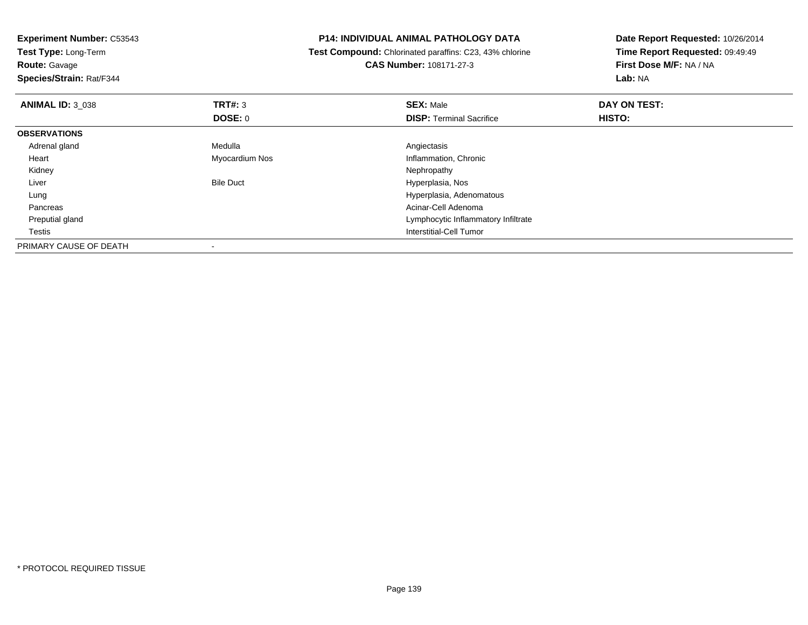| <b>Experiment Number: C53543</b><br>Test Type: Long-Term<br><b>Route: Gavage</b><br>Species/Strain: Rat/F344 |                  | <b>P14: INDIVIDUAL ANIMAL PATHOLOGY DATA</b>            | Date Report Requested: 10/26/2014 |  |
|--------------------------------------------------------------------------------------------------------------|------------------|---------------------------------------------------------|-----------------------------------|--|
|                                                                                                              |                  | Test Compound: Chlorinated paraffins: C23, 43% chlorine | Time Report Requested: 09:49:49   |  |
|                                                                                                              |                  | CAS Number: 108171-27-3                                 | First Dose M/F: NA / NA           |  |
|                                                                                                              |                  |                                                         | Lab: NA                           |  |
| <b>ANIMAL ID: 3_038</b>                                                                                      | TRT#: 3          | <b>SEX: Male</b>                                        | DAY ON TEST:                      |  |
|                                                                                                              | DOSE: 0          | <b>DISP:</b> Terminal Sacrifice                         | HISTO:                            |  |
| <b>OBSERVATIONS</b>                                                                                          |                  |                                                         |                                   |  |
| Adrenal gland                                                                                                | Medulla          | Angiectasis                                             |                                   |  |
| Heart                                                                                                        | Myocardium Nos   | Inflammation, Chronic                                   |                                   |  |
| Kidney                                                                                                       |                  | Nephropathy                                             |                                   |  |
| Liver                                                                                                        | <b>Bile Duct</b> | Hyperplasia, Nos                                        |                                   |  |
| Lung                                                                                                         |                  | Hyperplasia, Adenomatous                                |                                   |  |
| Pancreas                                                                                                     |                  | Acinar-Cell Adenoma                                     |                                   |  |
| Preputial gland                                                                                              |                  | Lymphocytic Inflammatory Infiltrate                     |                                   |  |
| Testis                                                                                                       |                  | <b>Interstitial-Cell Tumor</b>                          |                                   |  |
| PRIMARY CAUSE OF DEATH                                                                                       |                  |                                                         |                                   |  |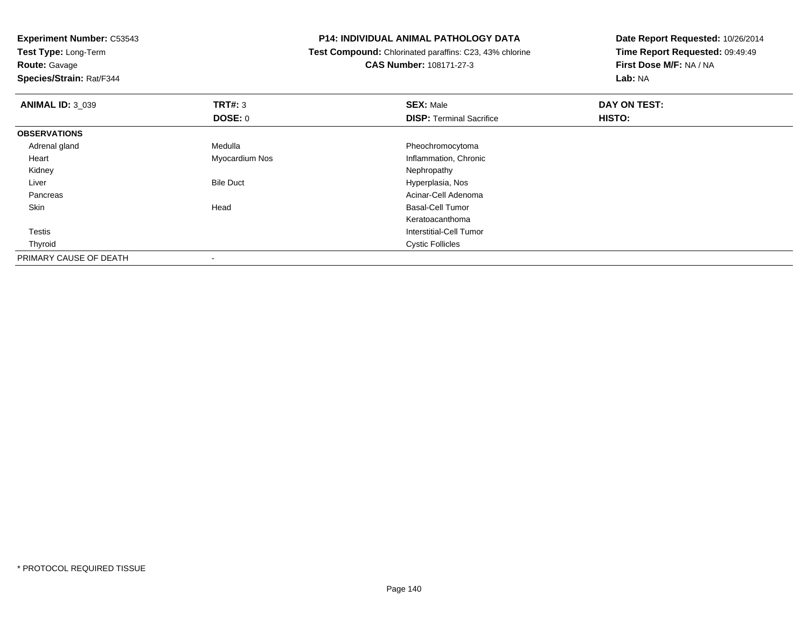**Test Type:** Long-Term

**Route:** Gavage

**Species/Strain:** Rat/F344

### **P14: INDIVIDUAL ANIMAL PATHOLOGY DATA**

 **Test Compound:** Chlorinated paraffins: C23, 43% chlorine**CAS Number:** 108171-27-3

| <b>ANIMAL ID: 3 039</b> | TRT#: 3          | <b>SEX: Male</b>                | DAY ON TEST: |  |
|-------------------------|------------------|---------------------------------|--------------|--|
|                         | <b>DOSE: 0</b>   | <b>DISP: Terminal Sacrifice</b> | HISTO:       |  |
| <b>OBSERVATIONS</b>     |                  |                                 |              |  |
| Adrenal gland           | Medulla          | Pheochromocytoma                |              |  |
| Heart                   | Myocardium Nos   | Inflammation, Chronic           |              |  |
| Kidney                  |                  | Nephropathy                     |              |  |
| Liver                   | <b>Bile Duct</b> | Hyperplasia, Nos                |              |  |
| Pancreas                |                  | Acinar-Cell Adenoma             |              |  |
| Skin                    | Head             | <b>Basal-Cell Tumor</b>         |              |  |
|                         |                  | Keratoacanthoma                 |              |  |
| <b>Testis</b>           |                  | Interstitial-Cell Tumor         |              |  |
| Thyroid                 |                  | <b>Cystic Follicles</b>         |              |  |
| PRIMARY CAUSE OF DEATH  | $\,$             |                                 |              |  |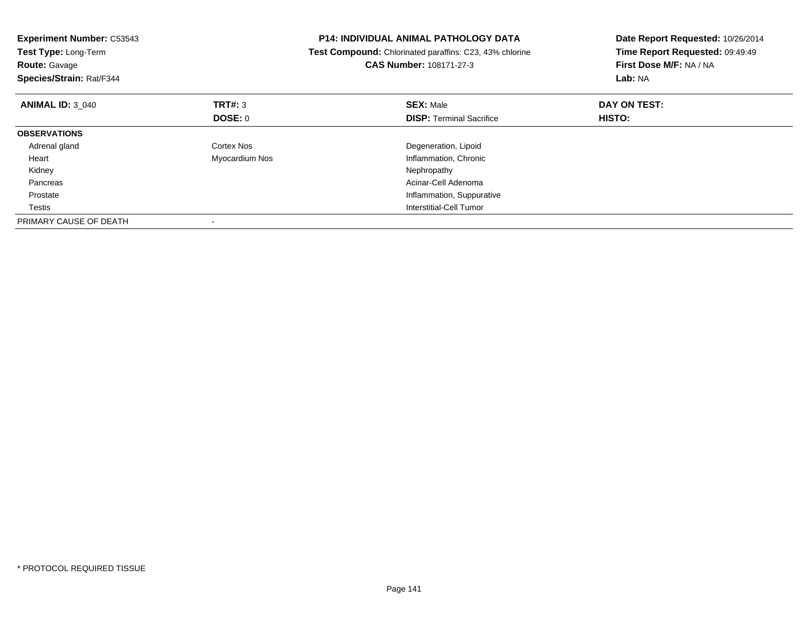| <b>Experiment Number: C53543</b><br>Test Type: Long-Term<br><b>Route: Gavage</b><br>Species/Strain: Rat/F344 |                | <b>P14: INDIVIDUAL ANIMAL PATHOLOGY DATA</b><br>Test Compound: Chlorinated paraffins: C23, 43% chlorine<br><b>CAS Number: 108171-27-3</b> | Date Report Requested: 10/26/2014<br>Time Report Requested: 09:49:49<br>First Dose M/F: NA / NA<br>Lab: NA |  |
|--------------------------------------------------------------------------------------------------------------|----------------|-------------------------------------------------------------------------------------------------------------------------------------------|------------------------------------------------------------------------------------------------------------|--|
| <b>ANIMAL ID: 3 040</b>                                                                                      | TRT#: 3        | <b>SEX: Male</b>                                                                                                                          | DAY ON TEST:                                                                                               |  |
|                                                                                                              | <b>DOSE: 0</b> | <b>DISP:</b> Terminal Sacrifice                                                                                                           | <b>HISTO:</b>                                                                                              |  |
| <b>OBSERVATIONS</b>                                                                                          |                |                                                                                                                                           |                                                                                                            |  |
| Adrenal gland                                                                                                | Cortex Nos     | Degeneration, Lipoid                                                                                                                      |                                                                                                            |  |
| Heart                                                                                                        | Myocardium Nos | Inflammation, Chronic                                                                                                                     |                                                                                                            |  |
| Kidney                                                                                                       |                | Nephropathy                                                                                                                               |                                                                                                            |  |
| Pancreas                                                                                                     |                | Acinar-Cell Adenoma                                                                                                                       |                                                                                                            |  |
| Prostate                                                                                                     |                | Inflammation, Suppurative                                                                                                                 |                                                                                                            |  |
| Testis                                                                                                       |                | Interstitial-Cell Tumor                                                                                                                   |                                                                                                            |  |
| PRIMARY CAUSE OF DEATH                                                                                       |                |                                                                                                                                           |                                                                                                            |  |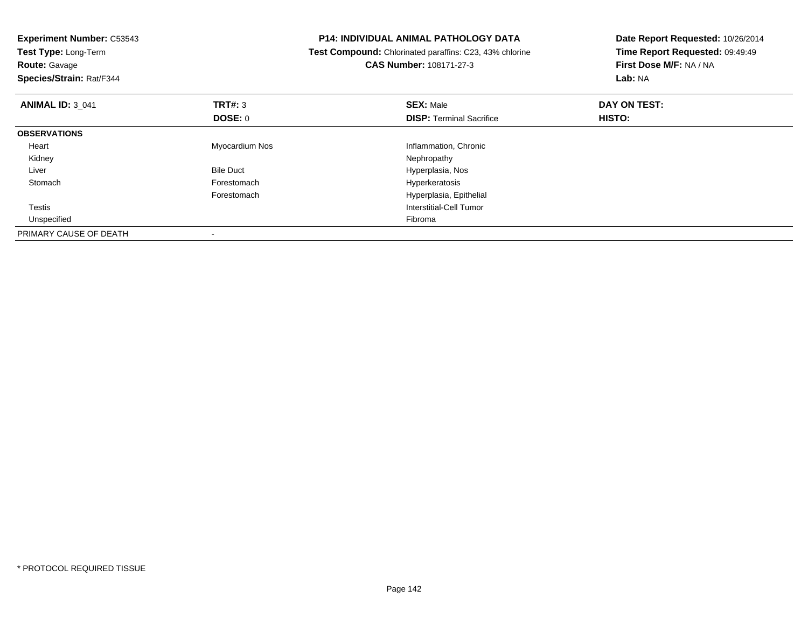| <b>Experiment Number: C53543</b><br>Test Type: Long-Term<br><b>Route: Gavage</b><br>Species/Strain: Rat/F344 |                  | <b>P14: INDIVIDUAL ANIMAL PATHOLOGY DATA</b><br>Test Compound: Chlorinated paraffins: C23, 43% chlorine<br><b>CAS Number: 108171-27-3</b> | Date Report Requested: 10/26/2014<br>Time Report Requested: 09:49:49<br>First Dose M/F: NA / NA<br>Lab: NA |
|--------------------------------------------------------------------------------------------------------------|------------------|-------------------------------------------------------------------------------------------------------------------------------------------|------------------------------------------------------------------------------------------------------------|
|                                                                                                              |                  |                                                                                                                                           |                                                                                                            |
| <b>ANIMAL ID: 3 041</b>                                                                                      | <b>TRT#: 3</b>   | <b>SEX: Male</b>                                                                                                                          | DAY ON TEST:                                                                                               |
|                                                                                                              | <b>DOSE: 0</b>   | <b>DISP:</b> Terminal Sacrifice                                                                                                           | <b>HISTO:</b>                                                                                              |
| <b>OBSERVATIONS</b>                                                                                          |                  |                                                                                                                                           |                                                                                                            |
| Heart                                                                                                        | Myocardium Nos   | Inflammation, Chronic                                                                                                                     |                                                                                                            |
| Kidney                                                                                                       |                  | Nephropathy                                                                                                                               |                                                                                                            |
| Liver                                                                                                        | <b>Bile Duct</b> | Hyperplasia, Nos                                                                                                                          |                                                                                                            |
| Stomach                                                                                                      | Forestomach      | Hyperkeratosis                                                                                                                            |                                                                                                            |
|                                                                                                              | Forestomach      | Hyperplasia, Epithelial                                                                                                                   |                                                                                                            |
| <b>Testis</b>                                                                                                |                  | Interstitial-Cell Tumor                                                                                                                   |                                                                                                            |
| Unspecified                                                                                                  |                  | Fibroma                                                                                                                                   |                                                                                                            |
| PRIMARY CAUSE OF DEATH                                                                                       | $\,$             |                                                                                                                                           |                                                                                                            |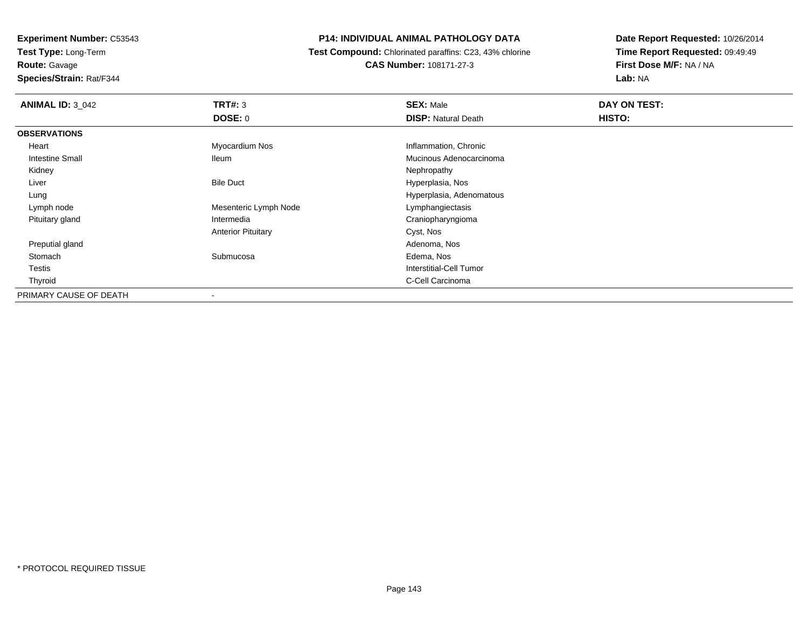**Experiment Number:** C53543**Test Type:** Long-Term

**Route:** Gavage

**Species/Strain:** Rat/F344

# **P14: INDIVIDUAL ANIMAL PATHOLOGY DATA**

 **Test Compound:** Chlorinated paraffins: C23, 43% chlorine**CAS Number:** 108171-27-3

| <b>ANIMAL ID: 3 042</b> | TRT#: 3                   | <b>SEX: Male</b>           | DAY ON TEST: |  |
|-------------------------|---------------------------|----------------------------|--------------|--|
|                         | DOSE: 0                   | <b>DISP: Natural Death</b> | HISTO:       |  |
| <b>OBSERVATIONS</b>     |                           |                            |              |  |
| Heart                   | Myocardium Nos            | Inflammation, Chronic      |              |  |
| <b>Intestine Small</b>  | <b>Ileum</b>              | Mucinous Adenocarcinoma    |              |  |
| Kidney                  |                           | Nephropathy                |              |  |
| Liver                   | <b>Bile Duct</b>          | Hyperplasia, Nos           |              |  |
| Lung                    |                           | Hyperplasia, Adenomatous   |              |  |
| Lymph node              | Mesenteric Lymph Node     | Lymphangiectasis           |              |  |
| Pituitary gland         | Intermedia                | Craniopharyngioma          |              |  |
|                         | <b>Anterior Pituitary</b> | Cyst, Nos                  |              |  |
| Preputial gland         |                           | Adenoma, Nos               |              |  |
| Stomach                 | Submucosa                 | Edema, Nos                 |              |  |
| Testis                  |                           | Interstitial-Cell Tumor    |              |  |
| Thyroid                 |                           | C-Cell Carcinoma           |              |  |
| PRIMARY CAUSE OF DEATH  |                           |                            |              |  |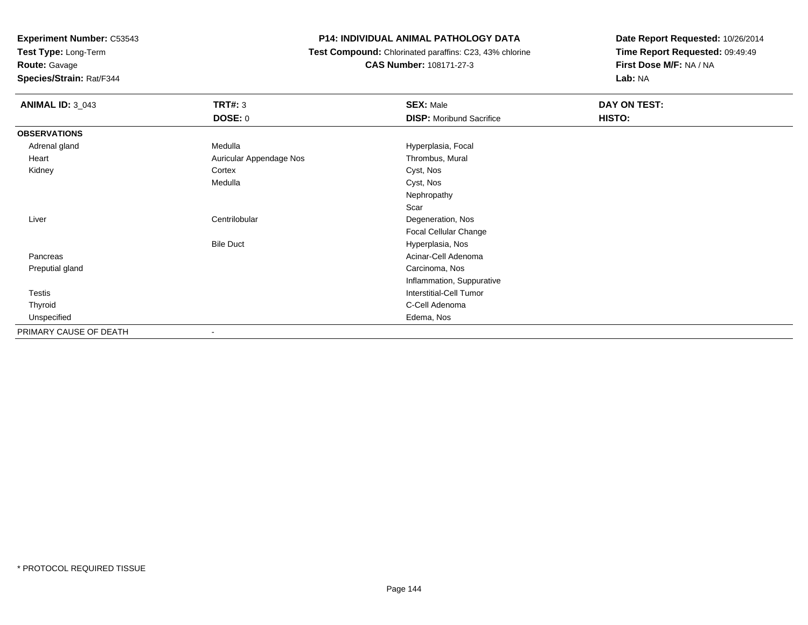**Test Type:** Long-Term

**Route:** Gavage

**Species/Strain:** Rat/F344

# **P14: INDIVIDUAL ANIMAL PATHOLOGY DATA**

 **Test Compound:** Chlorinated paraffins: C23, 43% chlorine**CAS Number:** 108171-27-3

| <b>ANIMAL ID: 3_043</b> | <b>TRT#: 3</b>          | <b>SEX: Male</b>                | DAY ON TEST: |
|-------------------------|-------------------------|---------------------------------|--------------|
|                         | <b>DOSE: 0</b>          | <b>DISP:</b> Moribund Sacrifice | HISTO:       |
| <b>OBSERVATIONS</b>     |                         |                                 |              |
| Adrenal gland           | Medulla                 | Hyperplasia, Focal              |              |
| Heart                   | Auricular Appendage Nos | Thrombus, Mural                 |              |
| Kidney                  | Cortex                  | Cyst, Nos                       |              |
|                         | Medulla                 | Cyst, Nos                       |              |
|                         |                         | Nephropathy                     |              |
|                         |                         | Scar                            |              |
| Liver                   | Centrilobular           | Degeneration, Nos               |              |
|                         |                         | <b>Focal Cellular Change</b>    |              |
|                         | <b>Bile Duct</b>        | Hyperplasia, Nos                |              |
| Pancreas                |                         | Acinar-Cell Adenoma             |              |
| Preputial gland         |                         | Carcinoma, Nos                  |              |
|                         |                         | Inflammation, Suppurative       |              |
| Testis                  |                         | Interstitial-Cell Tumor         |              |
| Thyroid                 |                         | C-Cell Adenoma                  |              |
| Unspecified             |                         | Edema, Nos                      |              |
| PRIMARY CAUSE OF DEATH  |                         |                                 |              |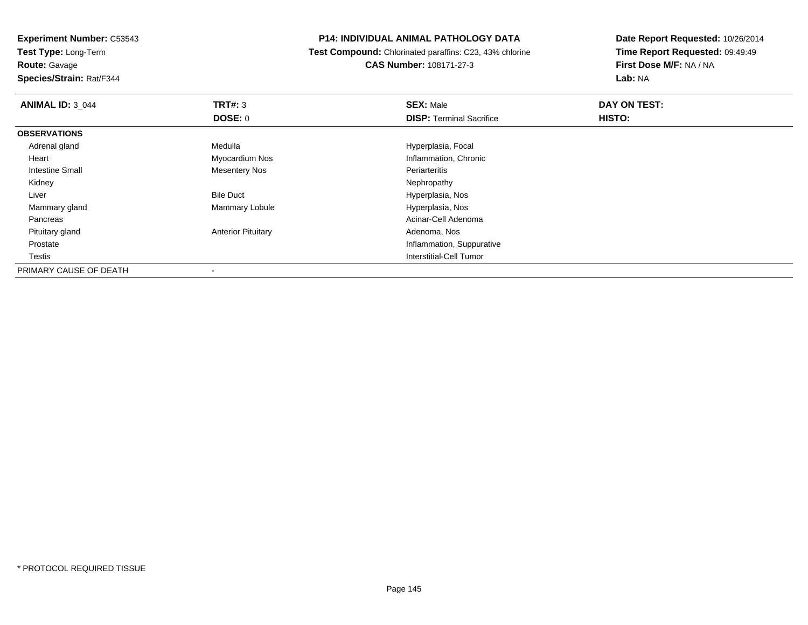**Test Type:** Long-Term

**Route:** Gavage

**Species/Strain:** Rat/F344

# **P14: INDIVIDUAL ANIMAL PATHOLOGY DATA**

 **Test Compound:** Chlorinated paraffins: C23, 43% chlorine**CAS Number:** 108171-27-3

| <b>ANIMAL ID: 3 044</b> | TRT#: 3                   | <b>SEX: Male</b>                | DAY ON TEST: |  |
|-------------------------|---------------------------|---------------------------------|--------------|--|
|                         | <b>DOSE: 0</b>            | <b>DISP: Terminal Sacrifice</b> | HISTO:       |  |
| <b>OBSERVATIONS</b>     |                           |                                 |              |  |
| Adrenal gland           | Medulla                   | Hyperplasia, Focal              |              |  |
| Heart                   | Myocardium Nos            | Inflammation, Chronic           |              |  |
| <b>Intestine Small</b>  | <b>Mesentery Nos</b>      | Periarteritis                   |              |  |
| Kidney                  |                           | Nephropathy                     |              |  |
| Liver                   | <b>Bile Duct</b>          | Hyperplasia, Nos                |              |  |
| Mammary gland           | <b>Mammary Lobule</b>     | Hyperplasia, Nos                |              |  |
| Pancreas                |                           | Acinar-Cell Adenoma             |              |  |
| Pituitary gland         | <b>Anterior Pituitary</b> | Adenoma, Nos                    |              |  |
| Prostate                |                           | Inflammation, Suppurative       |              |  |
| Testis                  |                           | Interstitial-Cell Tumor         |              |  |
| PRIMARY CAUSE OF DEATH  |                           |                                 |              |  |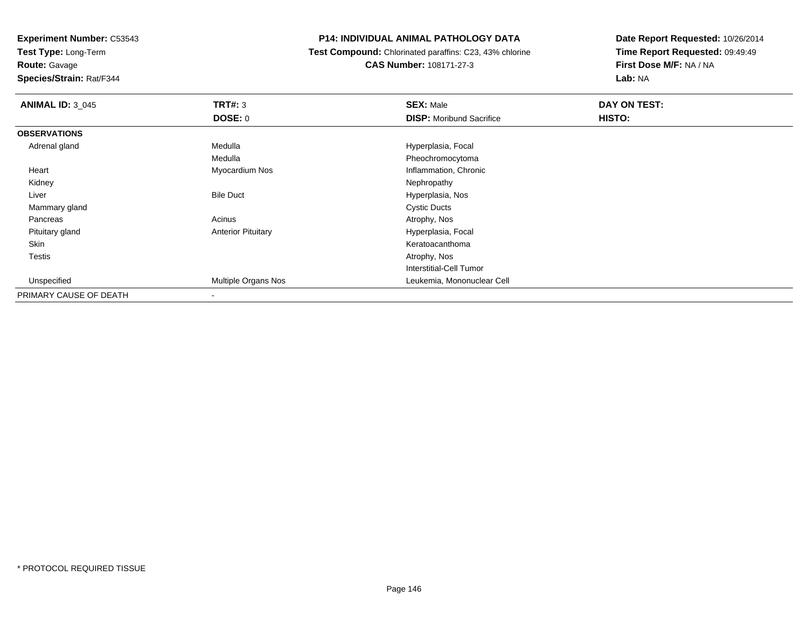**Test Type:** Long-Term

**Route:** Gavage

**Species/Strain:** Rat/F344

# **P14: INDIVIDUAL ANIMAL PATHOLOGY DATA**

 **Test Compound:** Chlorinated paraffins: C23, 43% chlorine**CAS Number:** 108171-27-3

| <b>ANIMAL ID: 3_045</b> | TRT#: 3                   | <b>SEX: Male</b>                | DAY ON TEST: |  |
|-------------------------|---------------------------|---------------------------------|--------------|--|
|                         | DOSE: 0                   | <b>DISP:</b> Moribund Sacrifice | HISTO:       |  |
| <b>OBSERVATIONS</b>     |                           |                                 |              |  |
| Adrenal gland           | Medulla                   | Hyperplasia, Focal              |              |  |
|                         | Medulla                   | Pheochromocytoma                |              |  |
| Heart                   | Myocardium Nos            | Inflammation, Chronic           |              |  |
| Kidney                  |                           | Nephropathy                     |              |  |
| Liver                   | <b>Bile Duct</b>          | Hyperplasia, Nos                |              |  |
| Mammary gland           |                           | <b>Cystic Ducts</b>             |              |  |
| Pancreas                | Acinus                    | Atrophy, Nos                    |              |  |
| Pituitary gland         | <b>Anterior Pituitary</b> | Hyperplasia, Focal              |              |  |
| Skin                    |                           | Keratoacanthoma                 |              |  |
| <b>Testis</b>           |                           | Atrophy, Nos                    |              |  |
|                         |                           | <b>Interstitial-Cell Tumor</b>  |              |  |
| Unspecified             | Multiple Organs Nos       | Leukemia, Mononuclear Cell      |              |  |
| PRIMARY CAUSE OF DEATH  |                           |                                 |              |  |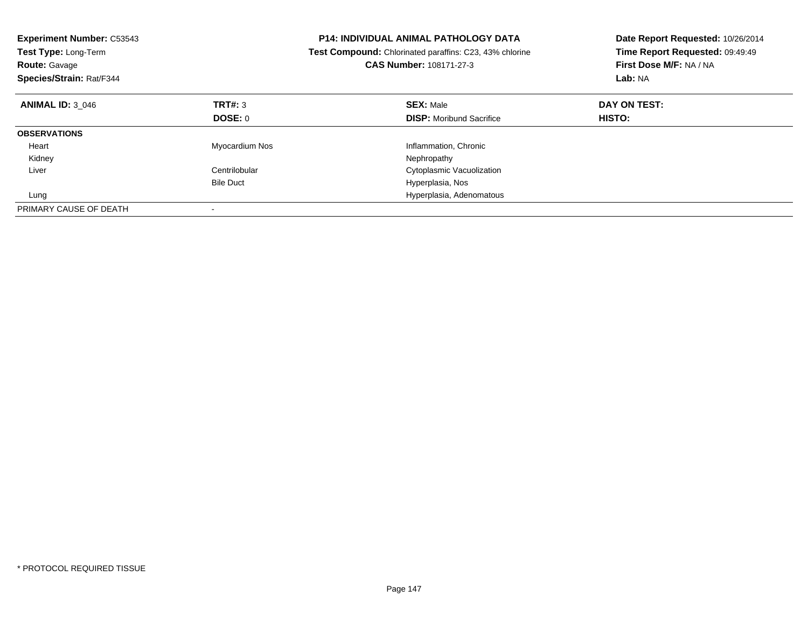| <b>Experiment Number: C53543</b><br>Test Type: Long-Term<br><b>Route: Gavage</b><br>Species/Strain: Rat/F344 |                  | <b>P14: INDIVIDUAL ANIMAL PATHOLOGY DATA</b><br>Test Compound: Chlorinated paraffins: C23, 43% chlorine<br>CAS Number: 108171-27-3 | Date Report Requested: 10/26/2014<br>Time Report Requested: 09:49:49<br>First Dose M/F: NA / NA<br>Lab: NA |  |
|--------------------------------------------------------------------------------------------------------------|------------------|------------------------------------------------------------------------------------------------------------------------------------|------------------------------------------------------------------------------------------------------------|--|
| <b>ANIMAL ID: 3 046</b>                                                                                      | TRT#: 3          | <b>SEX: Male</b>                                                                                                                   | DAY ON TEST:                                                                                               |  |
|                                                                                                              | DOSE: 0          | <b>DISP:</b> Moribund Sacrifice                                                                                                    | HISTO:                                                                                                     |  |
| <b>OBSERVATIONS</b>                                                                                          |                  |                                                                                                                                    |                                                                                                            |  |
| Heart                                                                                                        | Myocardium Nos   | Inflammation, Chronic                                                                                                              |                                                                                                            |  |
| Kidney                                                                                                       |                  | Nephropathy                                                                                                                        |                                                                                                            |  |
| Liver                                                                                                        | Centrilobular    | Cytoplasmic Vacuolization                                                                                                          |                                                                                                            |  |
|                                                                                                              | <b>Bile Duct</b> | Hyperplasia, Nos                                                                                                                   |                                                                                                            |  |
| Lung                                                                                                         |                  | Hyperplasia, Adenomatous                                                                                                           |                                                                                                            |  |
| PRIMARY CAUSE OF DEATH                                                                                       |                  |                                                                                                                                    |                                                                                                            |  |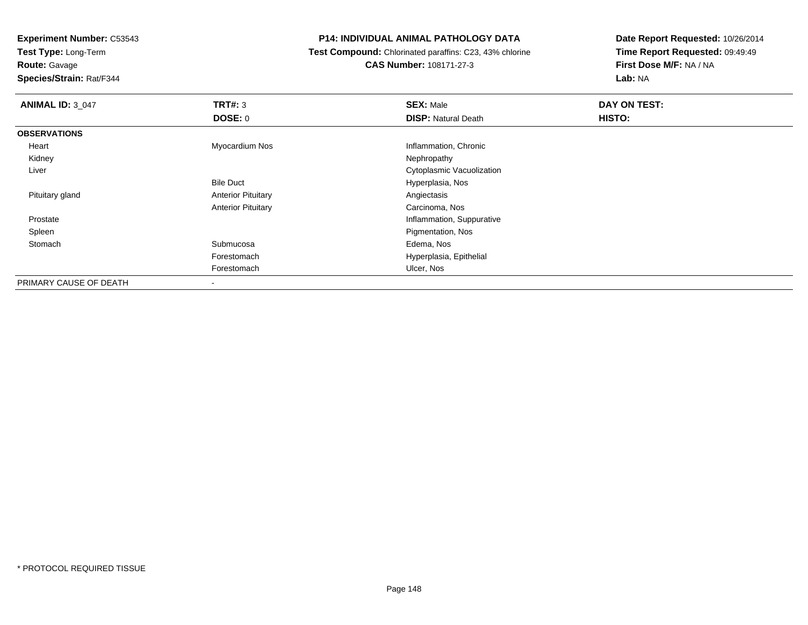**Test Type:** Long-Term

**Route:** Gavage

**Species/Strain:** Rat/F344

# **P14: INDIVIDUAL ANIMAL PATHOLOGY DATA**

 **Test Compound:** Chlorinated paraffins: C23, 43% chlorine**CAS Number:** 108171-27-3

| <b>ANIMAL ID: 3_047</b> | TRT#: 3                   | <b>SEX: Male</b>           | DAY ON TEST: |
|-------------------------|---------------------------|----------------------------|--------------|
|                         | <b>DOSE: 0</b>            | <b>DISP: Natural Death</b> | HISTO:       |
| <b>OBSERVATIONS</b>     |                           |                            |              |
| Heart                   | Myocardium Nos            | Inflammation, Chronic      |              |
| Kidney                  |                           | Nephropathy                |              |
| Liver                   |                           | Cytoplasmic Vacuolization  |              |
|                         | <b>Bile Duct</b>          | Hyperplasia, Nos           |              |
| Pituitary gland         | <b>Anterior Pituitary</b> | Angiectasis                |              |
|                         | <b>Anterior Pituitary</b> | Carcinoma, Nos             |              |
| Prostate                |                           | Inflammation, Suppurative  |              |
| Spleen                  |                           | Pigmentation, Nos          |              |
| Stomach                 | Submucosa                 | Edema, Nos                 |              |
|                         | Forestomach               | Hyperplasia, Epithelial    |              |
|                         | Forestomach               | Ulcer, Nos                 |              |
| PRIMARY CAUSE OF DEATH  | $\blacksquare$            |                            |              |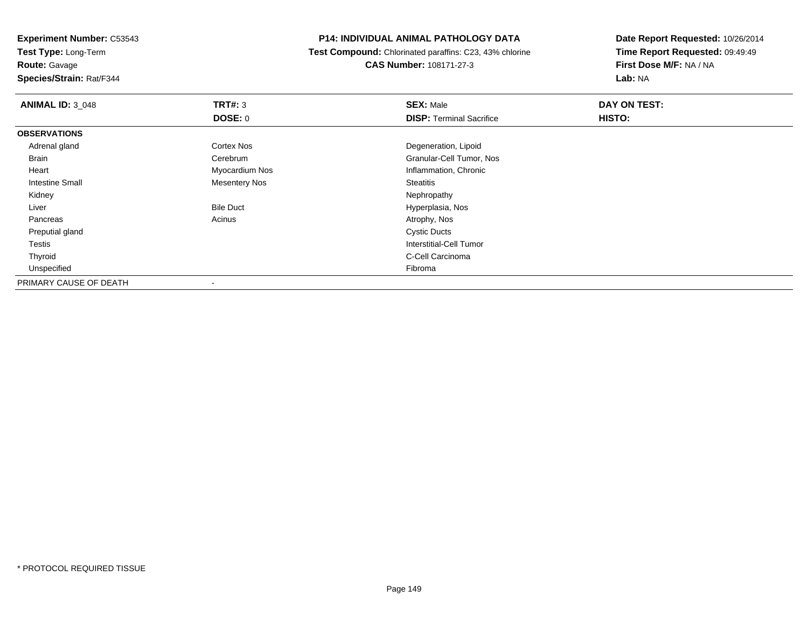**Test Type:** Long-Term

**Route:** Gavage

**Species/Strain:** Rat/F344

# **P14: INDIVIDUAL ANIMAL PATHOLOGY DATA**

 **Test Compound:** Chlorinated paraffins: C23, 43% chlorine**CAS Number:** 108171-27-3

| <b>ANIMAL ID: 3_048</b> | TRT#: 3          | <b>SEX: Male</b>                | DAY ON TEST: |
|-------------------------|------------------|---------------------------------|--------------|
|                         | <b>DOSE: 0</b>   | <b>DISP: Terminal Sacrifice</b> | HISTO:       |
| <b>OBSERVATIONS</b>     |                  |                                 |              |
| Adrenal gland           | Cortex Nos       | Degeneration, Lipoid            |              |
| Brain                   | Cerebrum         | Granular-Cell Tumor, Nos        |              |
| Heart                   | Myocardium Nos   | Inflammation, Chronic           |              |
| <b>Intestine Small</b>  | Mesentery Nos    | <b>Steatitis</b>                |              |
| Kidney                  |                  | Nephropathy                     |              |
| Liver                   | <b>Bile Duct</b> | Hyperplasia, Nos                |              |
| Pancreas                | Acinus           | Atrophy, Nos                    |              |
| Preputial gland         |                  | <b>Cystic Ducts</b>             |              |
| Testis                  |                  | <b>Interstitial-Cell Tumor</b>  |              |
| Thyroid                 |                  | C-Cell Carcinoma                |              |
| Unspecified             |                  | Fibroma                         |              |
| PRIMARY CAUSE OF DEATH  | $\sim$           |                                 |              |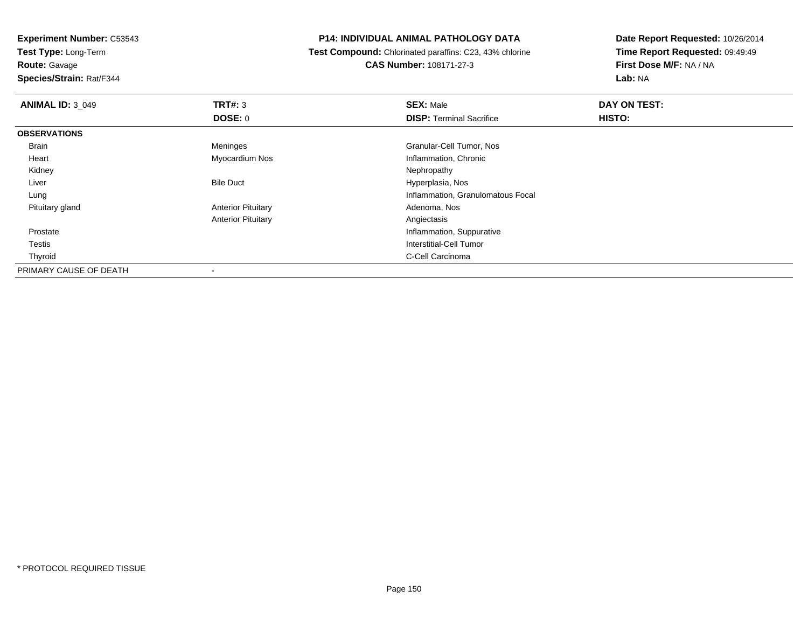**Experiment Number:** C53543**Test Type:** Long-Term

**Route:** Gavage

**Species/Strain:** Rat/F344

# **P14: INDIVIDUAL ANIMAL PATHOLOGY DATA**

 **Test Compound:** Chlorinated paraffins: C23, 43% chlorine**CAS Number:** 108171-27-3

| <b>ANIMAL ID: 3_049</b> | TRT#: 3                   | <b>SEX: Male</b>                  | DAY ON TEST: |  |
|-------------------------|---------------------------|-----------------------------------|--------------|--|
|                         | <b>DOSE: 0</b>            | <b>DISP: Terminal Sacrifice</b>   | HISTO:       |  |
| <b>OBSERVATIONS</b>     |                           |                                   |              |  |
| Brain                   | Meninges                  | Granular-Cell Tumor, Nos          |              |  |
| Heart                   | Myocardium Nos            | Inflammation, Chronic             |              |  |
| Kidney                  |                           | Nephropathy                       |              |  |
| Liver                   | <b>Bile Duct</b>          | Hyperplasia, Nos                  |              |  |
| Lung                    |                           | Inflammation, Granulomatous Focal |              |  |
| Pituitary gland         | <b>Anterior Pituitary</b> | Adenoma, Nos                      |              |  |
|                         | <b>Anterior Pituitary</b> | Angiectasis                       |              |  |
| Prostate                |                           | Inflammation, Suppurative         |              |  |
| Testis                  |                           | Interstitial-Cell Tumor           |              |  |
| Thyroid                 |                           | C-Cell Carcinoma                  |              |  |
| PRIMARY CAUSE OF DEATH  |                           |                                   |              |  |